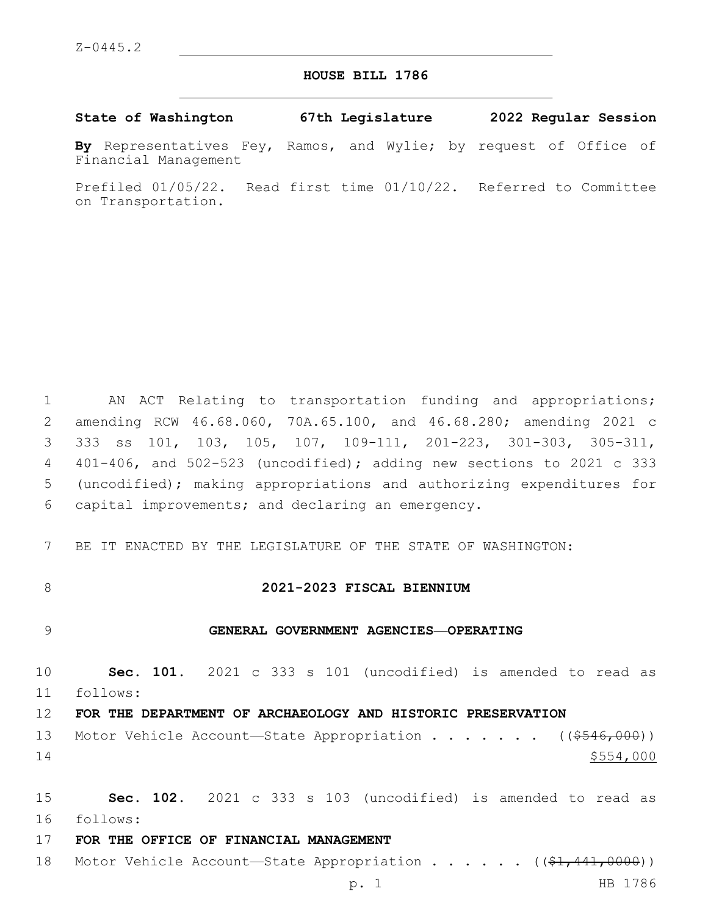# **HOUSE BILL 1786**

**State of Washington 67th Legislature 2022 Regular Session**

**By** Representatives Fey, Ramos, and Wylie; by request of Office of Financial Management

Prefiled 01/05/22. Read first time 01/10/22. Referred to Committee on Transportation.

 AN ACT Relating to transportation funding and appropriations; amending RCW 46.68.060, 70A.65.100, and 46.68.280; amending 2021 c 333 ss 101, 103, 105, 107, 109-111, 201-223, 301-303, 305-311, 401-406, and 502-523 (uncodified); adding new sections to 2021 c 333 (uncodified); making appropriations and authorizing expenditures for capital improvements; and declaring an emergency.6

7 BE IT ENACTED BY THE LEGISLATURE OF THE STATE OF WASHINGTON:

### 8 **2021-2023 FISCAL BIENNIUM**

#### 9 **GENERAL GOVERNMENT AGENCIES—OPERATING**

10 **Sec. 101.** 2021 c 333 s 101 (uncodified) is amended to read as follows: 11

### 12 **FOR THE DEPARTMENT OF ARCHAEOLOGY AND HISTORIC PRESERVATION**

13 Motor Vehicle Account—State Appropriation . . . . . . ((\$546,000))  $14$   $$5554,000$ 

15 **Sec. 102.** 2021 c 333 s 103 (uncodified) is amended to read as follows: 16

17 **FOR THE OFFICE OF FINANCIAL MANAGEMENT**

18 Motor Vehicle Account—State Appropriation . . . . . ((\$1,441,0000))

p. 1 HB 1786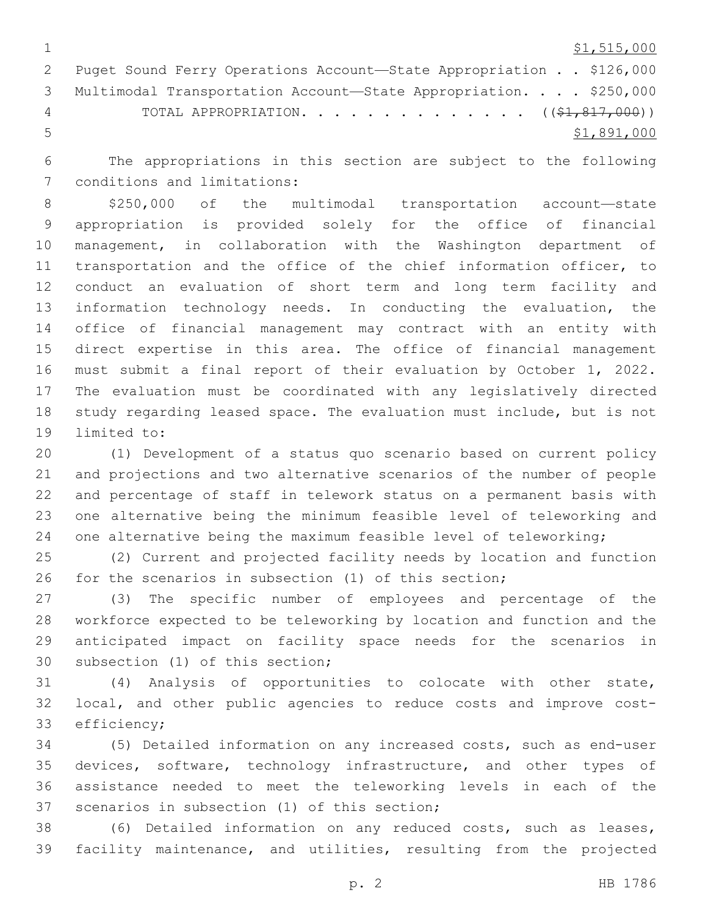$1 \quad$  \$1,515,000

|   | 2 Puget Sound Ferry Operations Account-State Appropriation \$126,000 |
|---|----------------------------------------------------------------------|
|   | 3 Multimodal Transportation Account-State Appropriation. \$250,000   |
| 4 | TOTAL APPROPRIATION. $($ $(\frac{21}{21}, \frac{817}{200})$          |
| 5 | \$1,891,000                                                          |

 The appropriations in this section are subject to the following 7 conditions and limitations:

 \$250,000 of the multimodal transportation account—state appropriation is provided solely for the office of financial management, in collaboration with the Washington department of transportation and the office of the chief information officer, to conduct an evaluation of short term and long term facility and information technology needs. In conducting the evaluation, the office of financial management may contract with an entity with direct expertise in this area. The office of financial management must submit a final report of their evaluation by October 1, 2022. The evaluation must be coordinated with any legislatively directed study regarding leased space. The evaluation must include, but is not 19 limited to:

 (1) Development of a status quo scenario based on current policy and projections and two alternative scenarios of the number of people and percentage of staff in telework status on a permanent basis with one alternative being the minimum feasible level of teleworking and 24 one alternative being the maximum feasible level of teleworking;

 (2) Current and projected facility needs by location and function for the scenarios in subsection (1) of this section;

 (3) The specific number of employees and percentage of the workforce expected to be teleworking by location and function and the anticipated impact on facility space needs for the scenarios in 30 subsection (1) of this section;

 (4) Analysis of opportunities to colocate with other state, local, and other public agencies to reduce costs and improve cost-33 efficiency;

 (5) Detailed information on any increased costs, such as end-user 35 devices, software, technology infrastructure, and other types of assistance needed to meet the teleworking levels in each of the 37 scenarios in subsection (1) of this section;

 (6) Detailed information on any reduced costs, such as leases, facility maintenance, and utilities, resulting from the projected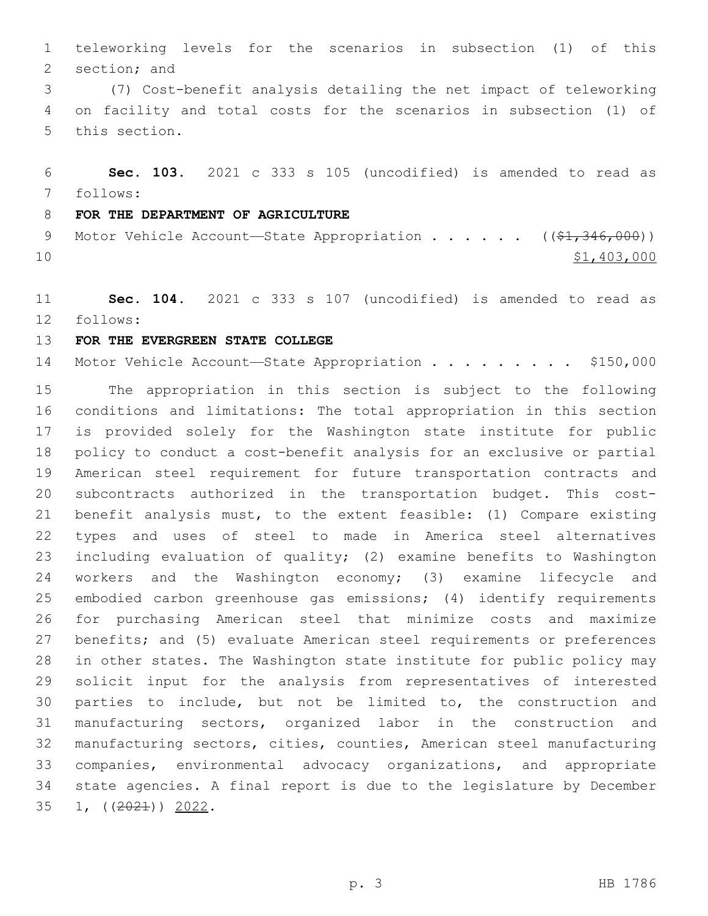teleworking levels for the scenarios in subsection (1) of this 2 section; and

 (7) Cost-benefit analysis detailing the net impact of teleworking on facility and total costs for the scenarios in subsection (1) of 5 this section.

 **Sec. 103.** 2021 c 333 s 105 (uncodified) is amended to read as follows: 7

# **FOR THE DEPARTMENT OF AGRICULTURE**

9 Motor Vehicle Account—State Appropriation . . . . . . ((\$1,346,000)) \$1,403,000

 **Sec. 104.** 2021 c 333 s 107 (uncodified) is amended to read as follows: 12

**FOR THE EVERGREEN STATE COLLEGE**

14 Motor Vehicle Account-State Appropriation . . . . . . . . \$150,000

 The appropriation in this section is subject to the following conditions and limitations: The total appropriation in this section is provided solely for the Washington state institute for public policy to conduct a cost-benefit analysis for an exclusive or partial American steel requirement for future transportation contracts and subcontracts authorized in the transportation budget. This cost- benefit analysis must, to the extent feasible: (1) Compare existing types and uses of steel to made in America steel alternatives including evaluation of quality; (2) examine benefits to Washington workers and the Washington economy; (3) examine lifecycle and embodied carbon greenhouse gas emissions; (4) identify requirements for purchasing American steel that minimize costs and maximize benefits; and (5) evaluate American steel requirements or preferences in other states. The Washington state institute for public policy may solicit input for the analysis from representatives of interested parties to include, but not be limited to, the construction and manufacturing sectors, organized labor in the construction and manufacturing sectors, cities, counties, American steel manufacturing companies, environmental advocacy organizations, and appropriate state agencies. A final report is due to the legislature by December 35 1, ((<del>2021</del>)) 2022.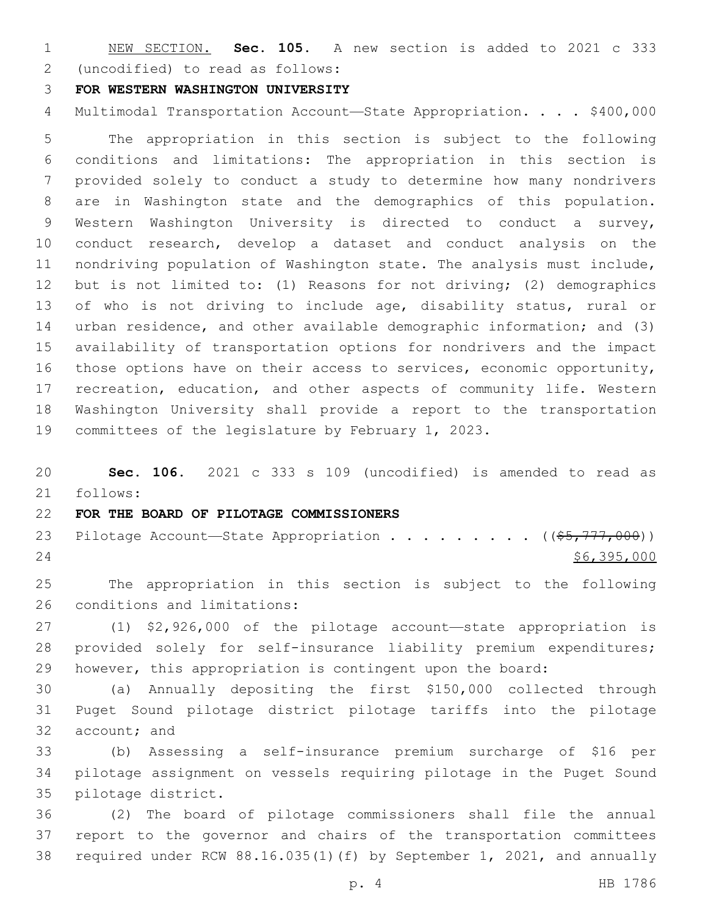NEW SECTION. **Sec. 105.** A new section is added to 2021 c 333 (uncodified) to read as follows: 2

### **FOR WESTERN WASHINGTON UNIVERSITY**

4 Multimodal Transportation Account-State Appropriation. . . . \$400,000

 The appropriation in this section is subject to the following conditions and limitations: The appropriation in this section is provided solely to conduct a study to determine how many nondrivers are in Washington state and the demographics of this population. Western Washington University is directed to conduct a survey, conduct research, develop a dataset and conduct analysis on the nondriving population of Washington state. The analysis must include, but is not limited to: (1) Reasons for not driving; (2) demographics 13 of who is not driving to include age, disability status, rural or urban residence, and other available demographic information; and (3) availability of transportation options for nondrivers and the impact those options have on their access to services, economic opportunity, recreation, education, and other aspects of community life. Western Washington University shall provide a report to the transportation committees of the legislature by February 1, 2023.

 **Sec. 106.** 2021 c 333 s 109 (uncodified) is amended to read as follows: 21

# **FOR THE BOARD OF PILOTAGE COMMISSIONERS**

23 Pilotage Account—State Appropriation . . . . . . . . ((\$5,777,000)) \$6,395,000

 The appropriation in this section is subject to the following 26 conditions and limitations:

 (1) \$2,926,000 of the pilotage account—state appropriation is provided solely for self-insurance liability premium expenditures; however, this appropriation is contingent upon the board:

 (a) Annually depositing the first \$150,000 collected through Puget Sound pilotage district pilotage tariffs into the pilotage 32 account; and

 (b) Assessing a self-insurance premium surcharge of \$16 per pilotage assignment on vessels requiring pilotage in the Puget Sound 35 pilotage district.

 (2) The board of pilotage commissioners shall file the annual report to the governor and chairs of the transportation committees required under RCW 88.16.035(1)(f) by September 1, 2021, and annually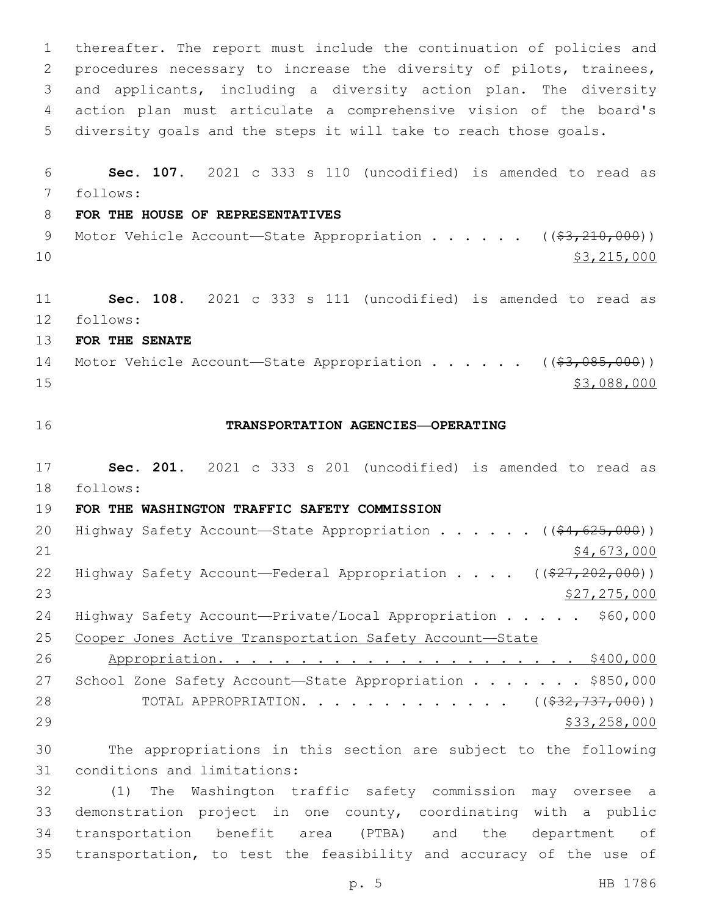thereafter. The report must include the continuation of policies and procedures necessary to increase the diversity of pilots, trainees, and applicants, including a diversity action plan. The diversity action plan must articulate a comprehensive vision of the board's diversity goals and the steps it will take to reach those goals. **Sec. 107.** 2021 c 333 s 110 (uncodified) is amended to read as follows: 7 **FOR THE HOUSE OF REPRESENTATIVES** 9 Motor Vehicle Account—State Appropriation . . . . . . ((\$3,210,000)) 10 \$3,215,000 **Sec. 108.** 2021 c 333 s 111 (uncodified) is amended to read as follows: 12 **FOR THE SENATE** 14 Motor Vehicle Account—State Appropriation . . . . . ((\$3,085,000)) **\$3,088,000 TRANSPORTATION AGENCIES—OPERATING Sec. 201.** 2021 c 333 s 201 (uncodified) is amended to read as 18 follows: **FOR THE WASHINGTON TRAFFIC SAFETY COMMISSION** 20 Highway Safety Account—State Appropriation . . . . . ((\$4,625,000))  $\frac{1}{2}$   $\frac{1}{2}$   $\frac{1}{2}$   $\frac{1}{2}$   $\frac{1}{2}$   $\frac{1}{2}$   $\frac{1}{2}$   $\frac{1}{2}$   $\frac{1}{2}$   $\frac{1}{2}$   $\frac{1}{2}$   $\frac{1}{2}$   $\frac{1}{2}$   $\frac{1}{2}$   $\frac{1}{2}$   $\frac{1}{2}$   $\frac{1}{2}$   $\frac{1}{2}$   $\frac{1}{2}$   $\frac{1}{2}$   $\frac{1}{2}$   $\frac{1}{2}$ 22 Highway Safety Account—Federal Appropriation . . . ((\$27,202,000))  $527,275,000$ 24 Highway Safety Account—Private/Local Appropriation . . . . \$60,000 Cooper Jones Active Transportation Safety Account—State Appropriation. . . . . . . . . . . . . . . . . . . . . . \$400,000 27 School Zone Safety Account-State Appropriation . . . . . . \$850,000 28 TOTAL APPROPRIATION. . . . . . . . . . . . ((<del>\$32,737,000</del>)) \$33,258,000 The appropriations in this section are subject to the following 31 conditions and limitations: (1) The Washington traffic safety commission may oversee a demonstration project in one county, coordinating with a public transportation benefit area (PTBA) and the department of

transportation, to test the feasibility and accuracy of the use of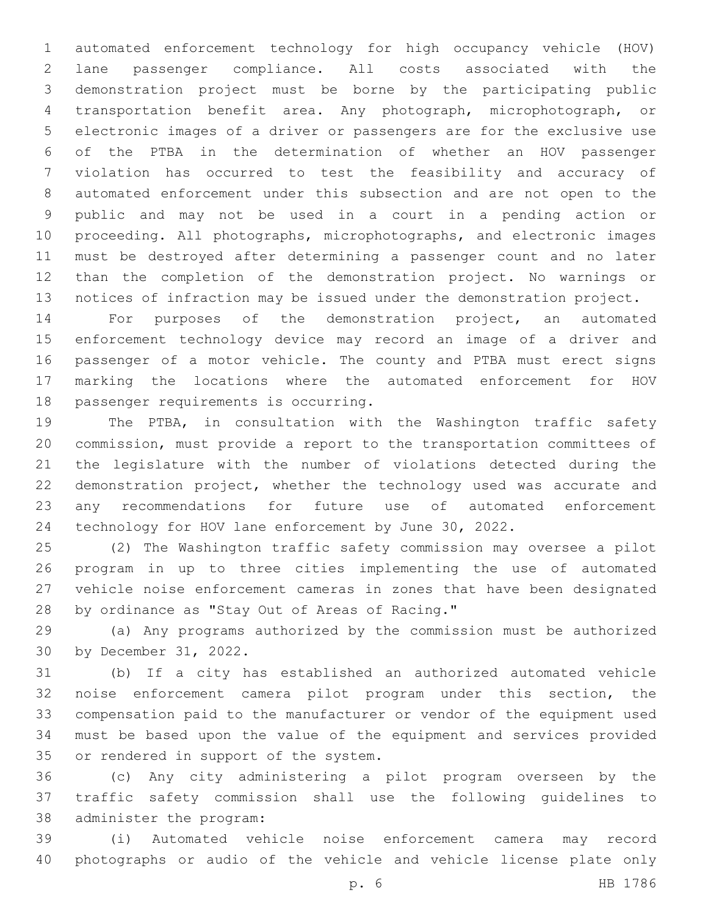automated enforcement technology for high occupancy vehicle (HOV) lane passenger compliance. All costs associated with the demonstration project must be borne by the participating public transportation benefit area. Any photograph, microphotograph, or electronic images of a driver or passengers are for the exclusive use of the PTBA in the determination of whether an HOV passenger violation has occurred to test the feasibility and accuracy of automated enforcement under this subsection and are not open to the public and may not be used in a court in a pending action or proceeding. All photographs, microphotographs, and electronic images must be destroyed after determining a passenger count and no later than the completion of the demonstration project. No warnings or notices of infraction may be issued under the demonstration project.

 For purposes of the demonstration project, an automated enforcement technology device may record an image of a driver and passenger of a motor vehicle. The county and PTBA must erect signs marking the locations where the automated enforcement for HOV 18 passenger requirements is occurring.

 The PTBA, in consultation with the Washington traffic safety commission, must provide a report to the transportation committees of the legislature with the number of violations detected during the demonstration project, whether the technology used was accurate and any recommendations for future use of automated enforcement technology for HOV lane enforcement by June 30, 2022.

 (2) The Washington traffic safety commission may oversee a pilot program in up to three cities implementing the use of automated vehicle noise enforcement cameras in zones that have been designated 28 by ordinance as "Stay Out of Areas of Racing."

 (a) Any programs authorized by the commission must be authorized 30 by December 31, 2022.

 (b) If a city has established an authorized automated vehicle noise enforcement camera pilot program under this section, the compensation paid to the manufacturer or vendor of the equipment used must be based upon the value of the equipment and services provided 35 or rendered in support of the system.

 (c) Any city administering a pilot program overseen by the traffic safety commission shall use the following guidelines to 38 administer the program:

 (i) Automated vehicle noise enforcement camera may record photographs or audio of the vehicle and vehicle license plate only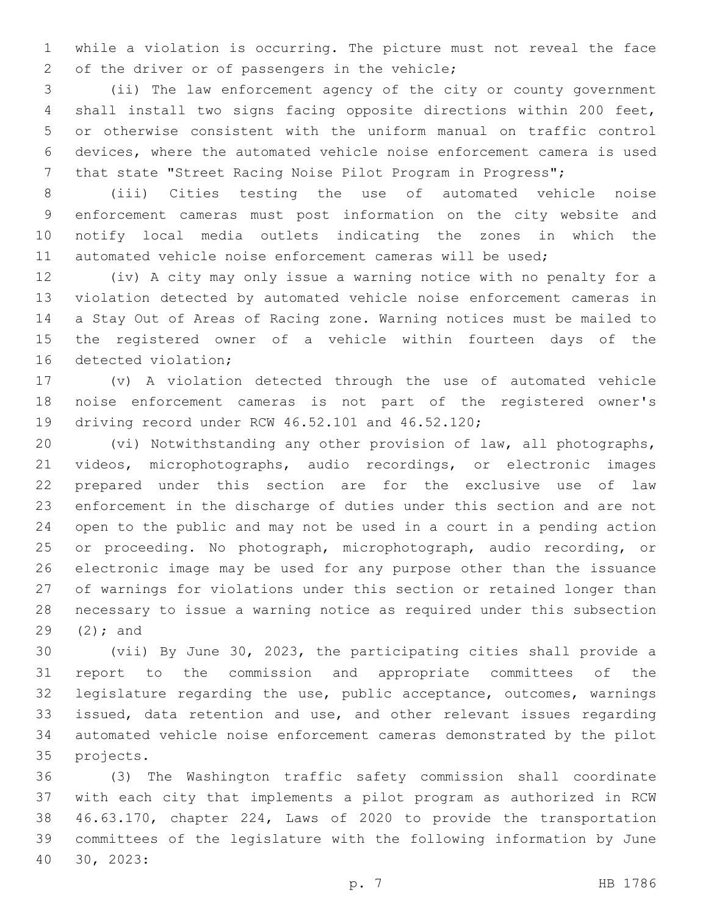while a violation is occurring. The picture must not reveal the face 2 of the driver or of passengers in the vehicle;

 (ii) The law enforcement agency of the city or county government shall install two signs facing opposite directions within 200 feet, or otherwise consistent with the uniform manual on traffic control devices, where the automated vehicle noise enforcement camera is used that state "Street Racing Noise Pilot Program in Progress";

 (iii) Cities testing the use of automated vehicle noise enforcement cameras must post information on the city website and notify local media outlets indicating the zones in which the automated vehicle noise enforcement cameras will be used;

 (iv) A city may only issue a warning notice with no penalty for a violation detected by automated vehicle noise enforcement cameras in a Stay Out of Areas of Racing zone. Warning notices must be mailed to the registered owner of a vehicle within fourteen days of the 16 detected violation;

 (v) A violation detected through the use of automated vehicle noise enforcement cameras is not part of the registered owner's 19 driving record under RCW 46.52.101 and 46.52.120;

 (vi) Notwithstanding any other provision of law, all photographs, videos, microphotographs, audio recordings, or electronic images prepared under this section are for the exclusive use of law enforcement in the discharge of duties under this section and are not open to the public and may not be used in a court in a pending action or proceeding. No photograph, microphotograph, audio recording, or electronic image may be used for any purpose other than the issuance of warnings for violations under this section or retained longer than necessary to issue a warning notice as required under this subsection  $(2);$  and

 (vii) By June 30, 2023, the participating cities shall provide a report to the commission and appropriate committees of the legislature regarding the use, public acceptance, outcomes, warnings issued, data retention and use, and other relevant issues regarding automated vehicle noise enforcement cameras demonstrated by the pilot 35 projects.

 (3) The Washington traffic safety commission shall coordinate with each city that implements a pilot program as authorized in RCW 46.63.170, chapter 224, Laws of 2020 to provide the transportation committees of the legislature with the following information by June 30, 2023:40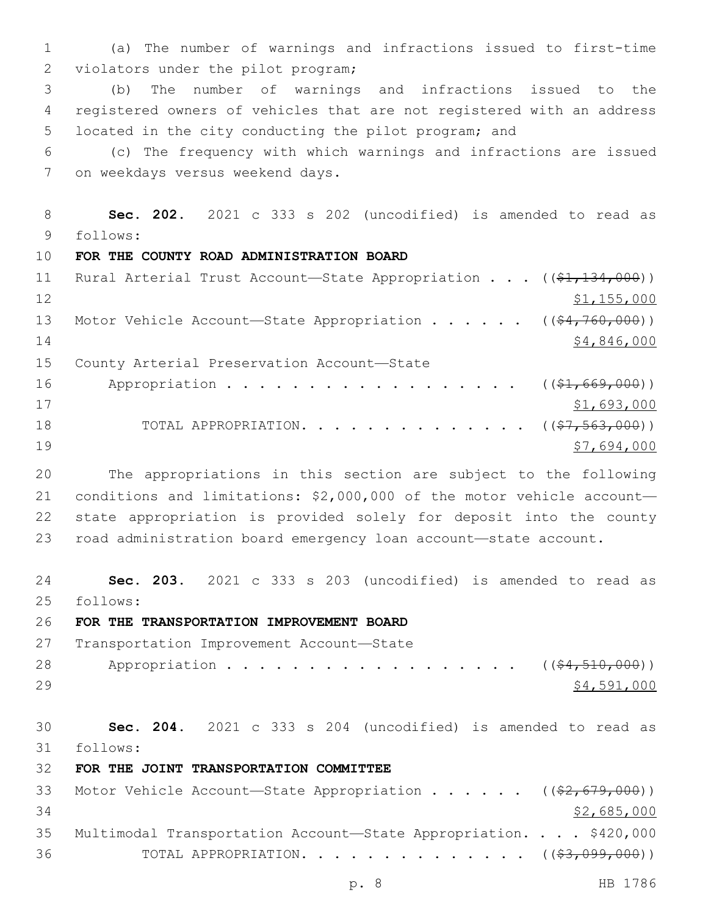1 (a) The number of warnings and infractions issued to first-time 2 violators under the pilot program;

3 (b) The number of warnings and infractions issued to the 4 registered owners of vehicles that are not registered with an address 5 located in the city conducting the pilot program; and

6 (c) The frequency with which warnings and infractions are issued 7 on weekdays versus weekend days.

8 **Sec. 202.** 2021 c 333 s 202 (uncodified) is amended to read as follows: 9

10 **FOR THE COUNTY ROAD ADMINISTRATION BOARD**

| 11 | Rural Arterial Trust Account-State Appropriation ((\$1,134,000))                  |             |
|----|-----------------------------------------------------------------------------------|-------------|
| 12 |                                                                                   | \$1,155,000 |
| 13 | Motor Vehicle Account—State Appropriation ( $(\frac{64}{7760}, \frac{000}{00})$ ) |             |
| 14 |                                                                                   | \$4,846,000 |
| 15 | County Arterial Preservation Account-State                                        |             |
| 16 | Appropriation $($ $($ $\frac{1}{6}$ $)$ , $($ $\frac{69}{7}$ , $000$ $))$         |             |
| 17 |                                                                                   | \$1,693,000 |
| 18 | TOTAL APPROPRIATION. $($ $($ $\frac{27}{7},$ 563, 000) $)$                        |             |
| 19 |                                                                                   | \$7,694,000 |

 The appropriations in this section are subject to the following conditions and limitations: \$2,000,000 of the motor vehicle account— state appropriation is provided solely for deposit into the county road administration board emergency loan account—state account.

24 **Sec. 203.** 2021 c 333 s 203 (uncodified) is amended to read as follows: 25

26 **FOR THE TRANSPORTATION IMPROVEMENT BOARD**

27 Transportation Improvement Account-State 28 Appropriation . . . . . . . . . . . . . . . . (  $(\frac{24}{510},000)$  )  $29$   $\frac{$4,591,000}{2}$ 

30 **Sec. 204.** 2021 c 333 s 204 (uncodified) is amended to read as follows: 31

32 **FOR THE JOINT TRANSPORTATION COMMITTEE**

|     | 33 Motor Vehicle Account—State Appropriation ((\$2,679,000))        |             |
|-----|---------------------------------------------------------------------|-------------|
| .34 |                                                                     | \$2,685,000 |
|     | 35 Multimodal Transportation Account-State Appropriation. \$420,000 |             |
| 36  | TOTAL APPROPRIATION. $($ $(*3,099,000))$                            |             |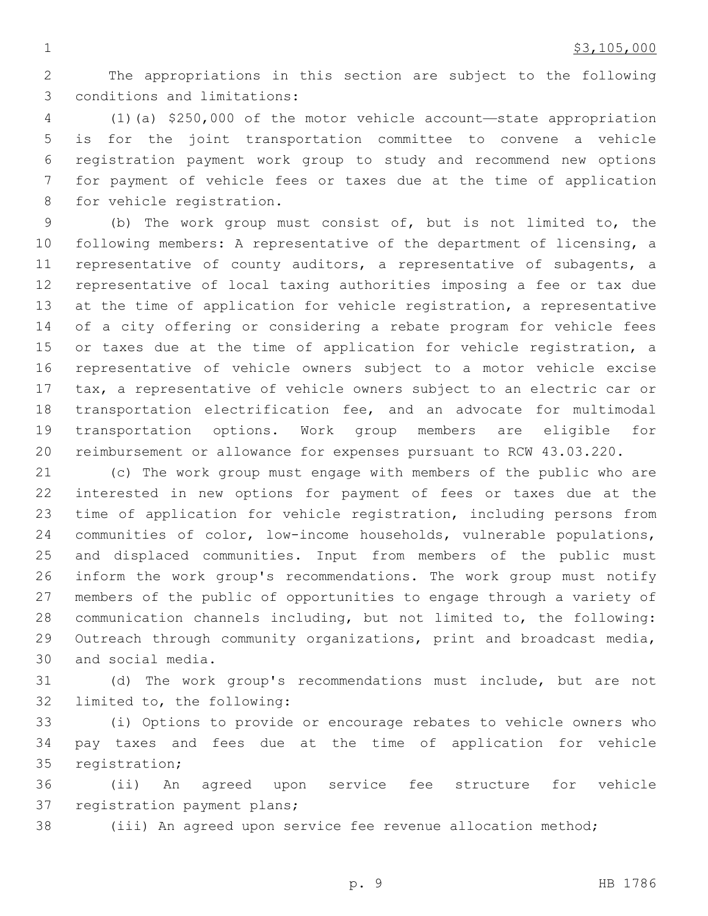The appropriations in this section are subject to the following 3 conditions and limitations:

 (1)(a) \$250,000 of the motor vehicle account—state appropriation is for the joint transportation committee to convene a vehicle registration payment work group to study and recommend new options for payment of vehicle fees or taxes due at the time of application 8 for vehicle registration.

 (b) The work group must consist of, but is not limited to, the following members: A representative of the department of licensing, a representative of county auditors, a representative of subagents, a representative of local taxing authorities imposing a fee or tax due at the time of application for vehicle registration, a representative of a city offering or considering a rebate program for vehicle fees or taxes due at the time of application for vehicle registration, a representative of vehicle owners subject to a motor vehicle excise tax, a representative of vehicle owners subject to an electric car or transportation electrification fee, and an advocate for multimodal transportation options. Work group members are eligible for reimbursement or allowance for expenses pursuant to RCW 43.03.220.

 (c) The work group must engage with members of the public who are interested in new options for payment of fees or taxes due at the time of application for vehicle registration, including persons from communities of color, low-income households, vulnerable populations, and displaced communities. Input from members of the public must inform the work group's recommendations. The work group must notify members of the public of opportunities to engage through a variety of communication channels including, but not limited to, the following: Outreach through community organizations, print and broadcast media, 30 and social media.

 (d) The work group's recommendations must include, but are not 32 limited to, the following:

 (i) Options to provide or encourage rebates to vehicle owners who pay taxes and fees due at the time of application for vehicle 35 registration;

 (ii) An agreed upon service fee structure for vehicle 37 registration payment plans;

(iii) An agreed upon service fee revenue allocation method;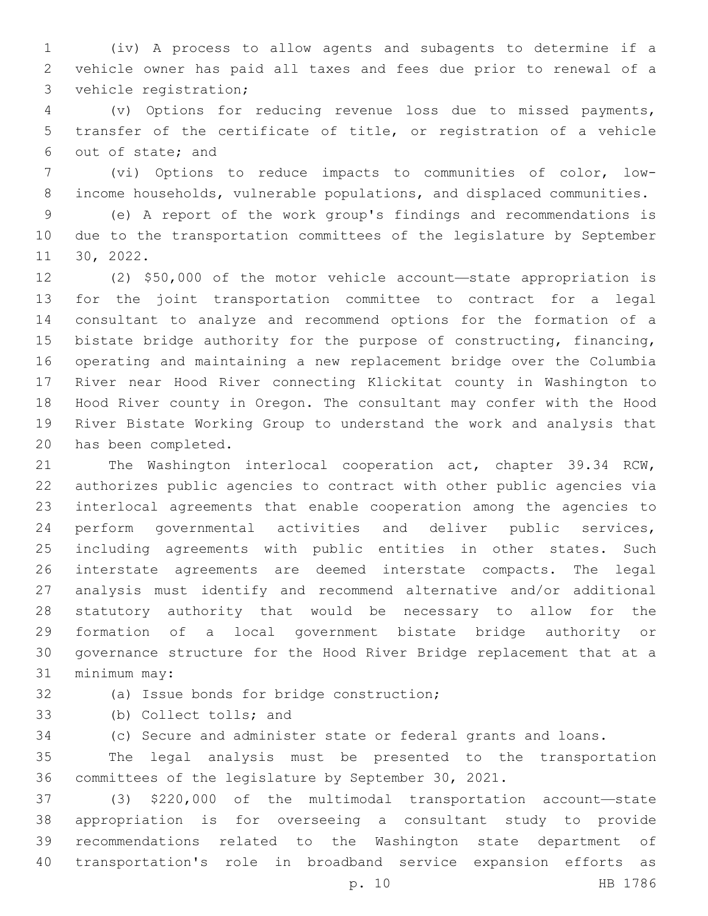(iv) A process to allow agents and subagents to determine if a vehicle owner has paid all taxes and fees due prior to renewal of a 3 vehicle registration;

 (v) Options for reducing revenue loss due to missed payments, transfer of the certificate of title, or registration of a vehicle 6 out of state; and

 (vi) Options to reduce impacts to communities of color, low-income households, vulnerable populations, and displaced communities.

 (e) A report of the work group's findings and recommendations is due to the transportation committees of the legislature by September 11 30, 2022.

 (2) \$50,000 of the motor vehicle account—state appropriation is for the joint transportation committee to contract for a legal consultant to analyze and recommend options for the formation of a bistate bridge authority for the purpose of constructing, financing, operating and maintaining a new replacement bridge over the Columbia River near Hood River connecting Klickitat county in Washington to Hood River county in Oregon. The consultant may confer with the Hood River Bistate Working Group to understand the work and analysis that 20 has been completed.

 The Washington interlocal cooperation act, chapter 39.34 RCW, authorizes public agencies to contract with other public agencies via interlocal agreements that enable cooperation among the agencies to perform governmental activities and deliver public services, including agreements with public entities in other states. Such interstate agreements are deemed interstate compacts. The legal analysis must identify and recommend alternative and/or additional statutory authority that would be necessary to allow for the formation of a local government bistate bridge authority or governance structure for the Hood River Bridge replacement that at a 31 minimum may:

32 (a) Issue bonds for bridge construction;

33 (b) Collect tolls; and

(c) Secure and administer state or federal grants and loans.

 The legal analysis must be presented to the transportation committees of the legislature by September 30, 2021.

 (3) \$220,000 of the multimodal transportation account—state appropriation is for overseeing a consultant study to provide recommendations related to the Washington state department of transportation's role in broadband service expansion efforts as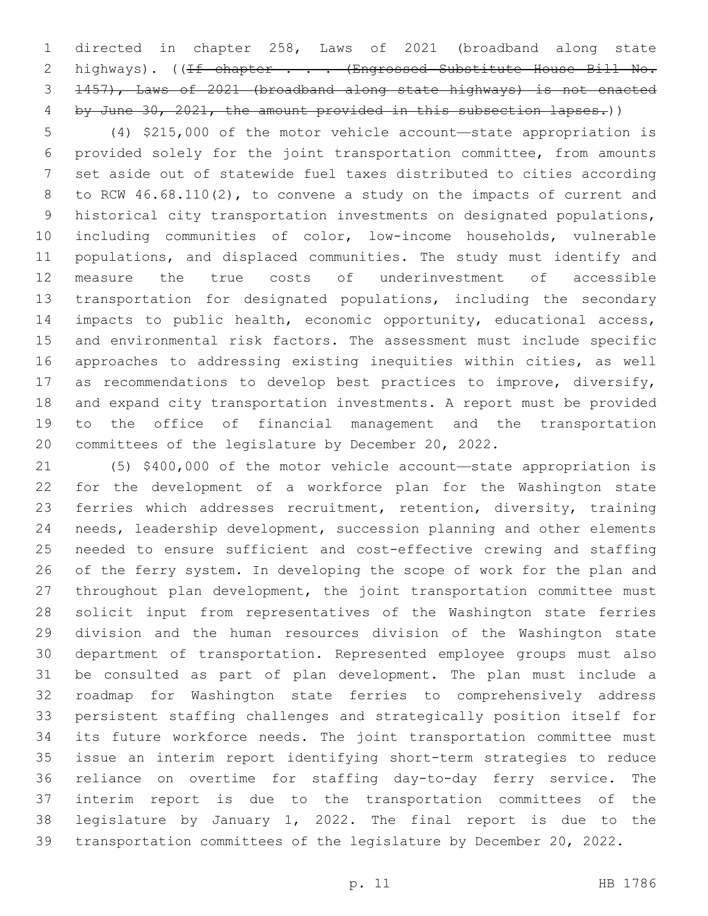directed in chapter 258, Laws of 2021 (broadband along state 2 highways). ((If chapter . . . (Engrossed Substitute House Bill No. 1457), Laws of 2021 (broadband along state highways) is not enacted 4 by June 30, 2021, the amount provided in this subsection lapses.))

 (4) \$215,000 of the motor vehicle account—state appropriation is provided solely for the joint transportation committee, from amounts set aside out of statewide fuel taxes distributed to cities according to RCW 46.68.110(2), to convene a study on the impacts of current and historical city transportation investments on designated populations, including communities of color, low-income households, vulnerable populations, and displaced communities. The study must identify and measure the true costs of underinvestment of accessible transportation for designated populations, including the secondary 14 impacts to public health, economic opportunity, educational access, and environmental risk factors. The assessment must include specific approaches to addressing existing inequities within cities, as well as recommendations to develop best practices to improve, diversify, and expand city transportation investments. A report must be provided to the office of financial management and the transportation committees of the legislature by December 20, 2022.

 (5) \$400,000 of the motor vehicle account—state appropriation is for the development of a workforce plan for the Washington state ferries which addresses recruitment, retention, diversity, training needs, leadership development, succession planning and other elements needed to ensure sufficient and cost-effective crewing and staffing of the ferry system. In developing the scope of work for the plan and throughout plan development, the joint transportation committee must solicit input from representatives of the Washington state ferries division and the human resources division of the Washington state department of transportation. Represented employee groups must also be consulted as part of plan development. The plan must include a roadmap for Washington state ferries to comprehensively address persistent staffing challenges and strategically position itself for its future workforce needs. The joint transportation committee must issue an interim report identifying short-term strategies to reduce reliance on overtime for staffing day-to-day ferry service. The interim report is due to the transportation committees of the legislature by January 1, 2022. The final report is due to the transportation committees of the legislature by December 20, 2022.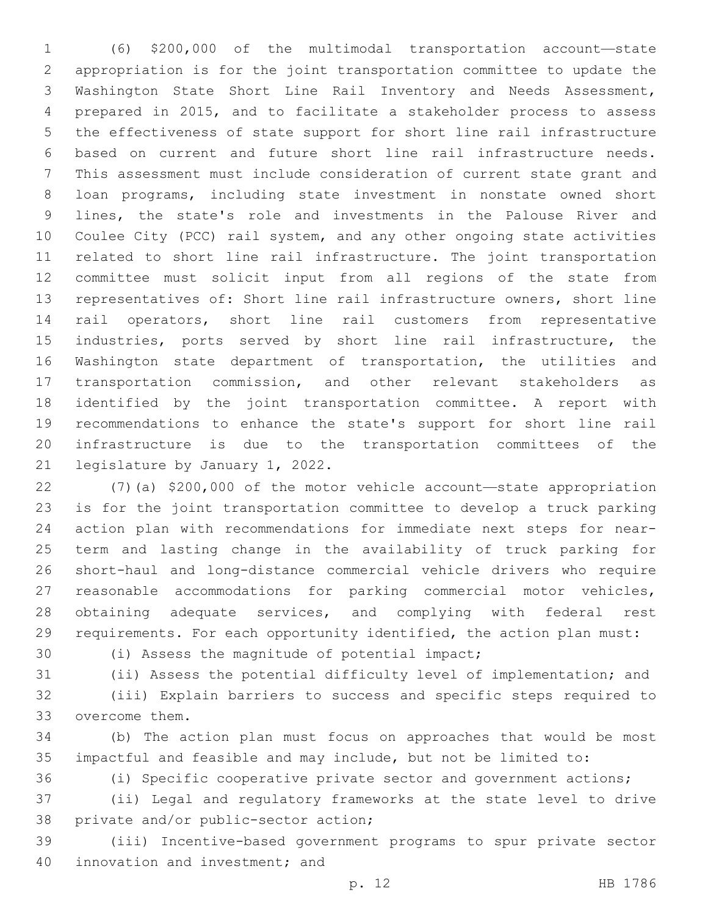(6) \$200,000 of the multimodal transportation account—state appropriation is for the joint transportation committee to update the Washington State Short Line Rail Inventory and Needs Assessment, prepared in 2015, and to facilitate a stakeholder process to assess the effectiveness of state support for short line rail infrastructure based on current and future short line rail infrastructure needs. This assessment must include consideration of current state grant and loan programs, including state investment in nonstate owned short lines, the state's role and investments in the Palouse River and Coulee City (PCC) rail system, and any other ongoing state activities related to short line rail infrastructure. The joint transportation committee must solicit input from all regions of the state from representatives of: Short line rail infrastructure owners, short line rail operators, short line rail customers from representative 15 industries, ports served by short line rail infrastructure, the Washington state department of transportation, the utilities and transportation commission, and other relevant stakeholders as identified by the joint transportation committee. A report with recommendations to enhance the state's support for short line rail infrastructure is due to the transportation committees of the 21 legislature by January 1, 2022.

 (7)(a) \$200,000 of the motor vehicle account—state appropriation is for the joint transportation committee to develop a truck parking action plan with recommendations for immediate next steps for near- term and lasting change in the availability of truck parking for short-haul and long-distance commercial vehicle drivers who require reasonable accommodations for parking commercial motor vehicles, 28 obtaining adequate services, and complying with federal rest requirements. For each opportunity identified, the action plan must:

30 (i) Assess the magnitude of potential impact;

(ii) Assess the potential difficulty level of implementation; and

 (iii) Explain barriers to success and specific steps required to 33 overcome them.

 (b) The action plan must focus on approaches that would be most impactful and feasible and may include, but not be limited to:

(i) Specific cooperative private sector and government actions;

 (ii) Legal and regulatory frameworks at the state level to drive 38 private and/or public-sector action;

 (iii) Incentive-based government programs to spur private sector 40 innovation and investment; and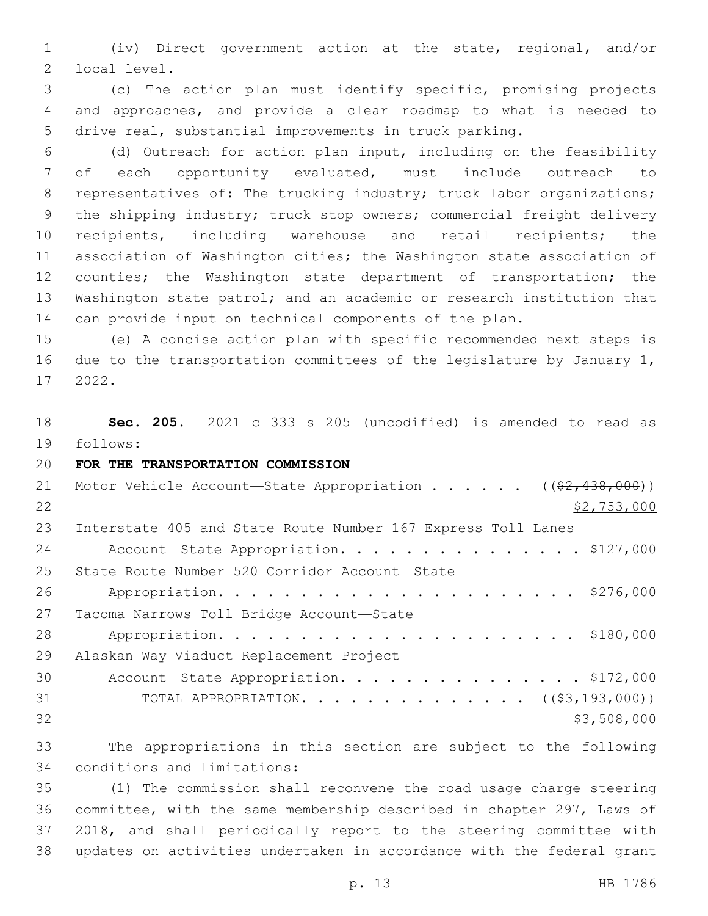(iv) Direct government action at the state, regional, and/or 2 local level.

 (c) The action plan must identify specific, promising projects and approaches, and provide a clear roadmap to what is needed to drive real, substantial improvements in truck parking.

 (d) Outreach for action plan input, including on the feasibility of each opportunity evaluated, must include outreach to 8 representatives of: The trucking industry; truck labor organizations; the shipping industry; truck stop owners; commercial freight delivery recipients, including warehouse and retail recipients; the association of Washington cities; the Washington state association of 12 counties; the Washington state department of transportation; the Washington state patrol; and an academic or research institution that can provide input on technical components of the plan.

 (e) A concise action plan with specific recommended next steps is due to the transportation committees of the legislature by January 1, 2022.17

 **Sec. 205.** 2021 c 333 s 205 (uncodified) is amended to read as follows: 19

## **FOR THE TRANSPORTATION COMMISSION**

| 21 | Motor Vehicle Account—State Appropriation ( $(\frac{2}{2}, 438, 000)$ ) |
|----|-------------------------------------------------------------------------|
| 22 | \$2,753,000                                                             |
| 23 | Interstate 405 and State Route Number 167 Express Toll Lanes            |
| 24 | Account-State Appropriation. \$127,000                                  |
| 25 | State Route Number 520 Corridor Account-State                           |
| 26 |                                                                         |
| 27 | Tacoma Narrows Toll Bridge Account-State                                |
| 28 |                                                                         |
| 29 | Alaskan Way Viaduct Replacement Project                                 |
| 30 | Account-State Appropriation. \$172,000                                  |
| 31 | TOTAL APPROPRIATION. $($ $(*3,193,000))$                                |
| 32 | \$3,508,000                                                             |

 The appropriations in this section are subject to the following 34 conditions and limitations:

 (1) The commission shall reconvene the road usage charge steering committee, with the same membership described in chapter 297, Laws of 2018, and shall periodically report to the steering committee with updates on activities undertaken in accordance with the federal grant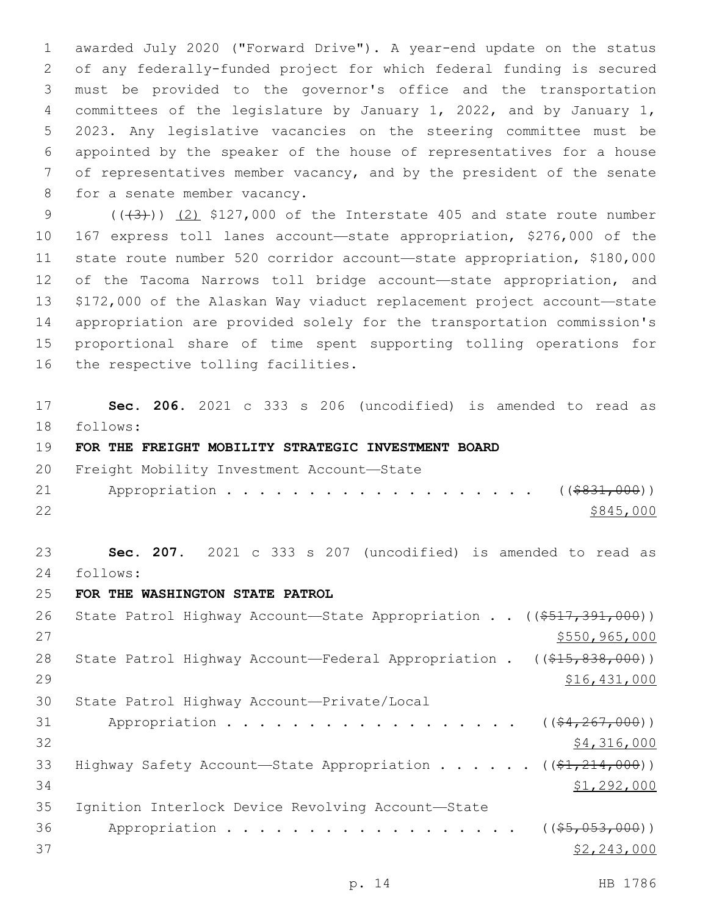awarded July 2020 ("Forward Drive"). A year-end update on the status of any federally-funded project for which federal funding is secured must be provided to the governor's office and the transportation committees of the legislature by January 1, 2022, and by January 1, 2023. Any legislative vacancies on the steering committee must be appointed by the speaker of the house of representatives for a house of representatives member vacancy, and by the president of the senate 8 for a senate member vacancy.

 $((\overline{3}))(2)$  \$127,000 of the Interstate 405 and state route number 167 express toll lanes account—state appropriation, \$276,000 of the state route number 520 corridor account—state appropriation, \$180,000 12 of the Tacoma Narrows toll bridge account—state appropriation, and \$172,000 of the Alaskan Way viaduct replacement project account—state appropriation are provided solely for the transportation commission's proportional share of time spent supporting tolling operations for 16 the respective tolling facilities.

17 **Sec. 206.** 2021 c 333 s 206 (uncodified) is amended to read as follows: 18

19 **FOR THE FREIGHT MOBILITY STRATEGIC INVESTMENT BOARD**

|    | 20 Freight Mobility Investment Account-State |           |
|----|----------------------------------------------|-----------|
|    | 21 Appropriation (( <del>\$831,000</del> ))  |           |
| 22 |                                              | \$845,000 |

23 **Sec. 207.** 2021 c 333 s 207 (uncodified) is amended to read as follows: 24

25 **FOR THE WASHINGTON STATE PATROL**

26 State Patrol Highway Account-State Appropriation . . ((\$517,391,000))  $27$   $$550,965,000$ 28 State Patrol Highway Account—Federal Appropriation . ((\$15,838,000)) 29 \$16,431,000 30 State Patrol Highway Account-Private/Local 31 Appropriation . . . . . . . . . . . . . . . .  $($   $(*4, 267, 000))$  $\frac{1}{2}$   $\frac{1}{2}$   $\frac{1}{2}$   $\frac{1}{2}$   $\frac{1}{2}$   $\frac{1}{2}$   $\frac{1}{2}$   $\frac{1}{2}$   $\frac{1}{2}$   $\frac{1}{2}$   $\frac{1}{2}$   $\frac{1}{2}$   $\frac{1}{2}$   $\frac{1}{2}$   $\frac{1}{2}$   $\frac{1}{2}$   $\frac{1}{2}$   $\frac{1}{2}$   $\frac{1}{2}$   $\frac{1}{2}$   $\frac{1}{2}$   $\frac{1}{2}$  33 Highway Safety Account—State Appropriation . . . . . ((\$1,214,000)) 34 \$1,292,000 35 Ignition Interlock Device Revolving Account-State 36 Appropriation . . . . . . . . . . . . . . . . (  $(\frac{25}{1000})$  )  $37$   $\frac{$2,243,000}{2}$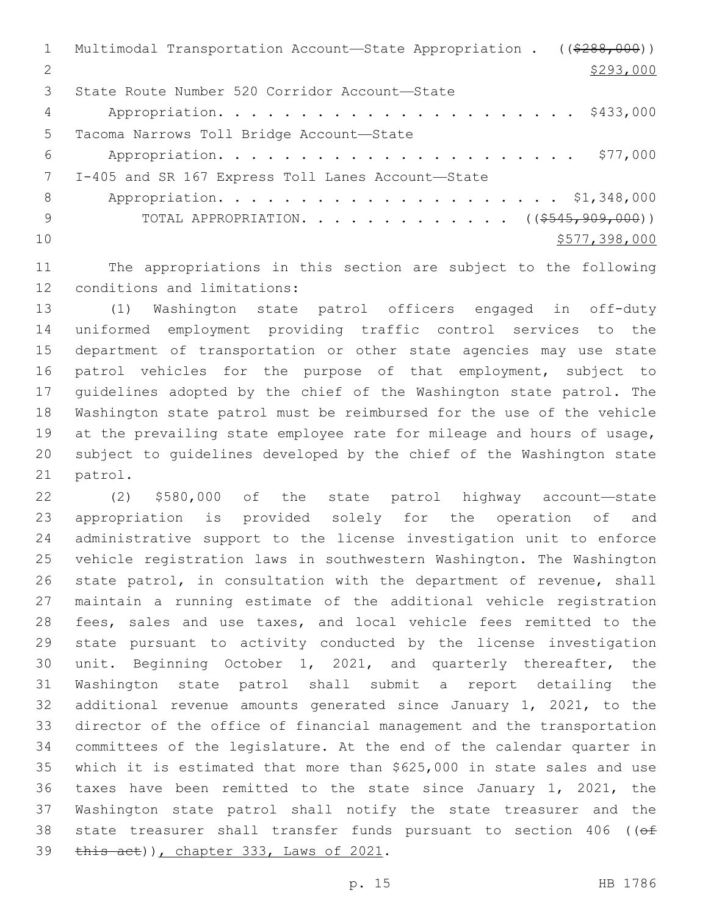Multimodal Transportation Account—State Appropriation . ((\$288,000)) 2  $\frac{$293,000}{ }$ 3 State Route Number 520 Corridor Account-State Appropriation. . . . . . . . . . . . . . . . . . . . . . \$433,000 5 Tacoma Narrows Toll Bridge Account-State Appropriation. . . . . . . . . . . . . . . . . . . . . . \$77,000 7 I-405 and SR 167 Express Toll Lanes Account-State Appropriation. . . . . . . . . . . . . . . . . . . . . \$1,348,000 9 TOTAL APPROPRIATION. . . . . . . . . . . . . ((\$545,909,000))  $10 \hspace{2.5cm}$  \$577,398,000

 The appropriations in this section are subject to the following 12 conditions and limitations:

 (1) Washington state patrol officers engaged in off-duty uniformed employment providing traffic control services to the department of transportation or other state agencies may use state patrol vehicles for the purpose of that employment, subject to guidelines adopted by the chief of the Washington state patrol. The Washington state patrol must be reimbursed for the use of the vehicle 19 at the prevailing state employee rate for mileage and hours of usage, subject to guidelines developed by the chief of the Washington state 21 patrol.

 (2) \$580,000 of the state patrol highway account—state appropriation is provided solely for the operation of and administrative support to the license investigation unit to enforce vehicle registration laws in southwestern Washington. The Washington state patrol, in consultation with the department of revenue, shall maintain a running estimate of the additional vehicle registration fees, sales and use taxes, and local vehicle fees remitted to the state pursuant to activity conducted by the license investigation unit. Beginning October 1, 2021, and quarterly thereafter, the Washington state patrol shall submit a report detailing the additional revenue amounts generated since January 1, 2021, to the director of the office of financial management and the transportation committees of the legislature. At the end of the calendar quarter in which it is estimated that more than \$625,000 in state sales and use taxes have been remitted to the state since January 1, 2021, the Washington state patrol shall notify the state treasurer and the 38 state treasurer shall transfer funds pursuant to section 406 ( $(ef)$  $\frac{1}{2021}$ , chapter 333, Laws of 2021.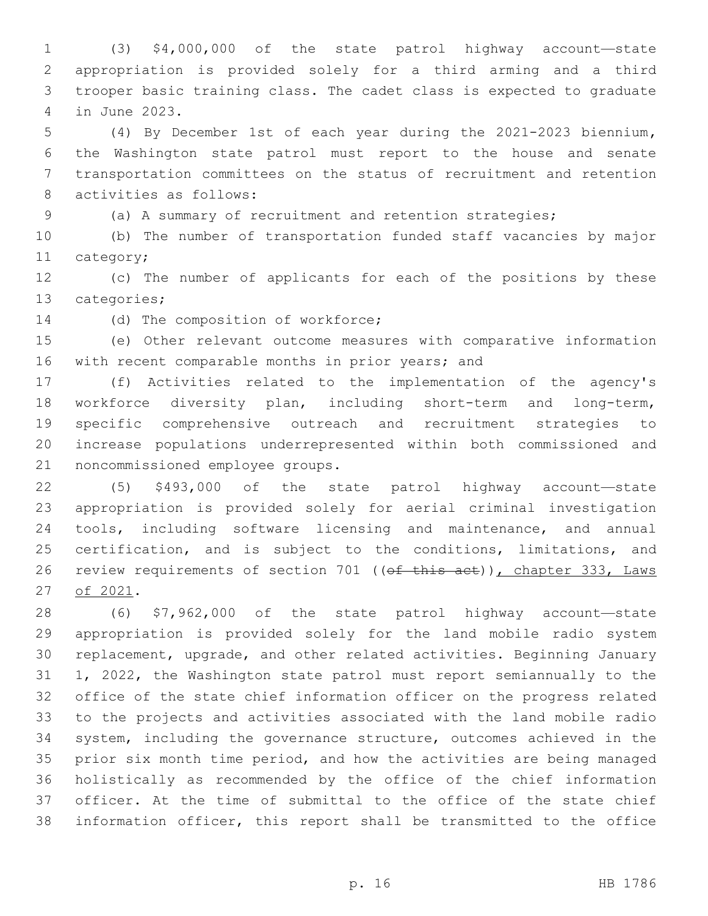(3) \$4,000,000 of the state patrol highway account—state appropriation is provided solely for a third arming and a third trooper basic training class. The cadet class is expected to graduate in June 2023.4

 (4) By December 1st of each year during the 2021-2023 biennium**,**  the Washington state patrol must report to the house and senate transportation committees on the status of recruitment and retention 8 activities as follows:

(a) A summary of recruitment and retention strategies;

 (b) The number of transportation funded staff vacancies by major 11 category;

 (c) The number of applicants for each of the positions by these 13 categories;

14 (d) The composition of workforce;

 (e) Other relevant outcome measures with comparative information 16 with recent comparable months in prior years; and

 (f) Activities related to the implementation of the agency's workforce diversity plan, including short-term and long-term, specific comprehensive outreach and recruitment strategies to increase populations underrepresented within both commissioned and 21 noncommissioned employee groups.

 (5) \$493,000 of the state patrol highway account—state appropriation is provided solely for aerial criminal investigation tools, including software licensing and maintenance, and annual 25 certification, and is subject to the conditions, limitations, and 26 review requirements of section 701 ((of this act)), chapter 333, Laws 27 of 2021.

 (6) \$7,962,000 of the state patrol highway account—state appropriation is provided solely for the land mobile radio system replacement, upgrade, and other related activities. Beginning January 1, 2022, the Washington state patrol must report semiannually to the office of the state chief information officer on the progress related to the projects and activities associated with the land mobile radio system, including the governance structure, outcomes achieved in the prior six month time period, and how the activities are being managed holistically as recommended by the office of the chief information officer. At the time of submittal to the office of the state chief information officer, this report shall be transmitted to the office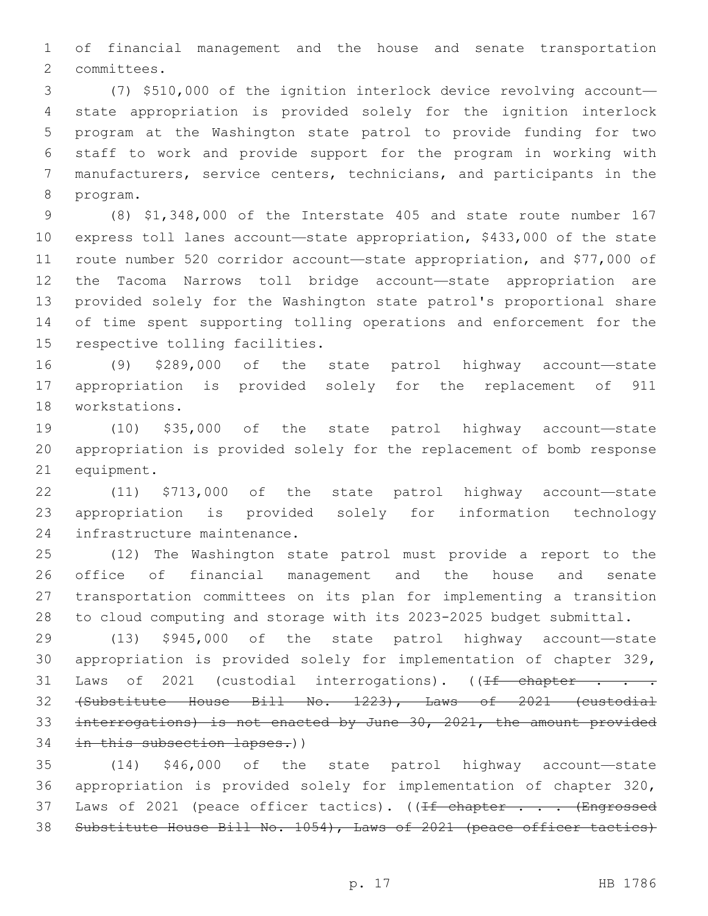of financial management and the house and senate transportation 2 committees.

 (7) \$510,000 of the ignition interlock device revolving account— state appropriation is provided solely for the ignition interlock program at the Washington state patrol to provide funding for two staff to work and provide support for the program in working with manufacturers, service centers, technicians, and participants in the 8 program.

 (8) \$1,348,000 of the Interstate 405 and state route number 167 express toll lanes account—state appropriation, \$433,000 of the state route number 520 corridor account—state appropriation, and \$77,000 of the Tacoma Narrows toll bridge account—state appropriation are provided solely for the Washington state patrol's proportional share of time spent supporting tolling operations and enforcement for the 15 respective tolling facilities.

 (9) \$289,000 of the state patrol highway account—state appropriation is provided solely for the replacement of 911 18 workstations.

 (10) \$35,000 of the state patrol highway account—state appropriation is provided solely for the replacement of bomb response 21 equipment.

 (11) \$713,000 of the state patrol highway account—state appropriation is provided solely for information technology 24 infrastructure maintenance.

 (12) The Washington state patrol must provide a report to the office of financial management and the house and senate transportation committees on its plan for implementing a transition to cloud computing and storage with its 2023-2025 budget submittal.

 (13) \$945,000 of the state patrol highway account—state appropriation is provided solely for implementation of chapter 329, 31 Laws of 2021 (custodial interrogations).  $(\sqrt{1}f - chapter - f)$  (Substitute House Bill No. 1223), Laws of 2021 (custodial interrogations) is not enacted by June 30, 2021, the amount provided 34 in this subsection lapses.))

 (14) \$46,000 of the state patrol highway account—state appropriation is provided solely for implementation of chapter 320, 37 Laws of 2021 (peace officer tactics). ((If chapter . . . (Engrossed Substitute House Bill No. 1054), Laws of 2021 (peace officer tactics)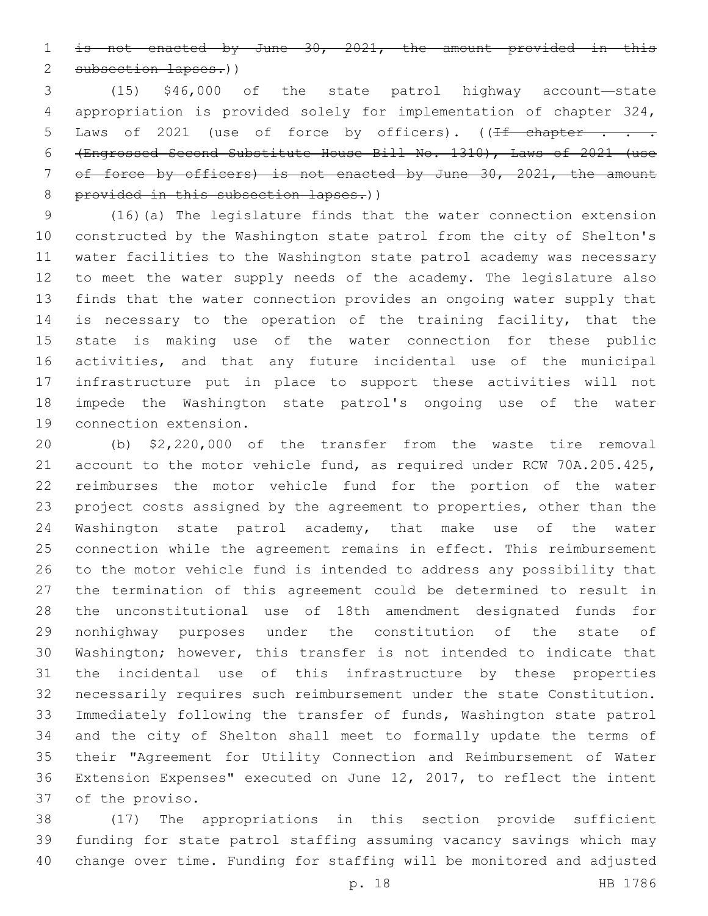is not enacted by June 30, 2021, the amount provided in this subsection lapses.))

 (15) \$46,000 of the state patrol highway account—state appropriation is provided solely for implementation of chapter 324, 5 Laws of 2021 (use of force by officers). ((If chapter . . . (Engrossed Second Substitute House Bill No. 1310), Laws of 2021 (use of force by officers) is not enacted by June 30, 2021, the amount 8 provided in this subsection lapses.))

 (16)(a) The legislature finds that the water connection extension constructed by the Washington state patrol from the city of Shelton's water facilities to the Washington state patrol academy was necessary to meet the water supply needs of the academy. The legislature also finds that the water connection provides an ongoing water supply that is necessary to the operation of the training facility, that the state is making use of the water connection for these public activities, and that any future incidental use of the municipal infrastructure put in place to support these activities will not impede the Washington state patrol's ongoing use of the water 19 connection extension.

 (b) \$2,220,000 of the transfer from the waste tire removal account to the motor vehicle fund, as required under RCW 70A.205.425, reimburses the motor vehicle fund for the portion of the water project costs assigned by the agreement to properties, other than the Washington state patrol academy, that make use of the water connection while the agreement remains in effect. This reimbursement to the motor vehicle fund is intended to address any possibility that the termination of this agreement could be determined to result in the unconstitutional use of 18th amendment designated funds for nonhighway purposes under the constitution of the state of Washington; however, this transfer is not intended to indicate that the incidental use of this infrastructure by these properties necessarily requires such reimbursement under the state Constitution. Immediately following the transfer of funds, Washington state patrol and the city of Shelton shall meet to formally update the terms of their "Agreement for Utility Connection and Reimbursement of Water Extension Expenses" executed on June 12, 2017, to reflect the intent 37 of the proviso.

 (17) The appropriations in this section provide sufficient funding for state patrol staffing assuming vacancy savings which may change over time. Funding for staffing will be monitored and adjusted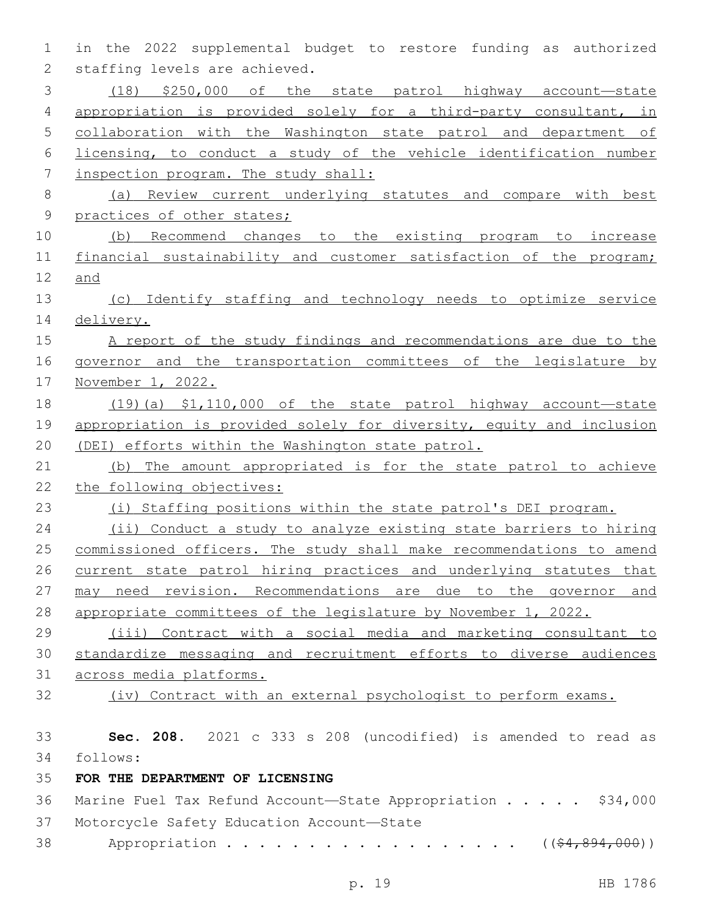in the 2022 supplemental budget to restore funding as authorized 2 staffing levels are achieved. (18) \$250,000 of the state patrol highway account—state appropriation is provided solely for a third-party consultant, in collaboration with the Washington state patrol and department of licensing, to conduct a study of the vehicle identification number inspection program. The study shall: (a) Review current underlying statutes and compare with best practices of other states; (b) Recommend changes to the existing program to increase 11 financial sustainability and customer satisfaction of the program; and (c) Identify staffing and technology needs to optimize service delivery. A report of the study findings and recommendations are due to the governor and the transportation committees of the legislature by November 1, 2022. (19)(a) \$1,110,000 of the state patrol highway account—state 19 appropriation is provided solely for diversity, equity and inclusion (DEI) efforts within the Washington state patrol. (b) The amount appropriated is for the state patrol to achieve the following objectives: (i) Staffing positions within the state patrol's DEI program. (ii) Conduct a study to analyze existing state barriers to hiring commissioned officers. The study shall make recommendations to amend current state patrol hiring practices and underlying statutes that 27 may need revision. Recommendations are due to the governor and appropriate committees of the legislature by November 1, 2022. (iii) Contract with a social media and marketing consultant to standardize messaging and recruitment efforts to diverse audiences across media platforms. (iv) Contract with an external psychologist to perform exams. **Sec. 208.** 2021 c 333 s 208 (uncodified) is amended to read as follows: 34 **FOR THE DEPARTMENT OF LICENSING** Marine Fuel Tax Refund Account—State Appropriation . . . . . \$34,000 37 Motorcycle Safety Education Account-State 38 Appropriation . . . . . . . . . . . . . . . . (  $(\frac{64,894,000}{5})$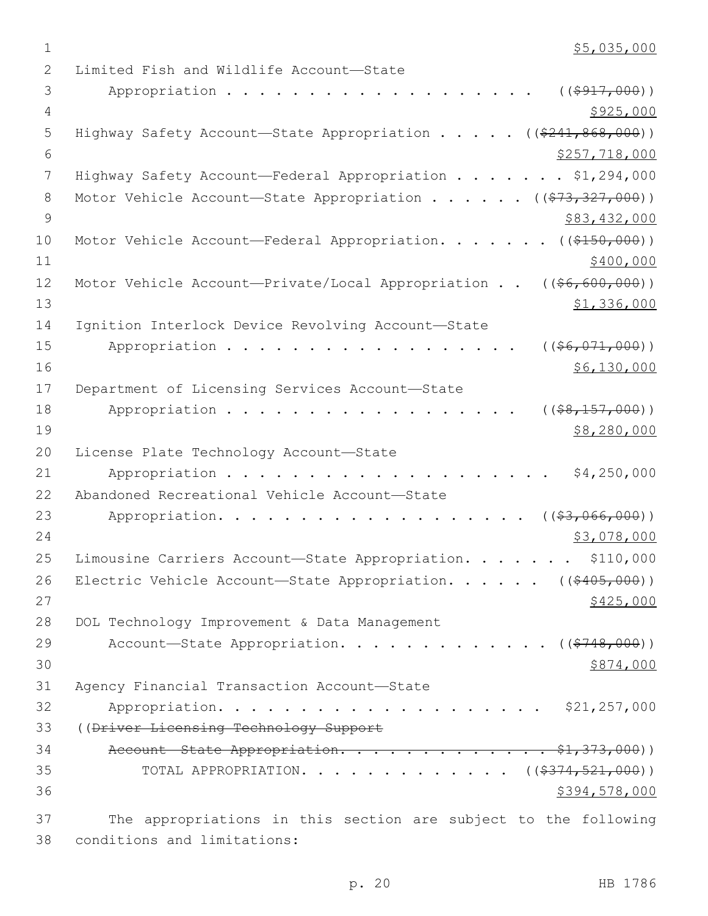$1$  \$5,035,000

2 Limited Fish and Wildlife Account-State 3 Appropriation . . . . . . . . . . . . . . . . . . (  $(\frac{2917,000}{100})$ 4 \$925,000 5 Highway Safety Account—State Appropriation . . . . ((\$241,868,000))  $\frac{1}{257}$ , 718,000 7 Highway Safety Account—Federal Appropriation . . . . . . \$1,294,000 8 Motor Vehicle Account—State Appropriation . . . . . ((\$73,327,000))  $9 \hspace{3.5cm}$ \$83,432,000 10 Motor Vehicle Account—Federal Appropriation. . . . . . ((\$150,000))  $11$  \$400,000 12 Motor Vehicle Account—Private/Local Appropriation . . ((\$6,600,000)) 13 \$1,336,000 14 Ignition Interlock Device Revolving Account-State 15 Appropriation . . . . . . . . . . . . . . . . (  $(\frac{26}{1000})$  )  $16$   $$6,130,000$ 17 Department of Licensing Services Account-State 18 Appropriation . . . . . . . . . . . . . . . . ((\$8,157,000))  $19$  \$8,280,000 20 License Plate Technology Account-State 21 Appropriation . . . . . . . . . . . . . . . . . . . . \$4,250,000 22 Abandoned Recreational Vehicle Account-State 23 Appropriation. . . . . . . . . . . . . . . . . . ((\$3,066,000)) 24 \$3,078,000 \$3,078,000 \$3,078,000 \$3,078,000 \$3,078,000 \$3,078,000 \$3,078,000 \$5,078 25 Limousine Carriers Account—State Appropriation. . . . . . \$110,000 26 Electric Vehicle Account—State Appropriation. . . . . ((\$405,000))  $27$  \$425,000 28 DOL Technology Improvement & Data Management 29 Account—State Appropriation. . . . . . . . . . . .  $($  $($ \$748,000))  $30 \frac{$874,000}{ }$ 31 Agency Financial Transaction Account-State 32 Appropriation. . . . . . . . . . . . . . . . . . . . \$21,257,000 33 ((Driver Licensing Technology Support 34 Account State Appropriation. . . . . . . . . . . . \$1,373,000)) 35 TOTAL APPROPRIATION. . . . . . . . . . . . . ((\$374,521,000)) 36 \$394,578,000 37 The appropriations in this section are subject to the following conditions and limitations:38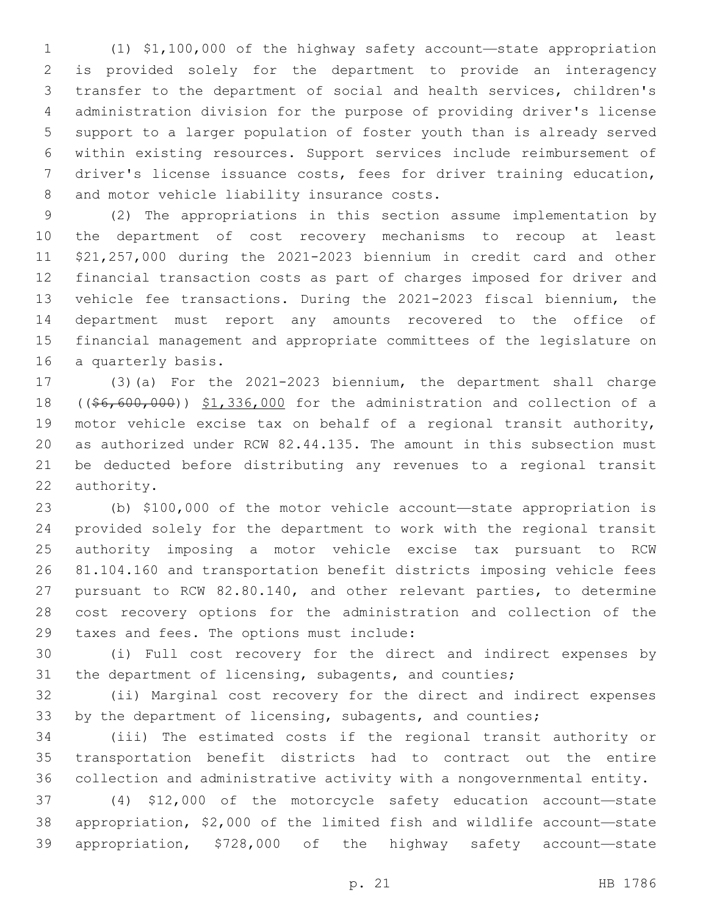(1) \$1,100,000 of the highway safety account—state appropriation is provided solely for the department to provide an interagency transfer to the department of social and health services, children's administration division for the purpose of providing driver's license support to a larger population of foster youth than is already served within existing resources. Support services include reimbursement of driver's license issuance costs, fees for driver training education, 8 and motor vehicle liability insurance costs.

 (2) The appropriations in this section assume implementation by the department of cost recovery mechanisms to recoup at least \$21,257,000 during the 2021-2023 biennium in credit card and other financial transaction costs as part of charges imposed for driver and vehicle fee transactions. During the 2021-2023 fiscal biennium, the department must report any amounts recovered to the office of financial management and appropriate committees of the legislature on 16 a quarterly basis.

 (3)(a) For the 2021-2023 biennium, the department shall charge 18 ((\$6,600,000)) \$1,336,000 for the administration and collection of a motor vehicle excise tax on behalf of a regional transit authority, as authorized under RCW 82.44.135. The amount in this subsection must be deducted before distributing any revenues to a regional transit 22 authority.

 (b) \$100,000 of the motor vehicle account—state appropriation is provided solely for the department to work with the regional transit authority imposing a motor vehicle excise tax pursuant to RCW 81.104.160 and transportation benefit districts imposing vehicle fees pursuant to RCW 82.80.140, and other relevant parties, to determine cost recovery options for the administration and collection of the 29 taxes and fees. The options must include:

 (i) Full cost recovery for the direct and indirect expenses by the department of licensing, subagents, and counties;

 (ii) Marginal cost recovery for the direct and indirect expenses 33 by the department of licensing, subagents, and counties;

 (iii) The estimated costs if the regional transit authority or transportation benefit districts had to contract out the entire collection and administrative activity with a nongovernmental entity.

 (4) \$12,000 of the motorcycle safety education account—state appropriation, \$2,000 of the limited fish and wildlife account—state appropriation, \$728,000 of the highway safety account—state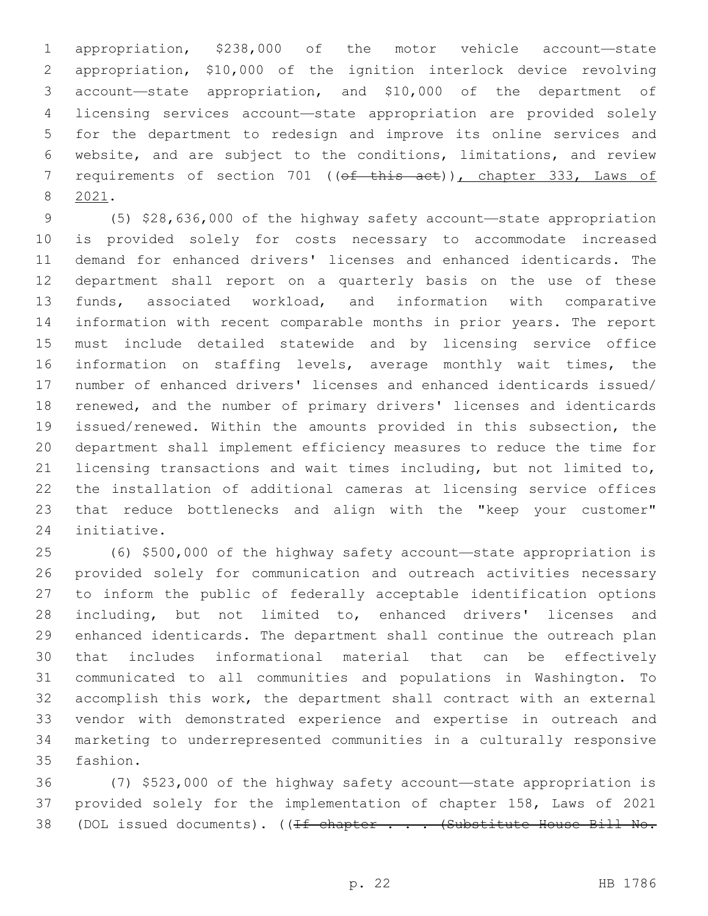appropriation, \$238,000 of the motor vehicle account—state appropriation, \$10,000 of the ignition interlock device revolving account—state appropriation, and \$10,000 of the department of licensing services account—state appropriation are provided solely for the department to redesign and improve its online services and website, and are subject to the conditions, limitations, and review 7 requirements of section 701 ((of this act)), chapter 333, Laws of 2021.8

 (5) \$28,636,000 of the highway safety account—state appropriation is provided solely for costs necessary to accommodate increased demand for enhanced drivers' licenses and enhanced identicards. The department shall report on a quarterly basis on the use of these funds, associated workload, and information with comparative information with recent comparable months in prior years. The report must include detailed statewide and by licensing service office information on staffing levels, average monthly wait times, the number of enhanced drivers' licenses and enhanced identicards issued/ renewed, and the number of primary drivers' licenses and identicards issued/renewed. Within the amounts provided in this subsection, the department shall implement efficiency measures to reduce the time for licensing transactions and wait times including, but not limited to, the installation of additional cameras at licensing service offices that reduce bottlenecks and align with the "keep your customer" 24 initiative.

 (6) \$500,000 of the highway safety account—state appropriation is provided solely for communication and outreach activities necessary to inform the public of federally acceptable identification options including, but not limited to, enhanced drivers' licenses and enhanced identicards. The department shall continue the outreach plan that includes informational material that can be effectively communicated to all communities and populations in Washington. To accomplish this work, the department shall contract with an external vendor with demonstrated experience and expertise in outreach and marketing to underrepresented communities in a culturally responsive 35 fashion.

 (7) \$523,000 of the highway safety account—state appropriation is provided solely for the implementation of chapter 158, Laws of 2021 38 (DOL issued documents). ((If chapter . . . (Substitute House Bill No.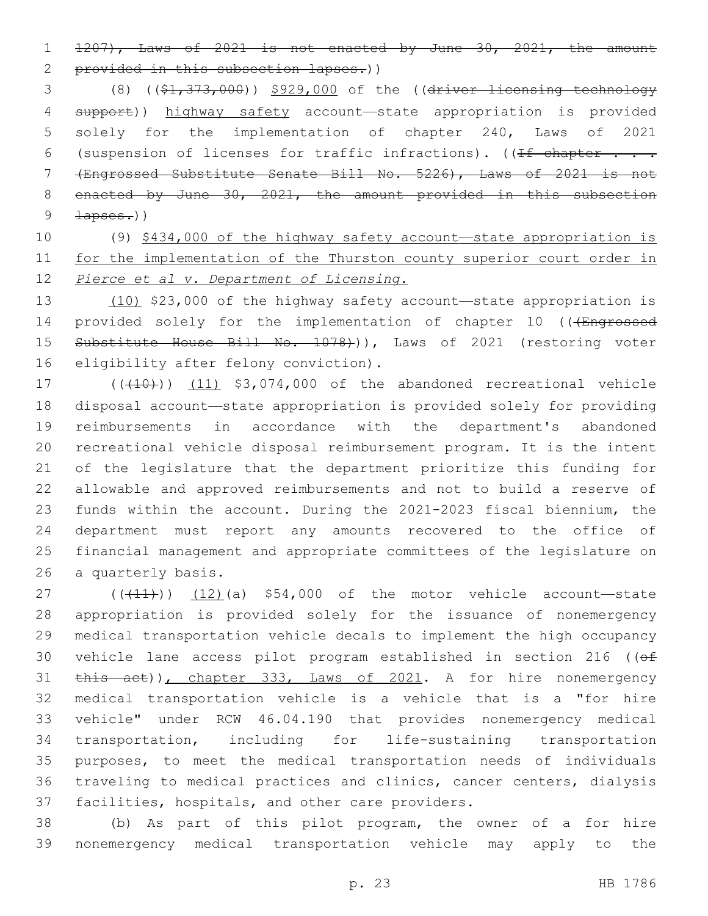1207), Laws of 2021 is not enacted by June 30, 2021, the amount

2 provided in this subsection lapses.))

 (8) ((\$1,373,000)) \$929,000 of the ((driver licensing technology support)) highway safety account—state appropriation is provided solely for the implementation of chapter 240, Laws of 2021 6 (suspension of licenses for traffic infractions). ( $\sqrt{1+f}$  chapter . . . (Engrossed Substitute Senate Bill No. 5226), Laws of 2021 is not 8 enacted by June 30, 2021, the amount provided in this subsection  $\frac{1}{2}$   $\frac{1}{2}$   $\frac{1}{2}$   $\frac{1}{2}$   $\frac{1}{2}$   $\frac{1}{2}$   $\frac{1}{2}$   $\frac{1}{2}$   $\frac{1}{2}$   $\frac{1}{2}$   $\frac{1}{2}$   $\frac{1}{2}$   $\frac{1}{2}$   $\frac{1}{2}$   $\frac{1}{2}$   $\frac{1}{2}$   $\frac{1}{2}$   $\frac{1}{2}$   $\frac{1}{2}$   $\frac{1}{2}$   $\frac{1}{2}$   $\frac{1}{2}$ 

 (9) \$434,000 of the highway safety account—state appropriation is for the implementation of the Thurston county superior court order in *Pierce et al v. Department of Licensing*.

 (10) \$23,000 of the highway safety account—state appropriation is 14 provided solely for the implementation of chapter 10 (((Engrossed 15 Substitute House Bill No. 1078))), Laws of 2021 (restoring voter 16 eligibility after felony conviction).

 $(17$  ( $(410)$ ) (11) \$3,074,000 of the abandoned recreational vehicle disposal account—state appropriation is provided solely for providing reimbursements in accordance with the department's abandoned recreational vehicle disposal reimbursement program. It is the intent of the legislature that the department prioritize this funding for allowable and approved reimbursements and not to build a reserve of funds within the account. During the 2021-2023 fiscal biennium, the department must report any amounts recovered to the office of financial management and appropriate committees of the legislature on 26 a quarterly basis.

 $((+11))$  (12)(a) \$54,000 of the motor vehicle account—state appropriation is provided solely for the issuance of nonemergency medical transportation vehicle decals to implement the high occupancy 30 vehicle lane access pilot program established in section 216 ((of 31 this act)), chapter 333, Laws of 2021. A for hire nonemergency medical transportation vehicle is a vehicle that is a "for hire vehicle" under RCW 46.04.190 that provides nonemergency medical transportation, including for life-sustaining transportation purposes, to meet the medical transportation needs of individuals traveling to medical practices and clinics, cancer centers, dialysis 37 facilities, hospitals, and other care providers.

 (b) As part of this pilot program, the owner of a for hire nonemergency medical transportation vehicle may apply to the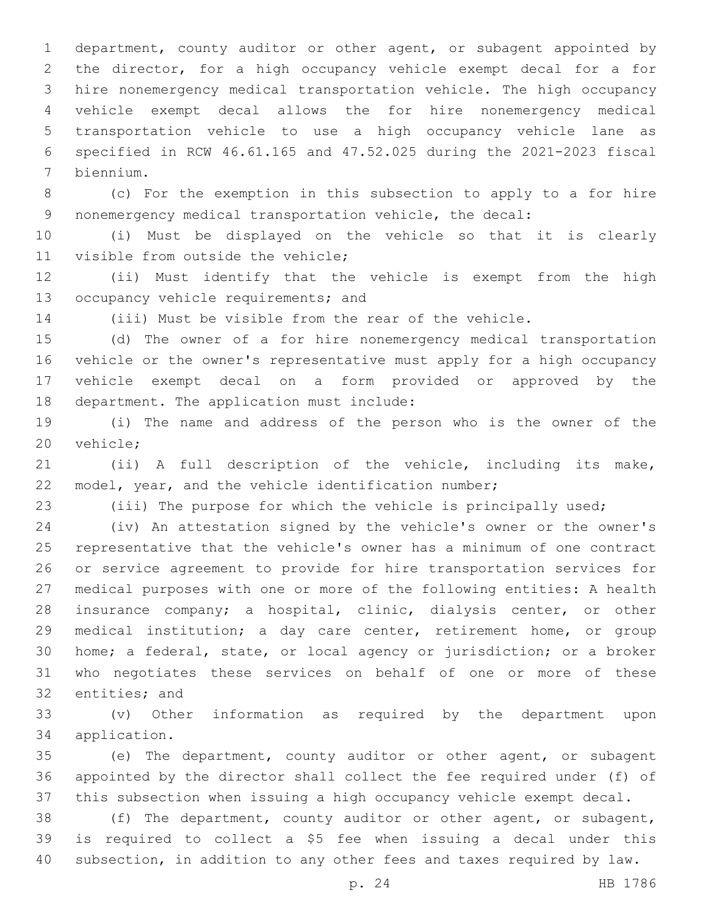department, county auditor or other agent, or subagent appointed by the director, for a high occupancy vehicle exempt decal for a for hire nonemergency medical transportation vehicle. The high occupancy vehicle exempt decal allows the for hire nonemergency medical transportation vehicle to use a high occupancy vehicle lane as specified in RCW 46.61.165 and 47.52.025 during the 2021-2023 fiscal biennium.7

 (c) For the exemption in this subsection to apply to a for hire nonemergency medical transportation vehicle, the decal:

 (i) Must be displayed on the vehicle so that it is clearly 11 visible from outside the vehicle;

 (ii) Must identify that the vehicle is exempt from the high 13 occupancy vehicle requirements; and

(iii) Must be visible from the rear of the vehicle.

 (d) The owner of a for hire nonemergency medical transportation vehicle or the owner's representative must apply for a high occupancy vehicle exempt decal on a form provided or approved by the 18 department. The application must include:

 (i) The name and address of the person who is the owner of the 20 vehicle;

 (ii) A full description of the vehicle, including its make, model, year, and the vehicle identification number;

(iii) The purpose for which the vehicle is principally used;

 (iv) An attestation signed by the vehicle's owner or the owner's representative that the vehicle's owner has a minimum of one contract or service agreement to provide for hire transportation services for medical purposes with one or more of the following entities: A health insurance company; a hospital, clinic, dialysis center, or other medical institution; a day care center, retirement home, or group home; a federal, state, or local agency or jurisdiction; or a broker who negotiates these services on behalf of one or more of these 32 entities; and

 (v) Other information as required by the department upon application.34

 (e) The department, county auditor or other agent, or subagent appointed by the director shall collect the fee required under (f) of this subsection when issuing a high occupancy vehicle exempt decal.

 (f) The department, county auditor or other agent, or subagent, is required to collect a \$5 fee when issuing a decal under this subsection, in addition to any other fees and taxes required by law.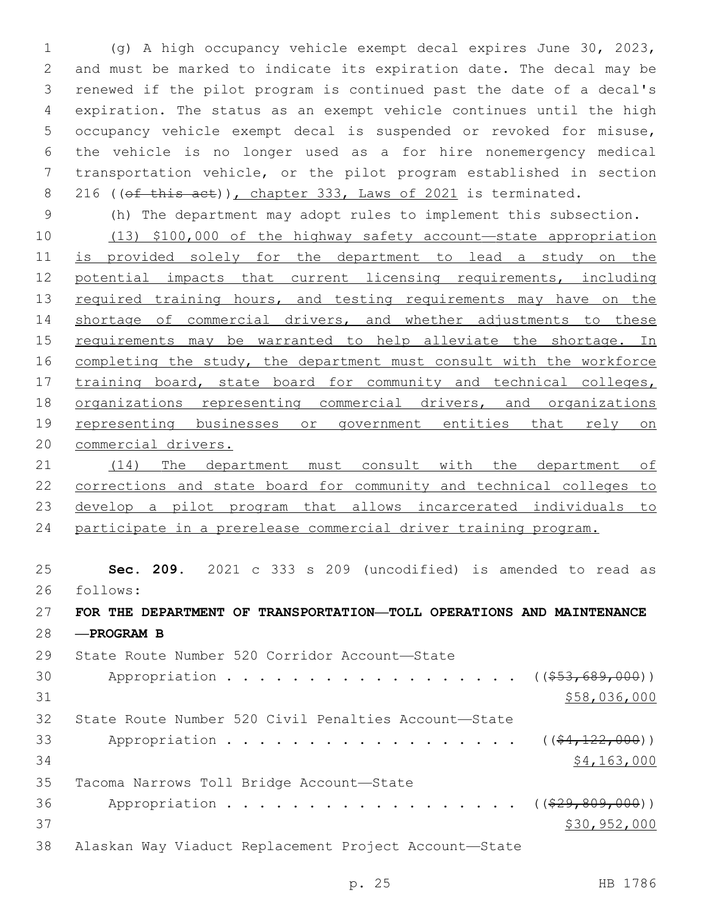(g) A high occupancy vehicle exempt decal expires June 30, 2023, and must be marked to indicate its expiration date. The decal may be renewed if the pilot program is continued past the date of a decal's expiration. The status as an exempt vehicle continues until the high occupancy vehicle exempt decal is suspended or revoked for misuse, the vehicle is no longer used as a for hire nonemergency medical transportation vehicle, or the pilot program established in section 8 216 ((of this act)), chapter 333, Laws of 2021 is terminated.

 (h) The department may adopt rules to implement this subsection. (13) \$100,000 of the highway safety account—state appropriation is provided solely for the department to lead a study on the potential impacts that current licensing requirements, including 13 required training hours, and testing requirements may have on the shortage of commercial drivers, and whether adjustments to these 15 requirements may be warranted to help alleviate the shortage. In completing the study, the department must consult with the workforce 17 training board, state board for community and technical colleges, organizations representing commercial drivers, and organizations representing businesses or government entities that rely on commercial drivers.

 (14) The department must consult with the department of corrections and state board for community and technical colleges to develop a pilot program that allows incarcerated individuals to participate in a prerelease commercial driver training program.

 **Sec. 209.** 2021 c 333 s 209 (uncodified) is amended to read as follows: 26

 **FOR THE DEPARTMENT OF TRANSPORTATION—TOLL OPERATIONS AND MAINTENANCE —PROGRAM B**

29 State Route Number 520 Corridor Account-State 30 Appropriation . . . . . . . . . . . . . . . . (  $(\frac{253,689,000}{53}, \frac{2000}{100})$   $$58,036,000$  State Route Number 520 Civil Penalties Account—State 33 Appropriation . . . . . . . . . . . . . . . .  $($   $($   $\frac{22}{000})$  \$4,163,000 35 Tacoma Narrows Toll Bridge Account-State 36 Appropriation . . . . . . . . . . . . . . . . ((<del>\$29,809,000</del>)) \$30,952,000 Alaskan Way Viaduct Replacement Project Account—State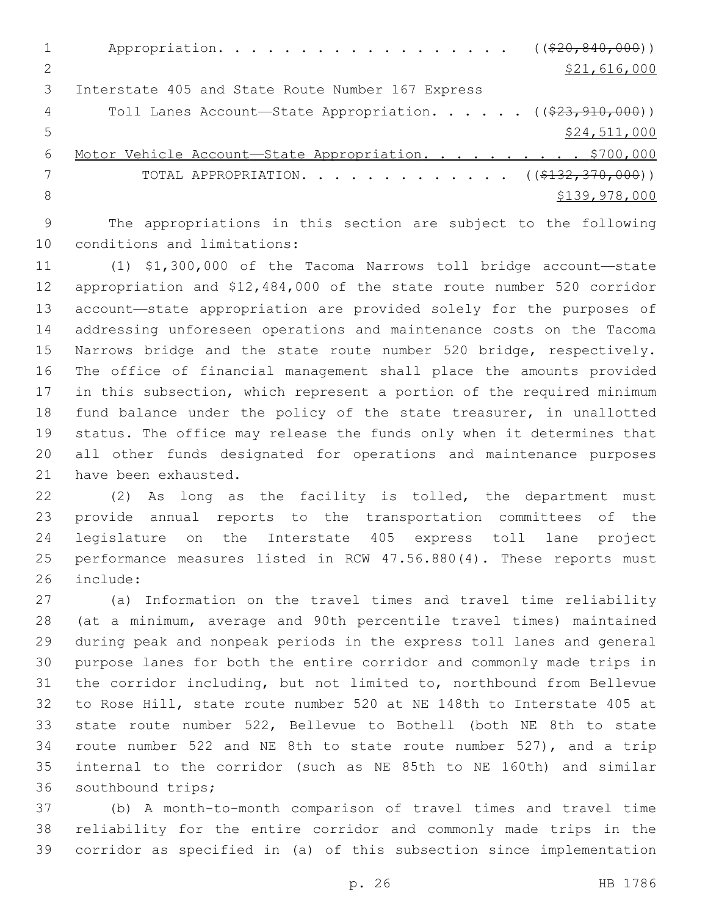|    | Appropriation. ( $(\frac{20}{620}, \frac{840}{600})$ )                     |
|----|----------------------------------------------------------------------------|
|    | \$21,616,000                                                               |
|    | Interstate 405 and State Route Number 167 Express                          |
| 4  | Toll Lanes Account-State Appropriation. ( $(\frac{23}{7}\cdot 910, 000)$ ) |
| .5 | \$24,511,000                                                               |
| 6  | Motor Vehicle Account-State Appropriation. \$700,000                       |
|    | TOTAL APPROPRIATION. ( $(\frac{2132}{707}, \frac{370}{900})$ )             |
| 8  | \$139,978,000                                                              |
|    |                                                                            |

 The appropriations in this section are subject to the following 10 conditions and limitations:

 (1) \$1,300,000 of the Tacoma Narrows toll bridge account—state appropriation and \$12,484,000 of the state route number 520 corridor account—state appropriation are provided solely for the purposes of addressing unforeseen operations and maintenance costs on the Tacoma Narrows bridge and the state route number 520 bridge, respectively. The office of financial management shall place the amounts provided in this subsection, which represent a portion of the required minimum fund balance under the policy of the state treasurer, in unallotted status. The office may release the funds only when it determines that all other funds designated for operations and maintenance purposes 21 have been exhausted.

 (2) As long as the facility is tolled, the department must provide annual reports to the transportation committees of the legislature on the Interstate 405 express toll lane project performance measures listed in RCW 47.56.880(4). These reports must 26 include:

 (a) Information on the travel times and travel time reliability (at a minimum, average and 90th percentile travel times) maintained during peak and nonpeak periods in the express toll lanes and general purpose lanes for both the entire corridor and commonly made trips in the corridor including, but not limited to, northbound from Bellevue to Rose Hill, state route number 520 at NE 148th to Interstate 405 at state route number 522, Bellevue to Bothell (both NE 8th to state route number 522 and NE 8th to state route number 527), and a trip internal to the corridor (such as NE 85th to NE 160th) and similar 36 southbound trips;

 (b) A month-to-month comparison of travel times and travel time reliability for the entire corridor and commonly made trips in the corridor as specified in (a) of this subsection since implementation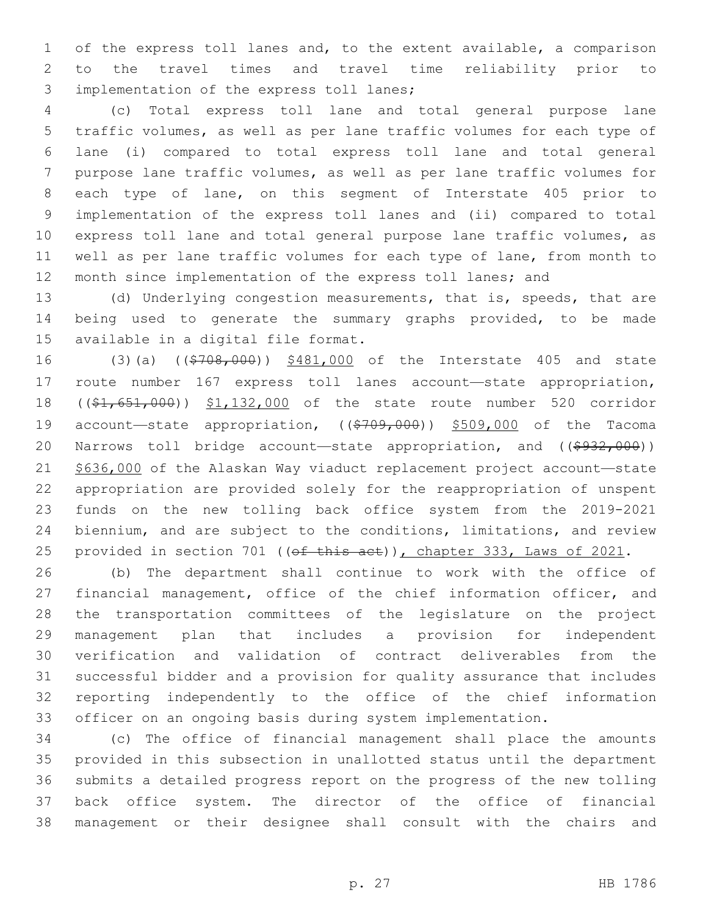of the express toll lanes and, to the extent available, a comparison to the travel times and travel time reliability prior to 3 implementation of the express toll lanes;

 (c) Total express toll lane and total general purpose lane traffic volumes, as well as per lane traffic volumes for each type of lane (i) compared to total express toll lane and total general purpose lane traffic volumes, as well as per lane traffic volumes for each type of lane, on this segment of Interstate 405 prior to implementation of the express toll lanes and (ii) compared to total express toll lane and total general purpose lane traffic volumes, as well as per lane traffic volumes for each type of lane, from month to month since implementation of the express toll lanes; and

 (d) Underlying congestion measurements, that is, speeds, that are being used to generate the summary graphs provided, to be made 15 available in a digital file format.

16 (3)(a) ((\$708,000)) \$481,000 of the Interstate 405 and state route number 167 express toll lanes account—state appropriation, ((\$1,651,000)) \$1,132,000 of the state route number 520 corridor 19 account—state appropriation, ((\$709,000)) \$509,000 of the Tacoma 20 Narrows toll bridge account—state appropriation, and ((\$932,000)) 21 \$636,000 of the Alaskan Way viaduct replacement project account-state appropriation are provided solely for the reappropriation of unspent funds on the new tolling back office system from the 2019-2021 biennium, and are subject to the conditions, limitations, and review 25 provided in section 701 ((of this act)), chapter 333, Laws of 2021.

 (b) The department shall continue to work with the office of 27 financial management, office of the chief information officer, and the transportation committees of the legislature on the project management plan that includes a provision for independent verification and validation of contract deliverables from the successful bidder and a provision for quality assurance that includes reporting independently to the office of the chief information officer on an ongoing basis during system implementation.

 (c) The office of financial management shall place the amounts provided in this subsection in unallotted status until the department submits a detailed progress report on the progress of the new tolling back office system. The director of the office of financial management or their designee shall consult with the chairs and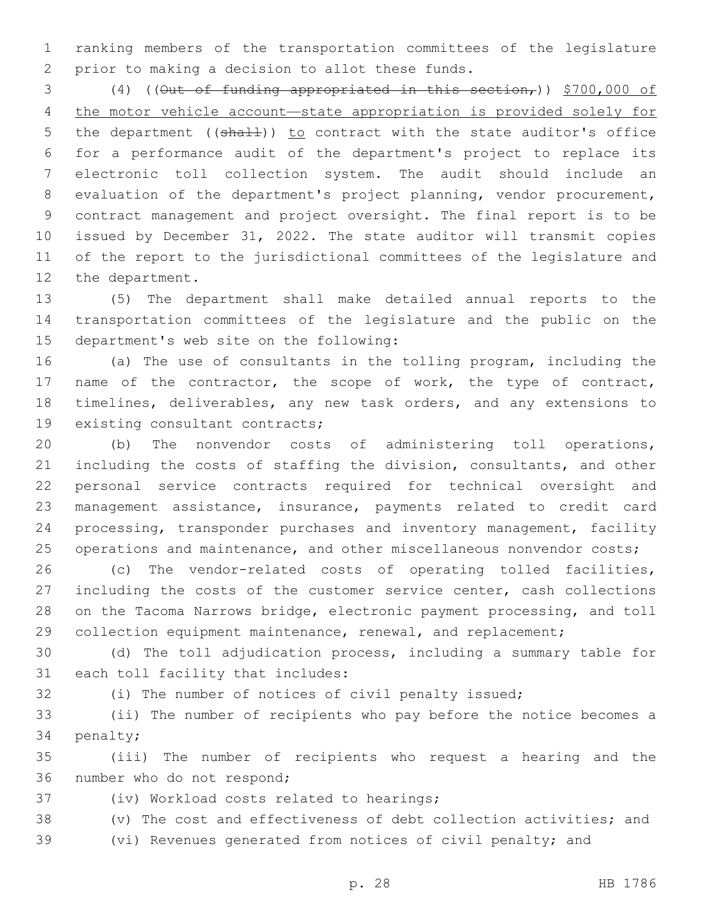ranking members of the transportation committees of the legislature 2 prior to making a decision to allot these funds.

 (4) ((Out of funding appropriated in this section,)) \$700,000 of the motor vehicle account—state appropriation is provided solely for 5 the department ((shall)) to contract with the state auditor's office for a performance audit of the department's project to replace its electronic toll collection system. The audit should include an evaluation of the department's project planning, vendor procurement, contract management and project oversight. The final report is to be issued by December 31, 2022. The state auditor will transmit copies of the report to the jurisdictional committees of the legislature and 12 the department.

 (5) The department shall make detailed annual reports to the transportation committees of the legislature and the public on the 15 department's web site on the following:

 (a) The use of consultants in the tolling program, including the 17 name of the contractor, the scope of work, the type of contract, timelines, deliverables, any new task orders, and any extensions to 19 existing consultant contracts;

 (b) The nonvendor costs of administering toll operations, including the costs of staffing the division, consultants, and other personal service contracts required for technical oversight and management assistance, insurance, payments related to credit card processing, transponder purchases and inventory management, facility 25 operations and maintenance, and other miscellaneous nonvendor costs;

 (c) The vendor-related costs of operating tolled facilities, including the costs of the customer service center, cash collections on the Tacoma Narrows bridge, electronic payment processing, and toll 29 collection equipment maintenance, renewal, and replacement;

 (d) The toll adjudication process, including a summary table for 31 each toll facility that includes:

(i) The number of notices of civil penalty issued;

 (ii) The number of recipients who pay before the notice becomes a 34 penalty;

 (iii) The number of recipients who request a hearing and the 36 number who do not respond;

37 (iv) Workload costs related to hearings;

(v) The cost and effectiveness of debt collection activities; and

(vi) Revenues generated from notices of civil penalty; and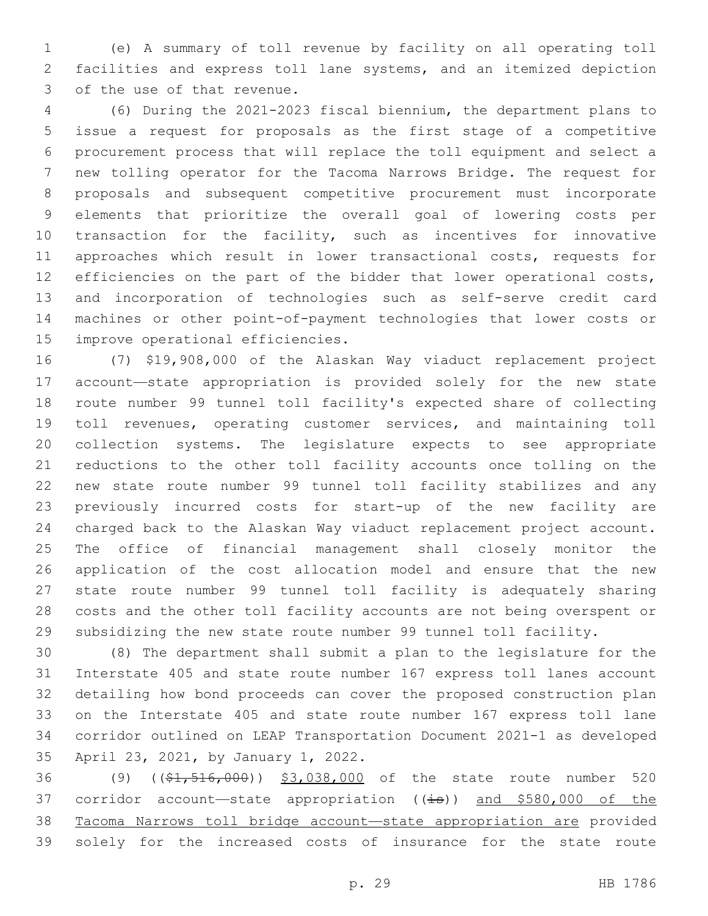(e) A summary of toll revenue by facility on all operating toll facilities and express toll lane systems, and an itemized depiction 3 of the use of that revenue.

 (6) During the 2021-2023 fiscal biennium, the department plans to issue a request for proposals as the first stage of a competitive procurement process that will replace the toll equipment and select a new tolling operator for the Tacoma Narrows Bridge. The request for proposals and subsequent competitive procurement must incorporate elements that prioritize the overall goal of lowering costs per transaction for the facility, such as incentives for innovative approaches which result in lower transactional costs, requests for efficiencies on the part of the bidder that lower operational costs, and incorporation of technologies such as self-serve credit card machines or other point-of-payment technologies that lower costs or 15 improve operational efficiencies.

 (7) \$19,908,000 of the Alaskan Way viaduct replacement project account—state appropriation is provided solely for the new state route number 99 tunnel toll facility's expected share of collecting toll revenues, operating customer services, and maintaining toll collection systems. The legislature expects to see appropriate reductions to the other toll facility accounts once tolling on the new state route number 99 tunnel toll facility stabilizes and any previously incurred costs for start-up of the new facility are charged back to the Alaskan Way viaduct replacement project account. The office of financial management shall closely monitor the application of the cost allocation model and ensure that the new state route number 99 tunnel toll facility is adequately sharing costs and the other toll facility accounts are not being overspent or subsidizing the new state route number 99 tunnel toll facility.

 (8) The department shall submit a plan to the legislature for the Interstate 405 and state route number 167 express toll lanes account detailing how bond proceeds can cover the proposed construction plan on the Interstate 405 and state route number 167 express toll lane corridor outlined on LEAP Transportation Document 2021-1 as developed 35 April 23, 2021, by January 1, 2022.

36 (9) ((\$1,516,000)) \$3,038,000 of the state route number 520 37 corridor account—state appropriation  $((\frac{1}{18}))$  and \$580,000 of the Tacoma Narrows toll bridge account—state appropriation are provided solely for the increased costs of insurance for the state route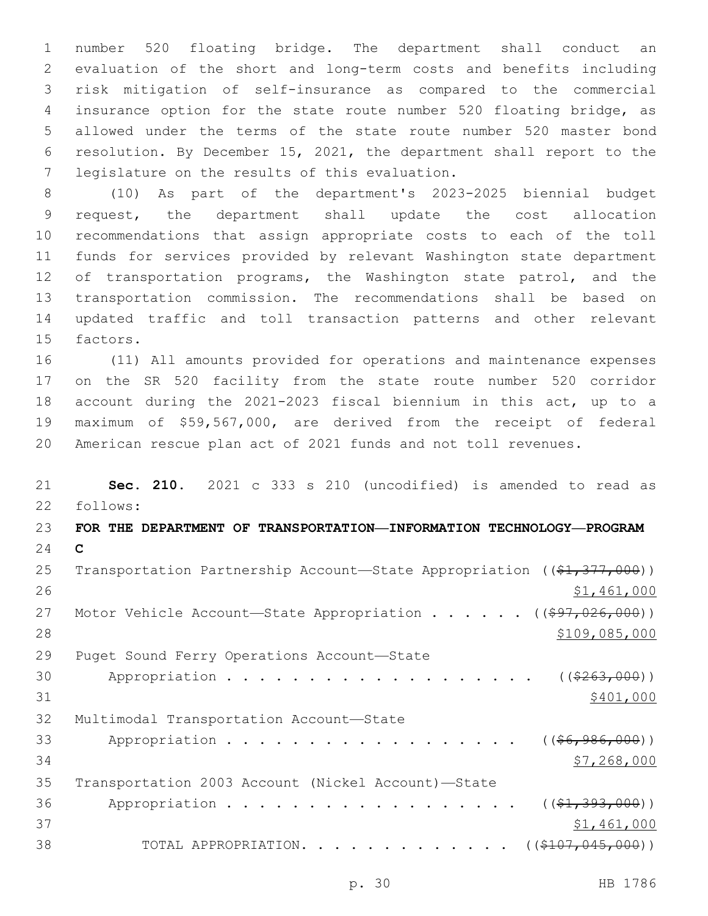number 520 floating bridge. The department shall conduct an evaluation of the short and long-term costs and benefits including risk mitigation of self-insurance as compared to the commercial insurance option for the state route number 520 floating bridge, as allowed under the terms of the state route number 520 master bond resolution. By December 15, 2021, the department shall report to the 7 legislature on the results of this evaluation.

 (10) As part of the department's 2023-2025 biennial budget request, the department shall update the cost allocation recommendations that assign appropriate costs to each of the toll funds for services provided by relevant Washington state department 12 of transportation programs, the Washington state patrol, and the transportation commission. The recommendations shall be based on updated traffic and toll transaction patterns and other relevant 15 factors.

 (11) All amounts provided for operations and maintenance expenses on the SR 520 facility from the state route number 520 corridor account during the 2021-2023 fiscal biennium in this act, up to a maximum of \$59,567,000, are derived from the receipt of federal American rescue plan act of 2021 funds and not toll revenues.

 **Sec. 210.** 2021 c 333 s 210 (uncodified) is amended to read as follows: 22 **FOR THE DEPARTMENT OF TRANSPORTATION—INFORMATION TECHNOLOGY—PROGRAM C** 25 Transportation Partnership Account—State Appropriation ((\$1,377,000)) \$1,461,000 27 Motor Vehicle Account—State Appropriation . . . . . ((\$97,026,000))  $$109,085,000$ 29 Puget Sound Ferry Operations Account-State 30 Appropriation . . . . . . . . . . . . . . . . . ((\$263,000))  $$401,000$ 32 Multimodal Transportation Account-State 33 Appropriation . . . . . . . . . . . . . . . . (  $(\frac{66,986,000}{60,000})$   $\frac{$7,268,000}{ }$  Transportation 2003 Account (Nickel Account)—State 36 Appropriation . . . . . . . . . . . . . . . . (  $(\frac{21}{21}, \frac{393}{100})$  )  $$1,461,000$ 38 TOTAL APPROPRIATION. . . . . . . . . . . . . ((\$107,045,000))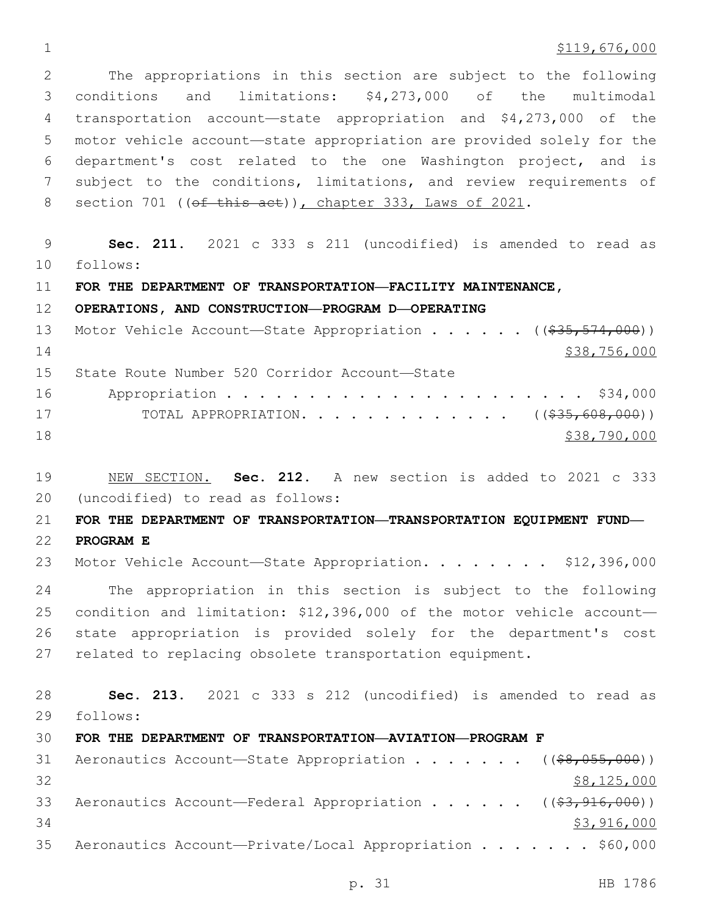### $\frac{$119,676,000}{2}$

 The appropriations in this section are subject to the following conditions and limitations: \$4,273,000 of the multimodal transportation account—state appropriation and \$4,273,000 of the motor vehicle account—state appropriation are provided solely for the department's cost related to the one Washington project, and is subject to the conditions, limitations, and review requirements of 8 section 701 ((of this act)), chapter 333, Laws of 2021.

 **Sec. 211.** 2021 c 333 s 211 (uncodified) is amended to read as follows: 10

**FOR THE DEPARTMENT OF TRANSPORTATION—FACILITY MAINTENANCE,** 

### **OPERATIONS, AND CONSTRUCTION—PROGRAM D—OPERATING**

|    | 13 Motor Vehicle Account-State Appropriation ((\$35,574,000)) |
|----|---------------------------------------------------------------|
| 14 | \$38,756,000                                                  |
|    | 15 State Route Number 520 Corridor Account-State              |
|    |                                                               |
| 17 | TOTAL APPROPRIATION. ( $(\frac{235}{608}, 608, 000)$ )        |

- \$38,790,000
- NEW SECTION. **Sec. 212.** A new section is added to 2021 c 333 (uncodified) to read as follows: 20

**FOR THE DEPARTMENT OF TRANSPORTATION—TRANSPORTATION EQUIPMENT FUND—**

**PROGRAM E**

23 Motor Vehicle Account—State Appropriation. . . . . . . \$12,396,000

 The appropriation in this section is subject to the following condition and limitation: \$12,396,000 of the motor vehicle account— state appropriation is provided solely for the department's cost related to replacing obsolete transportation equipment.

 **Sec. 213.** 2021 c 333 s 212 (uncodified) is amended to read as follows: 29

# **FOR THE DEPARTMENT OF TRANSPORTATION—AVIATION—PROGRAM F**

| 31 | Aeronautics Account—State Appropriation ((\$8,055,000))                |  |  |             |
|----|------------------------------------------------------------------------|--|--|-------------|
| 32 |                                                                        |  |  | \$8,125,000 |
| 33 | Aeronautics Account—Federal Appropriation (( <del>\$3,916,000</del> )) |  |  |             |
| 34 |                                                                        |  |  | \$3,916,000 |
| 35 | Aeronautics Account—Private/Local Appropriation \$60,000               |  |  |             |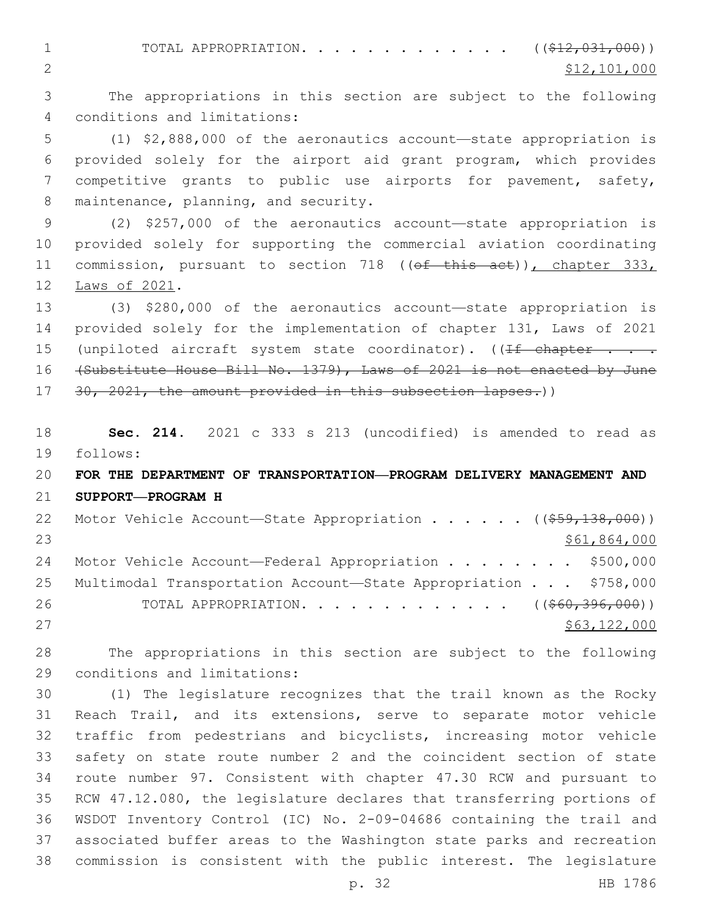1 TOTAL APPROPRIATION. . . . . . . . . . . . ((\$12,031,000)) 2  $\frac{$12,101,000}{2}$ 

 The appropriations in this section are subject to the following conditions and limitations:4

 (1) \$2,888,000 of the aeronautics account—state appropriation is provided solely for the airport aid grant program, which provides competitive grants to public use airports for pavement, safety, 8 maintenance, planning, and security.

 (2) \$257,000 of the aeronautics account—state appropriation is provided solely for supporting the commercial aviation coordinating 11 commission, pursuant to section 718 ((of this act)), chapter 333, 12 Laws of 2021.

 (3) \$280,000 of the aeronautics account—state appropriation is provided solely for the implementation of chapter 131, Laws of 2021 15 (unpiloted aircraft system state coordinator). ( $\sqrt{1+f}$  chapter . . . (Substitute House Bill No. 1379), Laws of 2021 is not enacted by June 17 30, 2021, the amount provided in this subsection lapses.))

 **Sec. 214.** 2021 c 333 s 213 (uncodified) is amended to read as follows: 19

# **FOR THE DEPARTMENT OF TRANSPORTATION—PROGRAM DELIVERY MANAGEMENT AND SUPPORT—PROGRAM H**

22 Motor Vehicle Account—State Appropriation . . . . . ((\$59,138,000)) \$61,864,000 24 Motor Vehicle Account—Federal Appropriation . . . . . . . \$500,000 Multimodal Transportation Account—State Appropriation . . . \$758,000 26 TOTAL APPROPRIATION. . . . . . . . . . . . . ((\$60,396,000)) \$63,122,000

 The appropriations in this section are subject to the following 29 conditions and limitations:

 (1) The legislature recognizes that the trail known as the Rocky Reach Trail, and its extensions, serve to separate motor vehicle traffic from pedestrians and bicyclists, increasing motor vehicle safety on state route number 2 and the coincident section of state route number 97. Consistent with chapter 47.30 RCW and pursuant to RCW 47.12.080, the legislature declares that transferring portions of WSDOT Inventory Control (IC) No. 2-09-04686 containing the trail and associated buffer areas to the Washington state parks and recreation commission is consistent with the public interest. The legislature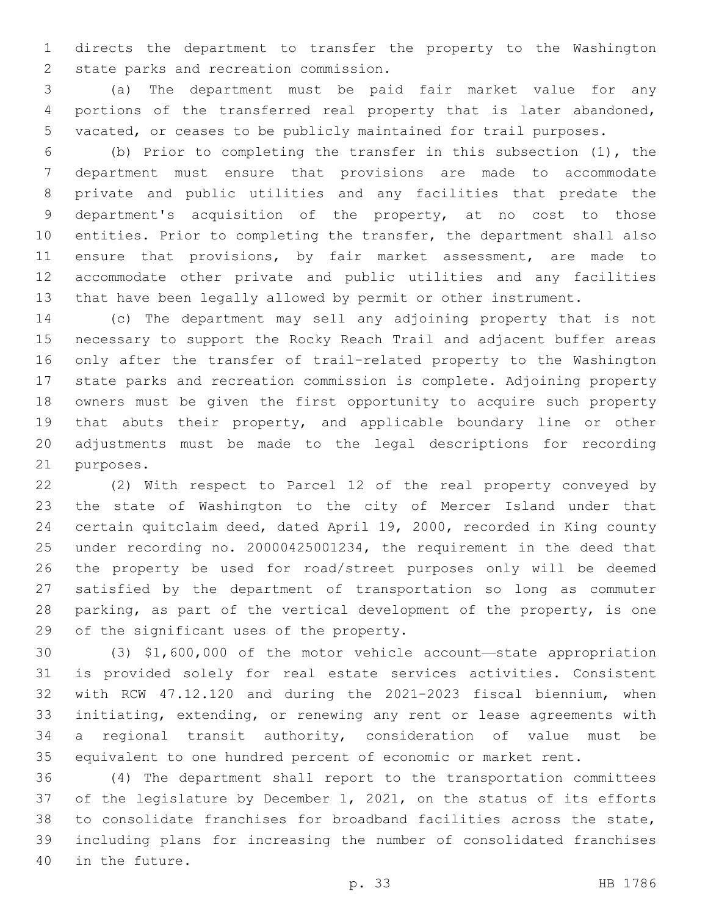directs the department to transfer the property to the Washington 2 state parks and recreation commission.

 (a) The department must be paid fair market value for any portions of the transferred real property that is later abandoned, vacated, or ceases to be publicly maintained for trail purposes.

 (b) Prior to completing the transfer in this subsection (1), the department must ensure that provisions are made to accommodate private and public utilities and any facilities that predate the department's acquisition of the property, at no cost to those entities. Prior to completing the transfer, the department shall also ensure that provisions, by fair market assessment, are made to accommodate other private and public utilities and any facilities that have been legally allowed by permit or other instrument.

 (c) The department may sell any adjoining property that is not necessary to support the Rocky Reach Trail and adjacent buffer areas only after the transfer of trail-related property to the Washington state parks and recreation commission is complete. Adjoining property owners must be given the first opportunity to acquire such property that abuts their property, and applicable boundary line or other adjustments must be made to the legal descriptions for recording 21 purposes.

 (2) With respect to Parcel 12 of the real property conveyed by the state of Washington to the city of Mercer Island under that certain quitclaim deed, dated April 19, 2000, recorded in King county under recording no. 20000425001234, the requirement in the deed that the property be used for road/street purposes only will be deemed satisfied by the department of transportation so long as commuter parking, as part of the vertical development of the property, is one 29 of the significant uses of the property.

 (3) \$1,600,000 of the motor vehicle account—state appropriation is provided solely for real estate services activities. Consistent with RCW 47.12.120 and during the 2021-2023 fiscal biennium, when initiating, extending, or renewing any rent or lease agreements with a regional transit authority, consideration of value must be equivalent to one hundred percent of economic or market rent.

 (4) The department shall report to the transportation committees of the legislature by December 1, 2021, on the status of its efforts to consolidate franchises for broadband facilities across the state, including plans for increasing the number of consolidated franchises 40 in the future.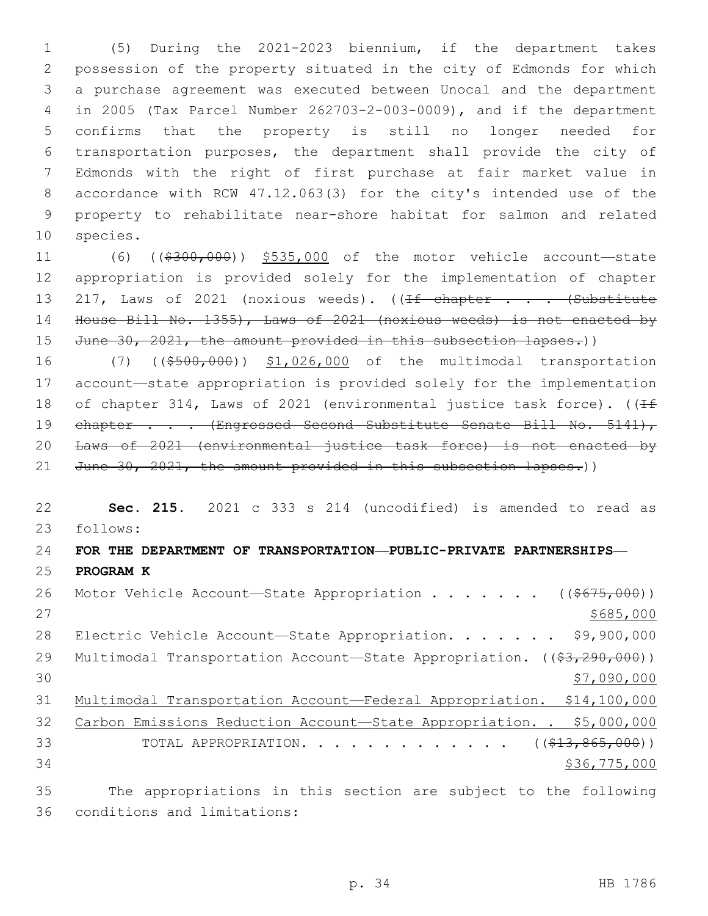(5) During the 2021-2023 biennium, if the department takes possession of the property situated in the city of Edmonds for which a purchase agreement was executed between Unocal and the department in 2005 (Tax Parcel Number 262703-2-003-0009), and if the department confirms that the property is still no longer needed for transportation purposes, the department shall provide the city of Edmonds with the right of first purchase at fair market value in accordance with RCW 47.12.063(3) for the city's intended use of the property to rehabilitate near-shore habitat for salmon and related 10 species.

11 (6) ((\$300,000)) \$535,000 of the motor vehicle account—state 12 appropriation is provided solely for the implementation of chapter 13 217, Laws of 2021 (noxious weeds). ((If chapter . . . (Substitute 14 House Bill No. 1355), Laws of 2021 (noxious weeds) is not enacted by 15 June 30, 2021, the amount provided in this subsection lapses.))

16 (7) ((\$500,000)) \$1,026,000 of the multimodal transportation 17 account—state appropriation is provided solely for the implementation 18 of chapter 314, Laws of 2021 (environmental justice task force). ( $\sqrt{1+f}$ 19 chapter . . . (Engrossed Second Substitute Senate Bill No. 5141), 20 Laws of 2021 (environmental justice task force) is not enacted by 21 June 30, 2021, the amount provided in this subsection lapses.))

22 **Sec. 215.** 2021 c 333 s 214 (uncodified) is amended to read as follows: 23 24 **FOR THE DEPARTMENT OF TRANSPORTATION—PUBLIC-PRIVATE PARTNERSHIPS—** 25 **PROGRAM K** 26 Motor Vehicle Account-State Appropriation . . . . . . ((\$675,000))

 $27$  \$685,000 28 Electric Vehicle Account-State Appropriation. . . . . . \$9,900,000 29 Multimodal Transportation Account—State Appropriation. ((\$3,290,000))  $30$   $\frac{1}{27,090,000}$ 31 Multimodal Transportation Account—Federal Appropriation. \$14,100,000 32 Carbon Emissions Reduction Account-State Appropriation. . \$5,000,000 33 TOTAL APPROPRIATION. . . . . . . . . . . . . ((\$13,865,000)) 34 \$36,775,000 35 The appropriations in this section are subject to the following

36 conditions and limitations: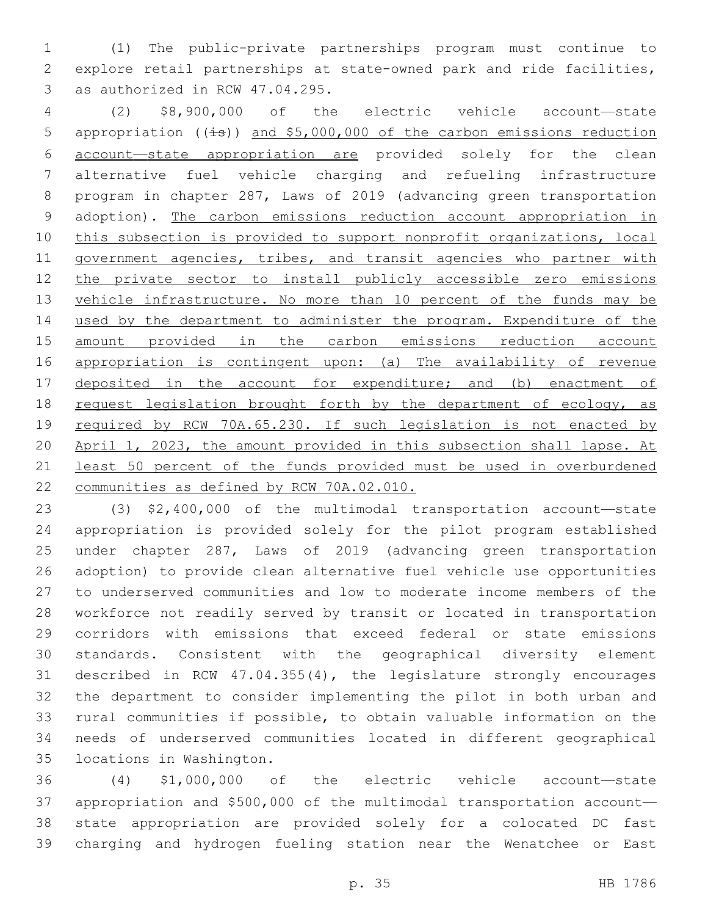(1) The public-private partnerships program must continue to explore retail partnerships at state-owned park and ride facilities, 3 as authorized in RCW 47.04.295.

 (2) \$8,900,000 of the electric vehicle account—state 5 appropriation ((is)) and \$5,000,000 of the carbon emissions reduction account—state appropriation are provided solely for the clean alternative fuel vehicle charging and refueling infrastructure program in chapter 287, Laws of 2019 (advancing green transportation adoption). The carbon emissions reduction account appropriation in this subsection is provided to support nonprofit organizations, local 11 government agencies, tribes, and transit agencies who partner with the private sector to install publicly accessible zero emissions vehicle infrastructure. No more than 10 percent of the funds may be used by the department to administer the program. Expenditure of the amount provided in the carbon emissions reduction account appropriation is contingent upon: (a) The availability of revenue deposited in the account for expenditure; and (b) enactment of 18 request legislation brought forth by the department of ecology, as required by RCW 70A.65.230. If such legislation is not enacted by April 1, 2023, the amount provided in this subsection shall lapse. At least 50 percent of the funds provided must be used in overburdened communities as defined by RCW 70A.02.010.

 (3) \$2,400,000 of the multimodal transportation account—state appropriation is provided solely for the pilot program established under chapter 287, Laws of 2019 (advancing green transportation adoption) to provide clean alternative fuel vehicle use opportunities to underserved communities and low to moderate income members of the workforce not readily served by transit or located in transportation corridors with emissions that exceed federal or state emissions standards. Consistent with the geographical diversity element described in RCW 47.04.355(4), the legislature strongly encourages the department to consider implementing the pilot in both urban and rural communities if possible, to obtain valuable information on the needs of underserved communities located in different geographical 35 locations in Washington.

 (4) \$1,000,000 of the electric vehicle account—state appropriation and \$500,000 of the multimodal transportation account— state appropriation are provided solely for a colocated DC fast charging and hydrogen fueling station near the Wenatchee or East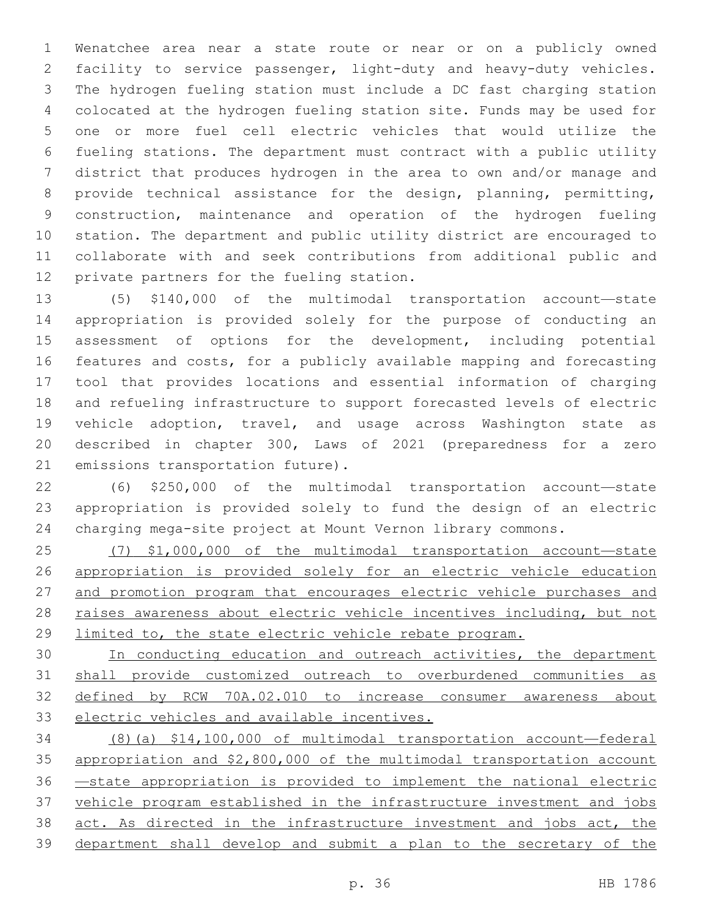Wenatchee area near a state route or near or on a publicly owned facility to service passenger, light-duty and heavy-duty vehicles. The hydrogen fueling station must include a DC fast charging station colocated at the hydrogen fueling station site. Funds may be used for one or more fuel cell electric vehicles that would utilize the fueling stations. The department must contract with a public utility district that produces hydrogen in the area to own and/or manage and provide technical assistance for the design, planning, permitting, construction, maintenance and operation of the hydrogen fueling station. The department and public utility district are encouraged to collaborate with and seek contributions from additional public and 12 private partners for the fueling station.

 (5) \$140,000 of the multimodal transportation account—state appropriation is provided solely for the purpose of conducting an assessment of options for the development, including potential features and costs, for a publicly available mapping and forecasting tool that provides locations and essential information of charging and refueling infrastructure to support forecasted levels of electric vehicle adoption, travel, and usage across Washington state as described in chapter 300, Laws of 2021 (preparedness for a zero 21 emissions transportation future).

 (6) \$250,000 of the multimodal transportation account—state appropriation is provided solely to fund the design of an electric charging mega-site project at Mount Vernon library commons.

 (7) \$1,000,000 of the multimodal transportation account—state appropriation is provided solely for an electric vehicle education and promotion program that encourages electric vehicle purchases and raises awareness about electric vehicle incentives including, but not limited to, the state electric vehicle rebate program.

30 In conducting education and outreach activities, the department shall provide customized outreach to overburdened communities as defined by RCW 70A.02.010 to increase consumer awareness about electric vehicles and available incentives.

 (8)(a) \$14,100,000 of multimodal transportation account—federal appropriation and \$2,800,000 of the multimodal transportation account —state appropriation is provided to implement the national electric vehicle program established in the infrastructure investment and jobs 38 act. As directed in the infrastructure investment and jobs act, the department shall develop and submit a plan to the secretary of the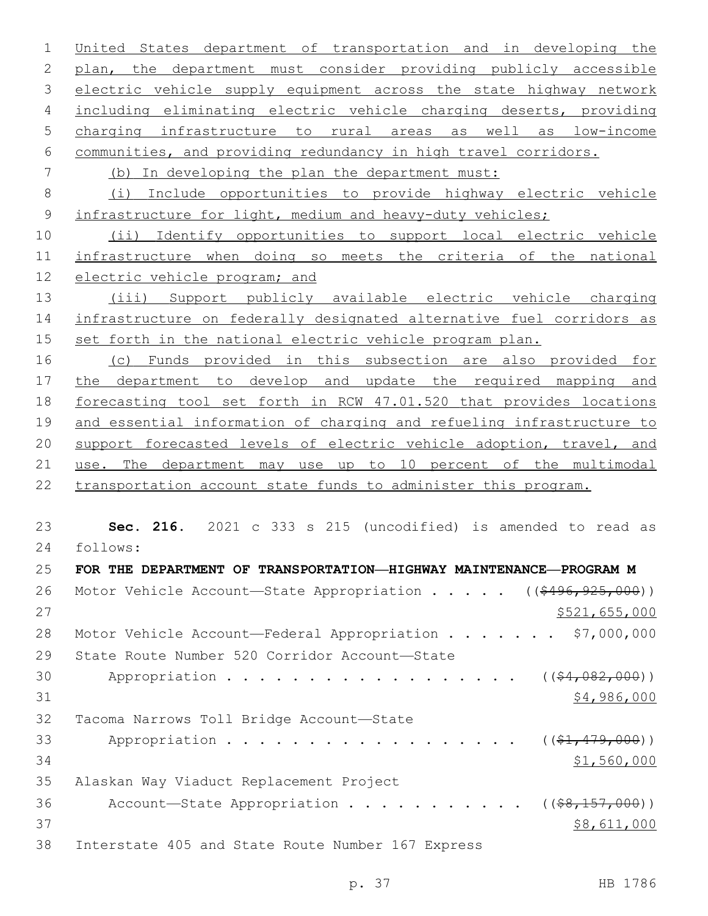United States department of transportation and in developing the plan, the department must consider providing publicly accessible 3 electric vehicle supply equipment across the state highway network including eliminating electric vehicle charging deserts, providing charging infrastructure to rural areas as well as low-income communities, and providing redundancy in high travel corridors. (b) In developing the plan the department must: (i) Include opportunities to provide highway electric vehicle 9 infrastructure for light, medium and heavy-duty vehicles; (ii) Identify opportunities to support local electric vehicle infrastructure when doing so meets the criteria of the national electric vehicle program; and (iii) Support publicly available electric vehicle charging infrastructure on federally designated alternative fuel corridors as set forth in the national electric vehicle program plan. (c) Funds provided in this subsection are also provided for the department to develop and update the required mapping and forecasting tool set forth in RCW 47.01.520 that provides locations and essential information of charging and refueling infrastructure to support forecasted levels of electric vehicle adoption, travel, and use. The department may use up to 10 percent of the multimodal transportation account state funds to administer this program. **Sec. 216.** 2021 c 333 s 215 (uncodified) is amended to read as follows: 24 **FOR THE DEPARTMENT OF TRANSPORTATION—HIGHWAY MAINTENANCE—PROGRAM M** 26 Motor Vehicle Account—State Appropriation . . . . ((\$496,925,000))  $$521,655,000$ 28 Motor Vehicle Account—Federal Appropriation . . . . . . \$7,000,000 29 State Route Number 520 Corridor Account-State

30 Appropriation . . . . . . . . . . . . . . . . (  $(\frac{64,082,000}{1})$  \$4,986,000 32 Tacoma Narrows Toll Bridge Account-State 33 Appropriation . . . . . . . . . . . . . . . . (  $(\frac{21}{79}, 000)$  ) \$1,560,000 35 Alaskan Way Viaduct Replacement Project

36 Account—State Appropriation  $\ldots$  . . . . . . . . ( $(\frac{68,157,000}{2})$ ) \$8,611,000 38 Interstate 405 and State Route Number 167 Express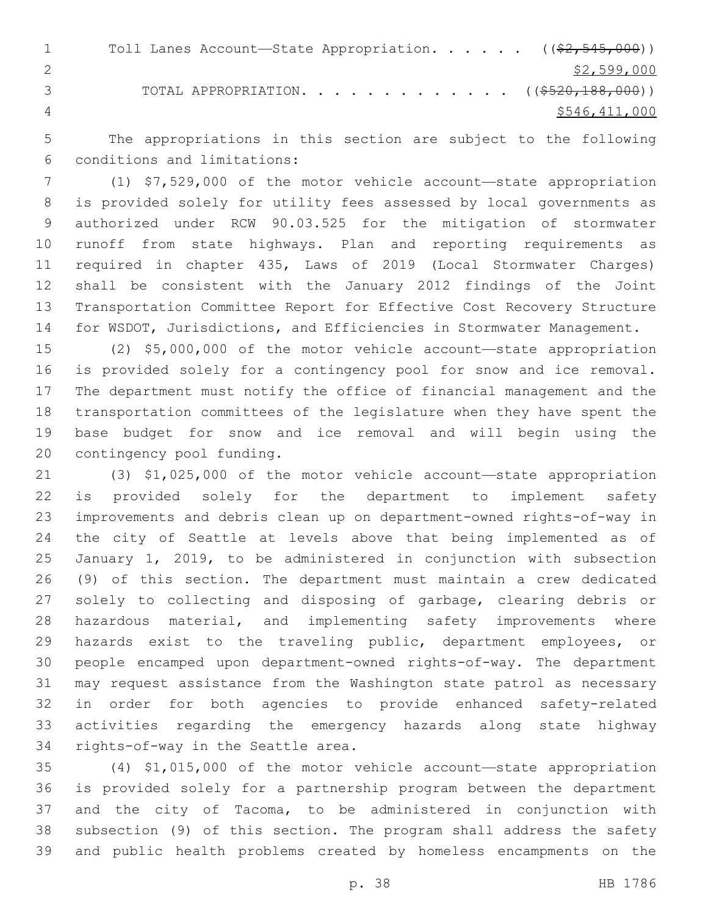1 Toll Lanes Account—State Appropriation. . . . . ((\$2,545,000)) \$2,599,000 3 TOTAL APPROPRIATION. . . . . . . . . . . . . ((\$520,188,000)) \$546,411,000

 The appropriations in this section are subject to the following conditions and limitations:6

 (1) \$7,529,000 of the motor vehicle account—state appropriation is provided solely for utility fees assessed by local governments as authorized under RCW 90.03.525 for the mitigation of stormwater runoff from state highways. Plan and reporting requirements as required in chapter 435, Laws of 2019 (Local Stormwater Charges) shall be consistent with the January 2012 findings of the Joint Transportation Committee Report for Effective Cost Recovery Structure for WSDOT, Jurisdictions, and Efficiencies in Stormwater Management.

 (2) \$5,000,000 of the motor vehicle account—state appropriation is provided solely for a contingency pool for snow and ice removal. The department must notify the office of financial management and the transportation committees of the legislature when they have spent the base budget for snow and ice removal and will begin using the 20 contingency pool funding.

 (3) \$1,025,000 of the motor vehicle account—state appropriation is provided solely for the department to implement safety improvements and debris clean up on department-owned rights-of-way in the city of Seattle at levels above that being implemented as of January 1, 2019, to be administered in conjunction with subsection (9) of this section. The department must maintain a crew dedicated solely to collecting and disposing of garbage, clearing debris or hazardous material, and implementing safety improvements where hazards exist to the traveling public, department employees, or people encamped upon department-owned rights-of-way. The department may request assistance from the Washington state patrol as necessary in order for both agencies to provide enhanced safety-related activities regarding the emergency hazards along state highway 34 rights-of-way in the Seattle area.

 (4) \$1,015,000 of the motor vehicle account—state appropriation is provided solely for a partnership program between the department and the city of Tacoma, to be administered in conjunction with subsection (9) of this section. The program shall address the safety and public health problems created by homeless encampments on the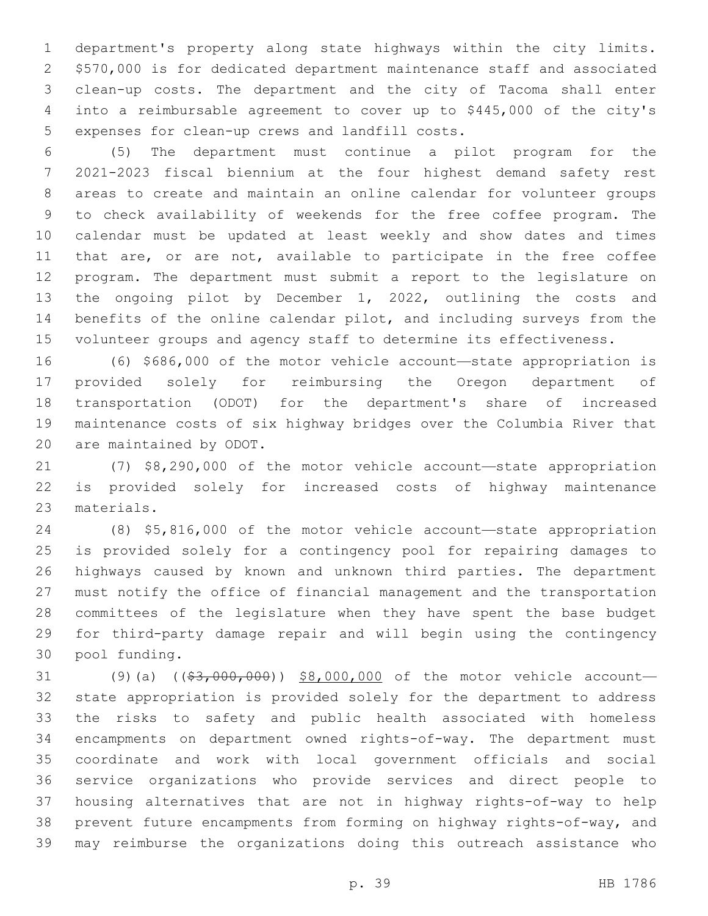department's property along state highways within the city limits. \$570,000 is for dedicated department maintenance staff and associated clean-up costs. The department and the city of Tacoma shall enter into a reimbursable agreement to cover up to \$445,000 of the city's 5 expenses for clean-up crews and landfill costs.

 (5) The department must continue a pilot program for the 2021-2023 fiscal biennium at the four highest demand safety rest areas to create and maintain an online calendar for volunteer groups to check availability of weekends for the free coffee program. The calendar must be updated at least weekly and show dates and times that are, or are not, available to participate in the free coffee program. The department must submit a report to the legislature on the ongoing pilot by December 1, 2022, outlining the costs and benefits of the online calendar pilot, and including surveys from the 15 volunteer groups and agency staff to determine its effectiveness.

 (6) \$686,000 of the motor vehicle account—state appropriation is provided solely for reimbursing the Oregon department of transportation (ODOT) for the department's share of increased maintenance costs of six highway bridges over the Columbia River that 20 are maintained by ODOT.

 (7) \$8,290,000 of the motor vehicle account—state appropriation is provided solely for increased costs of highway maintenance 23 materials.

 (8) \$5,816,000 of the motor vehicle account—state appropriation is provided solely for a contingency pool for repairing damages to highways caused by known and unknown third parties. The department must notify the office of financial management and the transportation committees of the legislature when they have spent the base budget for third-party damage repair and will begin using the contingency pool funding.30

31 (9)(a) ((\$3,000,000)) \$8,000,000 of the motor vehicle account- state appropriation is provided solely for the department to address the risks to safety and public health associated with homeless encampments on department owned rights-of-way. The department must coordinate and work with local government officials and social service organizations who provide services and direct people to housing alternatives that are not in highway rights-of-way to help prevent future encampments from forming on highway rights-of-way, and may reimburse the organizations doing this outreach assistance who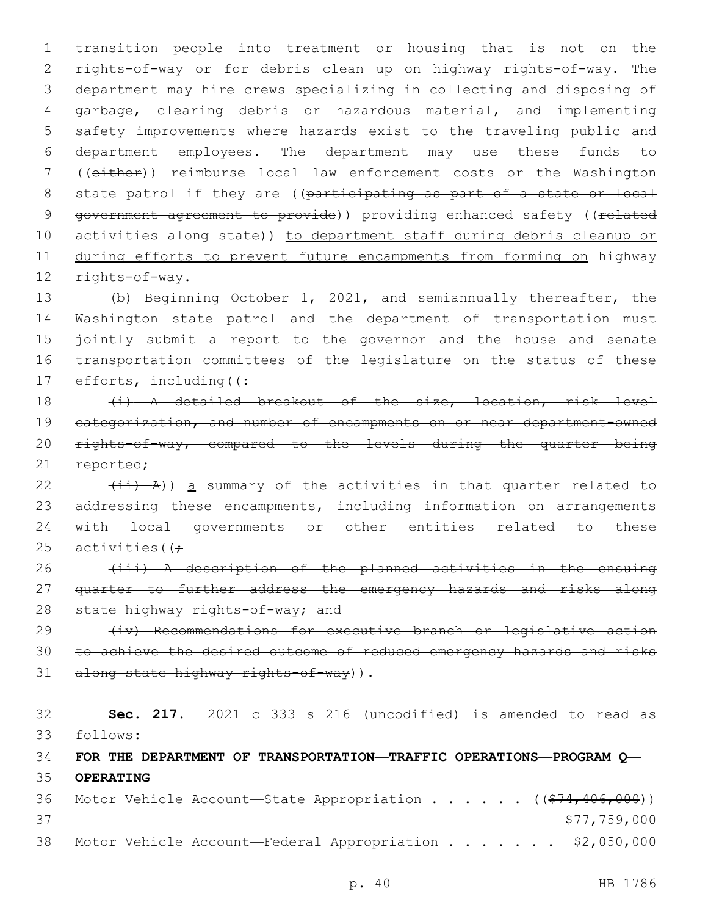1 transition people into treatment or housing that is not on the 2 rights-of-way or for debris clean up on highway rights-of-way. The 3 department may hire crews specializing in collecting and disposing of 4 garbage, clearing debris or hazardous material, and implementing 5 safety improvements where hazards exist to the traveling public and 6 department employees. The department may use these funds to 7 ((either)) reimburse local law enforcement costs or the Washington 8 state patrol if they are ((participating as part of a state or local 9 government agreement to provide)) providing enhanced safety ((related 10 activities along state)) to department staff during debris cleanup or 11 during efforts to prevent future encampments from forming on highway 12 rights-of-way.

 (b) Beginning October 1, 2021, and semiannually thereafter, the Washington state patrol and the department of transportation must jointly submit a report to the governor and the house and senate transportation committees of the legislature on the status of these 17 efforts, including  $($ :

18 (i) A detailed breakout of the size, location, risk level 19 categorization, and number of encampments on or near department-owned 20 rights-of-way, compared to the levels during the quarter being 21 reported;

 $(iii)$  A)) a summary of the activities in that quarter related to addressing these encampments, including information on arrangements with local governments or other entities related to these 25 activities ( $\left( \div \right)$ 

26 (iii) A description of the planned activities in the ensuing 27 quarter to further address the emergency hazards and risks along 28 state highway rights-of-way; and

29 (iv) Recommendations for executive branch or legislative action 30 to achieve the desired outcome of reduced emergency hazards and risks 31 along state highway rights-of-way)).

32 **Sec. 217.** 2021 c 333 s 216 (uncodified) is amended to read as follows: 33

34 **FOR THE DEPARTMENT OF TRANSPORTATION—TRAFFIC OPERATIONS—PROGRAM Q—** 35 **OPERATING**

36 Motor Vehicle Account—State Appropriation . . . . . ((\$74,406,000)) 37 \$77,759,000 38 Motor Vehicle Account—Federal Appropriation . . . . . . \$2,050,000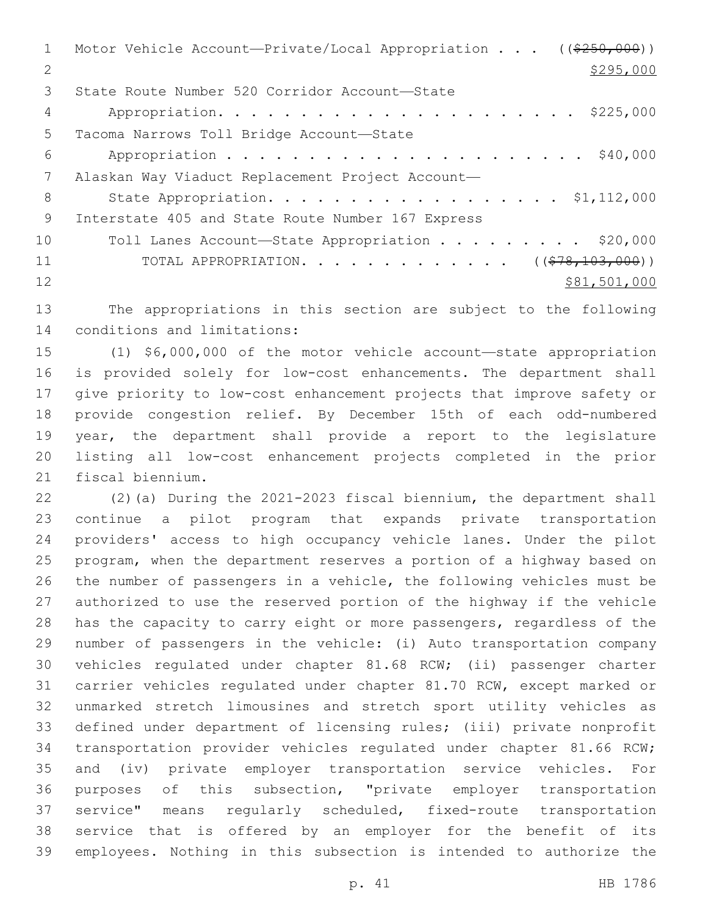| $\mathbf{1}$  | Motor Vehicle Account-Private/Local Appropriation $($ $($ $\frac{250}{100})$ |
|---------------|------------------------------------------------------------------------------|
| $\mathcal{L}$ | \$295,000                                                                    |
| 3             | State Route Number 520 Corridor Account-State                                |
| 4             |                                                                              |
| 5             | Tacoma Narrows Toll Bridge Account-State                                     |
| 6             | \$40,000                                                                     |
| 7             | Alaskan Way Viaduct Replacement Project Account-                             |
| 8             | State Appropriation. \$1,112,000                                             |
| 9             | Interstate 405 and State Route Number 167 Express                            |
| 10            | Toll Lanes Account-State Appropriation \$20,000                              |
| 11            | TOTAL APPROPRIATION. ( $(\frac{278}{103},000)$ )                             |
| 12            | \$81,501,000                                                                 |
|               |                                                                              |

 The appropriations in this section are subject to the following 14 conditions and limitations:

 (1) \$6,000,000 of the motor vehicle account—state appropriation is provided solely for low-cost enhancements. The department shall give priority to low-cost enhancement projects that improve safety or provide congestion relief. By December 15th of each odd-numbered year, the department shall provide a report to the legislature listing all low-cost enhancement projects completed in the prior 21 fiscal biennium.

 (2)(a) During the 2021-2023 fiscal biennium, the department shall continue a pilot program that expands private transportation providers' access to high occupancy vehicle lanes. Under the pilot program, when the department reserves a portion of a highway based on the number of passengers in a vehicle, the following vehicles must be authorized to use the reserved portion of the highway if the vehicle has the capacity to carry eight or more passengers, regardless of the number of passengers in the vehicle: (i) Auto transportation company vehicles regulated under chapter 81.68 RCW; (ii) passenger charter carrier vehicles regulated under chapter 81.70 RCW, except marked or unmarked stretch limousines and stretch sport utility vehicles as defined under department of licensing rules; (iii) private nonprofit transportation provider vehicles regulated under chapter 81.66 RCW; and (iv) private employer transportation service vehicles. For purposes of this subsection, "private employer transportation service" means regularly scheduled, fixed-route transportation service that is offered by an employer for the benefit of its employees. Nothing in this subsection is intended to authorize the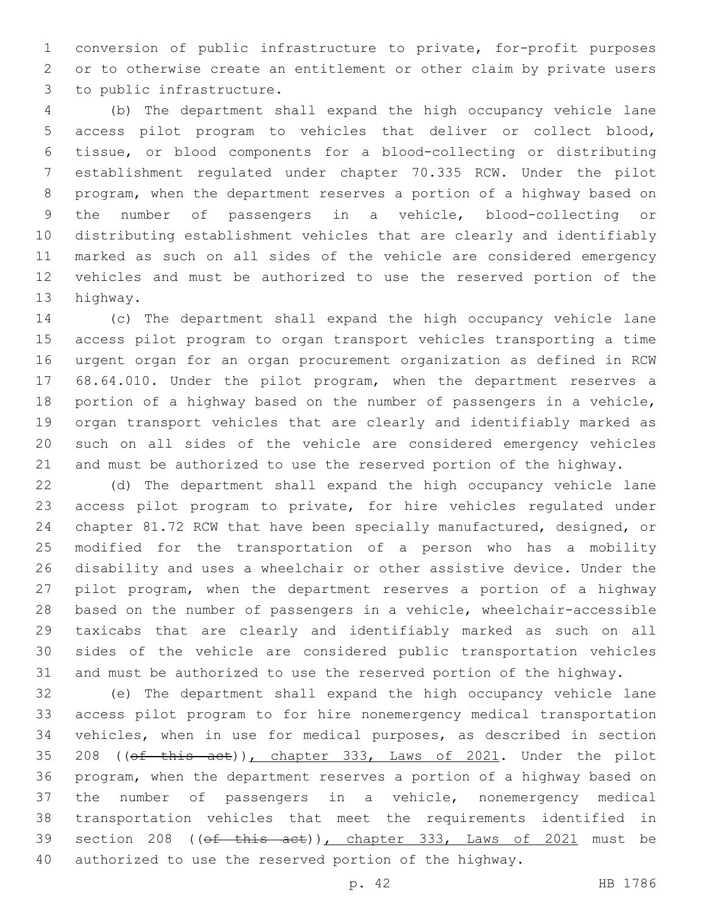conversion of public infrastructure to private, for-profit purposes or to otherwise create an entitlement or other claim by private users 3 to public infrastructure.

 (b) The department shall expand the high occupancy vehicle lane access pilot program to vehicles that deliver or collect blood, tissue, or blood components for a blood-collecting or distributing establishment regulated under chapter 70.335 RCW. Under the pilot program, when the department reserves a portion of a highway based on the number of passengers in a vehicle, blood-collecting or distributing establishment vehicles that are clearly and identifiably marked as such on all sides of the vehicle are considered emergency vehicles and must be authorized to use the reserved portion of the 13 highway.

 (c) The department shall expand the high occupancy vehicle lane access pilot program to organ transport vehicles transporting a time urgent organ for an organ procurement organization as defined in RCW 68.64.010. Under the pilot program, when the department reserves a portion of a highway based on the number of passengers in a vehicle, organ transport vehicles that are clearly and identifiably marked as such on all sides of the vehicle are considered emergency vehicles and must be authorized to use the reserved portion of the highway.

 (d) The department shall expand the high occupancy vehicle lane access pilot program to private, for hire vehicles regulated under chapter 81.72 RCW that have been specially manufactured, designed, or modified for the transportation of a person who has a mobility disability and uses a wheelchair or other assistive device. Under the pilot program, when the department reserves a portion of a highway based on the number of passengers in a vehicle, wheelchair-accessible taxicabs that are clearly and identifiably marked as such on all sides of the vehicle are considered public transportation vehicles and must be authorized to use the reserved portion of the highway.

 (e) The department shall expand the high occupancy vehicle lane access pilot program to for hire nonemergency medical transportation vehicles, when in use for medical purposes, as described in section 208 ((of this act)), chapter 333, Laws of 2021. Under the pilot program, when the department reserves a portion of a highway based on the number of passengers in a vehicle, nonemergency medical transportation vehicles that meet the requirements identified in 39 section 208 ((of this act)), chapter 333, Laws of 2021 must be authorized to use the reserved portion of the highway.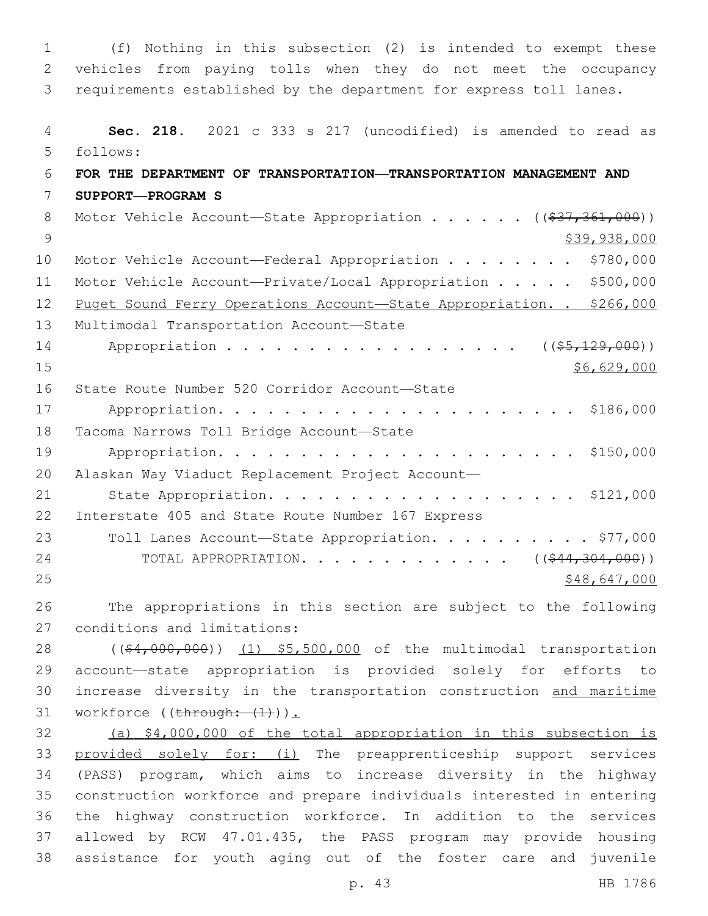1 (f) Nothing in this subsection (2) is intended to exempt these 2 vehicles from paying tolls when they do not meet the occupancy 3 requirements established by the department for express toll lanes. 4 **Sec. 218.** 2021 c 333 s 217 (uncodified) is amended to read as follows: 5 6 **FOR THE DEPARTMENT OF TRANSPORTATION—TRANSPORTATION MANAGEMENT AND**  7 **SUPPORT—PROGRAM S** 8 Motor Vehicle Account—State Appropriation . . . . . ((\$37,361,000)) 9 \$39,938,000 10 Motor Vehicle Account—Federal Appropriation . . . . . . . \$780,000 11 Motor Vehicle Account—Private/Local Appropriation . . . . . \$500,000 12 Puget Sound Ferry Operations Account—State Appropriation. . \$266,000 13 Multimodal Transportation Account-State 14 Appropriation . . . . . . . . . . . . . . . . (  $(\frac{25}{129},000)$  )  $15$  \$6,629,000 16 State Route Number 520 Corridor Account-State 17 Appropriation. . . . . . . . . . . . . . . . . . . . . . \$186,000 18 Tacoma Narrows Toll Bridge Account-State 19 Appropriation. . . . . . . . . . . . . . . . . . . . . . \$150,000 20 Alaskan Way Viaduct Replacement Project Account— 21 State Appropriation. . . . . . . . . . . . . . . . . . \$121,000 22 Interstate 405 and State Route Number 167 Express 23 Toll Lanes Account—State Appropriation. . . . . . . . . \$77,000 24 TOTAL APPROPRIATION. . . . . . . . . . . . . ((\$44,304,000)) 25 \$48,647,000 26 The appropriations in this section are subject to the following 27 conditions and limitations: 28 ((\$4,000,000)) (1) \$5,500,000 of the multimodal transportation 29 account—state appropriation is provided solely for efforts to 30 increase diversity in the transportation construction and maritime 31 workforce  $((\text{through: } (1))$ . 32 (a) \$4,000,000 of the total appropriation in this subsection is 33 provided solely for: (i) The preapprenticeship support services 34 (PASS) program, which aims to increase diversity in the highway 35 construction workforce and prepare individuals interested in entering 36 the highway construction workforce. In addition to the services 37 allowed by RCW 47.01.435, the PASS program may provide housing 38 assistance for youth aging out of the foster care and juvenile

p. 43 HB 1786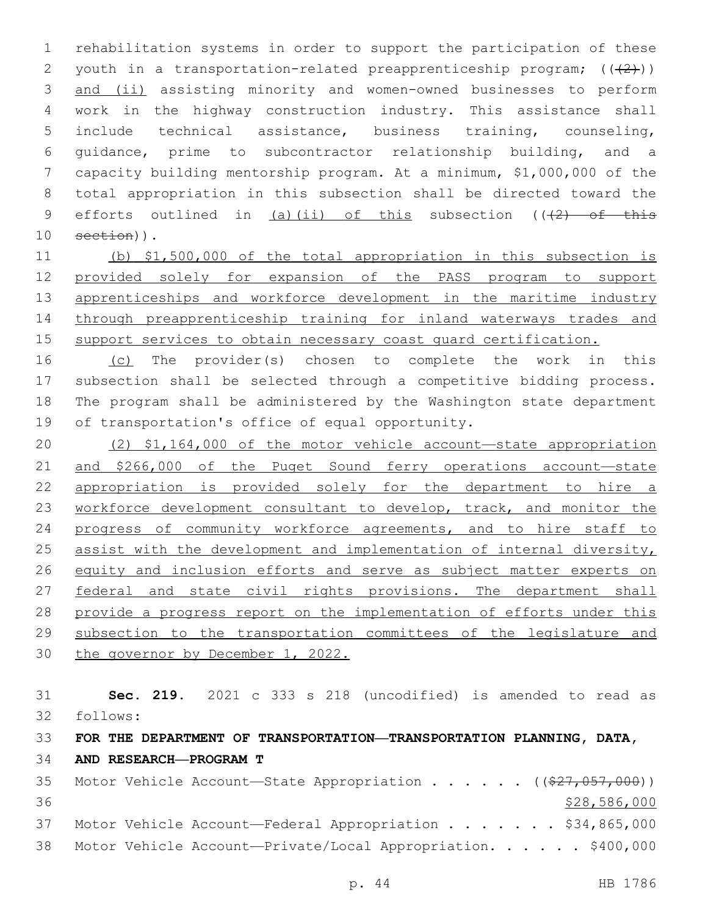rehabilitation systems in order to support the participation of these 2 youth in a transportation-related preapprenticeship program;  $((+2+))$  and (ii) assisting minority and women-owned businesses to perform work in the highway construction industry. This assistance shall include technical assistance, business training, counseling, guidance, prime to subcontractor relationship building, and a capacity building mentorship program. At a minimum, \$1,000,000 of the total appropriation in this subsection shall be directed toward the 9 efforts outlined in  $(a)$  (ii) of this subsection ( $(2)$  of this 10 section)).

 (b) \$1,500,000 of the total appropriation in this subsection is provided solely for expansion of the PASS program to support 13 apprenticeships and workforce development in the maritime industry through preapprenticeship training for inland waterways trades and support services to obtain necessary coast guard certification.

16 (c) The provider(s) chosen to complete the work in this subsection shall be selected through a competitive bidding process. The program shall be administered by the Washington state department 19 of transportation's office of equal opportunity.

 (2) \$1,164,000 of the motor vehicle account—state appropriation and \$266,000 of the Puget Sound ferry operations account—state appropriation is provided solely for the department to hire a 23 workforce development consultant to develop, track, and monitor the progress of community workforce agreements, and to hire staff to 25 assist with the development and implementation of internal diversity, equity and inclusion efforts and serve as subject matter experts on federal and state civil rights provisions. The department shall provide a progress report on the implementation of efforts under this subsection to the transportation committees of the legislature and 30 the governor by December 1, 2022.

 **Sec. 219.** 2021 c 333 s 218 (uncodified) is amended to read as follows: 32 **FOR THE DEPARTMENT OF TRANSPORTATION—TRANSPORTATION PLANNING, DATA, AND RESEARCH—PROGRAM T** 35 Motor Vehicle Account-State Appropriation . . . . . ((\$27,057,000))  $\frac{$28,586,000}{20}$ 

37 Motor Vehicle Account—Federal Appropriation . . . . . . \$34,865,000 38 Motor Vehicle Account-Private/Local Appropriation. . . . . \$400,000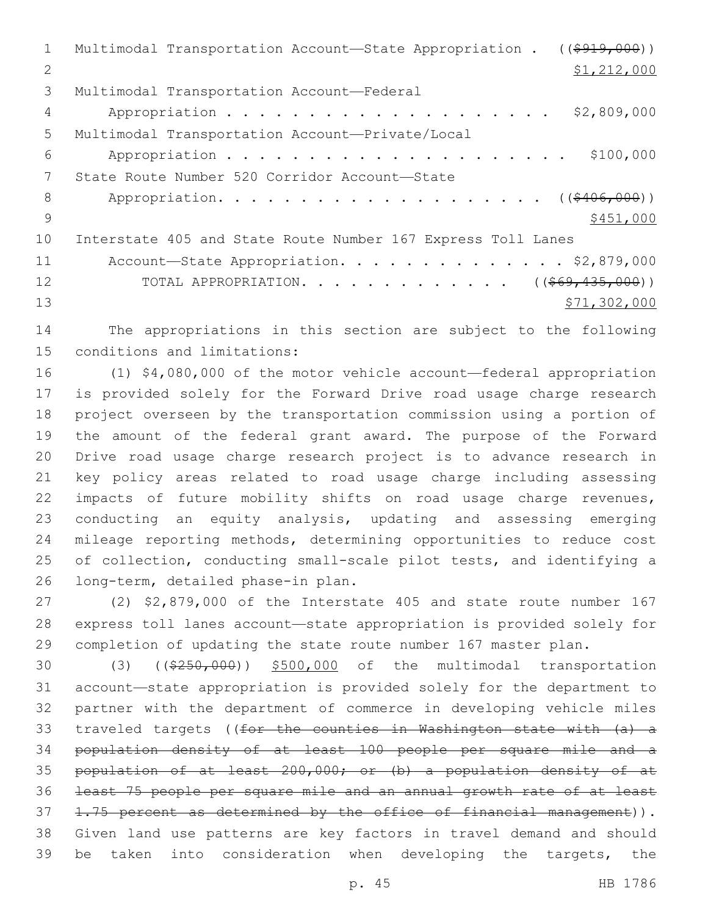Multimodal Transportation Account—State Appropriation . ((\$919,000)) \$1,212,000 3 Multimodal Transportation Account-Federal Appropriation . . . . . . . . . . . . . . . . . . . . \$2,809,000 Multimodal Transportation Account—Private/Local5 Appropriation . . . . . . . . . . . . . . . . . . . . . \$100,000 7 State Route Number 520 Corridor Account-State 8 Appropriation. . . . . . . . . . . . . . . . . . (  $(\frac{2406,000}{1})$  $9 \frac{$451,000}{ }$  Interstate 405 and State Route Number 167 Express Toll Lanes 11 Account-State Appropriation. . . . . . . . . . . . . \$2,879,000 12 TOTAL APPROPRIATION. . . . . . . . . . . . . ((<del>\$69,435,000</del>)) \$71,302,000

 The appropriations in this section are subject to the following 15 conditions and limitations:

 (1) \$4,080,000 of the motor vehicle account—federal appropriation is provided solely for the Forward Drive road usage charge research project overseen by the transportation commission using a portion of the amount of the federal grant award. The purpose of the Forward Drive road usage charge research project is to advance research in key policy areas related to road usage charge including assessing impacts of future mobility shifts on road usage charge revenues, conducting an equity analysis, updating and assessing emerging mileage reporting methods, determining opportunities to reduce cost of collection, conducting small-scale pilot tests, and identifying a 26 long-term, detailed phase-in plan.

 (2) \$2,879,000 of the Interstate 405 and state route number 167 express toll lanes account—state appropriation is provided solely for completion of updating the state route number 167 master plan.

30 (3) ((\$250,000)) \$500,000 of the multimodal transportation account—state appropriation is provided solely for the department to partner with the department of commerce in developing vehicle miles traveled targets ((for the counties in Washington state with (a) a population density of at least 100 people per square mile and a population of at least 200,000; or (b) a population density of at least 75 people per square mile and an annual growth rate of at least 37 1.75 percent as determined by the office of financial management)). Given land use patterns are key factors in travel demand and should be taken into consideration when developing the targets, the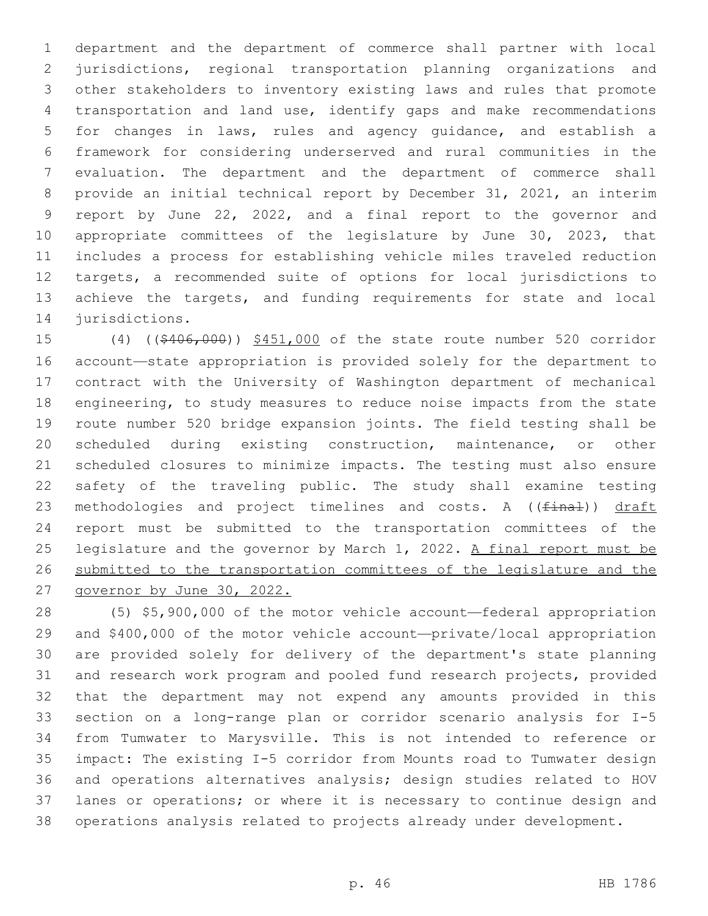department and the department of commerce shall partner with local jurisdictions, regional transportation planning organizations and other stakeholders to inventory existing laws and rules that promote transportation and land use, identify gaps and make recommendations for changes in laws, rules and agency guidance, and establish a framework for considering underserved and rural communities in the evaluation. The department and the department of commerce shall provide an initial technical report by December 31, 2021, an interim report by June 22, 2022, and a final report to the governor and appropriate committees of the legislature by June 30, 2023, that includes a process for establishing vehicle miles traveled reduction targets, a recommended suite of options for local jurisdictions to 13 achieve the targets, and funding requirements for state and local 14 jurisdictions.

15 (4) ((\$406,000)) \$451,000 of the state route number 520 corridor account—state appropriation is provided solely for the department to contract with the University of Washington department of mechanical engineering, to study measures to reduce noise impacts from the state route number 520 bridge expansion joints. The field testing shall be scheduled during existing construction, maintenance, or other scheduled closures to minimize impacts. The testing must also ensure safety of the traveling public. The study shall examine testing 23 methodologies and project timelines and costs. A ((final)) draft report must be submitted to the transportation committees of the legislature and the governor by March 1, 2022. A final report must be submitted to the transportation committees of the legislature and the governor by June 30, 2022.

 (5) \$5,900,000 of the motor vehicle account—federal appropriation and \$400,000 of the motor vehicle account—private/local appropriation are provided solely for delivery of the department's state planning and research work program and pooled fund research projects, provided that the department may not expend any amounts provided in this section on a long-range plan or corridor scenario analysis for I-5 from Tumwater to Marysville. This is not intended to reference or impact: The existing I-5 corridor from Mounts road to Tumwater design and operations alternatives analysis; design studies related to HOV lanes or operations; or where it is necessary to continue design and operations analysis related to projects already under development.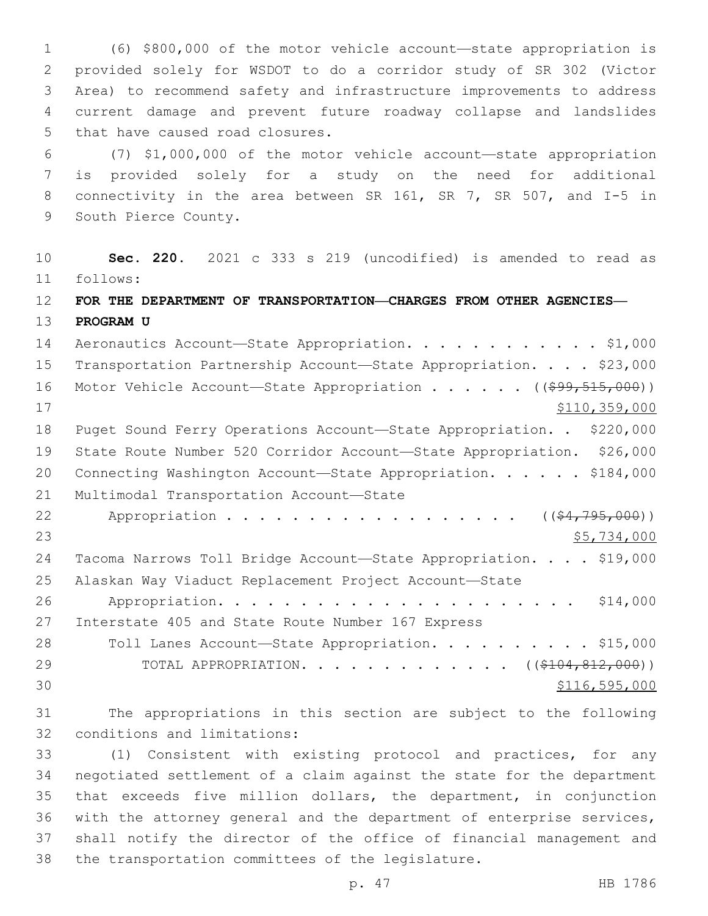(6) \$800,000 of the motor vehicle account—state appropriation is provided solely for WSDOT to do a corridor study of SR 302 (Victor Area) to recommend safety and infrastructure improvements to address current damage and prevent future roadway collapse and landslides 5 that have caused road closures.

 (7) \$1,000,000 of the motor vehicle account—state appropriation is provided solely for a study on the need for additional connectivity in the area between SR 161, SR 7, SR 507, and I-5 in 9 South Pierce County.

 **Sec. 220.** 2021 c 333 s 219 (uncodified) is amended to read as follows: 11

- **FOR THE DEPARTMENT OF TRANSPORTATION—CHARGES FROM OTHER AGENCIES— PROGRAM U**
- 14 Aeronautics Account-State Appropriation. . . . . . . . . . . \$1,000 Transportation Partnership Account—State Appropriation. . . . \$23,000 16 Motor Vehicle Account—State Appropriation . . . . . ((\$99,515,000)) \$110,359,000 Puget Sound Ferry Operations Account—State Appropriation. . \$220,000 State Route Number 520 Corridor Account—State Appropriation. \$26,000 20 Connecting Washington Account-State Appropriation. . . . . \$184,000 21 Multimodal Transportation Account-State 22 Appropriation . . . . . . . . . . . . . . . . (  $(\frac{24}{795},000)$  )  $$5,734,000$  Tacoma Narrows Toll Bridge Account—State Appropriation. . . . \$19,000 Alaskan Way Viaduct Replacement Project Account—State Appropriation. . . . . . . . . . . . . . . . . . . . . . \$14,000 27 Interstate 405 and State Route Number 167 Express 28 Toll Lanes Account—State Appropriation. . . . . . . . . \$15,000 29 TOTAL APPROPRIATION. . . . . . . . . . . . ((\$104,812,000))  $30 \overline{\smash{\big)}\,}$   $30 \overline{\smash{\big)}\,}$   $30 \overline{\smash{\big)}\,}$   $30 \overline{\smash{\big)}\,}$
- The appropriations in this section are subject to the following 32 conditions and limitations:

 (1) Consistent with existing protocol and practices, for any negotiated settlement of a claim against the state for the department that exceeds five million dollars, the department, in conjunction with the attorney general and the department of enterprise services, shall notify the director of the office of financial management and 38 the transportation committees of the legislature.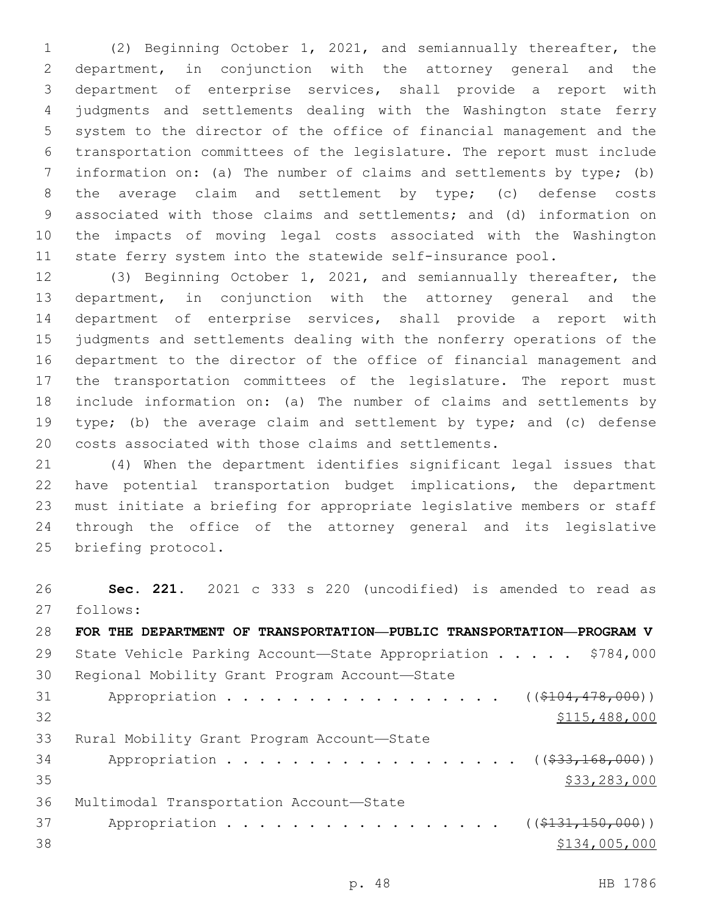(2) Beginning October 1, 2021, and semiannually thereafter, the department, in conjunction with the attorney general and the department of enterprise services, shall provide a report with judgments and settlements dealing with the Washington state ferry system to the director of the office of financial management and the transportation committees of the legislature. The report must include information on: (a) The number of claims and settlements by type; (b) the average claim and settlement by type; (c) defense costs associated with those claims and settlements; and (d) information on the impacts of moving legal costs associated with the Washington state ferry system into the statewide self-insurance pool.

 (3) Beginning October 1, 2021, and semiannually thereafter, the department, in conjunction with the attorney general and the department of enterprise services, shall provide a report with judgments and settlements dealing with the nonferry operations of the department to the director of the office of financial management and the transportation committees of the legislature. The report must include information on: (a) The number of claims and settlements by type; (b) the average claim and settlement by type; and (c) defense costs associated with those claims and settlements.

 (4) When the department identifies significant legal issues that have potential transportation budget implications, the department must initiate a briefing for appropriate legislative members or staff through the office of the attorney general and its legislative 25 briefing protocol.

 **Sec. 221.** 2021 c 333 s 220 (uncodified) is amended to read as follows: 27 **FOR THE DEPARTMENT OF TRANSPORTATION—PUBLIC TRANSPORTATION—PROGRAM V** 29 State Vehicle Parking Account—State Appropriation . . . . . \$784,000 30 Regional Mobility Grant Program Account-State 31 Appropriation . . . . . . . . . . . . . . . ((\$104,478,000)) \$115,488,000 33 Rural Mobility Grant Program Account-State 34 Appropriation . . . . . . . . . . . . . . . . ((\$33,168,000)) \$33,283,000 \$33,283,000 \$33,283,000 \$33,283,000 \$33,283,000 \$33,283,000 \$33,283,000 \$ 36 Multimodal Transportation Account-State 37 Appropriation . . . . . . . . . . . . . . . (  $(\frac{1331,150,000}{s})$  $$134,005,000$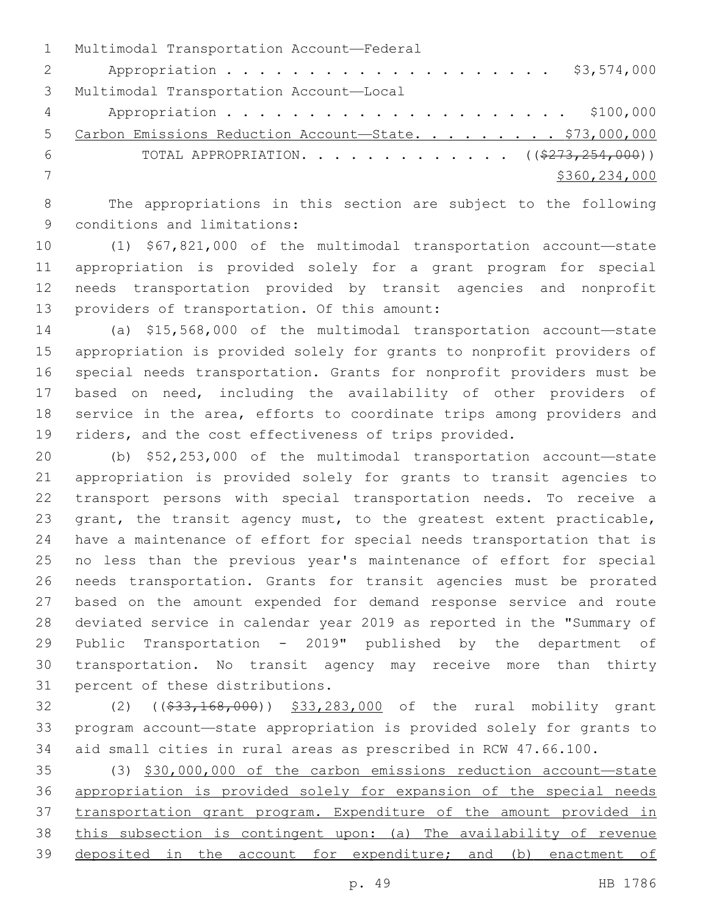|                | 1 Multimodal Transportation Account-Federal                     |
|----------------|-----------------------------------------------------------------|
| $\overline{2}$ |                                                                 |
|                | 3 Multimodal Transportation Account-Local                       |
| $4\degree$     |                                                                 |
| .5             | Carbon Emissions Reduction Account-State. \$73,000,000          |
| - 6            | TOTAL APPROPRIATION. ( $(\frac{2773}{2732})$ , $254$ , $000)$ ) |
|                | \$360,234,000                                                   |
|                |                                                                 |

 The appropriations in this section are subject to the following 9 conditions and limitations:

 (1) \$67,821,000 of the multimodal transportation account—state appropriation is provided solely for a grant program for special needs transportation provided by transit agencies and nonprofit 13 providers of transportation. Of this amount:

 (a) \$15,568,000 of the multimodal transportation account—state appropriation is provided solely for grants to nonprofit providers of special needs transportation. Grants for nonprofit providers must be based on need, including the availability of other providers of service in the area, efforts to coordinate trips among providers and 19 riders, and the cost effectiveness of trips provided.

 (b) \$52,253,000 of the multimodal transportation account—state appropriation is provided solely for grants to transit agencies to transport persons with special transportation needs. To receive a 23 grant, the transit agency must, to the greatest extent practicable, have a maintenance of effort for special needs transportation that is no less than the previous year's maintenance of effort for special needs transportation. Grants for transit agencies must be prorated based on the amount expended for demand response service and route deviated service in calendar year 2019 as reported in the "Summary of Public Transportation - 2019" published by the department of transportation. No transit agency may receive more than thirty 31 percent of these distributions.

32 (2) ((\$33,168,000)) \$33,283,000 of the rural mobility grant program account—state appropriation is provided solely for grants to aid small cities in rural areas as prescribed in RCW 47.66.100.

 (3) \$30,000,000 of the carbon emissions reduction account—state appropriation is provided solely for expansion of the special needs transportation grant program. Expenditure of the amount provided in this subsection is contingent upon: (a) The availability of revenue deposited in the account for expenditure; and (b) enactment of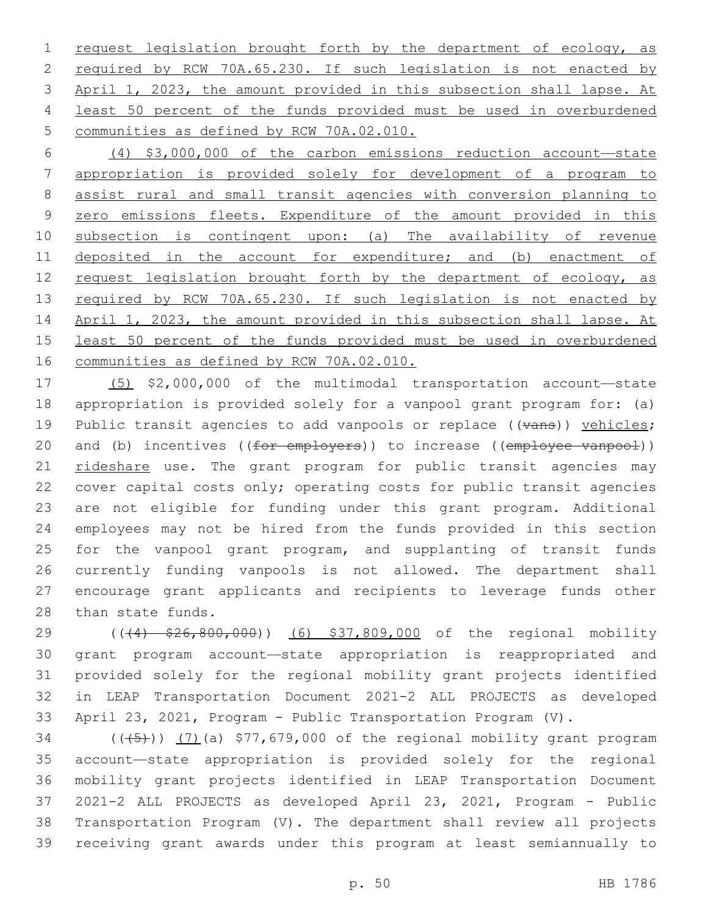1 request legislation brought forth by the department of ecology, as required by RCW 70A.65.230. If such legislation is not enacted by April 1, 2023, the amount provided in this subsection shall lapse. At least 50 percent of the funds provided must be used in overburdened 5 communities as defined by RCW 70A.02.010.

 (4) \$3,000,000 of the carbon emissions reduction account—state appropriation is provided solely for development of a program to assist rural and small transit agencies with conversion planning to zero emissions fleets. Expenditure of the amount provided in this subsection is contingent upon: (a) The availability of revenue 11 deposited in the account for expenditure; and (b) enactment of 12 request legislation brought forth by the department of ecology, as 13 required by RCW 70A.65.230. If such legislation is not enacted by April 1, 2023, the amount provided in this subsection shall lapse. At least 50 percent of the funds provided must be used in overburdened communities as defined by RCW 70A.02.010.

 (5) \$2,000,000 of the multimodal transportation account—state appropriation is provided solely for a vanpool grant program for: (a) 19 Public transit agencies to add vanpools or replace  $((\text{trans}))$  vehicles; 20 and (b) incentives ((for employers)) to increase ((employee vanpool)) rideshare use. The grant program for public transit agencies may cover capital costs only; operating costs for public transit agencies are not eligible for funding under this grant program. Additional employees may not be hired from the funds provided in this section 25 for the vanpool grant program, and supplanting of transit funds currently funding vanpools is not allowed. The department shall encourage grant applicants and recipients to leverage funds other 28 than state funds.

29 ((44)  $$26,800,000$ ) (6) \$37,809,000 of the regional mobility grant program account—state appropriation is reappropriated and provided solely for the regional mobility grant projects identified in LEAP Transportation Document 2021-2 ALL PROJECTS as developed April 23, 2021, Program - Public Transportation Program (V).

 $(1)(34)$  ( $(1)(45)$ ))  $(7)(a)$  \$77,679,000 of the regional mobility grant program account—state appropriation is provided solely for the regional mobility grant projects identified in LEAP Transportation Document 2021-2 ALL PROJECTS as developed April 23, 2021, Program - Public Transportation Program (V). The department shall review all projects receiving grant awards under this program at least semiannually to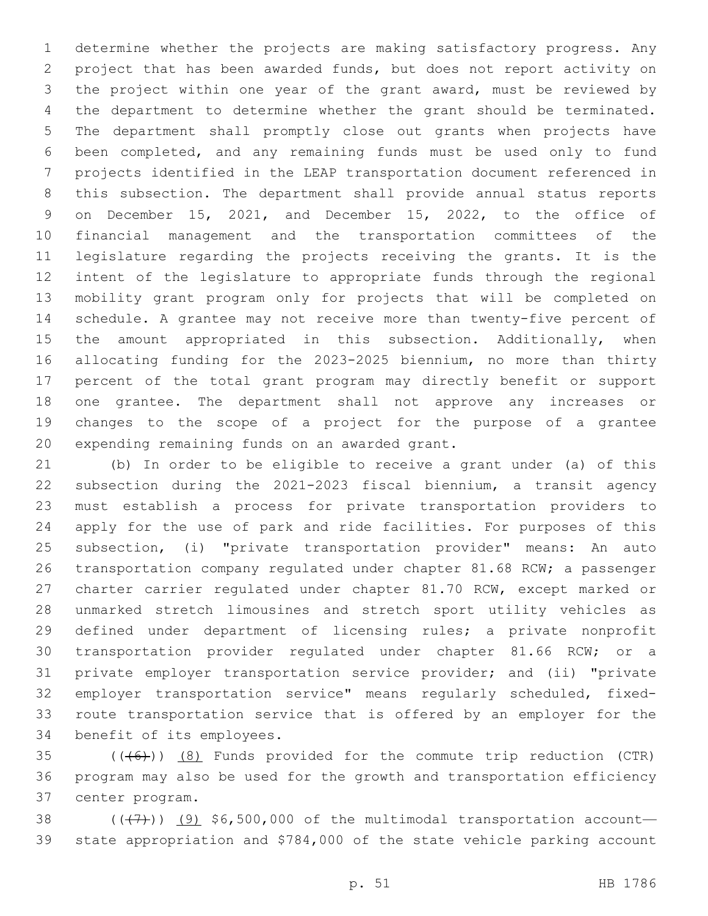determine whether the projects are making satisfactory progress. Any project that has been awarded funds, but does not report activity on the project within one year of the grant award, must be reviewed by the department to determine whether the grant should be terminated. The department shall promptly close out grants when projects have been completed, and any remaining funds must be used only to fund projects identified in the LEAP transportation document referenced in this subsection. The department shall provide annual status reports on December 15, 2021, and December 15, 2022, to the office of financial management and the transportation committees of the legislature regarding the projects receiving the grants. It is the intent of the legislature to appropriate funds through the regional mobility grant program only for projects that will be completed on schedule. A grantee may not receive more than twenty-five percent of 15 the amount appropriated in this subsection. Additionally, when allocating funding for the 2023-2025 biennium, no more than thirty percent of the total grant program may directly benefit or support one grantee. The department shall not approve any increases or changes to the scope of a project for the purpose of a grantee 20 expending remaining funds on an awarded grant.

 (b) In order to be eligible to receive a grant under (a) of this subsection during the 2021-2023 fiscal biennium, a transit agency must establish a process for private transportation providers to apply for the use of park and ride facilities. For purposes of this subsection, (i) "private transportation provider" means: An auto transportation company regulated under chapter 81.68 RCW; a passenger charter carrier regulated under chapter 81.70 RCW, except marked or unmarked stretch limousines and stretch sport utility vehicles as defined under department of licensing rules; a private nonprofit transportation provider regulated under chapter 81.66 RCW; or a private employer transportation service provider; and (ii) "private employer transportation service" means regularly scheduled, fixed- route transportation service that is offered by an employer for the 34 benefit of its employees.

 $(1 + 6)$ ) (8) Funds provided for the commute trip reduction (CTR) program may also be used for the growth and transportation efficiency 37 center program.

38  $((+7)$ ) (9) \$6,500,000 of the multimodal transportation account— state appropriation and \$784,000 of the state vehicle parking account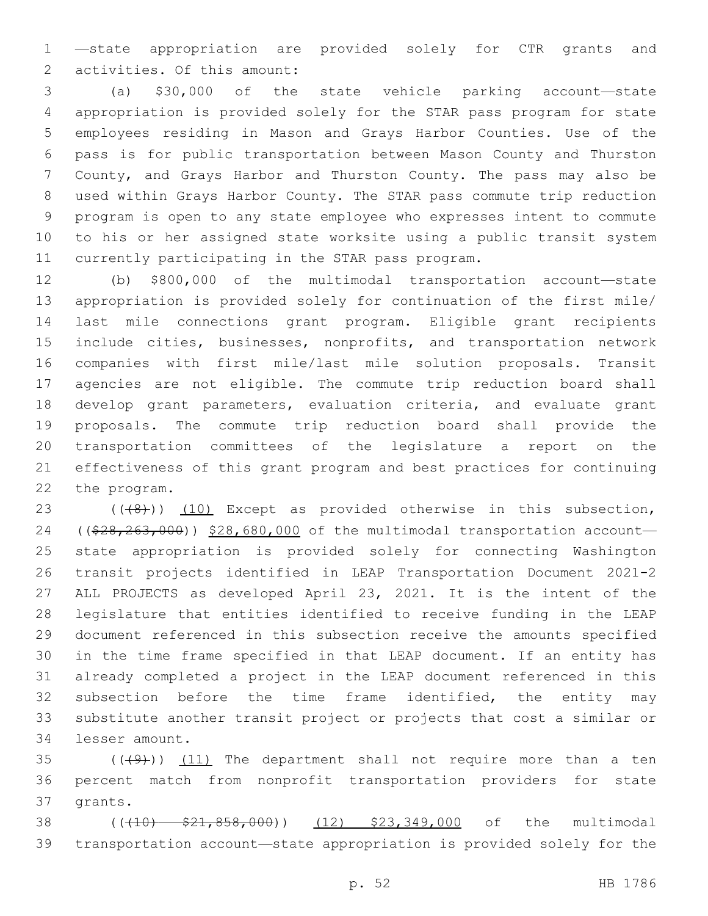—state appropriation are provided solely for CTR grants and 2 activities. Of this amount:

 (a) \$30,000 of the state vehicle parking account—state appropriation is provided solely for the STAR pass program for state employees residing in Mason and Grays Harbor Counties. Use of the pass is for public transportation between Mason County and Thurston County, and Grays Harbor and Thurston County. The pass may also be used within Grays Harbor County. The STAR pass commute trip reduction program is open to any state employee who expresses intent to commute to his or her assigned state worksite using a public transit system 11 currently participating in the STAR pass program.

 (b) \$800,000 of the multimodal transportation account—state appropriation is provided solely for continuation of the first mile/ last mile connections grant program. Eligible grant recipients include cities, businesses, nonprofits, and transportation network companies with first mile/last mile solution proposals. Transit agencies are not eligible. The commute trip reduction board shall develop grant parameters, evaluation criteria, and evaluate grant proposals. The commute trip reduction board shall provide the transportation committees of the legislature a report on the effectiveness of this grant program and best practices for continuing 22 the program.

 $((48))$  (10) Except as provided otherwise in this subsection, 24 ((\$28,263,000)) \$28,680,000 of the multimodal transportation account- state appropriation is provided solely for connecting Washington transit projects identified in LEAP Transportation Document 2021-2 ALL PROJECTS as developed April 23, 2021. It is the intent of the legislature that entities identified to receive funding in the LEAP document referenced in this subsection receive the amounts specified in the time frame specified in that LEAP document. If an entity has already completed a project in the LEAP document referenced in this subsection before the time frame identified, the entity may substitute another transit project or projects that cost a similar or 34 lesser amount.

 $(1)$   $(1)$   $(1)$  The department shall not require more than a ten percent match from nonprofit transportation providers for state 37 grants.

38 ((+10)  $\frac{21}{858}$ ,000)) (12) \$23,349,000 of the multimodal transportation account—state appropriation is provided solely for the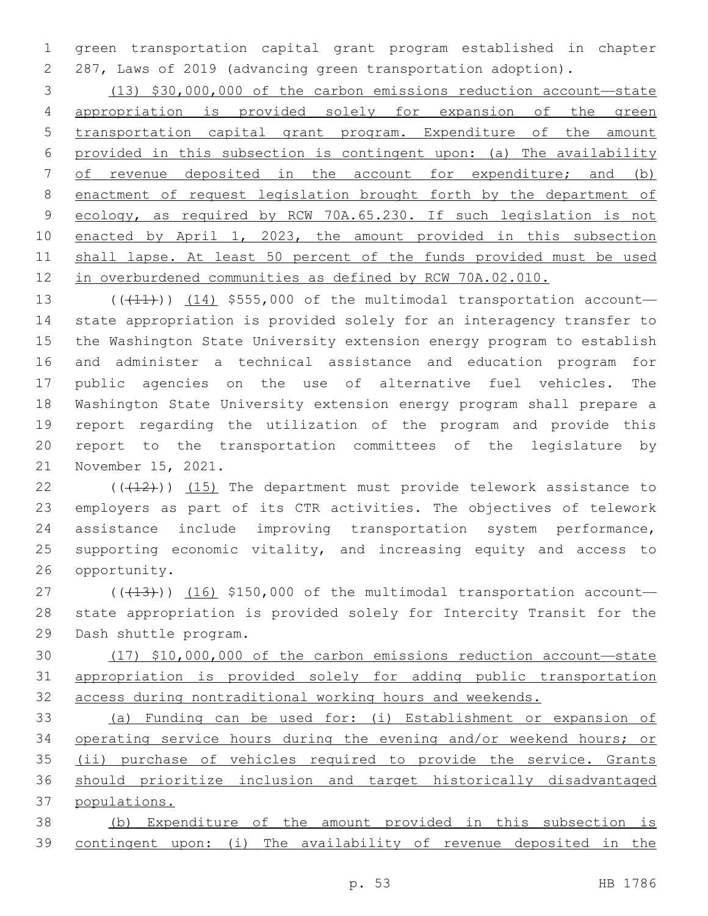green transportation capital grant program established in chapter 287, Laws of 2019 (advancing green transportation adoption).

 (13) \$30,000,000 of the carbon emissions reduction account—state appropriation is provided solely for expansion of the green transportation capital grant program. Expenditure of the amount provided in this subsection is contingent upon: (a) The availability of revenue deposited in the account for expenditure; and (b) 8 enactment of request legislation brought forth by the department of ecology, as required by RCW 70A.65.230. If such legislation is not enacted by April 1, 2023, the amount provided in this subsection shall lapse. At least 50 percent of the funds provided must be used in overburdened communities as defined by RCW 70A.02.010.

 $((+11))$  (14) \$555,000 of the multimodal transportation account- state appropriation is provided solely for an interagency transfer to the Washington State University extension energy program to establish and administer a technical assistance and education program for public agencies on the use of alternative fuel vehicles. The Washington State University extension energy program shall prepare a report regarding the utilization of the program and provide this report to the transportation committees of the legislature by 21 November 15, 2021.

 $(1, 1, 2)$  ( $(1, 1, 2)$ ) (15) The department must provide telework assistance to employers as part of its CTR activities. The objectives of telework assistance include improving transportation system performance, 25 supporting economic vitality, and increasing equity and access to 26 opportunity.

 $(1)$  ( $(13)$ )) (16) \$150,000 of the multimodal transportation account— state appropriation is provided solely for Intercity Transit for the 29 Dash shuttle program.

 (17) \$10,000,000 of the carbon emissions reduction account—state appropriation is provided solely for adding public transportation access during nontraditional working hours and weekends.

 (a) Funding can be used for: (i) Establishment or expansion of operating service hours during the evening and/or weekend hours; or (ii) purchase of vehicles required to provide the service. Grants should prioritize inclusion and target historically disadvantaged populations.

 (b) Expenditure of the amount provided in this subsection is contingent upon: (i) The availability of revenue deposited in the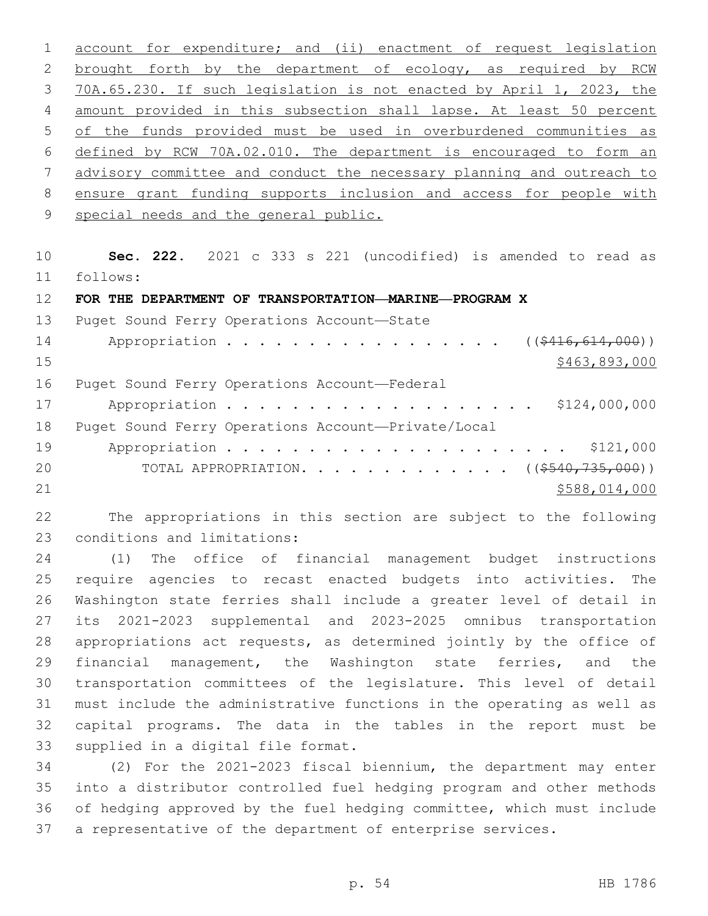account for expenditure; and (ii) enactment of request legislation brought forth by the department of ecology, as required by RCW 70A.65.230. If such legislation is not enacted by April 1, 2023, the amount provided in this subsection shall lapse. At least 50 percent of the funds provided must be used in overburdened communities as defined by RCW 70A.02.010. The department is encouraged to form an advisory committee and conduct the necessary planning and outreach to ensure grant funding supports inclusion and access for people with 9 special needs and the general public.

 **Sec. 222.** 2021 c 333 s 221 (uncodified) is amended to read as follows: 11

**FOR THE DEPARTMENT OF TRANSPORTATION—MARINE—PROGRAM X**

13 Puget Sound Ferry Operations Account-State

| 14 | Appropriation ( $(\frac{2416,614,000}{s})$              |               |
|----|---------------------------------------------------------|---------------|
| 15 |                                                         | \$463,893,000 |
| 16 | Puget Sound Ferry Operations Account-Federal            |               |
| 17 | Appropriation \$124,000,000                             |               |
| 18 | Puget Sound Ferry Operations Account-Private/Local      |               |
| 19 |                                                         |               |
| 20 | TOTAL APPROPRIATION. ( $(\frac{\$540, 735, 000}{\$})$ ) |               |
| 21 |                                                         | \$588,014,000 |

 The appropriations in this section are subject to the following 23 conditions and limitations:

 (1) The office of financial management budget instructions require agencies to recast enacted budgets into activities. The Washington state ferries shall include a greater level of detail in its 2021-2023 supplemental and 2023-2025 omnibus transportation appropriations act requests, as determined jointly by the office of financial management, the Washington state ferries, and the transportation committees of the legislature. This level of detail must include the administrative functions in the operating as well as capital programs. The data in the tables in the report must be 33 supplied in a digital file format.

 (2) For the 2021-2023 fiscal biennium, the department may enter into a distributor controlled fuel hedging program and other methods of hedging approved by the fuel hedging committee, which must include a representative of the department of enterprise services.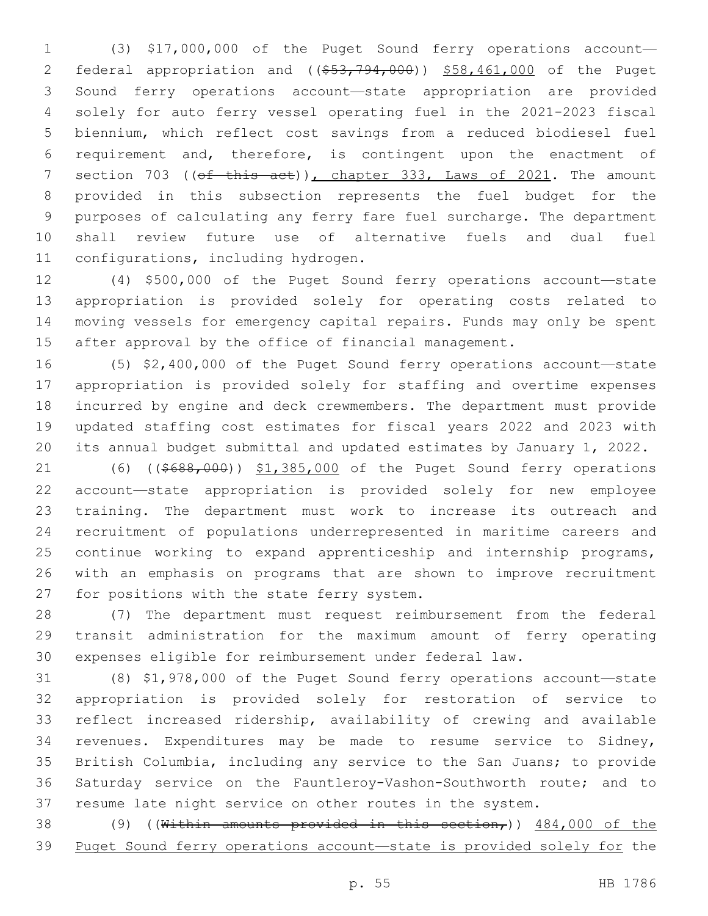(3) \$17,000,000 of the Puget Sound ferry operations account— 2 federal appropriation and  $($   $($   $\frac{53}{7}$ ,  $794$ ,  $000$ ) )  $\frac{558}{100}$ ,  $000$  of the Puget Sound ferry operations account—state appropriation are provided solely for auto ferry vessel operating fuel in the 2021-2023 fiscal biennium, which reflect cost savings from a reduced biodiesel fuel requirement and, therefore, is contingent upon the enactment of 7 section 703 ((of this act)), chapter 333, Laws of 2021. The amount provided in this subsection represents the fuel budget for the purposes of calculating any ferry fare fuel surcharge. The department shall review future use of alternative fuels and dual fuel 11 configurations, including hydrogen.

 (4) \$500,000 of the Puget Sound ferry operations account—state appropriation is provided solely for operating costs related to moving vessels for emergency capital repairs. Funds may only be spent 15 after approval by the office of financial management.

 (5) \$2,400,000 of the Puget Sound ferry operations account—state appropriation is provided solely for staffing and overtime expenses incurred by engine and deck crewmembers. The department must provide updated staffing cost estimates for fiscal years 2022 and 2023 with its annual budget submittal and updated estimates by January 1, 2022.

21 (6) ((\$688,000)) \$1,385,000 of the Puget Sound ferry operations account—state appropriation is provided solely for new employee training. The department must work to increase its outreach and recruitment of populations underrepresented in maritime careers and continue working to expand apprenticeship and internship programs, with an emphasis on programs that are shown to improve recruitment 27 for positions with the state ferry system.

 (7) The department must request reimbursement from the federal transit administration for the maximum amount of ferry operating expenses eligible for reimbursement under federal law.

 (8) \$1,978,000 of the Puget Sound ferry operations account—state appropriation is provided solely for restoration of service to reflect increased ridership, availability of crewing and available revenues. Expenditures may be made to resume service to Sidney, British Columbia, including any service to the San Juans; to provide Saturday service on the Fauntleroy-Vashon-Southworth route; and to resume late night service on other routes in the system.

38 (9) ((Within amounts provided in this section,))  $484,000$  of the Puget Sound ferry operations account—state is provided solely for the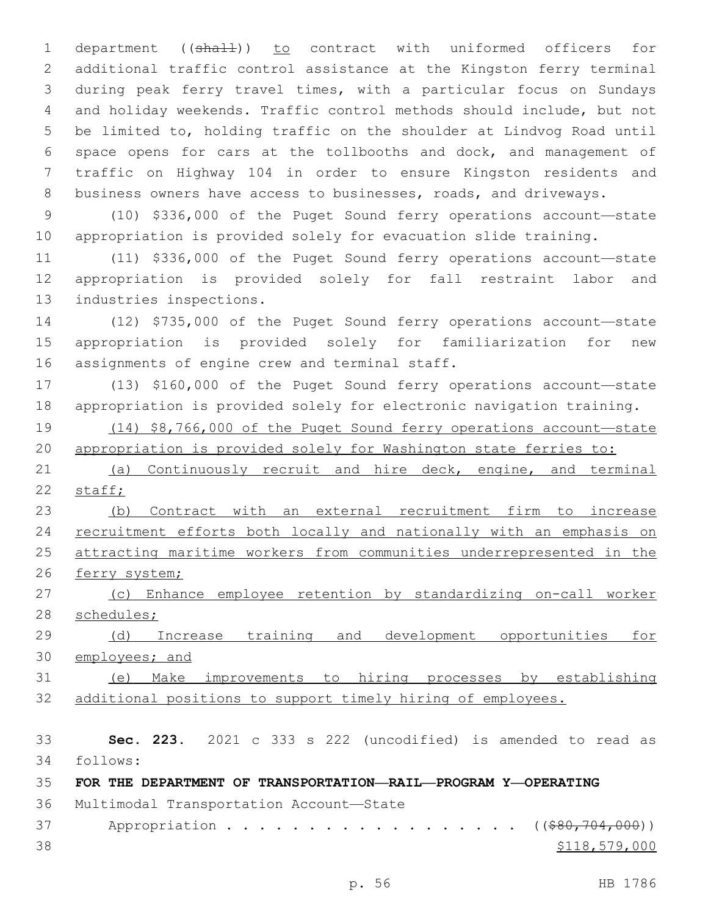1 department ((shall)) to contract with uniformed officers for additional traffic control assistance at the Kingston ferry terminal during peak ferry travel times, with a particular focus on Sundays and holiday weekends. Traffic control methods should include, but not be limited to, holding traffic on the shoulder at Lindvog Road until space opens for cars at the tollbooths and dock, and management of traffic on Highway 104 in order to ensure Kingston residents and business owners have access to businesses, roads, and driveways.

 (10) \$336,000 of the Puget Sound ferry operations account—state appropriation is provided solely for evacuation slide training.

 (11) \$336,000 of the Puget Sound ferry operations account—state appropriation is provided solely for fall restraint labor and 13 industries inspections.

 (12) \$735,000 of the Puget Sound ferry operations account—state appropriation is provided solely for familiarization for new 16 assignments of engine crew and terminal staff.

 (13) \$160,000 of the Puget Sound ferry operations account—state appropriation is provided solely for electronic navigation training.

 (14) \$8,766,000 of the Puget Sound ferry operations account—state appropriation is provided solely for Washington state ferries to:

 (a) Continuously recruit and hire deck, engine, and terminal 22 staff;

 (b) Contract with an external recruitment firm to increase 24 recruitment efforts both locally and nationally with an emphasis on attracting maritime workers from communities underrepresented in the 26 ferry system;

 (c) Enhance employee retention by standardizing on-call worker 28 schedules;

29 (d) Increase training and development opportunities for employees; and

 (e) Make improvements to hiring processes by establishing additional positions to support timely hiring of employees.

 **Sec. 223.** 2021 c 333 s 222 (uncodified) is amended to read as follows: 34

**FOR THE DEPARTMENT OF TRANSPORTATION—RAIL—PROGRAM Y—OPERATING**

36 Multimodal Transportation Account-State

37 Appropriation . . . . . . . . . . . . . . . . ((\$80,704,000)) 38 \$118,579,000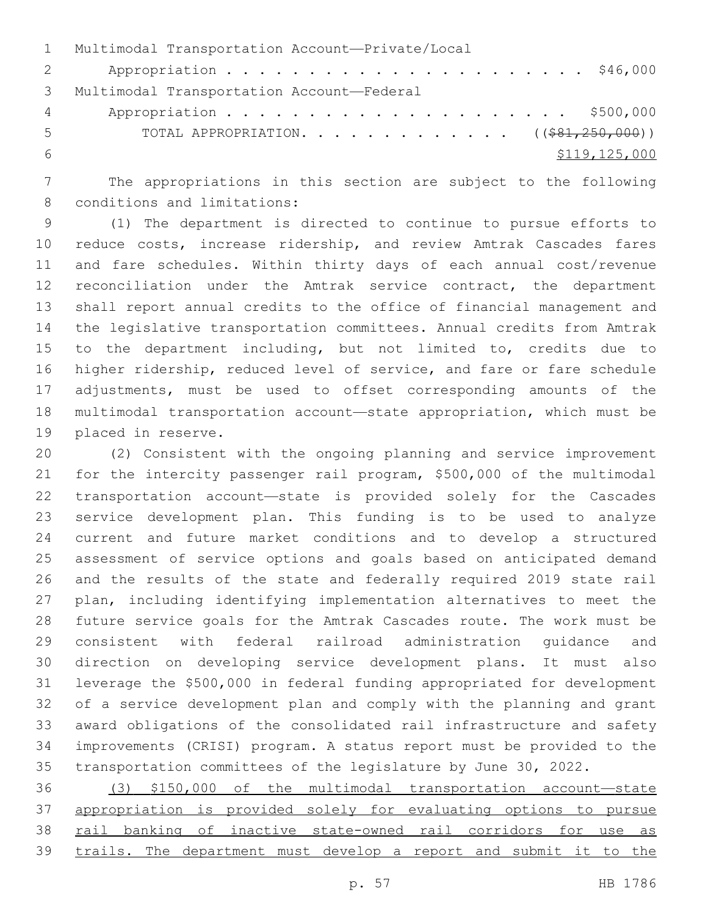|                | 1 Multimodal Transportation Account-Private/Local |
|----------------|---------------------------------------------------|
| $\overline{2}$ |                                                   |
| 3              | Multimodal Transportation Account-Federal         |
| $4\degree$     |                                                   |
| 5              | TOTAL APPROPRIATION. ( $(\frac{281}{250},000)$ )  |
| - 6            | \$119,125,000                                     |

 The appropriations in this section are subject to the following 8 conditions and limitations:

 (1) The department is directed to continue to pursue efforts to reduce costs, increase ridership, and review Amtrak Cascades fares and fare schedules. Within thirty days of each annual cost/revenue 12 reconciliation under the Amtrak service contract, the department shall report annual credits to the office of financial management and the legislative transportation committees. Annual credits from Amtrak to the department including, but not limited to, credits due to higher ridership, reduced level of service, and fare or fare schedule adjustments, must be used to offset corresponding amounts of the multimodal transportation account—state appropriation, which must be 19 placed in reserve.

 (2) Consistent with the ongoing planning and service improvement for the intercity passenger rail program, \$500,000 of the multimodal transportation account—state is provided solely for the Cascades service development plan. This funding is to be used to analyze current and future market conditions and to develop a structured assessment of service options and goals based on anticipated demand and the results of the state and federally required 2019 state rail plan, including identifying implementation alternatives to meet the future service goals for the Amtrak Cascades route. The work must be consistent with federal railroad administration guidance and direction on developing service development plans. It must also leverage the \$500,000 in federal funding appropriated for development of a service development plan and comply with the planning and grant award obligations of the consolidated rail infrastructure and safety improvements (CRISI) program. A status report must be provided to the transportation committees of the legislature by June 30, 2022.

 (3) \$150,000 of the multimodal transportation account—state appropriation is provided solely for evaluating options to pursue 38 rail banking of inactive state-owned rail corridors for use as trails. The department must develop a report and submit it to the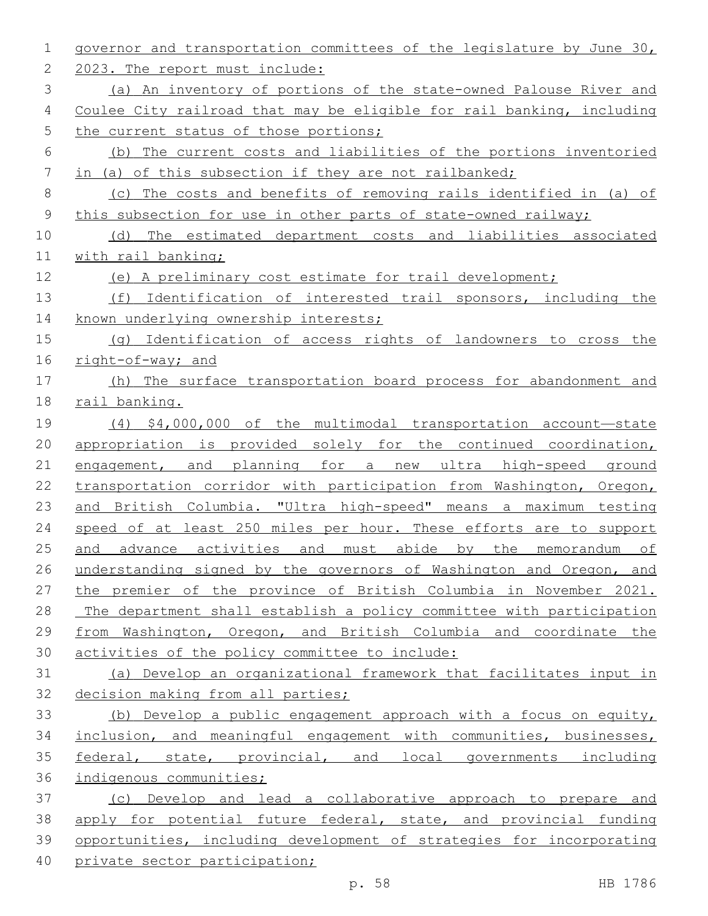| 1  | governor and transportation committees of the legislature by June 30, |
|----|-----------------------------------------------------------------------|
| 2  | 2023. The report must include:                                        |
| 3  | (a) An inventory of portions of the state-owned Palouse River and     |
| 4  | Coulee City railroad that may be eligible for rail banking, including |
| 5  | the current status of those portions;                                 |
| 6  | (b) The current costs and liabilities of the portions inventoried     |
| 7  | in (a) of this subsection if they are not railbanked;                 |
| 8  | (c) The costs and benefits of removing rails identified in (a) of     |
| 9  | this subsection for use in other parts of state-owned railway;        |
| 10 | (d) The estimated department costs and liabilities associated         |
| 11 | with rail banking;                                                    |
| 12 | (e) A preliminary cost estimate for trail development;                |
| 13 | (f) Identification of interested trail sponsors, including the        |
| 14 | known underlying ownership interests;                                 |
| 15 | (q) Identification of access rights of landowners to cross the        |
| 16 | right-of-way; and                                                     |
| 17 | (h) The surface transportation board process for abandonment and      |
| 18 | rail banking.                                                         |
| 19 | $(4)$ \$4,000,000 of the multimodal transportation account-state      |
| 20 | appropriation is provided solely for the continued coordination,      |
| 21 | engagement, and planning for a new ultra high-speed ground            |
| 22 | transportation corridor with participation from Washington, Oregon,   |
| 23 | and British Columbia. "Ultra high-speed" means a maximum testing      |
| 24 | speed of at least 250 miles per hour. These efforts are to support    |
| 25 | and advance activities and must abide by the memorandum of            |
| 26 | understanding signed by the governors of Washington and Oregon, and   |
| 27 | the premier of the province of British Columbia in November 2021.     |
| 28 | The department shall establish a policy committee with participation  |
| 29 | from Washington, Oregon, and British Columbia and coordinate the      |
| 30 | activities of the policy committee to include:                        |
| 31 | (a) Develop an organizational framework that facilitates input in     |
| 32 | decision making from all parties;                                     |
| 33 | (b) Develop a public engagement approach with a focus on equity,      |
| 34 | inclusion, and meaningful engagement with communities, businesses,    |
| 35 | federal, state, provincial, and local governments including           |
| 36 | indigenous communities;                                               |
| 37 | (c) Develop and lead a collaborative approach to prepare and          |
| 38 | apply for potential future federal, state, and provincial funding     |
| 39 | opportunities, including development of strategies for incorporating  |
| 40 | private sector participation;                                         |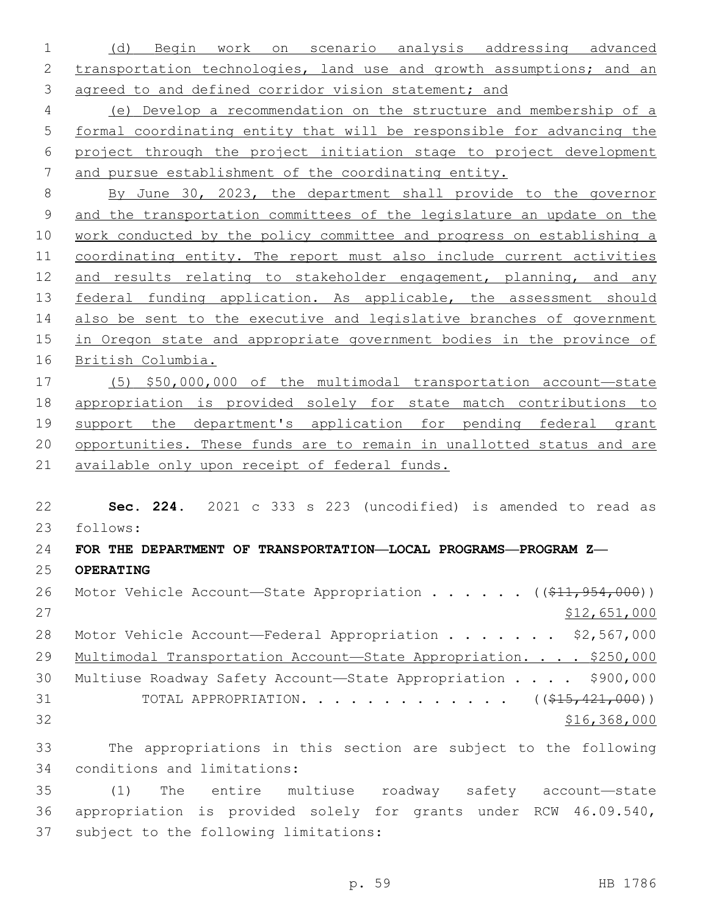(d) Begin work on scenario analysis addressing advanced 2 transportation technologies, land use and growth assumptions; and an agreed to and defined corridor vision statement; and

 (e) Develop a recommendation on the structure and membership of a formal coordinating entity that will be responsible for advancing the project through the project initiation stage to project development and pursue establishment of the coordinating entity.

 By June 30, 2023, the department shall provide to the governor and the transportation committees of the legislature an update on the work conducted by the policy committee and progress on establishing a 11 coordinating entity. The report must also include current activities 12 and results relating to stakeholder engagement, planning, and any 13 federal funding application. As applicable, the assessment should also be sent to the executive and legislative branches of government in Oregon state and appropriate government bodies in the province of British Columbia.

 (5) \$50,000,000 of the multimodal transportation account—state appropriation is provided solely for state match contributions to support the department's application for pending federal grant opportunities. These funds are to remain in unallotted status and are available only upon receipt of federal funds.

 **Sec. 224.** 2021 c 333 s 223 (uncodified) is amended to read as follows: 23 **FOR THE DEPARTMENT OF TRANSPORTATION—LOCAL PROGRAMS—PROGRAM Z— OPERATING** 26 Motor Vehicle Account—State Appropriation . . . . . ((\$11,954,000)) \$12,651,000 28 Motor Vehicle Account—Federal Appropriation . . . . . . \$2,567,000 29 Multimodal Transportation Account-State Appropriation. . . . \$250,000

 Multiuse Roadway Safety Account—State Appropriation . . . . \$900,000 31 TOTAL APPROPRIATION. . . . . . . . . . . . . ((\$15,421,000)) \$16,368,000

 The appropriations in this section are subject to the following 34 conditions and limitations:

 (1) The entire multiuse roadway safety account—state appropriation is provided solely for grants under RCW 46.09.540, 37 subject to the following limitations: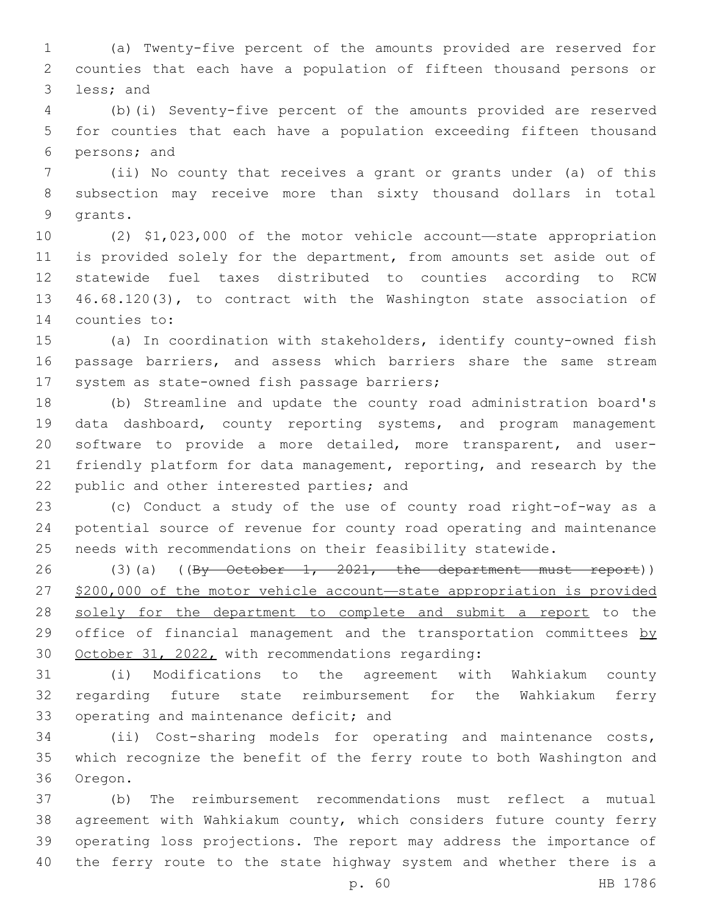(a) Twenty-five percent of the amounts provided are reserved for counties that each have a population of fifteen thousand persons or 3 less; and

 (b)(i) Seventy-five percent of the amounts provided are reserved for counties that each have a population exceeding fifteen thousand 6 persons; and

 (ii) No county that receives a grant or grants under (a) of this subsection may receive more than sixty thousand dollars in total 9 qrants.

 (2) \$1,023,000 of the motor vehicle account—state appropriation is provided solely for the department, from amounts set aside out of statewide fuel taxes distributed to counties according to RCW 46.68.120(3), to contract with the Washington state association of 14 counties to:

 (a) In coordination with stakeholders, identify county-owned fish passage barriers, and assess which barriers share the same stream 17 system as state-owned fish passage barriers;

 (b) Streamline and update the county road administration board's data dashboard, county reporting systems, and program management software to provide a more detailed, more transparent, and user- friendly platform for data management, reporting, and research by the 22 public and other interested parties; and

 (c) Conduct a study of the use of county road right-of-way as a potential source of revenue for county road operating and maintenance needs with recommendations on their feasibility statewide.

26 (3)(a) ((By October 1, 2021, the department must report)) \$200,000 of the motor vehicle account—state appropriation is provided solely for the department to complete and submit a report to the 29 office of financial management and the transportation committees by 30 October 31, 2022, with recommendations regarding:

 (i) Modifications to the agreement with Wahkiakum county regarding future state reimbursement for the Wahkiakum ferry 33 operating and maintenance deficit; and

 (ii) Cost-sharing models for operating and maintenance costs, which recognize the benefit of the ferry route to both Washington and 36 Oregon.

 (b) The reimbursement recommendations must reflect a mutual agreement with Wahkiakum county, which considers future county ferry operating loss projections. The report may address the importance of the ferry route to the state highway system and whether there is a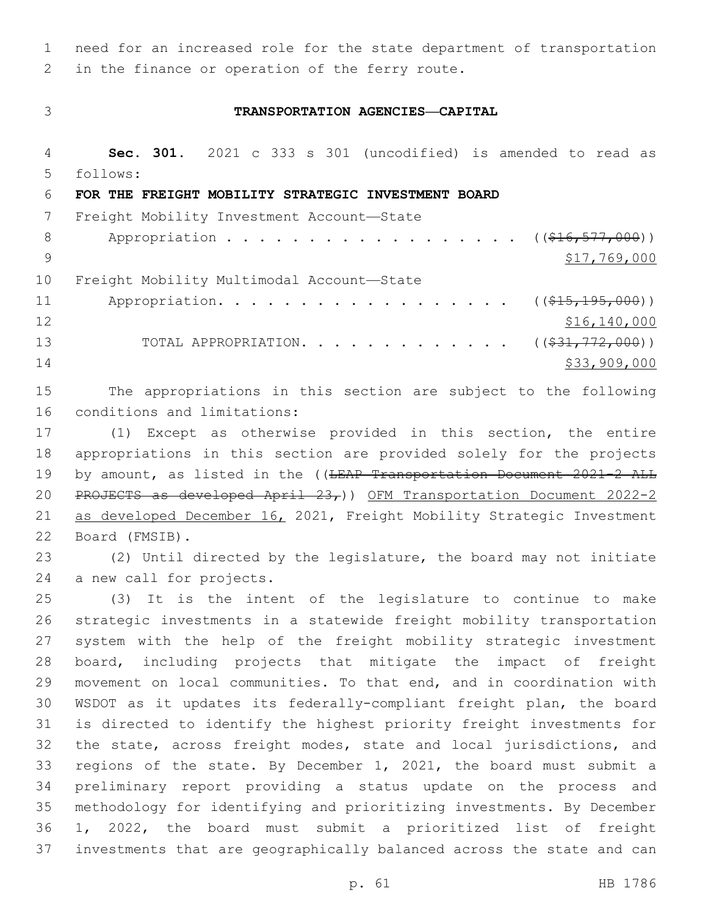1 need for an increased role for the state department of transportation 2 in the finance or operation of the ferry route.

## 3 **TRANSPORTATION AGENCIES—CAPITAL**

4 **Sec. 301.** 2021 c 333 s 301 (uncodified) is amended to read as follows: 5 6 **FOR THE FREIGHT MOBILITY STRATEGIC INVESTMENT BOARD** 7 Freight Mobility Investment Account-State 8 Appropriation . . . . . . . . . . . . . . . . . (  $(\frac{16}{16}, \frac{577}{1000})$  ) 9  $$17,769,000$ 10 Freight Mobility Multimodal Account-State 11 Appropriation. . . . . . . . . . . . . . . . . (  $(*15, 195, 000)$  )  $12$  \$16,140,000 13 TOTAL APPROPRIATION. . . . . . . . . . . . . ((\$31,772,000)) 14 \$33,909,000

15 The appropriations in this section are subject to the following 16 conditions and limitations:

17 (1) Except as otherwise provided in this section, the entire 18 appropriations in this section are provided solely for the projects 19 by amount, as listed in the ((LEAP Transportation Document 2021-2 ALL 20 PROJECTS as developed April  $23<sub>r</sub>$ )) OFM Transportation Document 2022-2 21 as developed December 16, 2021, Freight Mobility Strategic Investment Board (FMSIB).22

23 (2) Until directed by the legislature, the board may not initiate 24 a new call for projects.

 (3) It is the intent of the legislature to continue to make strategic investments in a statewide freight mobility transportation system with the help of the freight mobility strategic investment board, including projects that mitigate the impact of freight movement on local communities. To that end, and in coordination with WSDOT as it updates its federally-compliant freight plan, the board is directed to identify the highest priority freight investments for 32 the state, across freight modes, state and local jurisdictions, and regions of the state. By December 1, 2021, the board must submit a preliminary report providing a status update on the process and methodology for identifying and prioritizing investments. By December 1, 2022, the board must submit a prioritized list of freight investments that are geographically balanced across the state and can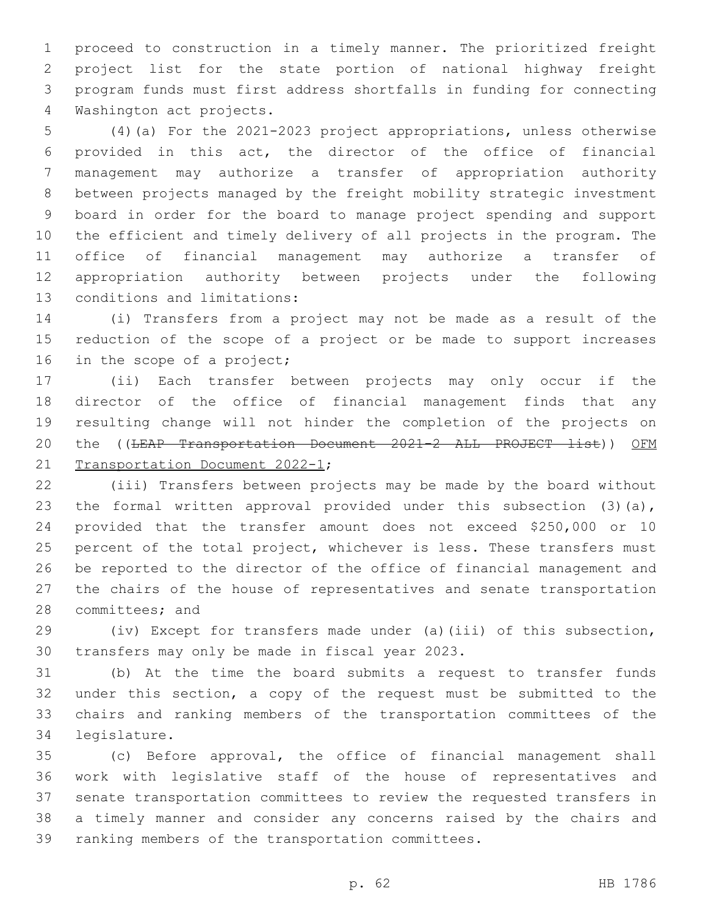proceed to construction in a timely manner. The prioritized freight project list for the state portion of national highway freight program funds must first address shortfalls in funding for connecting 4 Washington act projects.

 (4)(a) For the 2021-2023 project appropriations, unless otherwise provided in this act, the director of the office of financial management may authorize a transfer of appropriation authority between projects managed by the freight mobility strategic investment board in order for the board to manage project spending and support the efficient and timely delivery of all projects in the program. The office of financial management may authorize a transfer of appropriation authority between projects under the following 13 conditions and limitations:

 (i) Transfers from a project may not be made as a result of the reduction of the scope of a project or be made to support increases 16 in the scope of a project;

 (ii) Each transfer between projects may only occur if the director of the office of financial management finds that any resulting change will not hinder the completion of the projects on 20 the ((LEAP Transportation Document 2021-2 ALL PROJECT list)) OFM 21 Transportation Document 2022-1;

 (iii) Transfers between projects may be made by the board without 23 the formal written approval provided under this subsection (3)(a), provided that the transfer amount does not exceed \$250,000 or 10 25 percent of the total project, whichever is less. These transfers must be reported to the director of the office of financial management and the chairs of the house of representatives and senate transportation 28 committees; and

 (iv) Except for transfers made under (a)(iii) of this subsection, 30 transfers may only be made in fiscal year 2023.

 (b) At the time the board submits a request to transfer funds under this section, a copy of the request must be submitted to the chairs and ranking members of the transportation committees of the 34 legislature.

 (c) Before approval, the office of financial management shall work with legislative staff of the house of representatives and senate transportation committees to review the requested transfers in a timely manner and consider any concerns raised by the chairs and 39 ranking members of the transportation committees.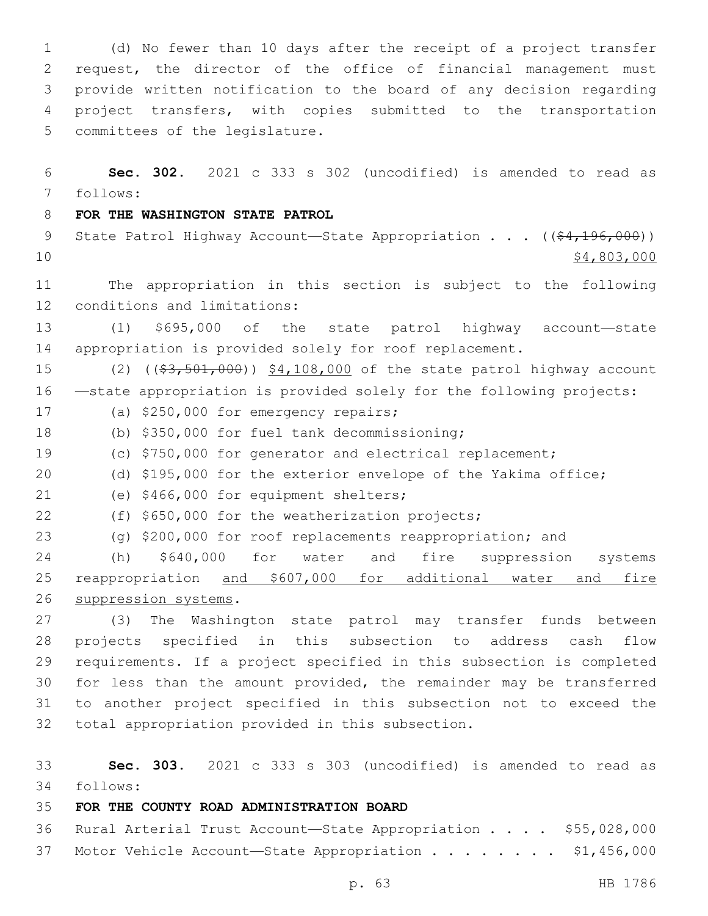(d) No fewer than 10 days after the receipt of a project transfer request, the director of the office of financial management must provide written notification to the board of any decision regarding project transfers, with copies submitted to the transportation 5 committees of the legislature.

 **Sec. 302.** 2021 c 333 s 302 (uncodified) is amended to read as follows: 7

## **FOR THE WASHINGTON STATE PATROL**

9 State Patrol Highway Account—State Appropriation . . . ((\$4,196,000))  $\frac{10}{74,803,000}$ 

 The appropriation in this section is subject to the following 12 conditions and limitations:

 (1) \$695,000 of the state patrol highway account—state appropriation is provided solely for roof replacement.

15 (2) ((\$3,501,000)) \$4,108,000 of the state patrol highway account —state appropriation is provided solely for the following projects:

- 17 (a) \$250,000 for emergency repairs;
- (b) \$350,000 for fuel tank decommissioning;18
- (c) \$750,000 for generator and electrical replacement;
- (d) \$195,000 for the exterior envelope of the Yakima office;
- 21 (e) \$466,000 for equipment shelters;
- 22 (f) \$650,000 for the weatherization projects;
- (g) \$200,000 for roof replacements reappropriation; and

 (h) \$640,000 for water and fire suppression systems reappropriation and \$607,000 for additional water and fire 26 suppression systems.

 (3) The Washington state patrol may transfer funds between projects specified in this subsection to address cash flow requirements. If a project specified in this subsection is completed for less than the amount provided, the remainder may be transferred to another project specified in this subsection not to exceed the 32 total appropriation provided in this subsection.

 **Sec. 303.** 2021 c 333 s 303 (uncodified) is amended to read as follows: 34

## **FOR THE COUNTY ROAD ADMINISTRATION BOARD**

 Rural Arterial Trust Account—State Appropriation . . . . \$55,028,000 37 Motor Vehicle Account—State Appropriation . . . . . . . \$1,456,000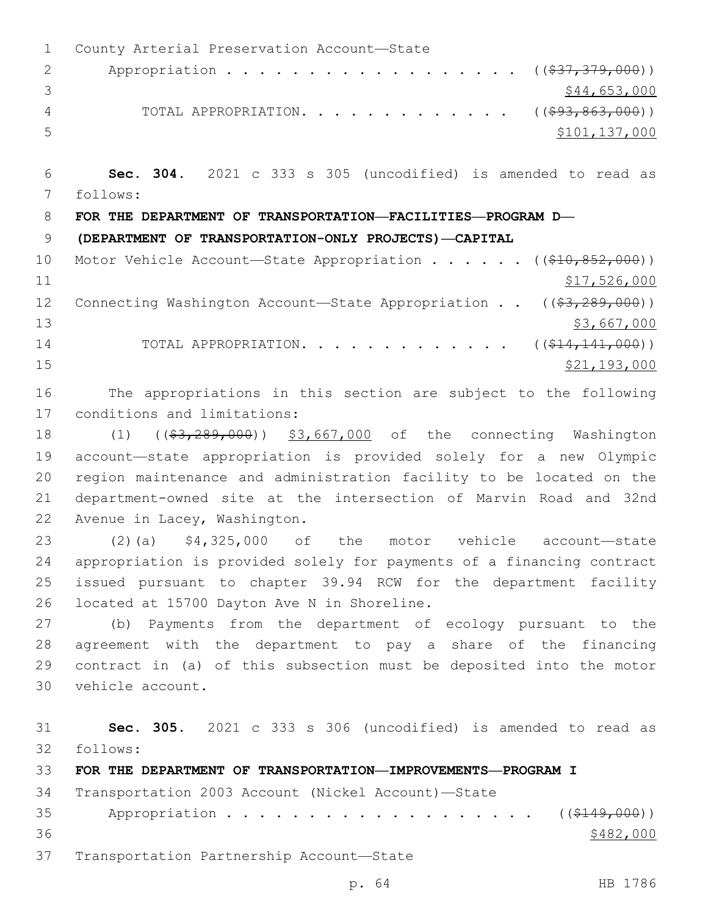1 County Arterial Preservation Account-State 2 Appropriation . . . . . . . . . . . . . . . . . (  $(\frac{237}{1379}000)$  ) 3 \$44,653,000 4 TOTAL APPROPRIATION. . . . . . . . . . . . . ((\$93,863,000)) 5 \$101,137,000 6 **Sec. 304.** 2021 c 333 s 305 (uncodified) is amended to read as follows: 7 8 **FOR THE DEPARTMENT OF TRANSPORTATION—FACILITIES—PROGRAM D—** 9 **(DEPARTMENT OF TRANSPORTATION-ONLY PROJECTS)—CAPITAL** 10 Motor Vehicle Account—State Appropriation . . . . . ((\$10,852,000))  $11$  \$17,526,000 12 Connecting Washington Account—State Appropriation . . ((\$3,289,000))  $13$  \$3,667,000 14 TOTAL APPROPRIATION. . . . . . . . . . . . ((\$14,141,000))  $\frac{15}{21,193,000}$ 16 The appropriations in this section are subject to the following 17 conditions and limitations: 18 (1) ((\$3,289,000)) \$3,667,000 of the connecting Washington 19 account—state appropriation is provided solely for a new Olympic 20 region maintenance and administration facility to be located on the 21 department-owned site at the intersection of Marvin Road and 32nd 22 Avenue in Lacey, Washington. 23 (2)(a) \$4,325,000 of the motor vehicle account—state 24 appropriation is provided solely for payments of a financing contract 25 issued pursuant to chapter 39.94 RCW for the department facility 26 located at 15700 Dayton Ave N in Shoreline. 27 (b) Payments from the department of ecology pursuant to the 28 agreement with the department to pay a share of the financing 29 contract in (a) of this subsection must be deposited into the motor 30 vehicle account. 31 **Sec. 305.** 2021 c 333 s 306 (uncodified) is amended to read as follows: 32 33 **FOR THE DEPARTMENT OF TRANSPORTATION—IMPROVEMENTS—PROGRAM I** 34 Transportation 2003 Account (Nickel Account)—State 35 Appropriation . . . . . . . . . . . . . . . . . (  $(*149,000)$  )  $36$   $\frac{$482,000}{9}$ 37 Transportation Partnership Account—State

p. 64 HB 1786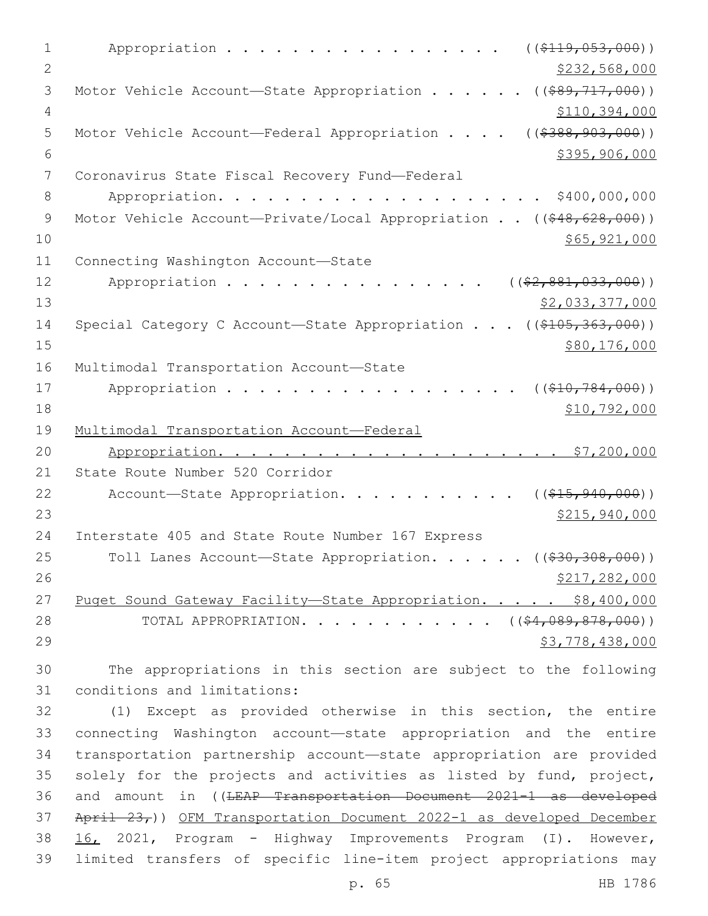1 Appropriation . . . . . . . . . . . . . . . (  $(\frac{2119.053.000}{s})$ 2  $\frac{$232,568,000}{2}$ 3 Motor Vehicle Account—State Appropriation . . . . . ((\$89,717,000)) 4 \$110,394,000 5 Motor Vehicle Account—Federal Appropriation . . . . ((\$388,903,000))  $6$   $$395,906,000$ 7 Coronavirus State Fiscal Recovery Fund-Federal 8 Appropriation. . . . . . . . . . . . . . . . . . \$400,000,000 9 Motor Vehicle Account—Private/Local Appropriation . . ((\$48,628,000))  $10 \hspace{2.5cm}$  \$65,921,000 11 Connecting Washington Account-State 12 Appropriation . . . . . . . . . . . . . . . ( $(\frac{2}{2}, \frac{881}{0.33}, 000)$ )  $\frac{13}{2}$   $\frac{13}{2}$   $\frac{22}{000}$ 14 Special Category C Account—State Appropriation . . . ((\$105,363,000)) 15 \$80,176,000 16 Multimodal Transportation Account-State 17 Appropriation . . . . . . . . . . . . . . . . (  $(\frac{10}{784}, \frac{784}{100})$  ) 18 \$10,792,000 19 Multimodal Transportation Account—Federal 20 Appropriation. . . . . . . . . . . . . . . . . . . . . \$7,200,000 21 State Route Number 520 Corridor 22 Account-State Appropriation. . . . . . . . . . ((\$15,940,000)) 23 \$215,940,000 24 Interstate 405 and State Route Number 167 Express 25 Toll Lanes Account-State Appropriation. . . . . ((\$30,308,000)) 26 \$217,282,000 27 Puget Sound Gateway Facility—State Appropriation. . . . . \$8,400,000 28 TOTAL APPROPRIATION. . . . . . . . . . . ((\$4,089,878,000))  $29$   $53,778,438,000$ 30 The appropriations in this section are subject to the following 31 conditions and limitations: 32 (1) Except as provided otherwise in this section, the entire 33 connecting Washington account—state appropriation and the entire 34 transportation partnership account—state appropriation are provided 35 solely for the projects and activities as listed by fund, project, 36 and amount in ((LEAP Transportation Document 2021-1 as developed

37 April 23,)) OFM Transportation Document 2022-1 as developed December 38 16, 2021, Program - Highway Improvements Program (I). However, 39 limited transfers of specific line-item project appropriations may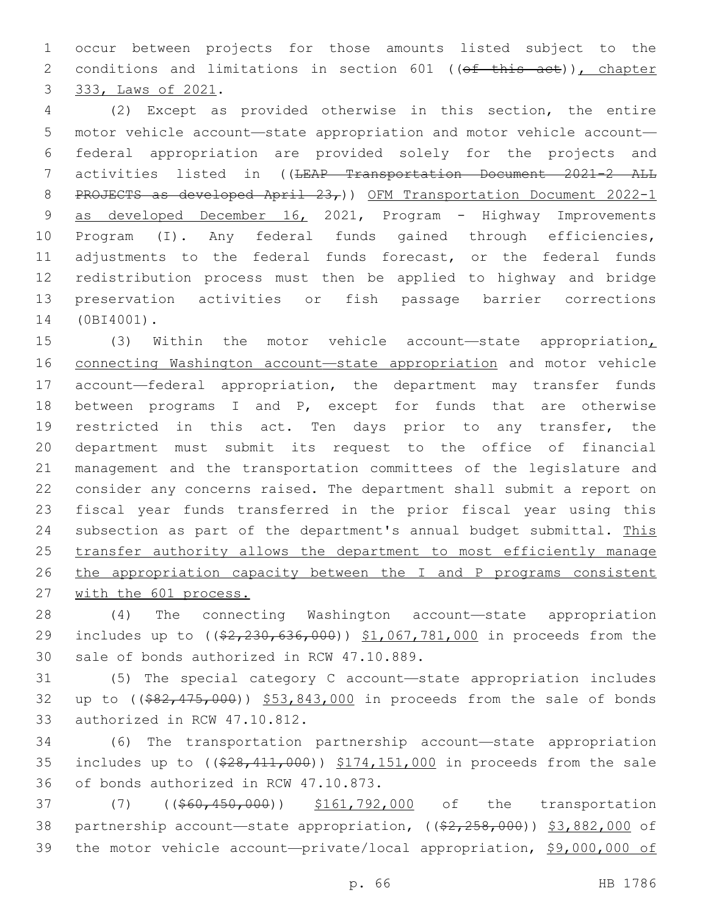1 occur between projects for those amounts listed subject to the 2 conditions and limitations in section 601 ((of this act)), chapter 3 333, Laws of 2021.

 (2) Except as provided otherwise in this section, the entire motor vehicle account—state appropriation and motor vehicle account— federal appropriation are provided solely for the projects and 7 activities listed in ((<del>LEAP Transportation Document 2021-2 ALL</del> 8 PROJECTS as developed April 23,)) OFM Transportation Document 2022-1 9 as developed December 16, 2021, Program - Highway Improvements Program (I). Any federal funds gained through efficiencies, adjustments to the federal funds forecast, or the federal funds redistribution process must then be applied to highway and bridge preservation activities or fish passage barrier corrections 14 (0BI4001).

 (3) Within the motor vehicle account—state appropriation, connecting Washington account—state appropriation and motor vehicle account—federal appropriation, the department may transfer funds between programs I and P, except for funds that are otherwise 19 restricted in this act. Ten days prior to any transfer, the department must submit its request to the office of financial management and the transportation committees of the legislature and consider any concerns raised. The department shall submit a report on fiscal year funds transferred in the prior fiscal year using this 24 subsection as part of the department's annual budget submittal. This 25 transfer authority allows the department to most efficiently manage 26 the appropriation capacity between the I and P programs consistent with the 601 process.

28 (4) The connecting Washington account—state appropriation 29 includes up to ((\$2,230,636,000)) \$1,067,781,000 in proceeds from the 30 sale of bonds authorized in RCW 47.10.889.

31 (5) The special category C account—state appropriation includes 32 up to ((\$82,475,000)) \$53,843,000 in proceeds from the sale of bonds 33 authorized in RCW 47.10.812.

34 (6) The transportation partnership account—state appropriation 35 includes up to  $($   $(*28, 411, 000)$   $*174, 151, 000$  in proceeds from the sale 36 of bonds authorized in RCW 47.10.873.

37 (7) ((\$60,450,000)) \$161,792,000 of the transportation 38 partnership account—state appropriation, ((\$2,258,000)) \$3,882,000 of 39 the motor vehicle account—private/local appropriation, \$9,000,000 of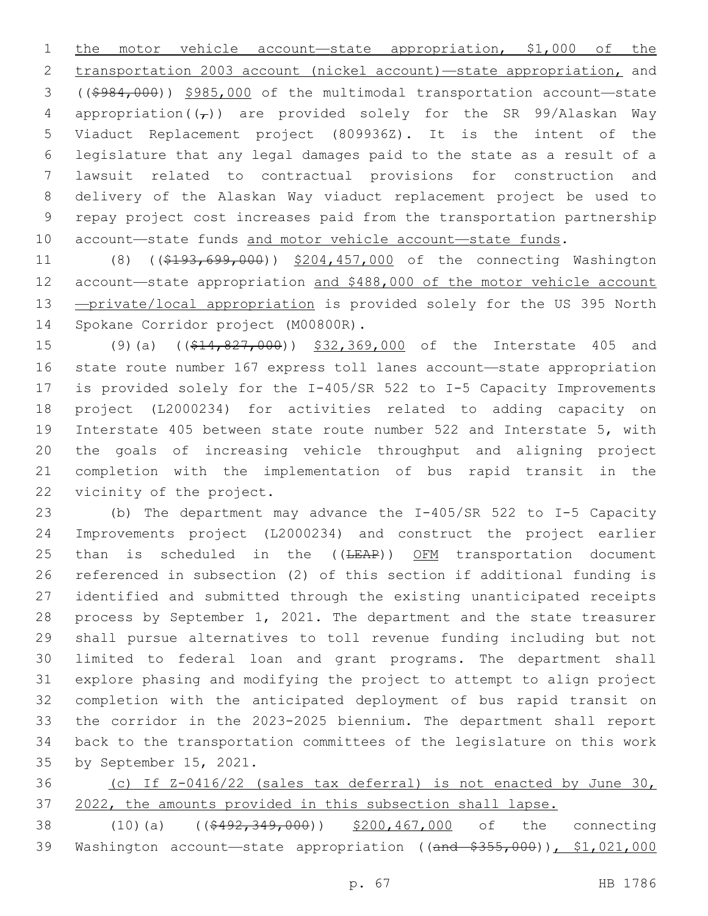1 the motor vehicle account—state appropriation, \$1,000 of the transportation 2003 account (nickel account)—state appropriation, and ((\$984,000)) \$985,000 of the multimodal transportation account—state 4 appropriation( $(\tau)$ ) are provided solely for the SR 99/Alaskan Way Viaduct Replacement project (809936Z). It is the intent of the legislature that any legal damages paid to the state as a result of a lawsuit related to contractual provisions for construction and delivery of the Alaskan Way viaduct replacement project be used to repay project cost increases paid from the transportation partnership 10 account—state funds and motor vehicle account—state funds.

11 (8) ((\$193,699,000)) \$204,457,000 of the connecting Washington 12 account-state appropriation and \$488,000 of the motor vehicle account 13 - private/local appropriation is provided solely for the US 395 North 14 Spokane Corridor project (M00800R).

15 (9)(a) ((\$14,827,000)) \$32,369,000 of the Interstate 405 and state route number 167 express toll lanes account—state appropriation is provided solely for the I-405/SR 522 to I-5 Capacity Improvements project (L2000234) for activities related to adding capacity on Interstate 405 between state route number 522 and Interstate 5, with the goals of increasing vehicle throughput and aligning project completion with the implementation of bus rapid transit in the 22 vicinity of the project.

 (b) The department may advance the I-405/SR 522 to I-5 Capacity Improvements project (L2000234) and construct the project earlier 25 than is scheduled in the  $((\text{LEAP}))$  OFM transportation document referenced in subsection (2) of this section if additional funding is identified and submitted through the existing unanticipated receipts process by September 1, 2021. The department and the state treasurer shall pursue alternatives to toll revenue funding including but not limited to federal loan and grant programs. The department shall explore phasing and modifying the project to attempt to align project completion with the anticipated deployment of bus rapid transit on the corridor in the 2023-2025 biennium. The department shall report back to the transportation committees of the legislature on this work 35 by September 15, 2021.

 (c) If Z-0416/22 (sales tax deferral) is not enacted by June 30, 2022, the amounts provided in this subsection shall lapse.

38 (10)(a) ((\$492,349,000)) \$200,467,000 of the connecting 39 Washington account—state appropriation ((and \$355,000)), \$1,021,000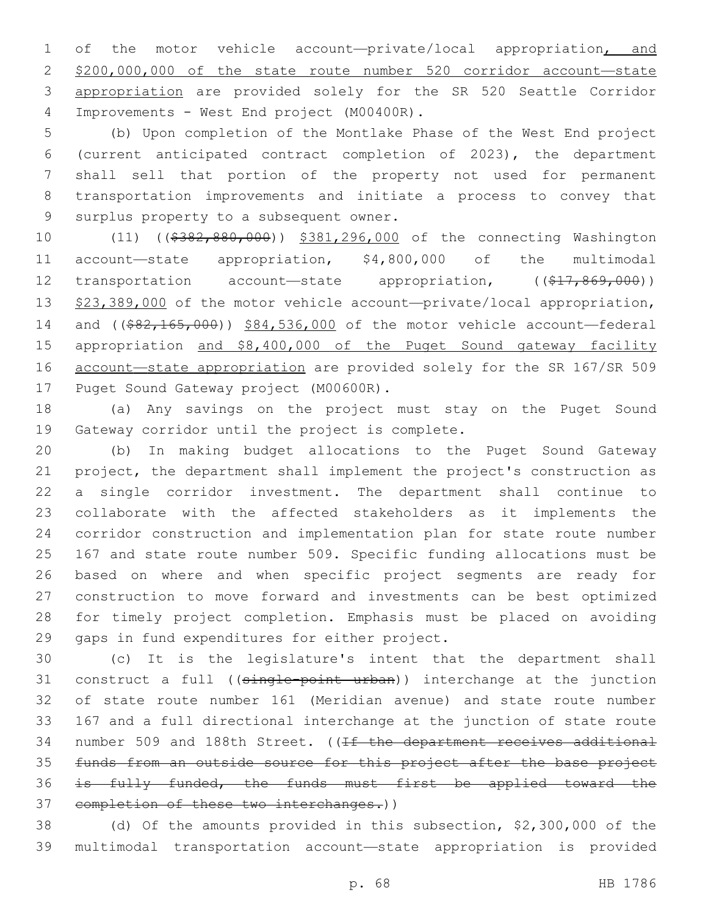of the motor vehicle account—private/local appropriation, and \$200,000,000 of the state route number 520 corridor account—state appropriation are provided solely for the SR 520 Seattle Corridor Improvements - West End project (M00400R).4

 (b) Upon completion of the Montlake Phase of the West End project (current anticipated contract completion of 2023), the department shall sell that portion of the property not used for permanent transportation improvements and initiate a process to convey that 9 surplus property to a subsequent owner.

10 (11) ((\$382,880,000)) \$381,296,000 of the connecting Washington account—state appropriation, \$4,800,000 of the multimodal 12 transportation account—state appropriation, ((\$17,869,000)) 13 \$23,389,000 of the motor vehicle account-private/local appropriation, 14 and ((\$82,165,000)) \$84,536,000 of the motor vehicle account-federal appropriation and \$8,400,000 of the Puget Sound gateway facility account—state appropriation are provided solely for the SR 167/SR 509 17 Puget Sound Gateway project (M00600R).

 (a) Any savings on the project must stay on the Puget Sound 19 Gateway corridor until the project is complete.

 (b) In making budget allocations to the Puget Sound Gateway project, the department shall implement the project's construction as a single corridor investment. The department shall continue to collaborate with the affected stakeholders as it implements the corridor construction and implementation plan for state route number 167 and state route number 509. Specific funding allocations must be based on where and when specific project segments are ready for construction to move forward and investments can be best optimized for timely project completion. Emphasis must be placed on avoiding 29 gaps in fund expenditures for either project.

 (c) It is the legislature's intent that the department shall 31 construct a full ((single-point urban)) interchange at the junction of state route number 161 (Meridian avenue) and state route number 167 and a full directional interchange at the junction of state route 34 number 509 and 188th Street. ((If the department receives additional funds from an outside source for this project after the base project is fully funded, the funds must first be applied toward the 37 completion of these two interchanges.))

 (d) Of the amounts provided in this subsection, \$2,300,000 of the multimodal transportation account—state appropriation is provided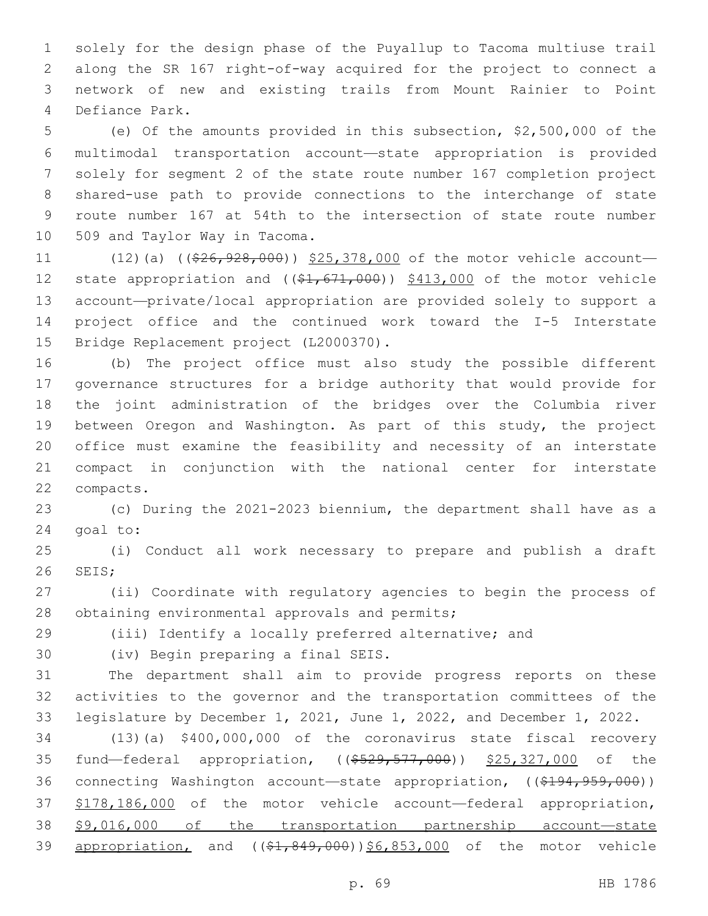solely for the design phase of the Puyallup to Tacoma multiuse trail along the SR 167 right-of-way acquired for the project to connect a network of new and existing trails from Mount Rainier to Point Defiance Park.4

 (e) Of the amounts provided in this subsection, \$2,500,000 of the multimodal transportation account—state appropriation is provided solely for segment 2 of the state route number 167 completion project shared-use path to provide connections to the interchange of state route number 167 at 54th to the intersection of state route number 10 509 and Taylor Way in Tacoma.

11 (12)(a) (( $\frac{26}{7}$ ,  $\frac{928}{7}$ ,  $\frac{000}{7}$ ) \$25,378,000 of the motor vehicle account— 12 state appropriation and ((\$1,671,000)) \$413,000 of the motor vehicle account—private/local appropriation are provided solely to support a project office and the continued work toward the I-5 Interstate 15 Bridge Replacement project (L2000370).

 (b) The project office must also study the possible different governance structures for a bridge authority that would provide for the joint administration of the bridges over the Columbia river between Oregon and Washington. As part of this study, the project office must examine the feasibility and necessity of an interstate compact in conjunction with the national center for interstate 22 compacts.

 (c) During the 2021-2023 biennium, the department shall have as a 24 goal to:

 (i) Conduct all work necessary to prepare and publish a draft 26 SEIS:

 (ii) Coordinate with regulatory agencies to begin the process of 28 obtaining environmental approvals and permits;

(iii) Identify a locally preferred alternative; and

30 (iv) Begin preparing a final SEIS.

 The department shall aim to provide progress reports on these activities to the governor and the transportation committees of the legislature by December 1, 2021, June 1, 2022, and December 1, 2022.

 (13)(a) \$400,000,000 of the coronavirus state fiscal recovery 35 fund—federal appropriation, ((\$529,577,000)) \$25,327,000 of the 36 connecting Washington account—state appropriation, ((\$194,959,000)) \$178,186,000 of the motor vehicle account—federal appropriation, \$9,016,000 of the transportation partnership account—state 39 appropriation, and  $((\$1,849,000))\$6,853,000$  of the motor vehicle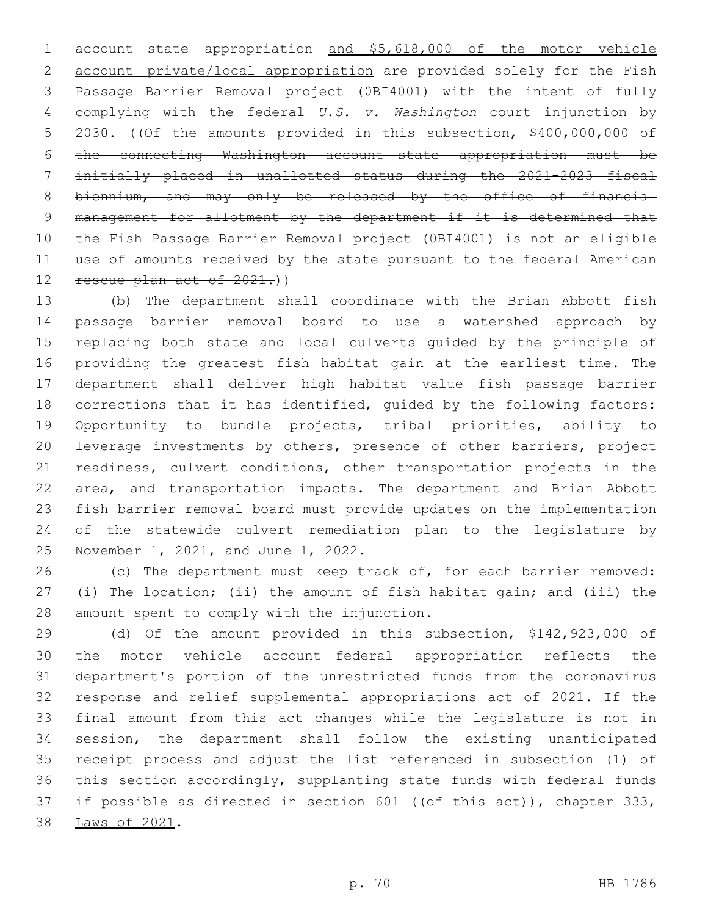account—state appropriation and \$5,618,000 of the motor vehicle 2 account-private/local appropriation are provided solely for the Fish Passage Barrier Removal project (0BI4001) with the intent of fully complying with the federal *U.S. v. Washington* court injunction by 5 2030. ((Of the amounts provided in this subsection, \$400,000,000 of the connecting Washington account—state appropriation must be initially placed in unallotted status during the 2021-2023 fiscal 8 biennium, and may only be released by the office of financial 9 management for allotment by the department if it is determined that the Fish Passage Barrier Removal project (0BI4001) is not an eligible use of amounts received by the state pursuant to the federal American 12 rescue plan act of 2021.)

 (b) The department shall coordinate with the Brian Abbott fish passage barrier removal board to use a watershed approach by replacing both state and local culverts guided by the principle of providing the greatest fish habitat gain at the earliest time. The department shall deliver high habitat value fish passage barrier corrections that it has identified, guided by the following factors: Opportunity to bundle projects, tribal priorities, ability to leverage investments by others, presence of other barriers, project readiness, culvert conditions, other transportation projects in the area, and transportation impacts. The department and Brian Abbott fish barrier removal board must provide updates on the implementation of the statewide culvert remediation plan to the legislature by 25 November 1, 2021, and June 1, 2022.

 (c) The department must keep track of, for each barrier removed: (i) The location; (ii) the amount of fish habitat gain; and (iii) the 28 amount spent to comply with the injunction.

 (d) Of the amount provided in this subsection, \$142,923,000 of the motor vehicle account—federal appropriation reflects the department's portion of the unrestricted funds from the coronavirus response and relief supplemental appropriations act of 2021. If the final amount from this act changes while the legislature is not in session, the department shall follow the existing unanticipated receipt process and adjust the list referenced in subsection (1) of this section accordingly, supplanting state funds with federal funds 37 if possible as directed in section 601 ((of this act)), chapter 333, 38 Laws of 2021.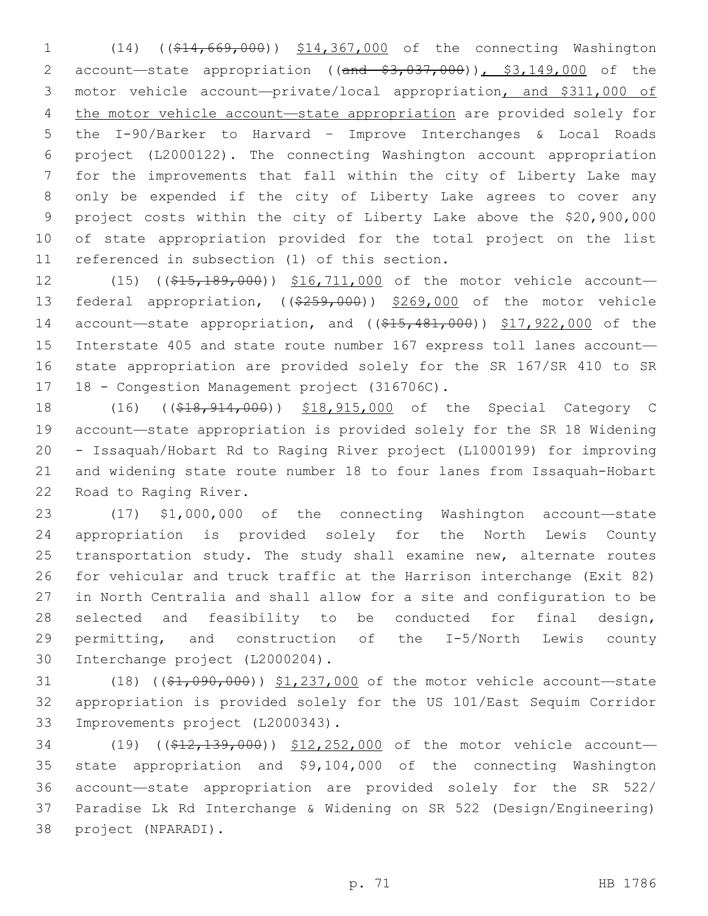(14) ((\$14,669,000)) \$14,367,000 of the connecting Washington 2 account-state appropriation ((and \$3,037,000)), \$3,149,000 of the motor vehicle account—private/local appropriation, and \$311,000 of the motor vehicle account—state appropriation are provided solely for the I-90/Barker to Harvard – Improve Interchanges & Local Roads project (L2000122). The connecting Washington account appropriation for the improvements that fall within the city of Liberty Lake may only be expended if the city of Liberty Lake agrees to cover any project costs within the city of Liberty Lake above the \$20,900,000 of state appropriation provided for the total project on the list 11 referenced in subsection (1) of this section.

12 (15) ((\$15,189,000)) \$16,711,000 of the motor vehicle account-13 federal appropriation, ((\$259,000)) \$269,000 of the motor vehicle 14 account-state appropriation, and ((\$15,481,000)) \$17,922,000 of the Interstate 405 and state route number 167 express toll lanes account— state appropriation are provided solely for the SR 167/SR 410 to SR 17 18 - Congestion Management project (316706C).

18 (16) ((\$18,914,000)) \$18,915,000 of the Special Category C account—state appropriation is provided solely for the SR 18 Widening - Issaquah/Hobart Rd to Raging River project (L1000199) for improving and widening state route number 18 to four lanes from Issaquah-Hobart 22 Road to Raging River.

 (17) \$1,000,000 of the connecting Washington account—state appropriation is provided solely for the North Lewis County transportation study. The study shall examine new, alternate routes for vehicular and truck traffic at the Harrison interchange (Exit 82) in North Centralia and shall allow for a site and configuration to be selected and feasibility to be conducted for final design, permitting, and construction of the I-5/North Lewis county 30 Interchange project (L2000204).

31 (18) ((\$1,090,000)) \$1,237,000 of the motor vehicle account—state appropriation is provided solely for the US 101/East Sequim Corridor 33 Improvements project (L2000343).

34 (19) ((\$12,139,000)) \$12,252,000 of the motor vehicle account- state appropriation and \$9,104,000 of the connecting Washington account—state appropriation are provided solely for the SR 522/ Paradise Lk Rd Interchange & Widening on SR 522 (Design/Engineering) 38 project (NPARADI).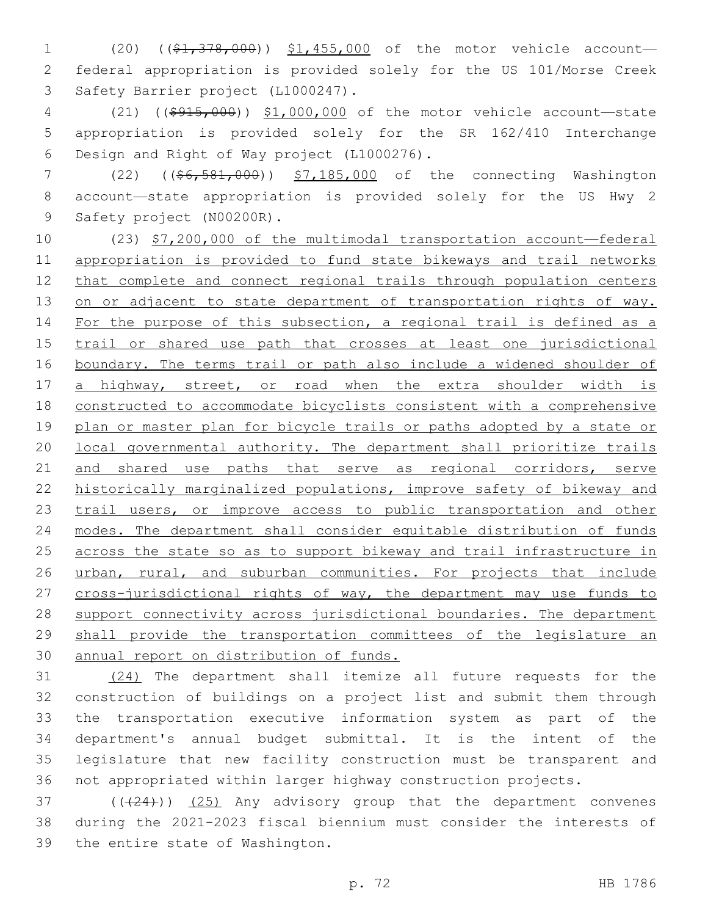1 (20) ((\$1,378,000)) \$1,455,000 of the motor vehicle account— 2 federal appropriation is provided solely for the US 101/Morse Creek 3 Safety Barrier project (L1000247).

4 (21) ((\$915,000)) \$1,000,000 of the motor vehicle account—state 5 appropriation is provided solely for the SR 162/410 Interchange 6 Design and Right of Way project (L1000276).

7 (22) ((\$6,581,000)) \$7,185,000 of the connecting Washington 8 account—state appropriation is provided solely for the US Hwy 2 9 Safety project (N00200R).

10 (23) \$7,200,000 of the multimodal transportation account—federal 11 appropriation is provided to fund state bikeways and trail networks 12 that complete and connect regional trails through population centers 13 on or adjacent to state department of transportation rights of way. 14 For the purpose of this subsection, a regional trail is defined as a 15 trail or shared use path that crosses at least one jurisdictional 16 boundary. The terms trail or path also include a widened shoulder of 17 a highway, street, or road when the extra shoulder width is 18 constructed to accommodate bicyclists consistent with a comprehensive 19 plan or master plan for bicycle trails or paths adopted by a state or 20 local governmental authority. The department shall prioritize trails 21 and shared use paths that serve as regional corridors, serve 22 historically marginalized populations, improve safety of bikeway and 23 trail users, or improve access to public transportation and other 24 modes. The department shall consider equitable distribution of funds 25 across the state so as to support bikeway and trail infrastructure in 26 urban, rural, and suburban communities. For projects that include 27 cross-jurisdictional rights of way, the department may use funds to 28 support connectivity across jurisdictional boundaries. The department 29 shall provide the transportation committees of the legislature an 30 annual report on distribution of funds.

 (24) The department shall itemize all future requests for the construction of buildings on a project list and submit them through the transportation executive information system as part of the department's annual budget submittal. It is the intent of the legislature that new facility construction must be transparent and not appropriated within larger highway construction projects.

37 (((24))) (25) Any advisory group that the department convenes 38 during the 2021-2023 fiscal biennium must consider the interests of 39 the entire state of Washington.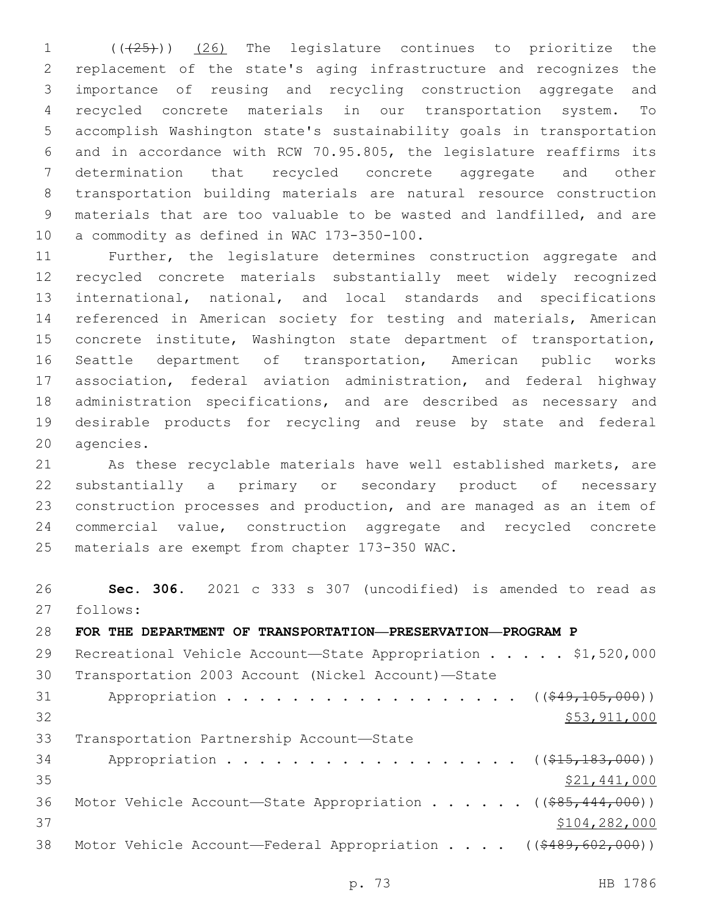1 (( $(25)$ )) (26) The legislature continues to prioritize the replacement of the state's aging infrastructure and recognizes the importance of reusing and recycling construction aggregate and recycled concrete materials in our transportation system. To accomplish Washington state's sustainability goals in transportation and in accordance with RCW 70.95.805, the legislature reaffirms its determination that recycled concrete aggregate and other transportation building materials are natural resource construction materials that are too valuable to be wasted and landfilled, and are 10 a commodity as defined in WAC 173-350-100.

 Further, the legislature determines construction aggregate and recycled concrete materials substantially meet widely recognized international, national, and local standards and specifications referenced in American society for testing and materials, American concrete institute, Washington state department of transportation, Seattle department of transportation, American public works association, federal aviation administration, and federal highway administration specifications, and are described as necessary and desirable products for recycling and reuse by state and federal 20 agencies.

 As these recyclable materials have well established markets, are substantially a primary or secondary product of necessary construction processes and production, and are managed as an item of commercial value, construction aggregate and recycled concrete 25 materials are exempt from chapter 173-350 WAC.

 **Sec. 306.** 2021 c 333 s 307 (uncodified) is amended to read as follows: 27

| 28 | FOR THE DEPARTMENT OF TRANSPORTATION-PRESERVATION-PROGRAM P        |
|----|--------------------------------------------------------------------|
| 29 | Recreational Vehicle Account-State Appropriation \$1,520,000       |
| 30 | Transportation 2003 Account (Nickel Account)-State                 |
| 31 | Appropriation ( $(\frac{249}{105}, \frac{105}{100})$ )             |
| 32 | \$53,911,000                                                       |
| 33 | Transportation Partnership Account-State                           |
| 34 | Appropriation ( $(\frac{215}{100}, \frac{183}{100})$ )             |
| 35 | \$21,441,000                                                       |
| 36 | Motor Vehicle Account—State Appropriation ( $(\frac{285}{1000})$ ) |
| 37 | \$104,282,000                                                      |
| 38 | Motor Vehicle Account—Federal Appropriation ((\$489,602,000))      |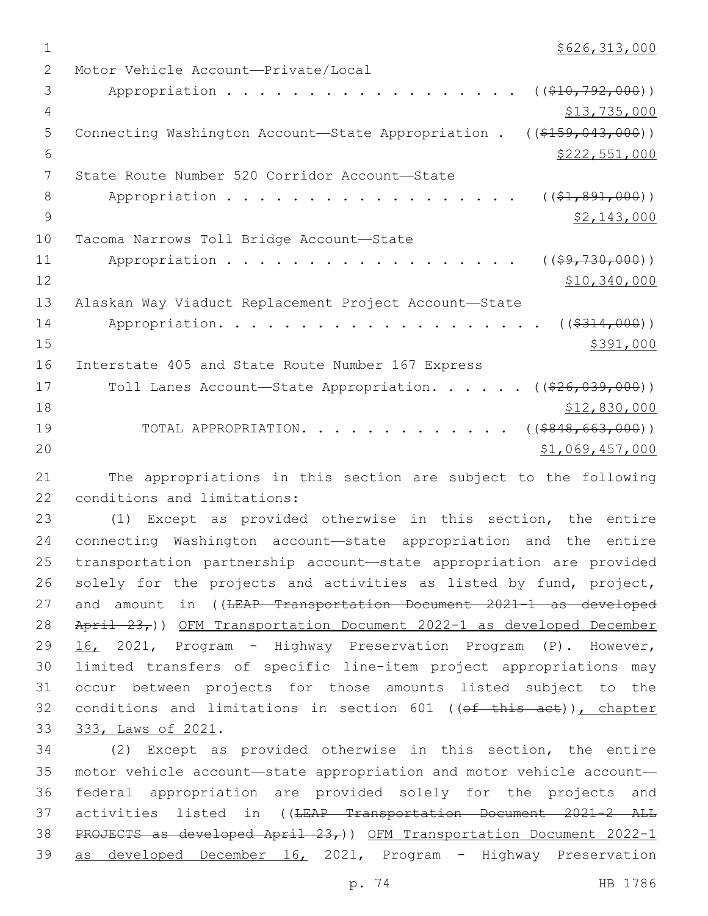$1$  \$626,313,000

2 Motor Vehicle Account—Private/Local 3 Appropriation . . . . . . . . . . . . . . . . . (  $(\frac{10}{792,000})$  ) 4 \$13,735,000 \$13,735,000 5 Connecting Washington Account—State Appropriation . ((\$159,043,000))  $\frac{1}{2}$   $\frac{1}{2}$   $\frac{1}{2}$   $\frac{1}{2}$   $\frac{1}{2}$   $\frac{1}{2}$   $\frac{1}{2}$   $\frac{1}{2}$   $\frac{1}{2}$   $\frac{1}{2}$   $\frac{1}{2}$   $\frac{1}{2}$   $\frac{1}{2}$   $\frac{1}{2}$   $\frac{1}{2}$   $\frac{1}{2}$   $\frac{1}{2}$   $\frac{1}{2}$   $\frac{1}{2}$   $\frac{1}{2}$   $\frac{1}{2}$   $\frac{1}{2}$  7 State Route Number 520 Corridor Account-State 8 Appropriation . . . . . . . . . . . . . . . . (  $(\frac{21,891,000}{1,000})$ 9  $\frac{$2,143,000}{ }$ 10 Tacoma Narrows Toll Bridge Account-State 11 Appropriation . . . . . . . . . . . . . . . . ((\$9,730,000))  $12$  \$10,340,000 13 Alaskan Way Viaduct Replacement Project Account—State 14 Appropriation. . . . . . . . . . . . . . . . . . ((\$314,000))  $15$  \$391,000 16 Interstate 405 and State Route Number 167 Express 17 Toll Lanes Account—State Appropriation. . . . . ((\$26,039,000)) 18  $$12,830,000$ 19 TOTAL APPROPRIATION. . . . . . . . . . . . . ((\$848,663,000))  $\frac{1}{20}$   $\frac{1}{20}$   $\frac{1}{20}$   $\frac{1}{20}$   $\frac{1}{20}$   $\frac{20}{20}$   $\frac{1}{20}$   $\frac{20}{20}$   $\frac{20}{20}$ 

21 The appropriations in this section are subject to the following 22 conditions and limitations:

 (1) Except as provided otherwise in this section, the entire connecting Washington account—state appropriation and the entire transportation partnership account—state appropriation are provided solely for the projects and activities as listed by fund, project, 27 and amount in ((LEAP Transportation Document 2021-1 as developed April 23,)) OFM Transportation Document 2022-1 as developed December 16, 2021, Program - Highway Preservation Program (P). However, limited transfers of specific line-item project appropriations may occur between projects for those amounts listed subject to the 32 conditions and limitations in section 601 ((of this act)), chapter 33 333, Laws of 2021.

 (2) Except as provided otherwise in this section, the entire motor vehicle account—state appropriation and motor vehicle account— federal appropriation are provided solely for the projects and 37 activities listed in ((<del>LEAP Transportation Document 2021-2 ALL</del> PROJECTS as developed April 23,)) OFM Transportation Document 2022-1 as developed December 16, 2021, Program - Highway Preservation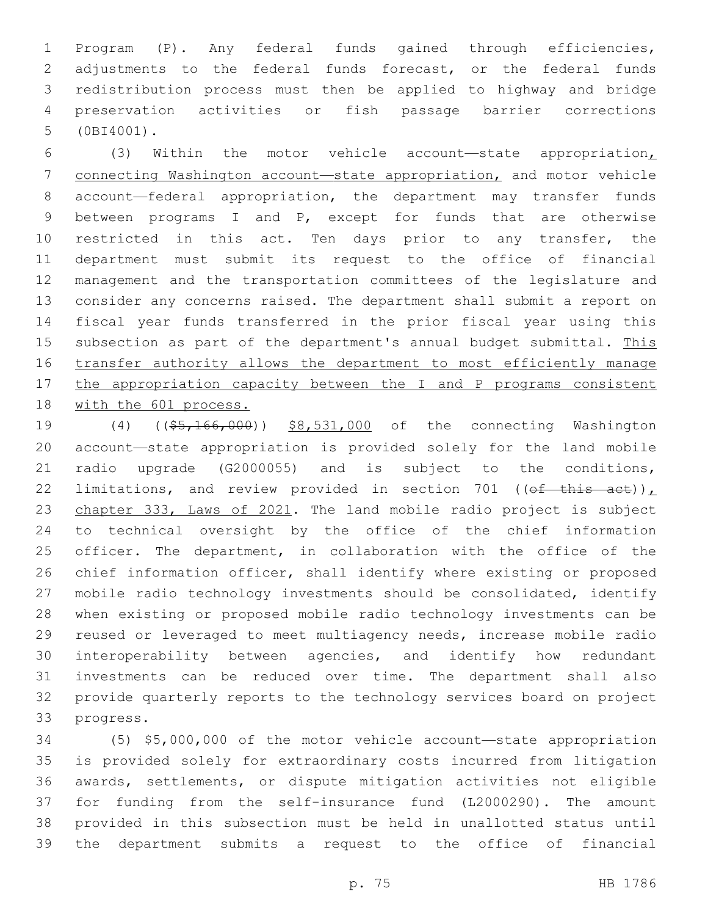Program (P). Any federal funds gained through efficiencies, adjustments to the federal funds forecast, or the federal funds redistribution process must then be applied to highway and bridge preservation activities or fish passage barrier corrections (0BI4001).5

 (3) Within the motor vehicle account—state appropriation, connecting Washington account—state appropriation, and motor vehicle account—federal appropriation, the department may transfer funds between programs I and P, except for funds that are otherwise 10 restricted in this act. Ten days prior to any transfer, the department must submit its request to the office of financial management and the transportation committees of the legislature and consider any concerns raised. The department shall submit a report on fiscal year funds transferred in the prior fiscal year using this 15 subsection as part of the department's annual budget submittal. This 16 transfer authority allows the department to most efficiently manage 17 the appropriation capacity between the I and P programs consistent with the 601 process.

19 (4) ((\$5,166,000)) \$8,531,000 of the connecting Washington account—state appropriation is provided solely for the land mobile radio upgrade (G2000055) and is subject to the conditions, 22 limitations, and review provided in section 701 (( $\theta$ f this act))<sub>L</sub> chapter 333, Laws of 2021. The land mobile radio project is subject to technical oversight by the office of the chief information officer. The department, in collaboration with the office of the chief information officer, shall identify where existing or proposed mobile radio technology investments should be consolidated, identify when existing or proposed mobile radio technology investments can be reused or leveraged to meet multiagency needs, increase mobile radio interoperability between agencies, and identify how redundant investments can be reduced over time. The department shall also provide quarterly reports to the technology services board on project 33 progress.

 (5) \$5,000,000 of the motor vehicle account—state appropriation is provided solely for extraordinary costs incurred from litigation awards, settlements, or dispute mitigation activities not eligible for funding from the self-insurance fund (L2000290). The amount provided in this subsection must be held in unallotted status until the department submits a request to the office of financial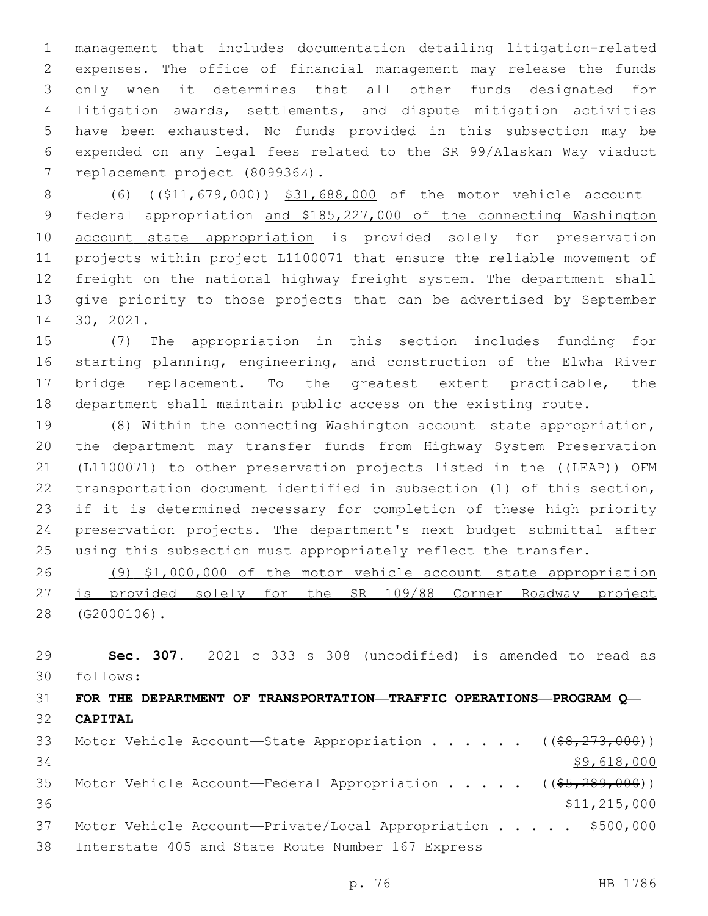management that includes documentation detailing litigation-related expenses. The office of financial management may release the funds only when it determines that all other funds designated for litigation awards, settlements, and dispute mitigation activities have been exhausted. No funds provided in this subsection may be expended on any legal fees related to the SR 99/Alaskan Way viaduct 7 replacement project (809936Z).

8 (6) ((\$11,679,000)) \$31,688,000 of the motor vehicle account- federal appropriation and \$185,227,000 of the connecting Washington account—state appropriation is provided solely for preservation projects within project L1100071 that ensure the reliable movement of freight on the national highway freight system. The department shall give priority to those projects that can be advertised by September 14 30, 2021.

 (7) The appropriation in this section includes funding for starting planning, engineering, and construction of the Elwha River bridge replacement. To the greatest extent practicable, the department shall maintain public access on the existing route.

 (8) Within the connecting Washington account—state appropriation, the department may transfer funds from Highway System Preservation 21 (L1100071) to other preservation projects listed in the ((<del>LEAP</del>)) OFM transportation document identified in subsection (1) of this section, if it is determined necessary for completion of these high priority preservation projects. The department's next budget submittal after using this subsection must appropriately reflect the transfer.

 (9) \$1,000,000 of the motor vehicle account—state appropriation is provided solely for the SR 109/88 Corner Roadway project (G2000106).

 **Sec. 307.** 2021 c 333 s 308 (uncodified) is amended to read as follows: 30

 **FOR THE DEPARTMENT OF TRANSPORTATION—TRAFFIC OPERATIONS—PROGRAM Q— CAPITAL** 33 Motor Vehicle Account—State Appropriation . . . . . ((\$8,273,000))

  $$9,618,000$ 35 Motor Vehicle Account—Federal Appropriation . . . . ((\$5,289,000)) 36 \$11,215,000 Motor Vehicle Account—Private/Local Appropriation . . . . . \$500,000 38 Interstate 405 and State Route Number 167 Express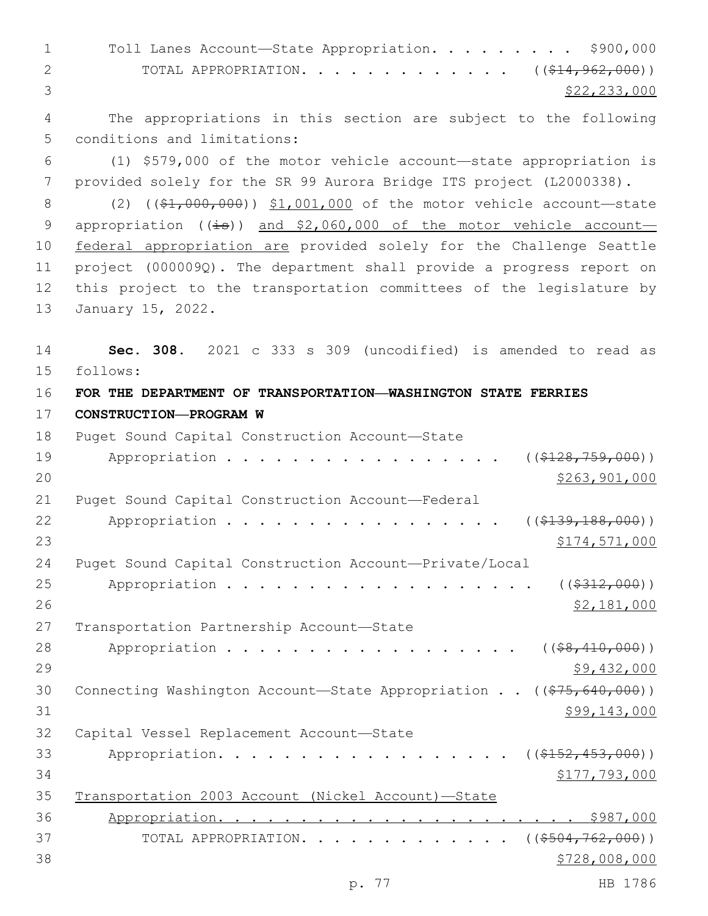1 Toll Lanes Account—State Appropriation. . . . . . . . \$900,000 2 TOTAL APPROPRIATION. . . . . . . . . . . . ((\$14,962,000))  $3 \times 22,233,000$ 4 The appropriations in this section are subject to the following 5 conditions and limitations: 6 (1) \$579,000 of the motor vehicle account—state appropriation is 7 provided solely for the SR 99 Aurora Bridge ITS project (L2000338). 8 (2) ((\$1,000,000)) \$1,001,000 of the motor vehicle account—state 9 appropriation  $((\frac{1}{18}))$  and \$2,060,000 of the motor vehicle account-10 federal appropriation are provided solely for the Challenge Seattle 11 project (000009Q). The department shall provide a progress report on 12 this project to the transportation committees of the legislature by 13 January 15, 2022. 14 **Sec. 308.** 2021 c 333 s 309 (uncodified) is amended to read as 15 follows: 16 **FOR THE DEPARTMENT OF TRANSPORTATION—WASHINGTON STATE FERRIES**  17 **CONSTRUCTION—PROGRAM W** 18 Puget Sound Capital Construction Account—State 19 Appropriation . . . . . . . . . . . . . . . . ((\$128,759,000))

 $20$  \$263,901,000 21 Puget Sound Capital Construction Account-Federal 22 Appropriation . . . . . . . . . . . . . . . (  $(\frac{2139}{139}, 188, 000)$  ) 23 \$174,571,000 24 Puget Sound Capital Construction Account—Private/Local 25 Appropriation . . . . . . . . . . . . . . . . . (  $(*312,000)$  ) 26 \$2,181,000 27 Transportation Partnership Account—State 28 Appropriation . . . . . . . . . . . . . . . . (  $(\frac{28}{10}, \frac{410}{100})$  )  $29$   $$9,432,000$ 30 Connecting Washington Account—State Appropriation . . ((\$75,640,000))  $31$  \$99,143,000 32 Capital Vessel Replacement Account-State 33 Appropriation. . . . . . . . . . . . . . . . (  $(\frac{2152, 453, 000}{s})$  $34$   $$177,793,000$ 35 Transportation 2003 Account (Nickel Account)—State 36 Appropriation. . . . . . . . . . . . . . . . . . . . . . \$987,000 37 TOTAL APPROPRIATION. . . . . . . . . . . . ((\$<del>504,762,000</del>)) 38 \$728,008,000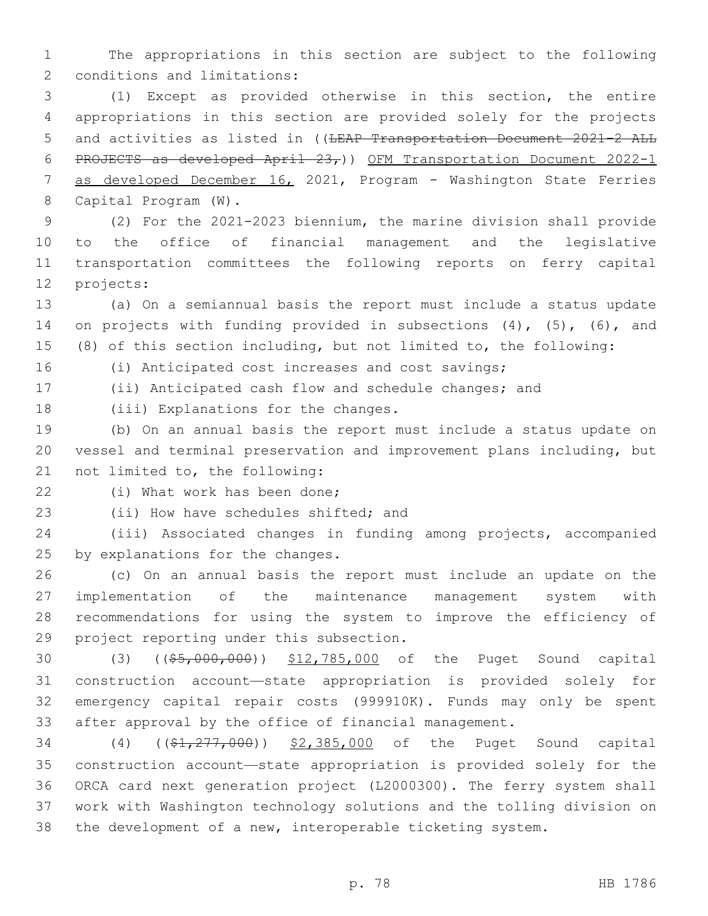The appropriations in this section are subject to the following 2 conditions and limitations:

 (1) Except as provided otherwise in this section, the entire appropriations in this section are provided solely for the projects 5 and activities as listed in ((<del>LEAP Transportation Document 2021-2 ALL</del> PROJECTS as developed April 23,)) OFM Transportation Document 2022-1 7 as developed December 16, 2021, Program - Washington State Ferries 8 Capital Program (W).

 (2) For the 2021-2023 biennium, the marine division shall provide to the office of financial management and the legislative transportation committees the following reports on ferry capital 12 projects:

 (a) On a semiannual basis the report must include a status update 14 on projects with funding provided in subsections (4), (5), (6), and (8) of this section including, but not limited to, the following:

(i) Anticipated cost increases and cost savings;

(ii) Anticipated cash flow and schedule changes; and

18 (iii) Explanations for the changes.

 (b) On an annual basis the report must include a status update on vessel and terminal preservation and improvement plans including, but 21 not limited to, the following:

22 (i) What work has been done;

23 (ii) How have schedules shifted; and

 (iii) Associated changes in funding among projects, accompanied 25 by explanations for the changes.

 (c) On an annual basis the report must include an update on the implementation of the maintenance management system with recommendations for using the system to improve the efficiency of 29 project reporting under this subsection.

30 (3) ((\$5,000,000)) \$12,785,000 of the Puget Sound capital construction account—state appropriation is provided solely for emergency capital repair costs (999910K). Funds may only be spent after approval by the office of financial management.

34 (4) ((\$1,277,000)) \$2,385,000 of the Puget Sound capital construction account—state appropriation is provided solely for the ORCA card next generation project (L2000300). The ferry system shall work with Washington technology solutions and the tolling division on the development of a new, interoperable ticketing system.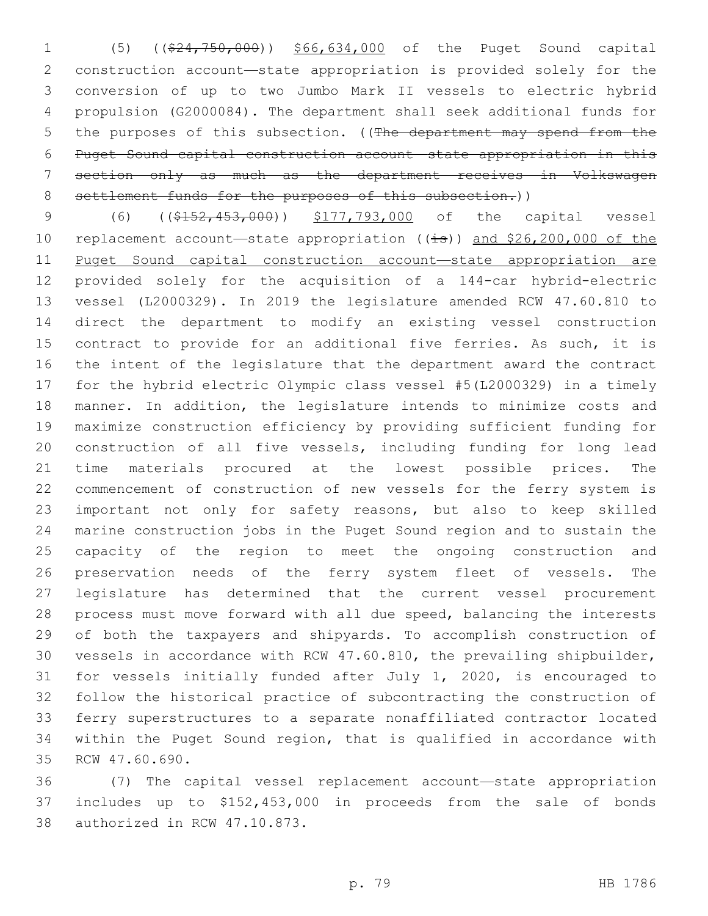(5) ((\$24,750,000)) \$66,634,000 of the Puget Sound capital construction account—state appropriation is provided solely for the conversion of up to two Jumbo Mark II vessels to electric hybrid propulsion (G2000084). The department shall seek additional funds for 5 the purposes of this subsection. ((The department may spend from the Puget Sound capital construction account—state appropriation in this section only as much as the department receives in Volkswagen 8 settlement funds for the purposes of this subsection.))

 (6) ((\$152,453,000)) \$177,793,000 of the capital vessel 10 replacement account—state appropriation  $((\frac{1}{18}))$  and \$26,200,000 of the Puget Sound capital construction account—state appropriation are provided solely for the acquisition of a 144-car hybrid-electric vessel (L2000329). In 2019 the legislature amended RCW 47.60.810 to direct the department to modify an existing vessel construction contract to provide for an additional five ferries. As such, it is the intent of the legislature that the department award the contract for the hybrid electric Olympic class vessel #5(L2000329) in a timely manner. In addition, the legislature intends to minimize costs and maximize construction efficiency by providing sufficient funding for construction of all five vessels, including funding for long lead time materials procured at the lowest possible prices. The commencement of construction of new vessels for the ferry system is important not only for safety reasons, but also to keep skilled marine construction jobs in the Puget Sound region and to sustain the capacity of the region to meet the ongoing construction and preservation needs of the ferry system fleet of vessels. The legislature has determined that the current vessel procurement process must move forward with all due speed, balancing the interests of both the taxpayers and shipyards. To accomplish construction of vessels in accordance with RCW 47.60.810, the prevailing shipbuilder, for vessels initially funded after July 1, 2020, is encouraged to follow the historical practice of subcontracting the construction of ferry superstructures to a separate nonaffiliated contractor located within the Puget Sound region, that is qualified in accordance with 35 RCW 47.60.690.

 (7) The capital vessel replacement account—state appropriation includes up to \$152,453,000 in proceeds from the sale of bonds 38 authorized in RCW 47.10.873.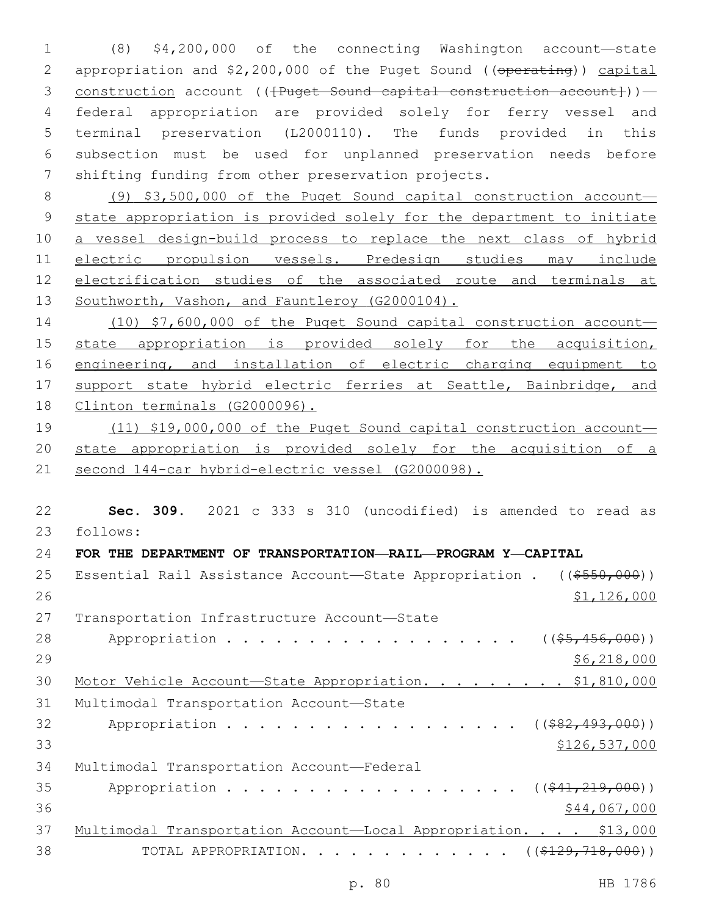1 (8) \$4,200,000 of the connecting Washington account—state 2 appropriation and \$2,200,000 of the Puget Sound ((operating)) capital 3 construction account ((<del>[Puget Sound capital construction account]</del>))— 4 federal appropriation are provided solely for ferry vessel and 5 terminal preservation (L2000110). The funds provided in this 6 subsection must be used for unplanned preservation needs before 7 shifting funding from other preservation projects.

 (9) \$3,500,000 of the Puget Sound capital construction account— state appropriation is provided solely for the department to initiate a vessel design-build process to replace the next class of hybrid electric propulsion vessels. Predesign studies may include electrification studies of the associated route and terminals at Southworth, Vashon, and Fauntleroy (G2000104).

14 (10) \$7,600,000 of the Puget Sound capital construction account— 15 state appropriation is provided solely for the acquisition, 16 engineering, and installation of electric charging equipment to 17 support state hybrid electric ferries at Seattle, Bainbridge, and 18 Clinton terminals (G2000096).

19 (11) \$19,000,000 of the Puget Sound capital construction account— 20 state appropriation is provided solely for the acquisition of a 21 second 144-car hybrid-electric vessel (G2000098).

22 **Sec. 309.** 2021 c 333 s 310 (uncodified) is amended to read as follows: 23

## 24 **FOR THE DEPARTMENT OF TRANSPORTATION—RAIL—PROGRAM Y—CAPITAL**

| 25 | Essential Rail Assistance Account-State Appropriation . $((\$550,000))$ |
|----|-------------------------------------------------------------------------|
| 26 | \$1,126,000                                                             |
| 27 | Transportation Infrastructure Account-State                             |
| 28 | Appropriation<br>$((\$5,456,000))$                                      |
| 29 | \$6,218,000                                                             |
| 30 | Motor Vehicle Account-State Appropriation. \$1,810,000                  |
| 31 | Multimodal Transportation Account-State                                 |
| 32 | Appropriation<br>$((\$82,493,000))$                                     |
| 33 | \$126,537,000                                                           |
| 34 | Multimodal Transportation Account-Federal                               |
| 35 | Appropriation<br>$((\$41,219,000))$                                     |
| 36 | \$44,067,000                                                            |
| 37 | Multimodal Transportation Account-Local Appropriation. \$13,000         |
| 38 | TOTAL APPROPRIATION. ( $(\frac{2129}{718}, 000)$ )                      |
|    |                                                                         |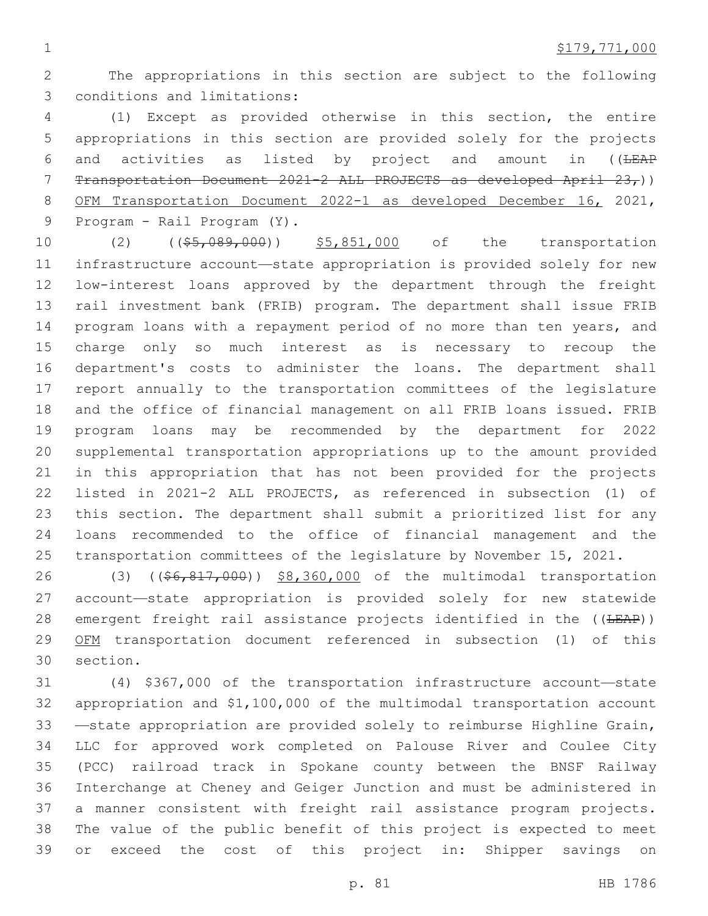The appropriations in this section are subject to the following 3 conditions and limitations:

 (1) Except as provided otherwise in this section, the entire appropriations in this section are provided solely for the projects 6 and activities as listed by project and amount in ((LEAP Transportation Document 2021-2 ALL PROJECTS as developed April 23,)) OFM Transportation Document 2022-1 as developed December 16, 2021, 9 Program - Rail Program (Y).

10 (2) ((\$5,089,000)) \$5,851,000 of the transportation infrastructure account—state appropriation is provided solely for new low-interest loans approved by the department through the freight rail investment bank (FRIB) program. The department shall issue FRIB program loans with a repayment period of no more than ten years, and charge only so much interest as is necessary to recoup the department's costs to administer the loans. The department shall report annually to the transportation committees of the legislature and the office of financial management on all FRIB loans issued. FRIB program loans may be recommended by the department for 2022 supplemental transportation appropriations up to the amount provided in this appropriation that has not been provided for the projects listed in 2021-2 ALL PROJECTS, as referenced in subsection (1) of this section. The department shall submit a prioritized list for any loans recommended to the office of financial management and the transportation committees of the legislature by November 15, 2021.

26 (3) ((\$6,817,000)) \$8,360,000 of the multimodal transportation account—state appropriation is provided solely for new statewide 28 emergent freight rail assistance projects identified in the ((LEAP)) OFM transportation document referenced in subsection (1) of this section.30

 (4) \$367,000 of the transportation infrastructure account—state appropriation and \$1,100,000 of the multimodal transportation account —state appropriation are provided solely to reimburse Highline Grain, LLC for approved work completed on Palouse River and Coulee City (PCC) railroad track in Spokane county between the BNSF Railway Interchange at Cheney and Geiger Junction and must be administered in a manner consistent with freight rail assistance program projects. The value of the public benefit of this project is expected to meet or exceed the cost of this project in: Shipper savings on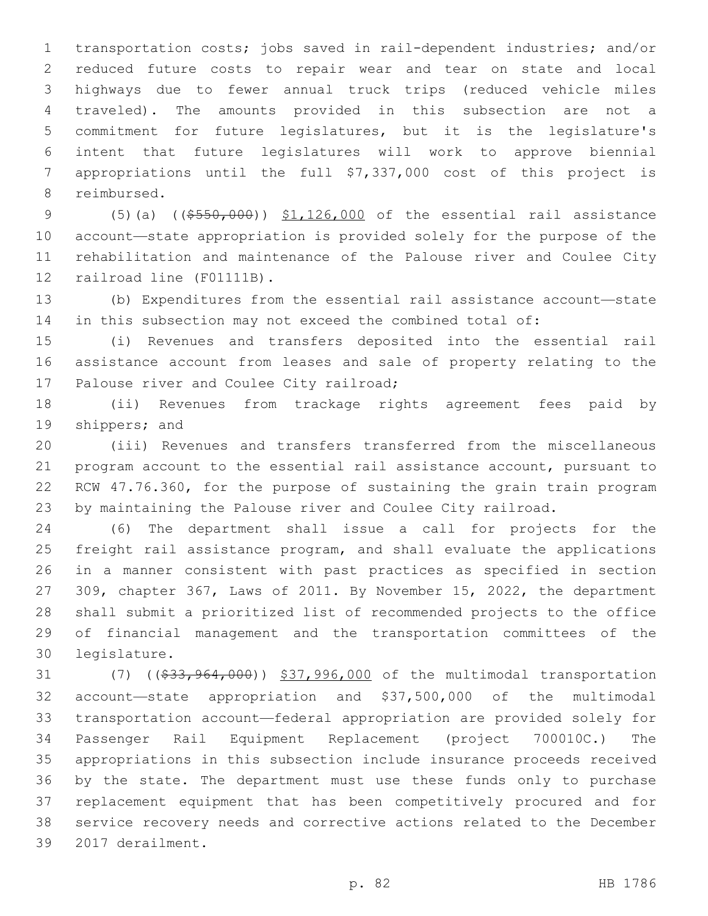transportation costs; jobs saved in rail-dependent industries; and/or reduced future costs to repair wear and tear on state and local highways due to fewer annual truck trips (reduced vehicle miles traveled). The amounts provided in this subsection are not a commitment for future legislatures, but it is the legislature's intent that future legislatures will work to approve biennial appropriations until the full \$7,337,000 cost of this project is 8 reimbursed.

9 (5)(a) ((\$550,000)) \$1,126,000 of the essential rail assistance account—state appropriation is provided solely for the purpose of the rehabilitation and maintenance of the Palouse river and Coulee City 12 railroad line (F01111B).

 (b) Expenditures from the essential rail assistance account—state in this subsection may not exceed the combined total of:

 (i) Revenues and transfers deposited into the essential rail assistance account from leases and sale of property relating to the 17 Palouse river and Coulee City railroad;

 (ii) Revenues from trackage rights agreement fees paid by 19 shippers; and

 (iii) Revenues and transfers transferred from the miscellaneous program account to the essential rail assistance account, pursuant to RCW 47.76.360, for the purpose of sustaining the grain train program by maintaining the Palouse river and Coulee City railroad.

 (6) The department shall issue a call for projects for the freight rail assistance program, and shall evaluate the applications in a manner consistent with past practices as specified in section 309, chapter 367, Laws of 2011. By November 15, 2022, the department shall submit a prioritized list of recommended projects to the office of financial management and the transportation committees of the legislature.30

 (7) ((\$33,964,000)) \$37,996,000 of the multimodal transportation account—state appropriation and \$37,500,000 of the multimodal transportation account—federal appropriation are provided solely for Passenger Rail Equipment Replacement (project 700010C.) The appropriations in this subsection include insurance proceeds received by the state. The department must use these funds only to purchase replacement equipment that has been competitively procured and for service recovery needs and corrective actions related to the December 39 2017 derailment.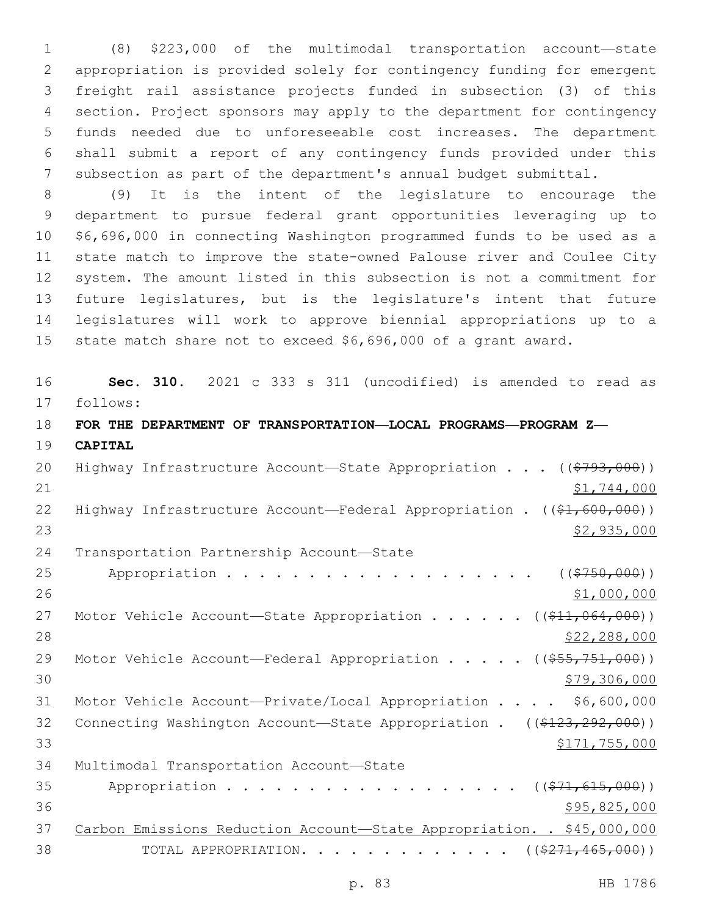(8) \$223,000 of the multimodal transportation account—state appropriation is provided solely for contingency funding for emergent freight rail assistance projects funded in subsection (3) of this section. Project sponsors may apply to the department for contingency funds needed due to unforeseeable cost increases. The department shall submit a report of any contingency funds provided under this subsection as part of the department's annual budget submittal.

 (9) It is the intent of the legislature to encourage the department to pursue federal grant opportunities leveraging up to \$6,696,000 in connecting Washington programmed funds to be used as a state match to improve the state-owned Palouse river and Coulee City system. The amount listed in this subsection is not a commitment for future legislatures, but is the legislature's intent that future legislatures will work to approve biennial appropriations up to a state match share not to exceed \$6,696,000 of a grant award.

 **Sec. 310.** 2021 c 333 s 311 (uncodified) is amended to read as follows: 17 **FOR THE DEPARTMENT OF TRANSPORTATION—LOCAL PROGRAMS—PROGRAM Z— CAPITAL** 20 Highway Infrastructure Account—State Appropriation . . . ((\$793,000)) \$1,744,000

22 Highway Infrastructure Account—Federal Appropriation . ((\$1,600,000))  $\frac{$2,935,000}{2}$ 

24 Transportation Partnership Account-State

25 Appropriation . . . . . . . . . . . . . . . . . ((\$750,000)) 26 \$1,000,000 27 Motor Vehicle Account—State Appropriation . . . . . ((\$11,064,000)) \$22,288,000 29 Motor Vehicle Account—Federal Appropriation . . . . ((\$55,751,000)) \$79,306,000 Motor Vehicle Account—Private/Local Appropriation . . . . \$6,600,000 32 Connecting Washington Account—State Appropriation . ((\$123,292,000)) \$171,755,000 34 Multimodal Transportation Account-State 35 Appropriation . . . . . . . . . . . . . . . . (  $(\frac{271}{615},000)$  ) 36 \$95,825,000 Carbon Emissions Reduction Account—State Appropriation. . \$45,000,000

38 TOTAL APPROPRIATION. . . . . . . . . . . . ((<del>\$271,465,000</del>))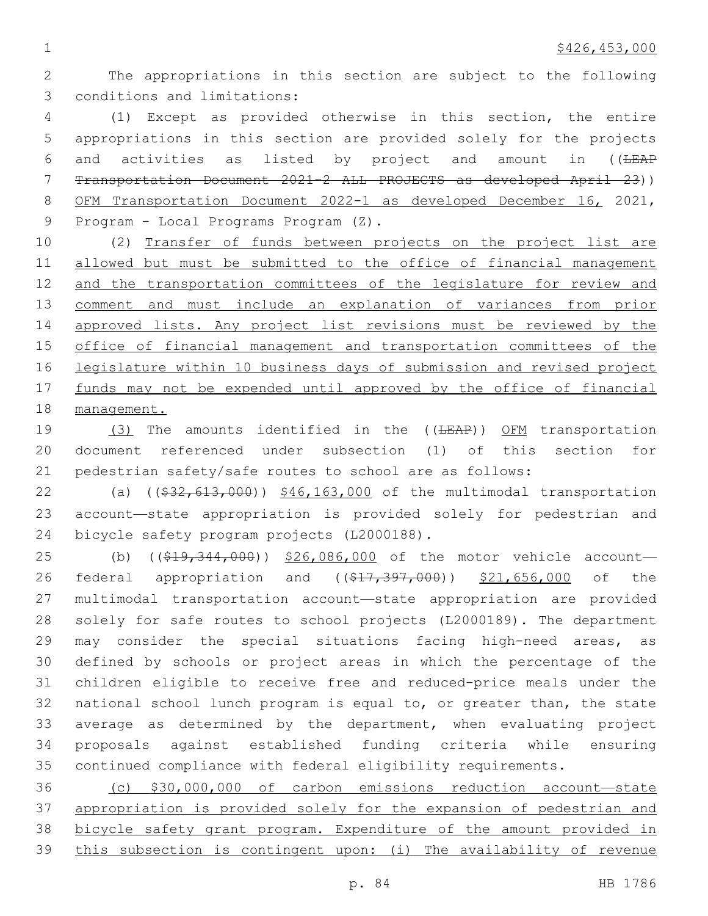The appropriations in this section are subject to the following 3 conditions and limitations:

 (1) Except as provided otherwise in this section, the entire appropriations in this section are provided solely for the projects 6 and activities as listed by project and amount in ((LEAP Transportation Document 2021-2 ALL PROJECTS as developed April 23)) OFM Transportation Document 2022-1 as developed December 16, 2021, 9 Program - Local Programs Program (Z).

 (2) Transfer of funds between projects on the project list are allowed but must be submitted to the office of financial management and the transportation committees of the legislature for review and comment and must include an explanation of variances from prior approved lists. Any project list revisions must be reviewed by the office of financial management and transportation committees of the legislature within 10 business days of submission and revised project 17 funds may not be expended until approved by the office of financial management.

19 (3) The amounts identified in the ((<del>LEAP</del>)) OFM transportation document referenced under subsection (1) of this section for pedestrian safety/safe routes to school are as follows:

22 (a) ((\$32,613,000)) \$46,163,000 of the multimodal transportation account—state appropriation is provided solely for pedestrian and 24 bicycle safety program projects (L2000188).

25 (b) ((\$19,344,000)) \$26,086,000 of the motor vehicle account-26 federal appropriation and ((\$17,397,000)) \$21,656,000 of the multimodal transportation account—state appropriation are provided solely for safe routes to school projects (L2000189). The department may consider the special situations facing high-need areas, as defined by schools or project areas in which the percentage of the children eligible to receive free and reduced-price meals under the national school lunch program is equal to, or greater than, the state average as determined by the department, when evaluating project proposals against established funding criteria while ensuring continued compliance with federal eligibility requirements.

 (c) \$30,000,000 of carbon emissions reduction account—state appropriation is provided solely for the expansion of pedestrian and bicycle safety grant program. Expenditure of the amount provided in this subsection is contingent upon: (i) The availability of revenue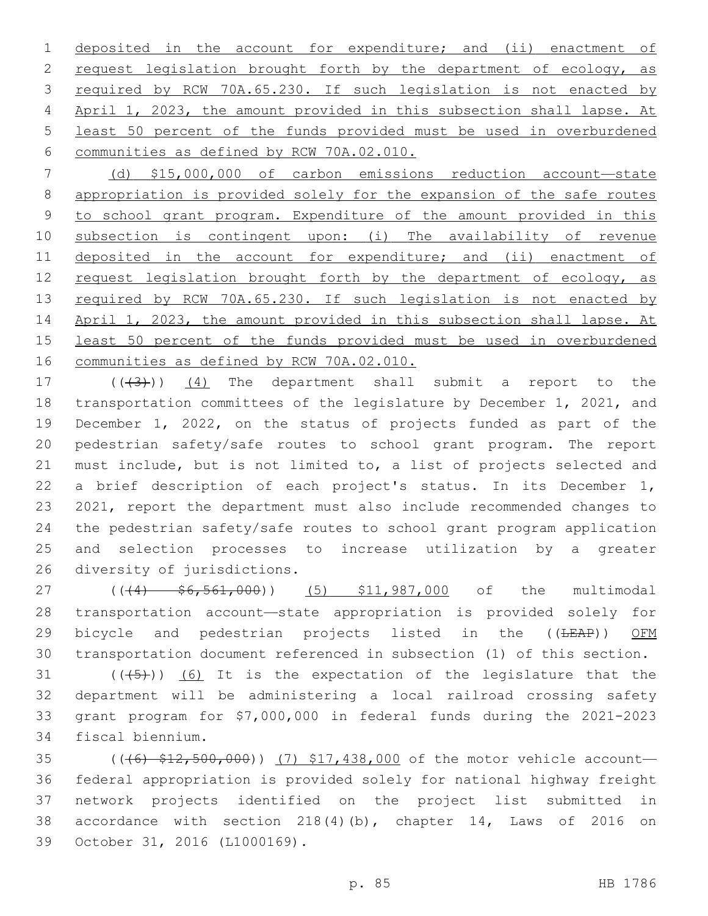deposited in the account for expenditure; and (ii) enactment of 2 request legislation brought forth by the department of ecology, as 3 required by RCW 70A.65.230. If such legislation is not enacted by April 1, 2023, the amount provided in this subsection shall lapse. At least 50 percent of the funds provided must be used in overburdened 6 communities as defined by RCW 70A.02.010.

 (d) \$15,000,000 of carbon emissions reduction account—state appropriation is provided solely for the expansion of the safe routes to school grant program. Expenditure of the amount provided in this subsection is contingent upon: (i) The availability of revenue 11 deposited in the account for expenditure; and (ii) enactment of 12 request legislation brought forth by the department of ecology, as 13 required by RCW 70A.65.230. If such legislation is not enacted by April 1, 2023, the amount provided in this subsection shall lapse. At least 50 percent of the funds provided must be used in overburdened communities as defined by RCW 70A.02.010.

 $((+3+))$   $(4)$  The department shall submit a report to the transportation committees of the legislature by December 1, 2021, and December 1, 2022, on the status of projects funded as part of the pedestrian safety/safe routes to school grant program. The report must include, but is not limited to, a list of projects selected and a brief description of each project's status. In its December 1, 2021, report the department must also include recommended changes to the pedestrian safety/safe routes to school grant program application and selection processes to increase utilization by a greater 26 diversity of jurisdictions.

27 ((44)  $\frac{1}{56}$ , 561, 000)) (5) \$11, 987, 000 of the multimodal transportation account—state appropriation is provided solely for 29 bicycle and pedestrian projects listed in the ((LEAP)) OFM transportation document referenced in subsection (1) of this section.

 $((+5+))$  (6) It is the expectation of the legislature that the department will be administering a local railroad crossing safety grant program for \$7,000,000 in federal funds during the 2021-2023 34 fiscal biennium.

35 ((<del>(6) \$12,500,000</del>)) (7) \$17,438,000 of the motor vehicle account— federal appropriation is provided solely for national highway freight network projects identified on the project list submitted in accordance with section 218(4)(b), chapter 14, Laws of 2016 on 39 October 31, 2016 (L1000169).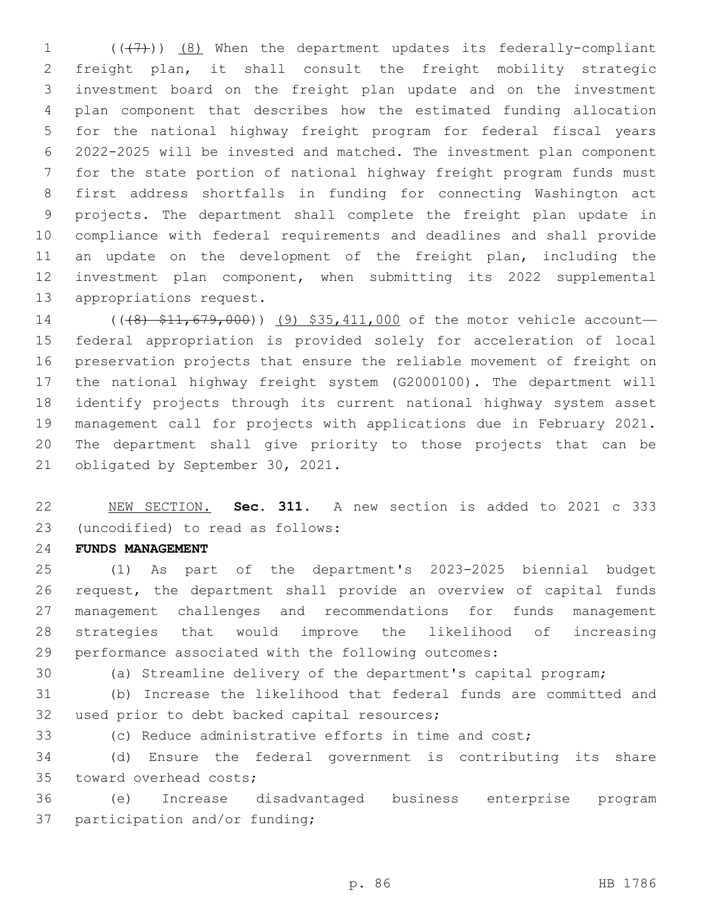$((+7)$ )  $(8)$  When the department updates its federally-compliant freight plan, it shall consult the freight mobility strategic investment board on the freight plan update and on the investment plan component that describes how the estimated funding allocation for the national highway freight program for federal fiscal years 2022-2025 will be invested and matched. The investment plan component for the state portion of national highway freight program funds must first address shortfalls in funding for connecting Washington act projects. The department shall complete the freight plan update in compliance with federal requirements and deadlines and shall provide 11 an update on the development of the freight plan, including the investment plan component, when submitting its 2022 supplemental 13 appropriations request.

14 (((8) \$11,679,000)) (9) \$35,411,000 of the motor vehicle account— federal appropriation is provided solely for acceleration of local preservation projects that ensure the reliable movement of freight on the national highway freight system (G2000100). The department will identify projects through its current national highway system asset management call for projects with applications due in February 2021. The department shall give priority to those projects that can be 21 obligated by September 30, 2021.

 NEW SECTION. **Sec. 311.** A new section is added to 2021 c 333 (uncodified) to read as follows: 23

#### **FUNDS MANAGEMENT**

 (1) As part of the department's 2023-2025 biennial budget request, the department shall provide an overview of capital funds management challenges and recommendations for funds management strategies that would improve the likelihood of increasing performance associated with the following outcomes:

(a) Streamline delivery of the department's capital program;

 (b) Increase the likelihood that federal funds are committed and 32 used prior to debt backed capital resources;

(c) Reduce administrative efforts in time and cost;

 (d) Ensure the federal government is contributing its share 35 toward overhead costs;

 (e) Increase disadvantaged business enterprise program 37 participation and/or funding;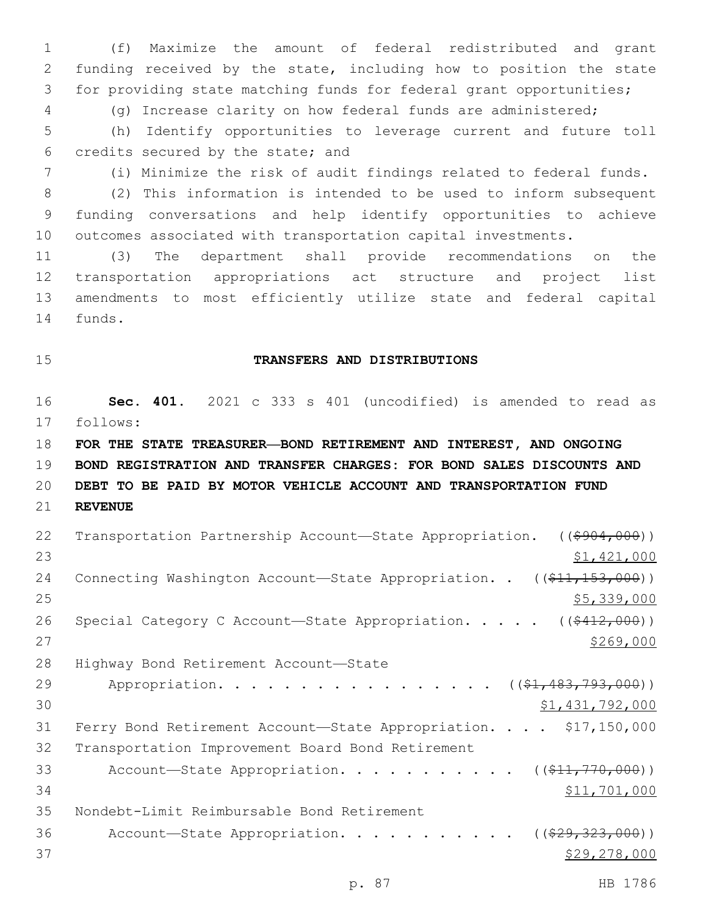(f) Maximize the amount of federal redistributed and grant funding received by the state, including how to position the state for providing state matching funds for federal grant opportunities; (g) Increase clarity on how federal funds are administered;

5 (h) Identify opportunities to leverage current and future toll 6 credits secured by the state; and

7 (i) Minimize the risk of audit findings related to federal funds.

8 (2) This information is intended to be used to inform subsequent 9 funding conversations and help identify opportunities to achieve 10 outcomes associated with transportation capital investments.

 (3) The department shall provide recommendations on the transportation appropriations act structure and project list amendments to most efficiently utilize state and federal capital 14 funds.

## 15 **TRANSFERS AND DISTRIBUTIONS**

16 **Sec. 401.** 2021 c 333 s 401 (uncodified) is amended to read as follows: 17

 **FOR THE STATE TREASURER—BOND RETIREMENT AND INTEREST, AND ONGOING BOND REGISTRATION AND TRANSFER CHARGES: FOR BOND SALES DISCOUNTS AND DEBT TO BE PAID BY MOTOR VEHICLE ACCOUNT AND TRANSPORTATION FUND**  21 **REVENUE**

| 22 | Transportation Partnership Account—State Appropriation. ((\$904,000))  |
|----|------------------------------------------------------------------------|
| 23 | \$1,421,000                                                            |
| 24 | Connecting Washington Account-State Appropriation. . $(($11,153,000))$ |
| 25 | \$5,339,000                                                            |
| 26 | Special Category C Account-State Appropriation. $($ $($ \$412,000) $)$ |
| 27 | \$269,000                                                              |
| 28 | Highway Bond Retirement Account-State                                  |
| 29 | Appropriation. ((\$1,483,793,000))                                     |
| 30 | \$1,431,792,000                                                        |
| 31 | Ferry Bond Retirement Account-State Appropriation. \$17,150,000        |
| 32 | Transportation Improvement Board Bond Retirement                       |
| 33 | Account—State Appropriation. ( $(\frac{11}{770},000)$ )                |
| 34 | \$11,701,000                                                           |
| 35 | Nondebt-Limit Reimbursable Bond Retirement                             |
| 36 | Account-State Appropriation.<br>( ( \$29, 323, 000) )                  |
| 37 | \$29,278,000                                                           |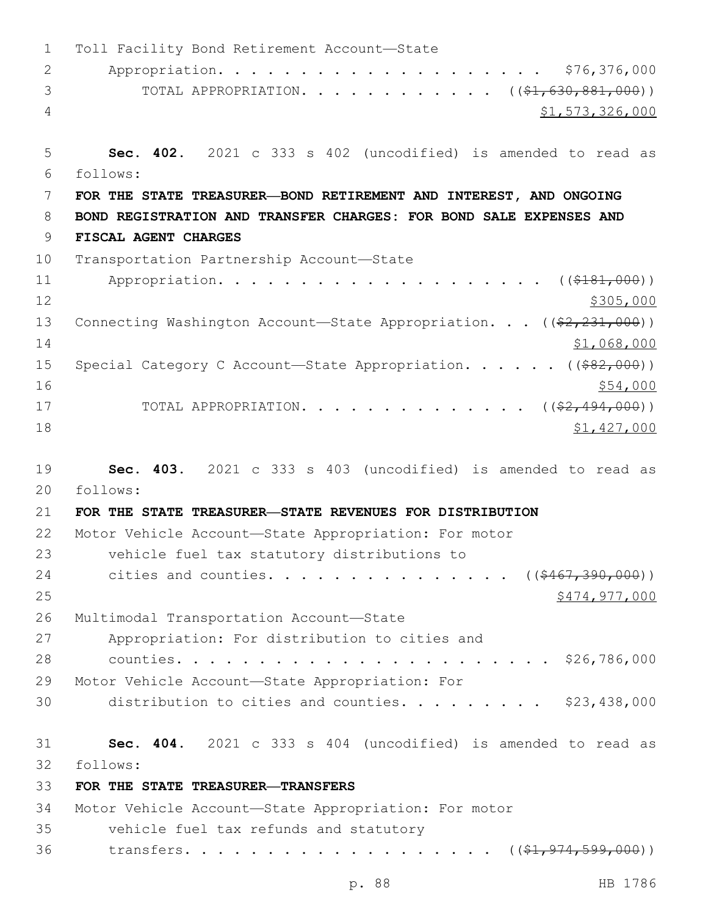1 Toll Facility Bond Retirement Account-State 2 Appropriation. . . . . . . . . . . . . . . . . . . . \$76,376,000 3 TOTAL APPROPRIATION. . . . . . . . . . . ((\$1,630,881,000)) 4 \$1,573,326,000 5 **Sec. 402.** 2021 c 333 s 402 (uncodified) is amended to read as follows: 6 7 **FOR THE STATE TREASURER—BOND RETIREMENT AND INTEREST, AND ONGOING**  8 **BOND REGISTRATION AND TRANSFER CHARGES: FOR BOND SALE EXPENSES AND**  9 **FISCAL AGENT CHARGES** 10 Transportation Partnership Account-State 11 Appropriation. . . . . . . . . . . . . . . . . . (  $(\frac{2181,000}{1})$  $12 \frac{\$305,000}{}$ 13 Connecting Washington Account—State Appropriation. . . ((\$2,231,000)) 14 \$1,068,000 \$1,068,000 15 Special Category C Account—State Appropriation. . . . . ((\$82,000))  $16$   $$54,000$ 17 TOTAL APPROPRIATION. . . . . . . . . . . . . . ((\$2,494,000)) 18 \$1,427,000 19 **Sec. 403.** 2021 c 333 s 403 (uncodified) is amended to read as follows: 20 21 **FOR THE STATE TREASURER—STATE REVENUES FOR DISTRIBUTION** 22 Motor Vehicle Account—State Appropriation: For motor 23 vehicle fuel tax statutory distributions to 24 cities and counties. . . . . . . . . . . . . . ((\$467,390,000)) 25 \$474,977,000 26 Multimodal Transportation Account-State 27 Appropriation: For distribution to cities and 28 counties. . . . . . . . . . . . . . . . . . . . . . . \$26,786,000 29 Motor Vehicle Account—State Appropriation: For 30 distribution to cities and counties.  $\ldots$  . . . . . . \$23,438,000 31 **Sec. 404.** 2021 c 333 s 404 (uncodified) is amended to read as follows: 32 33 **FOR THE STATE TREASURER—TRANSFERS** 34 Motor Vehicle Account—State Appropriation: For motor 35 vehicle fuel tax refunds and statutory 36 transfers. . . . . . . . . . . . . . . . . ((<del>\$1,974,599,000</del>))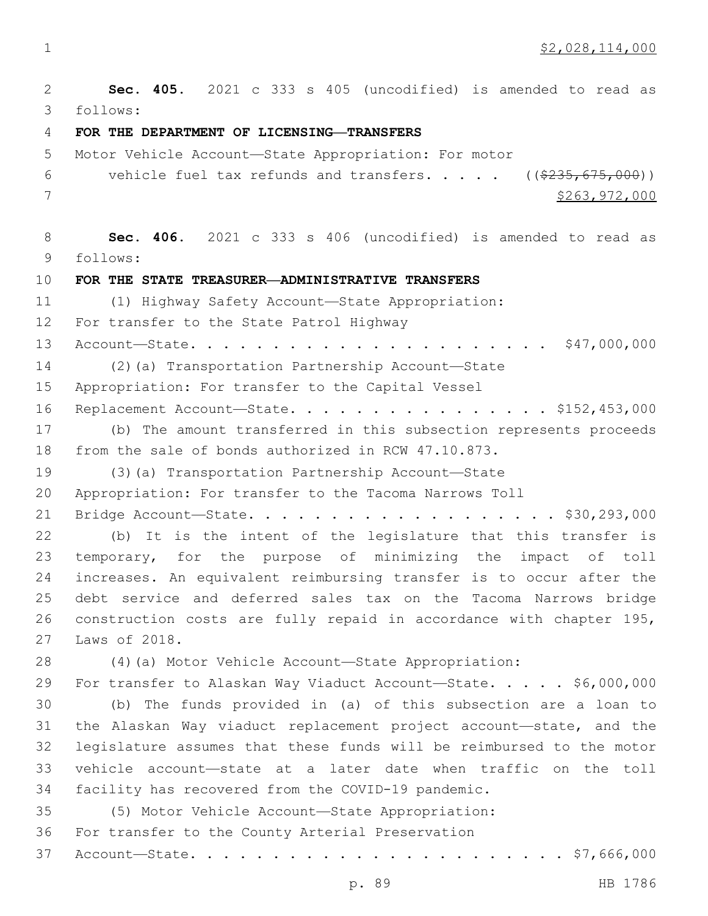$\frac{1}{2}$   $\frac{1}{2}$   $\frac{1}{2}$   $\frac{1}{2}$   $\frac{1}{2}$   $\frac{1}{2}$   $\frac{1}{2}$   $\frac{1}{2}$   $\frac{1}{2}$   $\frac{1}{2}$   $\frac{1}{2}$   $\frac{1}{2}$   $\frac{1}{2}$   $\frac{1}{2}$   $\frac{1}{2}$   $\frac{1}{2}$   $\frac{1}{2}$   $\frac{1}{2}$   $\frac{1}{2}$   $\frac{1}{2}$   $\frac{1}{2}$   $\frac{1}{2}$ 

 **Sec. 405.** 2021 c 333 s 405 (uncodified) is amended to read as follows: 3 **FOR THE DEPARTMENT OF LICENSING—TRANSFERS** Motor Vehicle Account—State Appropriation: For motor 6 vehicle fuel tax refunds and transfers.  $\ldots$  .  $($   $($ \$235,675,000)) \$263,972,000 **Sec. 406.** 2021 c 333 s 406 (uncodified) is amended to read as follows: 9 **FOR THE STATE TREASURER—ADMINISTRATIVE TRANSFERS** (1) Highway Safety Account—State Appropriation: 12 For transfer to the State Patrol Highway Account—State. . . . . . . . . . . . . . . . . . . . . . \$47,000,000 (2)(a) Transportation Partnership Account—State 15 Appropriation: For transfer to the Capital Vessel 16 Replacement Account-State. . . . . . . . . . . . . . . \$152,453,000 (b) The amount transferred in this subsection represents proceeds from the sale of bonds authorized in RCW 47.10.873. (3)(a) Transportation Partnership Account—State Appropriation: For transfer to the Tacoma Narrows Toll Bridge Account—State. . . . . . . . . . . . . . . . . . . \$30,293,000 (b) It is the intent of the legislature that this transfer is temporary, for the purpose of minimizing the impact of toll increases. An equivalent reimbursing transfer is to occur after the debt service and deferred sales tax on the Tacoma Narrows bridge construction costs are fully repaid in accordance with chapter 195, 27 Laws of 2018. (4)(a) Motor Vehicle Account—State Appropriation: 29 For transfer to Alaskan Way Viaduct Account—State. . . . . \$6,000,000 (b) The funds provided in (a) of this subsection are a loan to the Alaskan Way viaduct replacement project account—state, and the legislature assumes that these funds will be reimbursed to the motor vehicle account—state at a later date when traffic on the toll facility has recovered from the COVID-19 pandemic. (5) Motor Vehicle Account—State Appropriation: 36 For transfer to the County Arterial Preservation Account—State. . . . . . . . . . . . . . . . . . . . . . . \$7,666,000

p. 89 HB 1786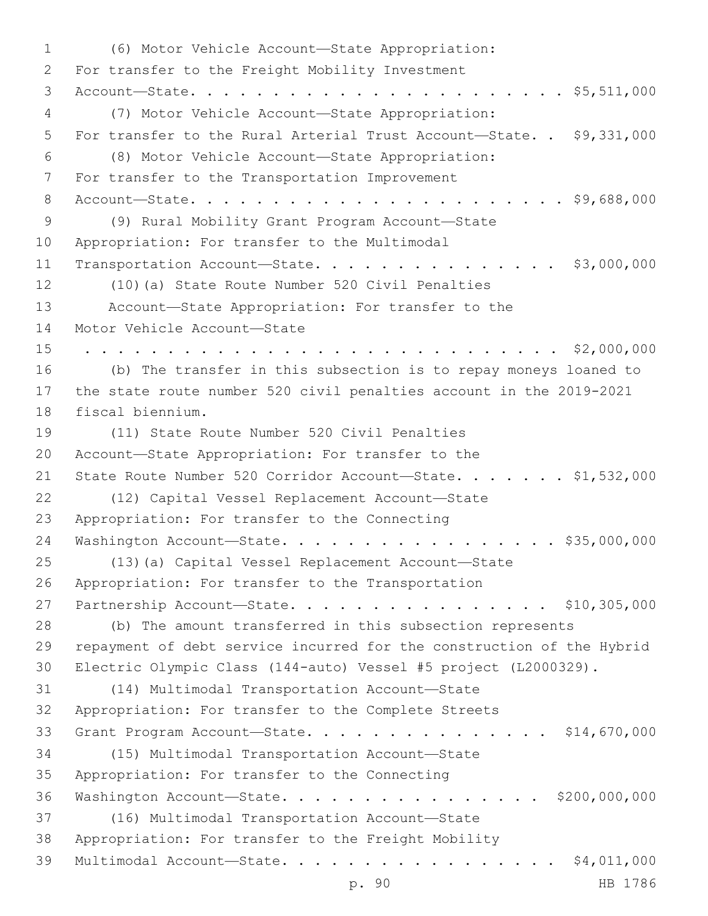(6) Motor Vehicle Account—State Appropriation:1 2 For transfer to the Freight Mobility Investment 3 Account—State. . . . . . . . . . . . . . . . . . . . . . . \$5,511,000 (7) Motor Vehicle Account—State Appropriation:4 5 For transfer to the Rural Arterial Trust Account—State. . \$9,331,000 (8) Motor Vehicle Account—State Appropriation:6 7 For transfer to the Transportation Improvement 8 Account—State. . . . . . . . . . . . . . . . . . . . . . . \$9,688,000 (9) Rural Mobility Grant Program Account—State9 10 Appropriation: For transfer to the Multimodal 11 Transportation Account-State. . . . . . . . . . . . . . \$3,000,000 12 (10)(a) State Route Number 520 Civil Penalties 13 Account—State Appropriation: For transfer to the 14 Motor Vehicle Account-State 15 . . . . . . . . . . . . . . . . . . . . . . . . . . . . . \$2,000,000 16 (b) The transfer in this subsection is to repay moneys loaned to 17 the state route number 520 civil penalties account in the 2019-2021 18 fiscal biennium. 19 (11) State Route Number 520 Civil Penalties 20 Account—State Appropriation: For transfer to the 21 State Route Number 520 Corridor Account-State. . . . . . \$1,532,000 (12) Capital Vessel Replacement Account—State22 23 Appropriation: For transfer to the Connecting 24 Washington Account-State. . . . . . . . . . . . . . . . \$35,000,000 25 (13)(a) Capital Vessel Replacement Account—State 26 Appropriation: For transfer to the Transportation 27 Partnership Account-State. . . . . . . . . . . . . . . \$10,305,000 28 (b) The amount transferred in this subsection represents 29 repayment of debt service incurred for the construction of the Hybrid 30 Electric Olympic Class (144-auto) Vessel #5 project (L2000329). (14) Multimodal Transportation Account—State31 32 Appropriation: For transfer to the Complete Streets 33 Grant Program Account—State. . . . . . . . . . . . . . . \$14,670,000 (15) Multimodal Transportation Account—State34 35 Appropriation: For transfer to the Connecting 36 Washington Account—State. . . . . . . . . . . . . . . . \$200,000,000 (16) Multimodal Transportation Account—State37 38 Appropriation: For transfer to the Freight Mobility 39 Multimodal Account—State. . . . . . . . . . . . . . . . . \$4,011,000

p. 90 HB 1786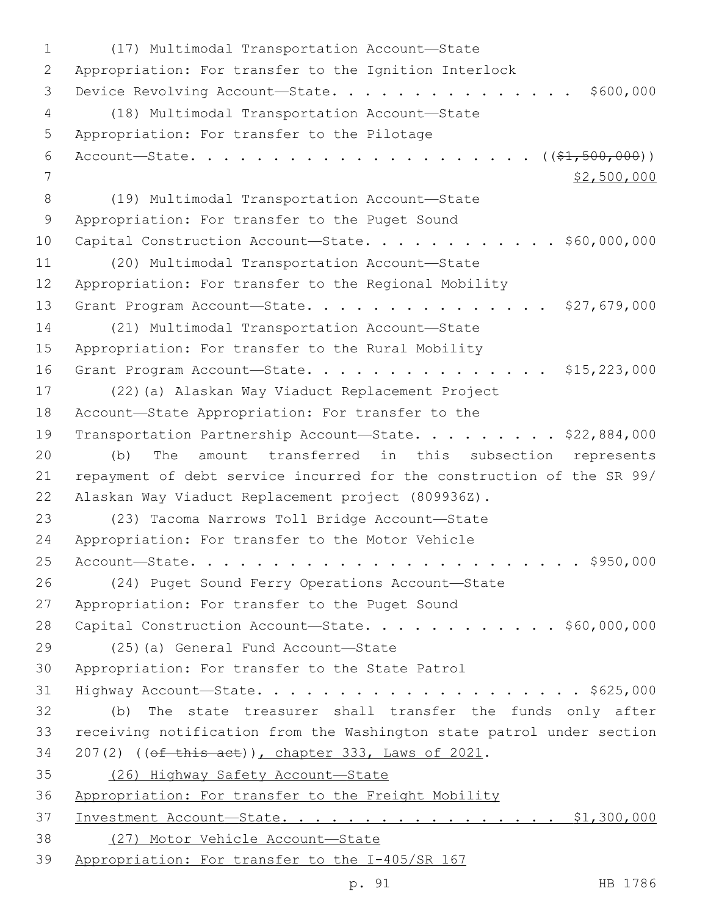(17) Multimodal Transportation Account—State1 2 Appropriation: For transfer to the Ignition Interlock 3 Device Revolving Account—State. . . . . . . . . . . . . . \$600,000 (18) Multimodal Transportation Account—State4 5 Appropriation: For transfer to the Pilotage 6 Account—State. . . . . . . . . . . . . . . . . . . . . ((\$1,500,000))  $7$   $\frac{1}{2}$ ,500,000 (19) Multimodal Transportation Account—State8 9 Appropriation: For transfer to the Puget Sound 10 Capital Construction Account-State. . . . . . . . . . . \$60,000,000 (20) Multimodal Transportation Account—State11 12 Appropriation: For transfer to the Regional Mobility 13 Grant Program Account-State. . . . . . . . . . . . . . . \$27,679,000 (21) Multimodal Transportation Account—State14 15 Appropriation: For transfer to the Rural Mobility 16 Grant Program Account-State. . . . . . . . . . . . . . \$15,223,000 17 (22)(a) Alaskan Way Viaduct Replacement Project 18 Account—State Appropriation: For transfer to the 19 Transportation Partnership Account—State. . . . . . . . \$22,884,000 20 (b) The amount transferred in this subsection represents 21 repayment of debt service incurred for the construction of the SR 99/ 22 Alaskan Way Viaduct Replacement project (809936Z). (23) Tacoma Narrows Toll Bridge Account—State23 24 Appropriation: For transfer to the Motor Vehicle 25 Account—State. . . . . . . . . . . . . . . . . . . . . . . . \$950,000 26 (24) Puget Sound Ferry Operations Account—State 27 Appropriation: For transfer to the Puget Sound 28 Capital Construction Account-State. . . . . . . . . . . \$60,000,000 29 (25)(a) General Fund Account—State 30 Appropriation: For transfer to the State Patrol 31 Highway Account—State. . . . . . . . . . . . . . . . . . . . \$625,000 32 (b) The state treasurer shall transfer the funds only after 33 receiving notification from the Washington state patrol under section 34 207(2) ((of this act)), chapter 333, Laws of 2021. 35 (26) Highway Safety Account—State 36 Appropriation: For transfer to the Freight Mobility 37 Investment Account—State. . . . . . . . . . . . . . . . . \$1,300,000 38 (27) Motor Vehicle Account—State 39 Appropriation: For transfer to the I-405/SR 167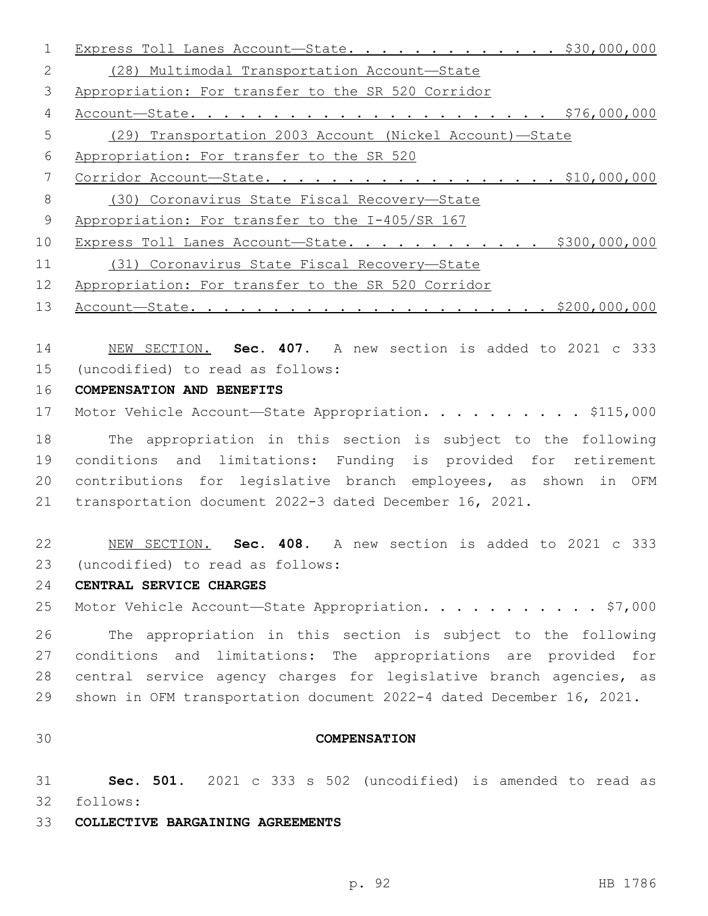|    | Express Toll Lanes Account-State. \$30,000,000          |
|----|---------------------------------------------------------|
| 2  | (28) Multimodal Transportation Account-State            |
| 3  | Appropriation: For transfer to the SR 520 Corridor      |
| 4  | \$76,000,000                                            |
| 5  | (29) Transportation 2003 Account (Nickel Account)-State |
| 6  | Appropriation: For transfer to the SR 520               |
| 7  | $Corridor Account—State. $10,000,000$                   |
| 8  | (30) Coronavirus State Fiscal Recovery-State            |
| 9  | Appropriation: For transfer to the I-405/SR 167         |
| 10 | Express Toll Lanes Account-State. \$300,000,000         |
| 11 | (31) Coronavirus State Fiscal Recovery-State            |
| 12 | Appropriation: For transfer to the SR 520 Corridor      |

Account—State. . . . . . . . . . . . . . . . . . . . . . \$200,000,000

 NEW SECTION. **Sec. 407.** A new section is added to 2021 c 333 (uncodified) to read as follows: 15

## **COMPENSATION AND BENEFITS**

17 Motor Vehicle Account—State Appropriation. . . . . . . . . \$115,000

 The appropriation in this section is subject to the following conditions and limitations: Funding is provided for retirement contributions for legislative branch employees, as shown in OFM transportation document 2022-3 dated December 16, 2021.

 NEW SECTION. **Sec. 408.** A new section is added to 2021 c 333 (uncodified) to read as follows: 23

## **CENTRAL SERVICE CHARGES**

25 Motor Vehicle Account—State Appropriation. . . . . . . . . . \$7,000

 The appropriation in this section is subject to the following conditions and limitations: The appropriations are provided for central service agency charges for legislative branch agencies, as shown in OFM transportation document 2022-4 dated December 16, 2021.

#### **COMPENSATION**

 **Sec. 501.** 2021 c 333 s 502 (uncodified) is amended to read as 32 follows:

#### **COLLECTIVE BARGAINING AGREEMENTS**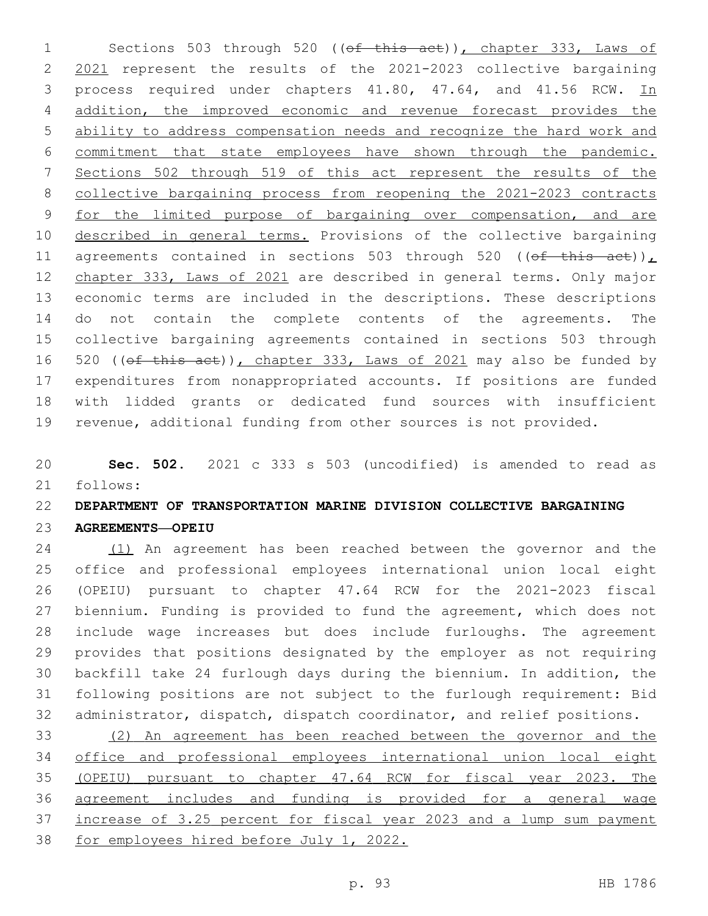1 Sections 503 through 520 ((of this act)), chapter 333, Laws of 2021 represent the results of the 2021-2023 collective bargaining 3 process required under chapters 41.80, 47.64, and 41.56 RCW. In addition, the improved economic and revenue forecast provides the ability to address compensation needs and recognize the hard work and commitment that state employees have shown through the pandemic. Sections 502 through 519 of this act represent the results of the collective bargaining process from reopening the 2021-2023 contracts for the limited purpose of bargaining over compensation, and are 10 described in general terms. Provisions of the collective bargaining 11 agreements contained in sections 503 through 520 (( $\theta$ f this act)), chapter 333, Laws of 2021 are described in general terms. Only major economic terms are included in the descriptions. These descriptions do not contain the complete contents of the agreements. The collective bargaining agreements contained in sections 503 through 16 520 ((ef this act)), chapter 333, Laws of 2021 may also be funded by expenditures from nonappropriated accounts. If positions are funded with lidded grants or dedicated fund sources with insufficient revenue, additional funding from other sources is not provided.

 **Sec. 502.** 2021 c 333 s 503 (uncodified) is amended to read as follows: 21

# **DEPARTMENT OF TRANSPORTATION MARINE DIVISION COLLECTIVE BARGAINING AGREEMENTS—OPEIU**

 (1) An agreement has been reached between the governor and the office and professional employees international union local eight (OPEIU) pursuant to chapter 47.64 RCW for the 2021-2023 fiscal biennium. Funding is provided to fund the agreement, which does not include wage increases but does include furloughs. The agreement provides that positions designated by the employer as not requiring backfill take 24 furlough days during the biennium. In addition, the following positions are not subject to the furlough requirement: Bid administrator, dispatch, dispatch coordinator, and relief positions.

 (2) An agreement has been reached between the governor and the office and professional employees international union local eight (OPEIU) pursuant to chapter 47.64 RCW for fiscal year 2023. The agreement includes and funding is provided for a general wage increase of 3.25 percent for fiscal year 2023 and a lump sum payment for employees hired before July 1, 2022.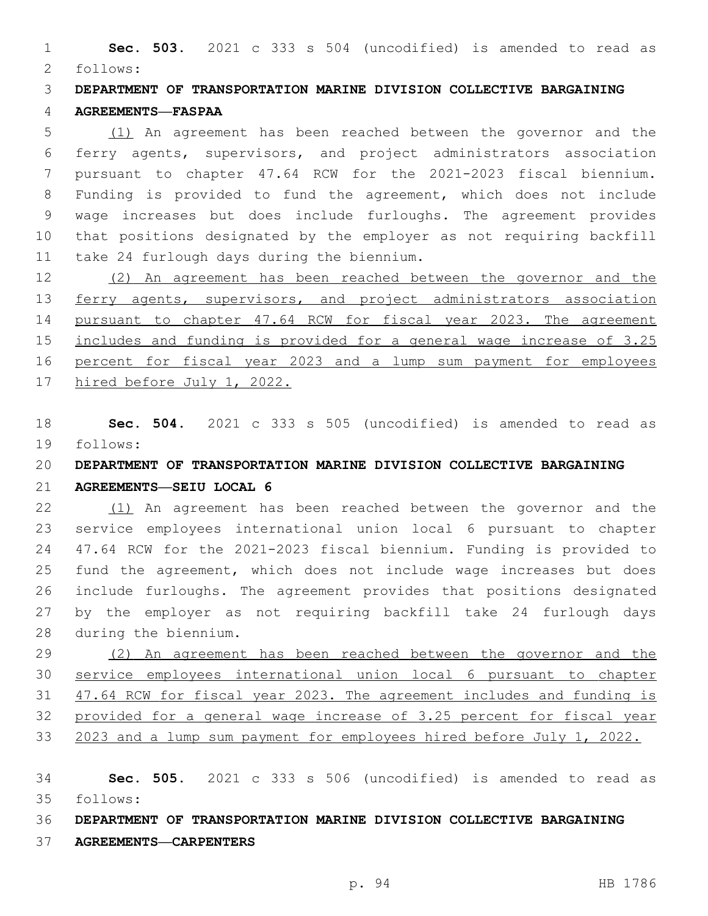**Sec. 503.** 2021 c 333 s 504 (uncodified) is amended to read as follows: 2

 **DEPARTMENT OF TRANSPORTATION MARINE DIVISION COLLECTIVE BARGAINING AGREEMENTS—FASPAA**

 (1) An agreement has been reached between the governor and the ferry agents, supervisors, and project administrators association pursuant to chapter 47.64 RCW for the 2021-2023 fiscal biennium. Funding is provided to fund the agreement, which does not include wage increases but does include furloughs. The agreement provides that positions designated by the employer as not requiring backfill 11 take 24 furlough days during the biennium.

 (2) An agreement has been reached between the governor and the 13 ferry agents, supervisors, and project administrators association pursuant to chapter 47.64 RCW for fiscal year 2023. The agreement includes and funding is provided for a general wage increase of 3.25 percent for fiscal year 2023 and a lump sum payment for employees hired before July 1, 2022.

 **Sec. 504.** 2021 c 333 s 505 (uncodified) is amended to read as 19 follows:

**DEPARTMENT OF TRANSPORTATION MARINE DIVISION COLLECTIVE BARGAINING** 

#### **AGREEMENTS—SEIU LOCAL 6**

 (1) An agreement has been reached between the governor and the service employees international union local 6 pursuant to chapter 47.64 RCW for the 2021-2023 fiscal biennium. Funding is provided to fund the agreement, which does not include wage increases but does include furloughs. The agreement provides that positions designated by the employer as not requiring backfill take 24 furlough days 28 during the biennium.

 (2) An agreement has been reached between the governor and the service employees international union local 6 pursuant to chapter 47.64 RCW for fiscal year 2023. The agreement includes and funding is provided for a general wage increase of 3.25 percent for fiscal year 33 2023 and a lump sum payment for employees hired before July 1, 2022.

 **Sec. 505.** 2021 c 333 s 506 (uncodified) is amended to read as follows: 35

**DEPARTMENT OF TRANSPORTATION MARINE DIVISION COLLECTIVE BARGAINING** 

**AGREEMENTS—CARPENTERS**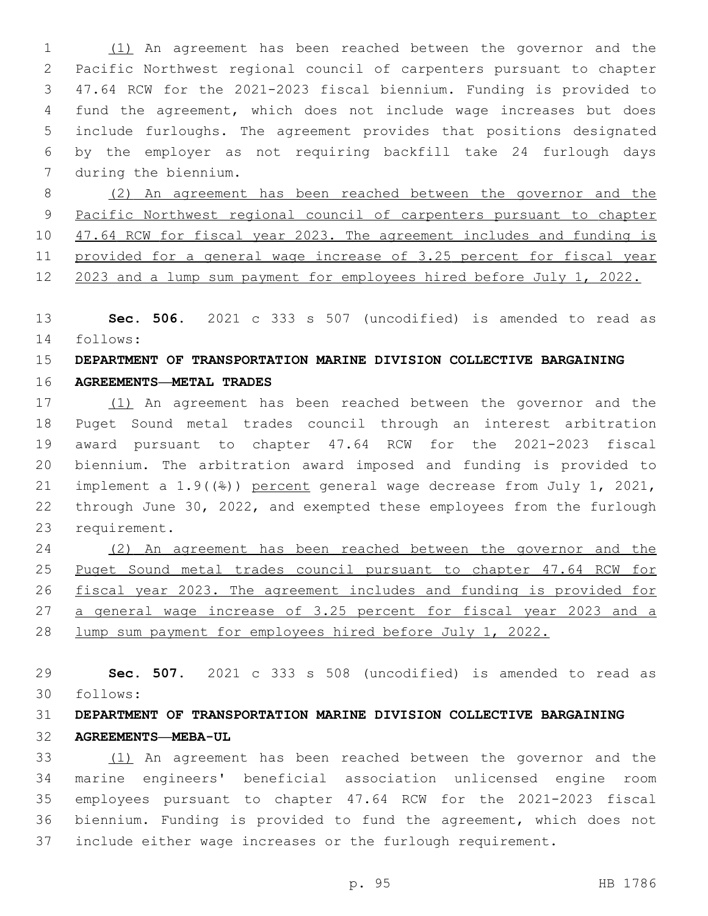(1) An agreement has been reached between the governor and the Pacific Northwest regional council of carpenters pursuant to chapter 47.64 RCW for the 2021-2023 fiscal biennium. Funding is provided to fund the agreement, which does not include wage increases but does include furloughs. The agreement provides that positions designated by the employer as not requiring backfill take 24 furlough days 7 during the biennium.

 (2) An agreement has been reached between the governor and the Pacific Northwest regional council of carpenters pursuant to chapter 10 47.64 RCW for fiscal year 2023. The agreement includes and funding is provided for a general wage increase of 3.25 percent for fiscal year 2023 and a lump sum payment for employees hired before July 1, 2022.

 **Sec. 506.** 2021 c 333 s 507 (uncodified) is amended to read as 14 follows:

## **DEPARTMENT OF TRANSPORTATION MARINE DIVISION COLLECTIVE BARGAINING**

#### **AGREEMENTS—METAL TRADES**

 (1) An agreement has been reached between the governor and the Puget Sound metal trades council through an interest arbitration award pursuant to chapter 47.64 RCW for the 2021-2023 fiscal biennium. The arbitration award imposed and funding is provided to implement a 1.9((%)) percent general wage decrease from July 1, 2021, through June 30, 2022, and exempted these employees from the furlough 23 requirement.

 (2) An agreement has been reached between the governor and the Puget Sound metal trades council pursuant to chapter 47.64 RCW for fiscal year 2023. The agreement includes and funding is provided for a general wage increase of 3.25 percent for fiscal year 2023 and a lump sum payment for employees hired before July 1, 2022.

 **Sec. 507.** 2021 c 333 s 508 (uncodified) is amended to read as follows: 30

# **DEPARTMENT OF TRANSPORTATION MARINE DIVISION COLLECTIVE BARGAINING AGREEMENTS—MEBA-UL**

 (1) An agreement has been reached between the governor and the marine engineers' beneficial association unlicensed engine room employees pursuant to chapter 47.64 RCW for the 2021-2023 fiscal biennium. Funding is provided to fund the agreement, which does not include either wage increases or the furlough requirement.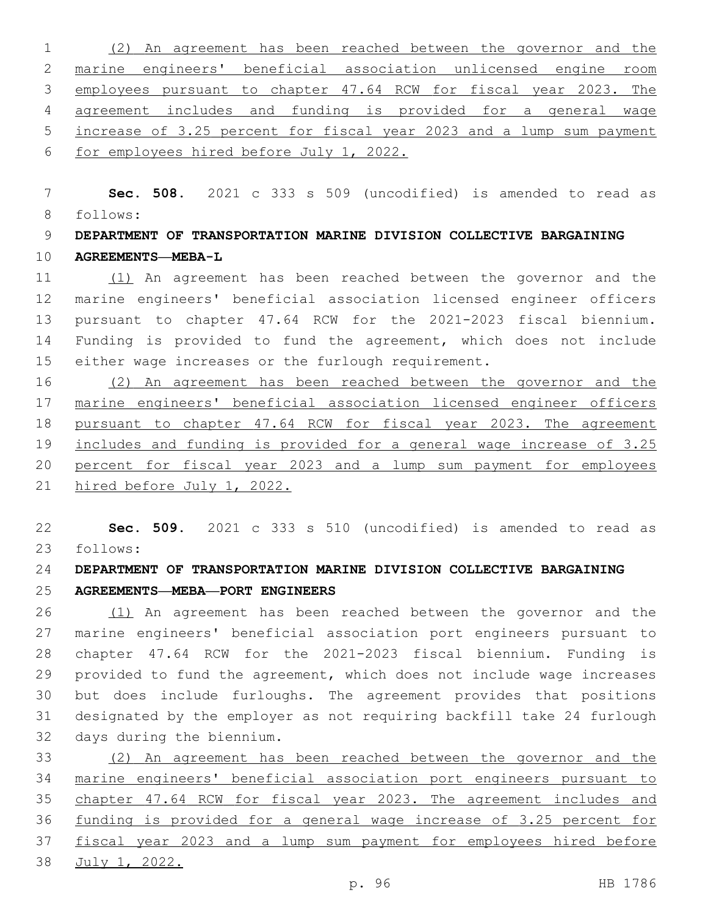(2) An agreement has been reached between the governor and the marine engineers' beneficial association unlicensed engine room employees pursuant to chapter 47.64 RCW for fiscal year 2023. The agreement includes and funding is provided for a general wage increase of 3.25 percent for fiscal year 2023 and a lump sum payment for employees hired before July 1, 2022.

 **Sec. 508.** 2021 c 333 s 509 (uncodified) is amended to read as follows: 8

 **DEPARTMENT OF TRANSPORTATION MARINE DIVISION COLLECTIVE BARGAINING AGREEMENTS—MEBA-L**

 (1) An agreement has been reached between the governor and the marine engineers' beneficial association licensed engineer officers pursuant to chapter 47.64 RCW for the 2021-2023 fiscal biennium. Funding is provided to fund the agreement, which does not include either wage increases or the furlough requirement.

 (2) An agreement has been reached between the governor and the marine engineers' beneficial association licensed engineer officers pursuant to chapter 47.64 RCW for fiscal year 2023. The agreement includes and funding is provided for a general wage increase of 3.25 percent for fiscal year 2023 and a lump sum payment for employees hired before July 1, 2022.

 **Sec. 509.** 2021 c 333 s 510 (uncodified) is amended to read as follows: 23

**DEPARTMENT OF TRANSPORTATION MARINE DIVISION COLLECTIVE BARGAINING** 

**AGREEMENTS—MEBA—PORT ENGINEERS**

 (1) An agreement has been reached between the governor and the marine engineers' beneficial association port engineers pursuant to chapter 47.64 RCW for the 2021-2023 fiscal biennium. Funding is provided to fund the agreement, which does not include wage increases but does include furloughs. The agreement provides that positions designated by the employer as not requiring backfill take 24 furlough 32 days during the biennium.

 (2) An agreement has been reached between the governor and the marine engineers' beneficial association port engineers pursuant to chapter 47.64 RCW for fiscal year 2023. The agreement includes and funding is provided for a general wage increase of 3.25 percent for fiscal year 2023 and a lump sum payment for employees hired before July 1, 2022.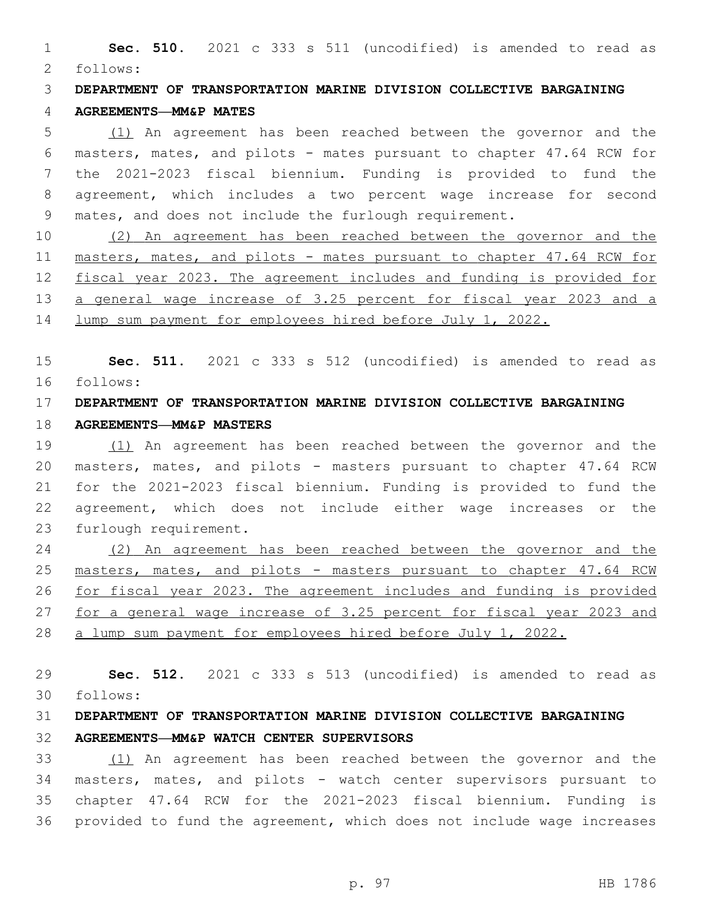**Sec. 510.** 2021 c 333 s 511 (uncodified) is amended to read as follows: 2

**DEPARTMENT OF TRANSPORTATION MARINE DIVISION COLLECTIVE BARGAINING** 

### **AGREEMENTS—MM&P MATES**

 (1) An agreement has been reached between the governor and the masters, mates, and pilots - mates pursuant to chapter 47.64 RCW for the 2021-2023 fiscal biennium. Funding is provided to fund the agreement, which includes a two percent wage increase for second mates, and does not include the furlough requirement.

 (2) An agreement has been reached between the governor and the masters, mates, and pilots - mates pursuant to chapter 47.64 RCW for fiscal year 2023. The agreement includes and funding is provided for a general wage increase of 3.25 percent for fiscal year 2023 and a lump sum payment for employees hired before July 1, 2022.

 **Sec. 511.** 2021 c 333 s 512 (uncodified) is amended to read as follows: 16

# **DEPARTMENT OF TRANSPORTATION MARINE DIVISION COLLECTIVE BARGAINING**

## **AGREEMENTS—MM&P MASTERS**

 (1) An agreement has been reached between the governor and the masters, mates, and pilots - masters pursuant to chapter 47.64 RCW for the 2021-2023 fiscal biennium. Funding is provided to fund the agreement, which does not include either wage increases or the 23 furlough requirement.

 (2) An agreement has been reached between the governor and the masters, mates, and pilots - masters pursuant to chapter 47.64 RCW for fiscal year 2023. The agreement includes and funding is provided for a general wage increase of 3.25 percent for fiscal year 2023 and a lump sum payment for employees hired before July 1, 2022.

 **Sec. 512.** 2021 c 333 s 513 (uncodified) is amended to read as follows: 30

# **DEPARTMENT OF TRANSPORTATION MARINE DIVISION COLLECTIVE BARGAINING AGREEMENTS—MM&P WATCH CENTER SUPERVISORS**

 (1) An agreement has been reached between the governor and the masters, mates, and pilots - watch center supervisors pursuant to chapter 47.64 RCW for the 2021-2023 fiscal biennium. Funding is provided to fund the agreement, which does not include wage increases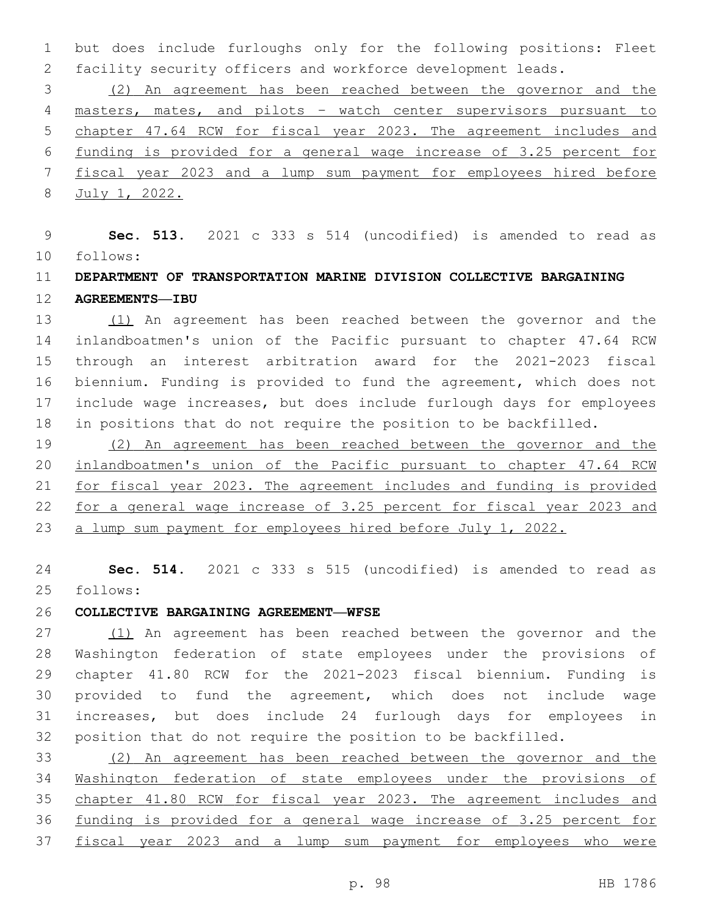but does include furloughs only for the following positions: Fleet facility security officers and workforce development leads.

 (2) An agreement has been reached between the governor and the masters, mates, and pilots – watch center supervisors pursuant to chapter 47.64 RCW for fiscal year 2023. The agreement includes and funding is provided for a general wage increase of 3.25 percent for fiscal year 2023 and a lump sum payment for employees hired before July 1, 2022.

 **Sec. 513.** 2021 c 333 s 514 (uncodified) is amended to read as follows: 10

# **DEPARTMENT OF TRANSPORTATION MARINE DIVISION COLLECTIVE BARGAINING AGREEMENTS—IBU**

 (1) An agreement has been reached between the governor and the inlandboatmen's union of the Pacific pursuant to chapter 47.64 RCW through an interest arbitration award for the 2021-2023 fiscal biennium. Funding is provided to fund the agreement, which does not include wage increases, but does include furlough days for employees in positions that do not require the position to be backfilled.

 (2) An agreement has been reached between the governor and the inlandboatmen's union of the Pacific pursuant to chapter 47.64 RCW for fiscal year 2023. The agreement includes and funding is provided for a general wage increase of 3.25 percent for fiscal year 2023 and a lump sum payment for employees hired before July 1, 2022.

 **Sec. 514.** 2021 c 333 s 515 (uncodified) is amended to read as follows: 25

## **COLLECTIVE BARGAINING AGREEMENT—WFSE**

 (1) An agreement has been reached between the governor and the Washington federation of state employees under the provisions of chapter 41.80 RCW for the 2021-2023 fiscal biennium. Funding is provided to fund the agreement, which does not include wage increases, but does include 24 furlough days for employees in position that do not require the position to be backfilled.

 (2) An agreement has been reached between the governor and the Washington federation of state employees under the provisions of 35 chapter 41.80 RCW for fiscal year 2023. The agreement includes and funding is provided for a general wage increase of 3.25 percent for fiscal year 2023 and a lump sum payment for employees who were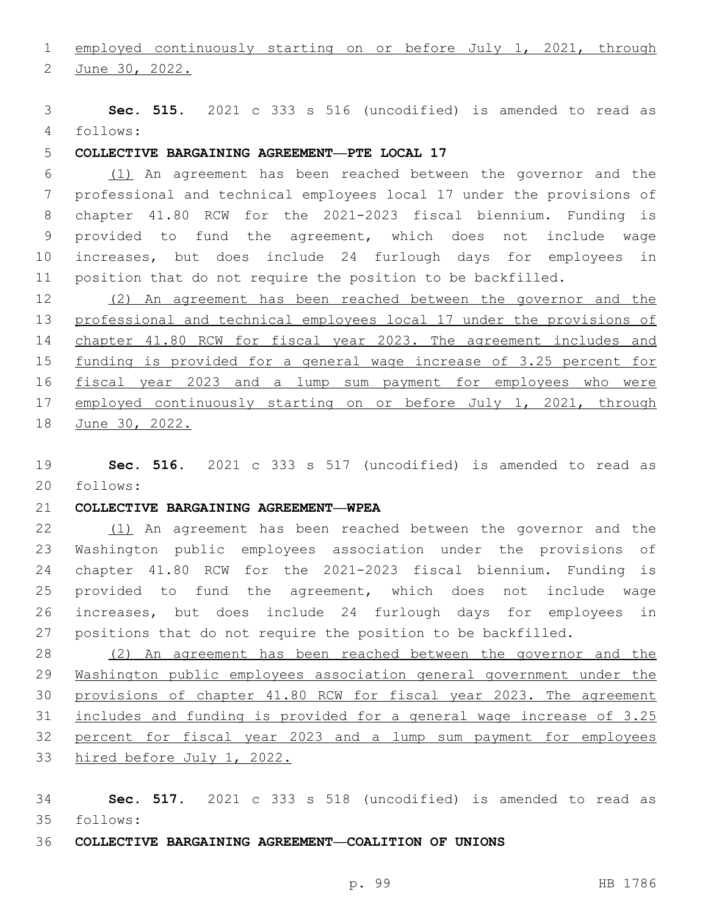employed continuously starting on or before July 1, 2021, through

2 June 30, 2022.

 **Sec. 515.** 2021 c 333 s 516 (uncodified) is amended to read as follows: 4

## **COLLECTIVE BARGAINING AGREEMENT—PTE LOCAL 17**

 (1) An agreement has been reached between the governor and the professional and technical employees local 17 under the provisions of chapter 41.80 RCW for the 2021-2023 fiscal biennium. Funding is provided to fund the agreement, which does not include wage increases, but does include 24 furlough days for employees in position that do not require the position to be backfilled.

 (2) An agreement has been reached between the governor and the professional and technical employees local 17 under the provisions of chapter 41.80 RCW for fiscal year 2023. The agreement includes and funding is provided for a general wage increase of 3.25 percent for fiscal year 2023 and a lump sum payment for employees who were 17 employed continuously starting on or before July 1, 2021, through June 30, 2022.

 **Sec. 516.** 2021 c 333 s 517 (uncodified) is amended to read as follows: 20

#### **COLLECTIVE BARGAINING AGREEMENT—WPEA**

 (1) An agreement has been reached between the governor and the Washington public employees association under the provisions of chapter 41.80 RCW for the 2021-2023 fiscal biennium. Funding is provided to fund the agreement, which does not include wage increases, but does include 24 furlough days for employees in positions that do not require the position to be backfilled.

 (2) An agreement has been reached between the governor and the Washington public employees association general government under the provisions of chapter 41.80 RCW for fiscal year 2023. The agreement includes and funding is provided for a general wage increase of 3.25 percent for fiscal year 2023 and a lump sum payment for employees hired before July 1, 2022.

 **Sec. 517.** 2021 c 333 s 518 (uncodified) is amended to read as follows: 35

**COLLECTIVE BARGAINING AGREEMENT—COALITION OF UNIONS**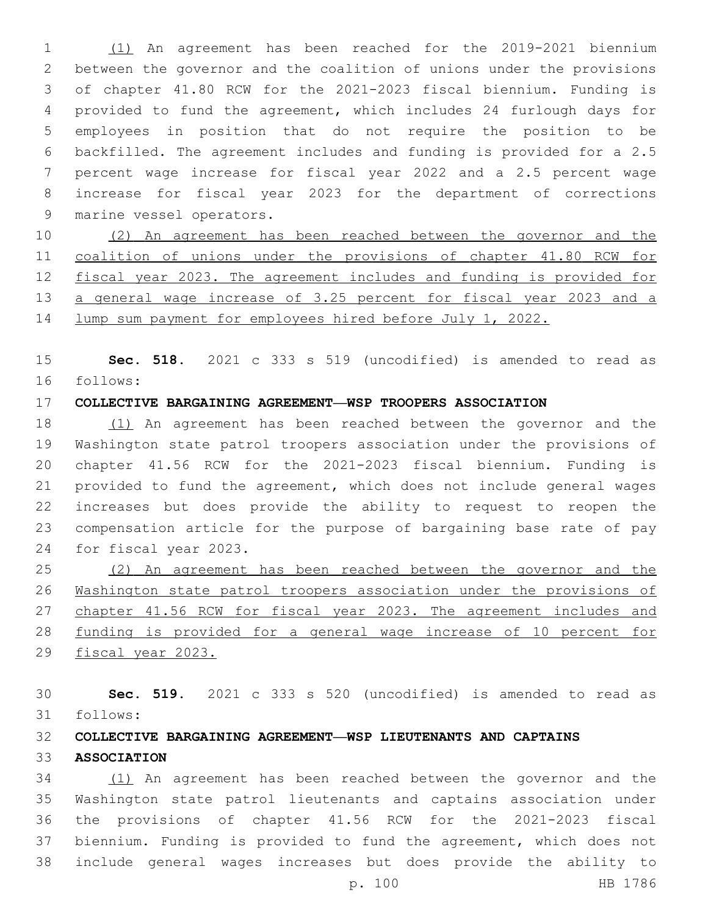(1) An agreement has been reached for the 2019-2021 biennium between the governor and the coalition of unions under the provisions of chapter 41.80 RCW for the 2021-2023 fiscal biennium. Funding is provided to fund the agreement, which includes 24 furlough days for employees in position that do not require the position to be backfilled. The agreement includes and funding is provided for a 2.5 percent wage increase for fiscal year 2022 and a 2.5 percent wage increase for fiscal year 2023 for the department of corrections 9 marine vessel operators.

 (2) An agreement has been reached between the governor and the coalition of unions under the provisions of chapter 41.80 RCW for fiscal year 2023. The agreement includes and funding is provided for a general wage increase of 3.25 percent for fiscal year 2023 and a lump sum payment for employees hired before July 1, 2022.

 **Sec. 518.** 2021 c 333 s 519 (uncodified) is amended to read as follows: 16

## **COLLECTIVE BARGAINING AGREEMENT—WSP TROOPERS ASSOCIATION**

 (1) An agreement has been reached between the governor and the Washington state patrol troopers association under the provisions of chapter 41.56 RCW for the 2021-2023 fiscal biennium. Funding is provided to fund the agreement, which does not include general wages increases but does provide the ability to request to reopen the compensation article for the purpose of bargaining base rate of pay 24 for fiscal year 2023.

 (2) An agreement has been reached between the governor and the Washington state patrol troopers association under the provisions of chapter 41.56 RCW for fiscal year 2023. The agreement includes and funding is provided for a general wage increase of 10 percent for fiscal year 2023.

 **Sec. 519.** 2021 c 333 s 520 (uncodified) is amended to read as follows: 31

#### **COLLECTIVE BARGAINING AGREEMENT—WSP LIEUTENANTS AND CAPTAINS**

**ASSOCIATION**

 (1) An agreement has been reached between the governor and the Washington state patrol lieutenants and captains association under the provisions of chapter 41.56 RCW for the 2021-2023 fiscal biennium. Funding is provided to fund the agreement, which does not include general wages increases but does provide the ability to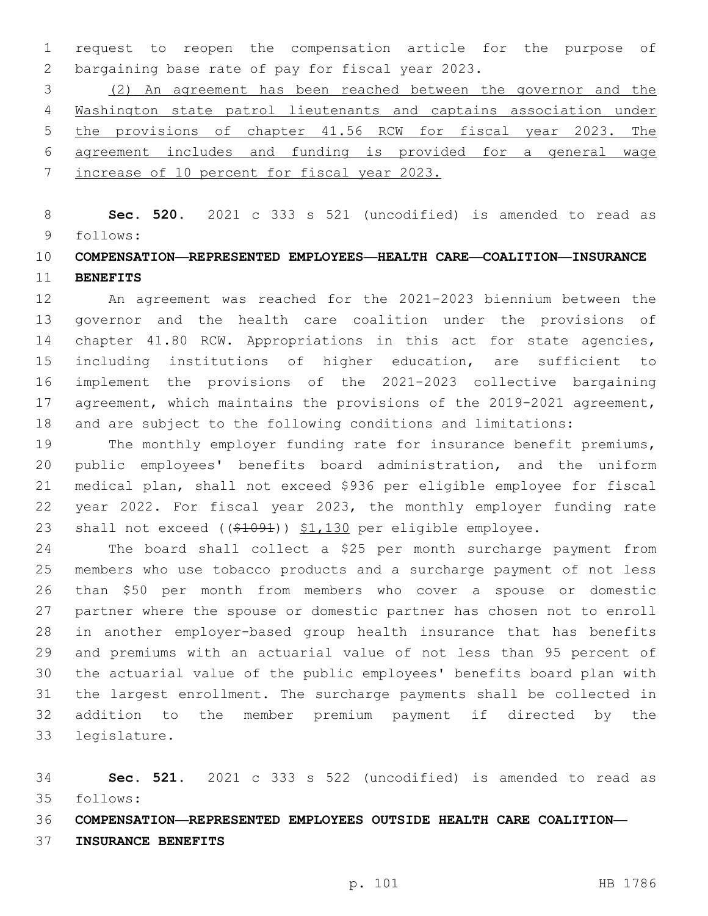request to reopen the compensation article for the purpose of 2 bargaining base rate of pay for fiscal year 2023.

 (2) An agreement has been reached between the governor and the Washington state patrol lieutenants and captains association under the provisions of chapter 41.56 RCW for fiscal year 2023. The agreement includes and funding is provided for a general wage increase of 10 percent for fiscal year 2023.

 **Sec. 520.** 2021 c 333 s 521 (uncodified) is amended to read as follows: 9

## **COMPENSATION—REPRESENTED EMPLOYEES—HEALTH CARE—COALITION—INSURANCE BENEFITS**

 An agreement was reached for the 2021-2023 biennium between the governor and the health care coalition under the provisions of 14 chapter 41.80 RCW. Appropriations in this act for state agencies, including institutions of higher education, are sufficient to implement the provisions of the 2021-2023 collective bargaining agreement, which maintains the provisions of the 2019-2021 agreement, and are subject to the following conditions and limitations:

19 The monthly employer funding rate for insurance benefit premiums, public employees' benefits board administration, and the uniform medical plan, shall not exceed \$936 per eligible employee for fiscal year 2022. For fiscal year 2023, the monthly employer funding rate 23 shall not exceed ((\$1091)) \$1,130 per eligible employee.

 The board shall collect a \$25 per month surcharge payment from members who use tobacco products and a surcharge payment of not less than \$50 per month from members who cover a spouse or domestic partner where the spouse or domestic partner has chosen not to enroll in another employer-based group health insurance that has benefits and premiums with an actuarial value of not less than 95 percent of the actuarial value of the public employees' benefits board plan with the largest enrollment. The surcharge payments shall be collected in addition to the member premium payment if directed by the 33 legislature.

 **Sec. 521.** 2021 c 333 s 522 (uncodified) is amended to read as follows: 35

**COMPENSATION—REPRESENTED EMPLOYEES OUTSIDE HEALTH CARE COALITION—**

**INSURANCE BENEFITS**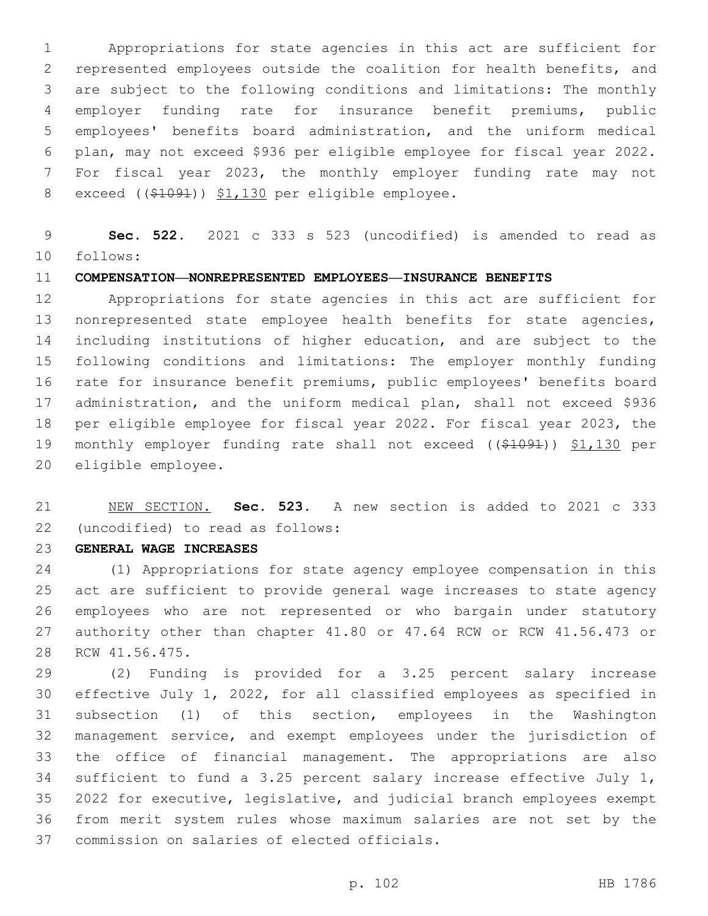Appropriations for state agencies in this act are sufficient for represented employees outside the coalition for health benefits, and are subject to the following conditions and limitations: The monthly employer funding rate for insurance benefit premiums, public employees' benefits board administration, and the uniform medical plan, may not exceed \$936 per eligible employee for fiscal year 2022. For fiscal year 2023, the monthly employer funding rate may not 8 exceed  $($   $(*1091)$   $*1,130$  per eligible employee.

 **Sec. 522.** 2021 c 333 s 523 (uncodified) is amended to read as follows: 10

#### **COMPENSATION—NONREPRESENTED EMPLOYEES—INSURANCE BENEFITS**

 Appropriations for state agencies in this act are sufficient for nonrepresented state employee health benefits for state agencies, including institutions of higher education, and are subject to the following conditions and limitations: The employer monthly funding rate for insurance benefit premiums, public employees' benefits board administration, and the uniform medical plan, shall not exceed \$936 per eligible employee for fiscal year 2022. For fiscal year 2023, the monthly employer funding rate shall not exceed ((\$1091)) \$1,130 per 20 eligible employee.

 NEW SECTION. **Sec. 523.** A new section is added to 2021 c 333 (uncodified) to read as follows: 22

**GENERAL WAGE INCREASES**

 (1) Appropriations for state agency employee compensation in this act are sufficient to provide general wage increases to state agency employees who are not represented or who bargain under statutory authority other than chapter 41.80 or 47.64 RCW or RCW 41.56.473 or 28 RCW 41.56.475.

 (2) Funding is provided for a 3.25 percent salary increase effective July 1, 2022, for all classified employees as specified in subsection (1) of this section, employees in the Washington management service, and exempt employees under the jurisdiction of the office of financial management. The appropriations are also sufficient to fund a 3.25 percent salary increase effective July 1, 2022 for executive, legislative, and judicial branch employees exempt from merit system rules whose maximum salaries are not set by the 37 commission on salaries of elected officials.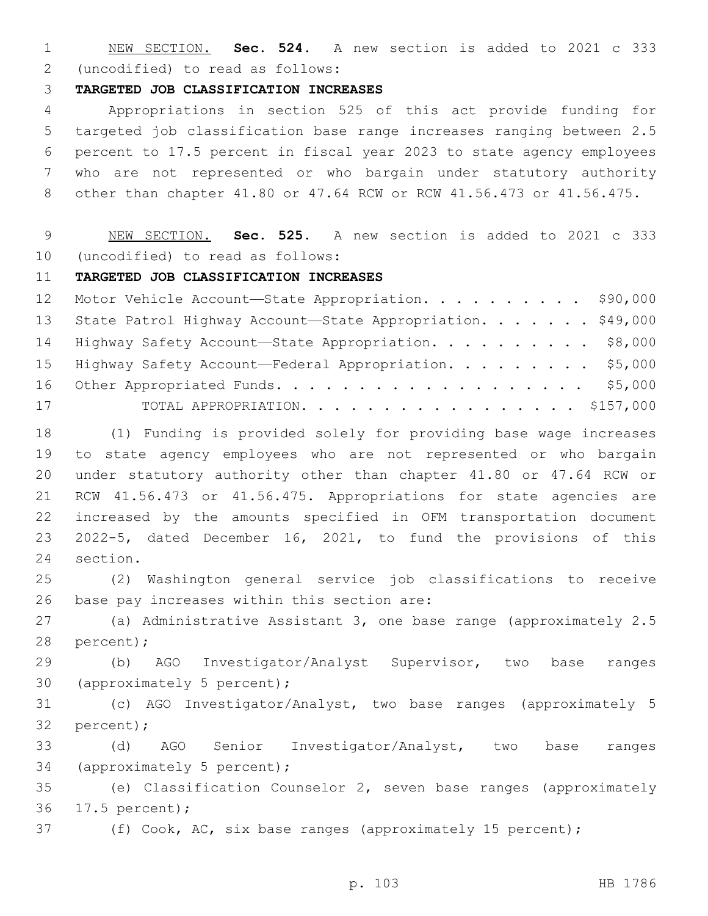NEW SECTION. **Sec. 524.** A new section is added to 2021 c 333 (uncodified) to read as follows: 2

#### **TARGETED JOB CLASSIFICATION INCREASES**

 Appropriations in section 525 of this act provide funding for targeted job classification base range increases ranging between 2.5 percent to 17.5 percent in fiscal year 2023 to state agency employees who are not represented or who bargain under statutory authority other than chapter 41.80 or 47.64 RCW or RCW 41.56.473 or 41.56.475.

 NEW SECTION. **Sec. 525.** A new section is added to 2021 c 333 10 (uncodified) to read as follows:

#### **TARGETED JOB CLASSIFICATION INCREASES**

| 12 Motor Vehicle Account-State Appropriation. \$90,000        |  |
|---------------------------------------------------------------|--|
| 13 State Patrol Highway Account-State Appropriation. \$49,000 |  |
| 14 Highway Safety Account-State Appropriation. \$8,000        |  |
| 15 Highway Safety Account-Federal Appropriation. \$5,000      |  |
|                                                               |  |
| 17<br>TOTAL APPROPRIATION. \$157,000                          |  |

 (1) Funding is provided solely for providing base wage increases to state agency employees who are not represented or who bargain under statutory authority other than chapter 41.80 or 47.64 RCW or RCW 41.56.473 or 41.56.475. Appropriations for state agencies are increased by the amounts specified in OFM transportation document 2022-5, dated December 16, 2021, to fund the provisions of this 24 section.

 (2) Washington general service job classifications to receive 26 base pay increases within this section are:

 (a) Administrative Assistant 3, one base range (approximately 2.5 28 percent);

 (b) AGO Investigator/Analyst Supervisor, two base ranges 30 (approximately 5 percent);

 (c) AGO Investigator/Analyst, two base ranges (approximately 5 32 percent);

 (d) AGO Senior Investigator/Analyst, two base ranges 34 (approximately 5 percent);

 (e) Classification Counselor 2, seven base ranges (approximately 17.5 percent);36

(f) Cook, AC, six base ranges (approximately 15 percent);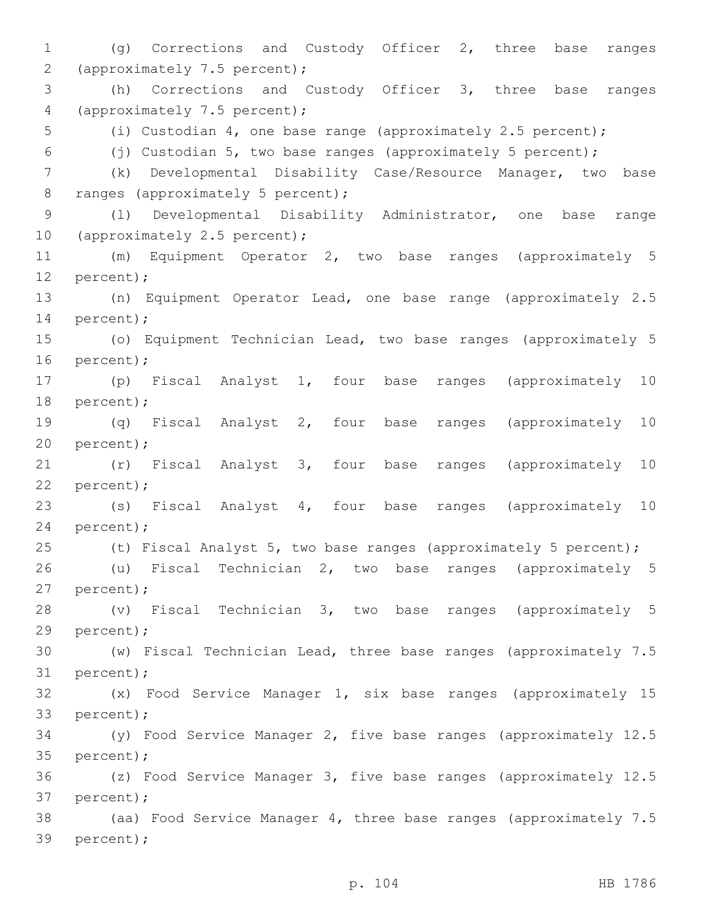1 (g) Corrections and Custody Officer 2, three base ranges 2 (approximately 7.5 percent); 3 (h) Corrections and Custody Officer 3, three base ranges 4 (approximately 7.5 percent); 5 (i) Custodian 4, one base range (approximately 2.5 percent); 6 (j) Custodian 5, two base ranges (approximately 5 percent); 7 (k) Developmental Disability Case/Resource Manager, two base 8 ranges (approximately 5 percent); 9 (l) Developmental Disability Administrator, one base range 10 (approximately 2.5 percent); 11 (m) Equipment Operator 2, two base ranges (approximately 5 12 percent); 13 (n) Equipment Operator Lead, one base range (approximately 2.5 14 percent); 15 (o) Equipment Technician Lead, two base ranges (approximately 5 16 percent); 17 (p) Fiscal Analyst 1, four base ranges (approximately 10 18 percent); 19 (q) Fiscal Analyst 2, four base ranges (approximately 10 20 percent); 21 (r) Fiscal Analyst 3, four base ranges (approximately 10 22 percent); 23 (s) Fiscal Analyst 4, four base ranges (approximately 10 24 percent); 25 (t) Fiscal Analyst 5, two base ranges (approximately 5 percent); 26 (u) Fiscal Technician 2, two base ranges (approximately 5 27 percent); 28 (v) Fiscal Technician 3, two base ranges (approximately 5 29 percent); 30 (w) Fiscal Technician Lead, three base ranges (approximately 7.5 31 percent); 32 (x) Food Service Manager 1, six base ranges (approximately 15 33 percent); 34 (y) Food Service Manager 2, five base ranges (approximately 12.5 35 percent); 36 (z) Food Service Manager 3, five base ranges (approximately 12.5 37 percent); 38 (aa) Food Service Manager 4, three base ranges (approximately 7.5 39 percent);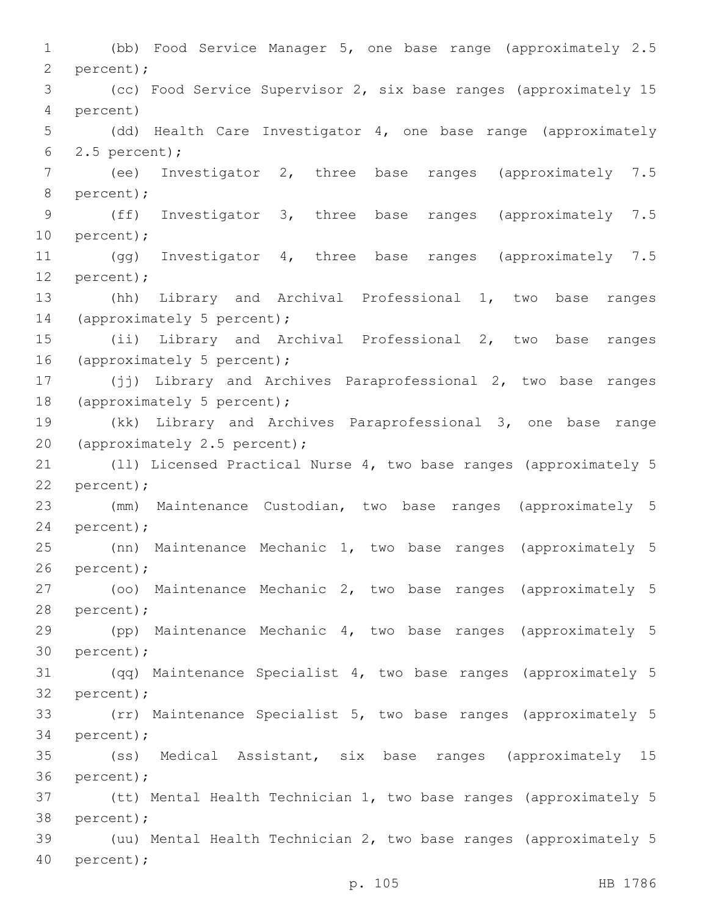1 (bb) Food Service Manager 5, one base range (approximately 2.5 2 percent); 3 (cc) Food Service Supervisor 2, six base ranges (approximately 15 percent)4 5 (dd) Health Care Investigator 4, one base range (approximately 2.5 percent);6 7 (ee) Investigator 2, three base ranges (approximately 7.5 8 percent); 9 (ff) Investigator 3, three base ranges (approximately 7.5 10 percent); 11 (gg) Investigator 4, three base ranges (approximately 7.5 12 percent); 13 (hh) Library and Archival Professional 1, two base ranges 14 (approximately 5 percent); 15 (ii) Library and Archival Professional 2, two base ranges 16 (approximately 5 percent); 17 (jj) Library and Archives Paraprofessional 2, two base ranges 18 (approximately 5 percent); 19 (kk) Library and Archives Paraprofessional 3, one base range 20 (approximately 2.5 percent); 21 (ll) Licensed Practical Nurse 4, two base ranges (approximately 5 22 percent); 23 (mm) Maintenance Custodian, two base ranges (approximately 5 24 percent); 25 (nn) Maintenance Mechanic 1, two base ranges (approximately 5 26 percent); 27 (oo) Maintenance Mechanic 2, two base ranges (approximately 5 28 percent); 29 (pp) Maintenance Mechanic 4, two base ranges (approximately 5 30 percent); 31 (qq) Maintenance Specialist 4, two base ranges (approximately 5 32 percent); 33 (rr) Maintenance Specialist 5, two base ranges (approximately 5 34 percent); 35 (ss) Medical Assistant, six base ranges (approximately 15 36 percent); 37 (tt) Mental Health Technician 1, two base ranges (approximately 5 38 percent); 39 (uu) Mental Health Technician 2, two base ranges (approximately 5 40 percent);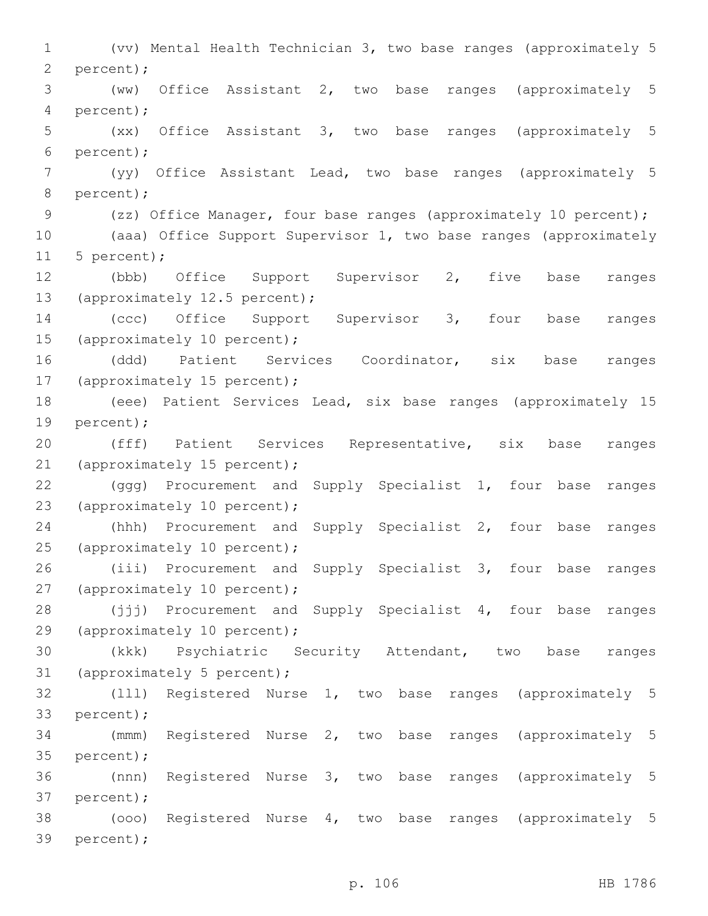1 (vv) Mental Health Technician 3, two base ranges (approximately 5 2 percent); 3 (ww) Office Assistant 2, two base ranges (approximately 5 percent);4 5 (xx) Office Assistant 3, two base ranges (approximately 5 percent);6 7 (yy) Office Assistant Lead, two base ranges (approximately 5 8 percent); 9 (zz) Office Manager, four base ranges (approximately 10 percent); 10 (aaa) Office Support Supervisor 1, two base ranges (approximately 11 5 percent); 12 (bbb) Office Support Supervisor 2, five base ranges 13 (approximately 12.5 percent); 14 (ccc) Office Support Supervisor 3, four base ranges 15 (approximately 10 percent); 16 (ddd) Patient Services Coordinator, six base ranges 17 (approximately 15 percent); 18 (eee) Patient Services Lead, six base ranges (approximately 15 19 percent); 20 (fff) Patient Services Representative, six base ranges 21 (approximately 15 percent); 22 (ggg) Procurement and Supply Specialist 1, four base ranges 23 (approximately 10 percent); 24 (hhh) Procurement and Supply Specialist 2, four base ranges 25 (approximately 10 percent); 26 (iii) Procurement and Supply Specialist 3, four base ranges 27 (approximately 10 percent); 28 (jjj) Procurement and Supply Specialist 4, four base ranges 29 (approximately 10 percent); 30 (kkk) Psychiatric Security Attendant, two base ranges 31 (approximately 5 percent); 32 (lll) Registered Nurse 1, two base ranges (approximately 5 33 percent); 34 (mmm) Registered Nurse 2, two base ranges (approximately 5 35 percent); 36 (nnn) Registered Nurse 3, two base ranges (approximately 5 37 percent); 38 (ooo) Registered Nurse 4, two base ranges (approximately 5 39 percent);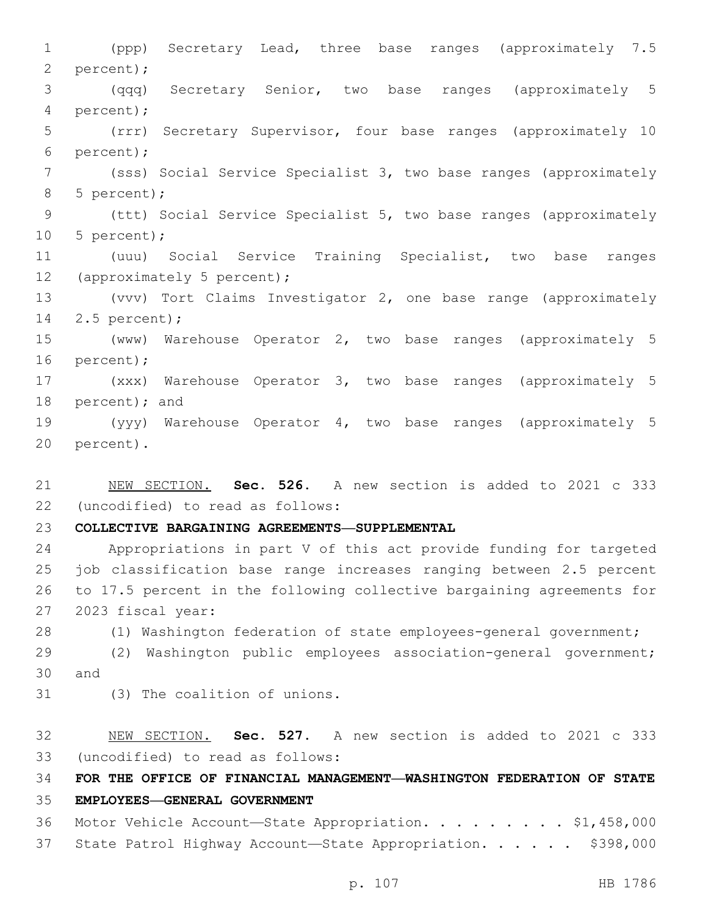1 (ppp) Secretary Lead, three base ranges (approximately 7.5 2 percent); 3 (qqq) Secretary Senior, two base ranges (approximately 5 percent);4 5 (rrr) Secretary Supervisor, four base ranges (approximately 10 percent);6 7 (sss) Social Service Specialist 3, two base ranges (approximately 8 5 percent); 9 (ttt) Social Service Specialist 5, two base ranges (approximately 10 5 percent); 11 (uuu) Social Service Training Specialist, two base ranges 12 (approximately 5 percent); 13 (vvv) Tort Claims Investigator 2, one base range (approximately 14 2.5 percent); 15 (www) Warehouse Operator 2, two base ranges (approximately 5 16 percent); 17 (xxx) Warehouse Operator 3, two base ranges (approximately 5 18 percent); and 19 (yyy) Warehouse Operator 4, two base ranges (approximately 5 20 percent).

21 NEW SECTION. **Sec. 526.** A new section is added to 2021 c 333 (uncodified) to read as follows: 22

23 **COLLECTIVE BARGAINING AGREEMENTS—SUPPLEMENTAL**

 Appropriations in part V of this act provide funding for targeted job classification base range increases ranging between 2.5 percent to 17.5 percent in the following collective bargaining agreements for 27 2023 fiscal year:

28 (1) Washington federation of state employees-general government;

29 (2) Washington public employees association-general government; 30 and

- 
- 31 (3) The coalition of unions.

32 NEW SECTION. **Sec. 527.** A new section is added to 2021 c 333 (uncodified) to read as follows: 33

34 **FOR THE OFFICE OF FINANCIAL MANAGEMENT—WASHINGTON FEDERATION OF STATE** 

35 **EMPLOYEES—GENERAL GOVERNMENT**

36 Motor Vehicle Account-State Appropriation. . . . . . . . \$1,458,000 37 State Patrol Highway Account-State Appropriation. . . . . \$398,000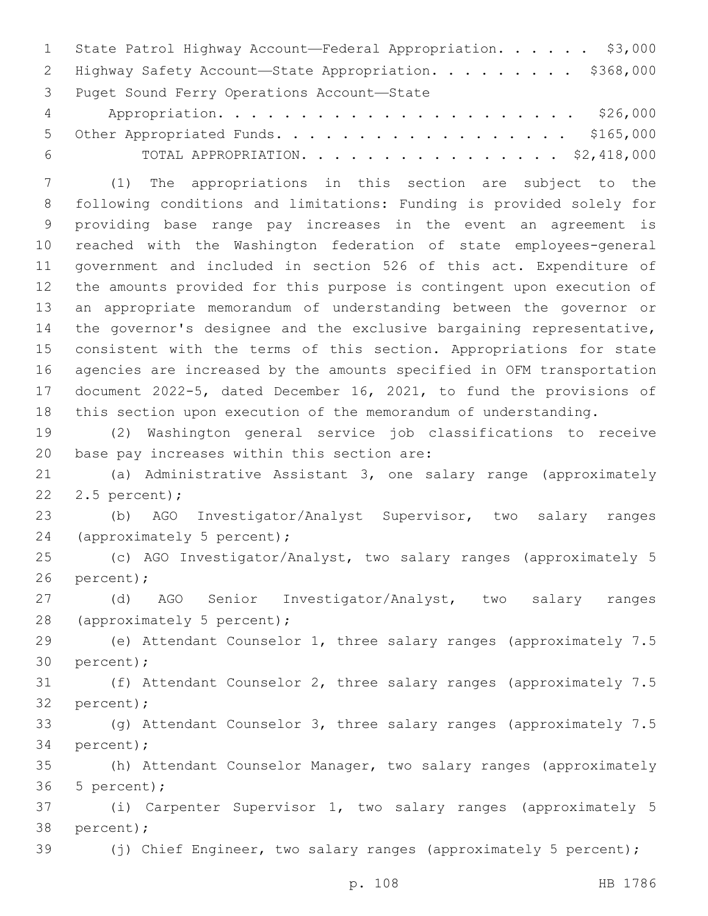1 State Patrol Highway Account—Federal Appropriation. . . . . \$3,000 2 Highway Safety Account-State Appropriation. . . . . . . . \$368,000 3 Puget Sound Ferry Operations Account-State Appropriation. . . . . . . . . . . . . . . . . . . . . . \$26,000 5 Other Appropriated Funds. . . . . . . . . . . . . . . . . . \$165,000 TOTAL APPROPRIATION. . . . . . . . . . . . . . . . \$2,418,000

 (1) The appropriations in this section are subject to the following conditions and limitations: Funding is provided solely for providing base range pay increases in the event an agreement is reached with the Washington federation of state employees-general government and included in section 526 of this act. Expenditure of the amounts provided for this purpose is contingent upon execution of an appropriate memorandum of understanding between the governor or the governor's designee and the exclusive bargaining representative, consistent with the terms of this section. Appropriations for state agencies are increased by the amounts specified in OFM transportation document 2022-5, dated December 16, 2021, to fund the provisions of this section upon execution of the memorandum of understanding.

 (2) Washington general service job classifications to receive 20 base pay increases within this section are:

 (a) Administrative Assistant 3, one salary range (approximately 22 2.5 percent);

 (b) AGO Investigator/Analyst Supervisor, two salary ranges 24 (approximately 5 percent);

 (c) AGO Investigator/Analyst, two salary ranges (approximately 5 26 percent);

 (d) AGO Senior Investigator/Analyst, two salary ranges 28 (approximately 5 percent);

 (e) Attendant Counselor 1, three salary ranges (approximately 7.5 30 percent);

 (f) Attendant Counselor 2, three salary ranges (approximately 7.5 32 percent);

 (g) Attendant Counselor 3, three salary ranges (approximately 7.5 34 percent);

 (h) Attendant Counselor Manager, two salary ranges (approximately 5 percent);

 (i) Carpenter Supervisor 1, two salary ranges (approximately 5 38 percent);

39 (j) Chief Engineer, two salary ranges (approximately 5 percent);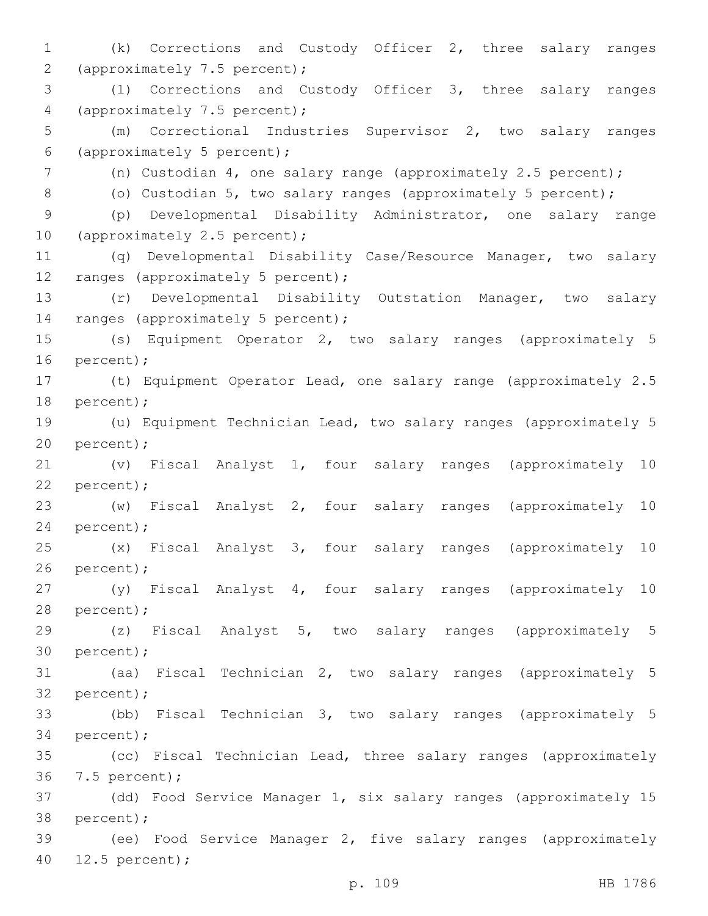1 (k) Corrections and Custody Officer 2, three salary ranges 2 (approximately 7.5 percent); 3 (l) Corrections and Custody Officer 3, three salary ranges 4 (approximately 7.5 percent); 5 (m) Correctional Industries Supervisor 2, two salary ranges (approximately 5 percent);6 7 (n) Custodian 4, one salary range (approximately 2.5 percent); 8 (o) Custodian 5, two salary ranges (approximately 5 percent); 9 (p) Developmental Disability Administrator, one salary range 10 (approximately 2.5 percent); 11 (q) Developmental Disability Case/Resource Manager, two salary 12 ranges (approximately 5 percent); 13 (r) Developmental Disability Outstation Manager, two salary 14 ranges (approximately 5 percent); 15 (s) Equipment Operator 2, two salary ranges (approximately 5 16 percent); 17 (t) Equipment Operator Lead, one salary range (approximately 2.5 18 percent); 19 (u) Equipment Technician Lead, two salary ranges (approximately 5 20 percent); 21 (v) Fiscal Analyst 1, four salary ranges (approximately 10 22 percent); 23 (w) Fiscal Analyst 2, four salary ranges (approximately 10 24 percent); 25 (x) Fiscal Analyst 3, four salary ranges (approximately 10 26 percent); 27 (y) Fiscal Analyst 4, four salary ranges (approximately 10 28 percent); 29 (z) Fiscal Analyst 5, two salary ranges (approximately 5 30 percent); 31 (aa) Fiscal Technician 2, two salary ranges (approximately 5 32 percent); 33 (bb) Fiscal Technician 3, two salary ranges (approximately 5 34 percent); 35 (cc) Fiscal Technician Lead, three salary ranges (approximately 7.5 percent);36 37 (dd) Food Service Manager 1, six salary ranges (approximately 15 38 percent); 39 (ee) Food Service Manager 2, five salary ranges (approximately 12.5 percent);40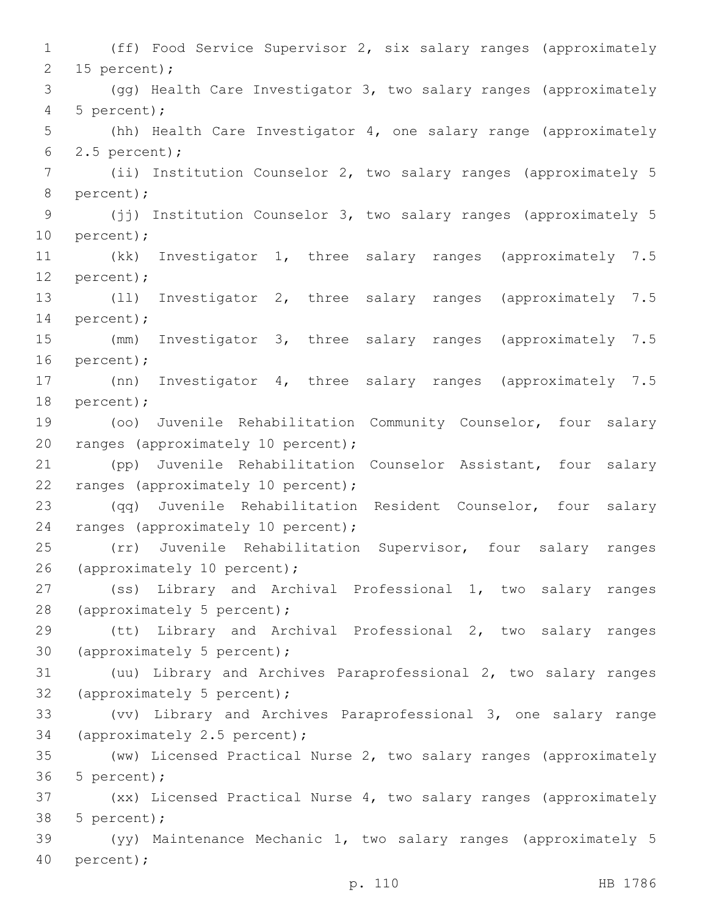1 (ff) Food Service Supervisor 2, six salary ranges (approximately 2 15 percent); 3 (gg) Health Care Investigator 3, two salary ranges (approximately 5 percent);4 5 (hh) Health Care Investigator 4, one salary range (approximately 6  $2.5$  percent); 7 (ii) Institution Counselor 2, two salary ranges (approximately 5 8 percent); 9 (jj) Institution Counselor 3, two salary ranges (approximately 5 10 percent); 11 (kk) Investigator 1, three salary ranges (approximately 7.5 12 percent); 13 (ll) Investigator 2, three salary ranges (approximately 7.5 14 percent); 15 (mm) Investigator 3, three salary ranges (approximately 7.5 16 percent); 17 (nn) Investigator 4, three salary ranges (approximately 7.5 18 percent); 19 (oo) Juvenile Rehabilitation Community Counselor, four salary 20 ranges (approximately 10 percent); 21 (pp) Juvenile Rehabilitation Counselor Assistant, four salary 22 ranges (approximately 10 percent); 23 (qq) Juvenile Rehabilitation Resident Counselor, four salary 24 ranges (approximately 10 percent); 25 (rr) Juvenile Rehabilitation Supervisor, four salary ranges 26 (approximately 10 percent); 27 (ss) Library and Archival Professional 1, two salary ranges 28 (approximately 5 percent); 29 (tt) Library and Archival Professional 2, two salary ranges 30 (approximately 5 percent); 31 (uu) Library and Archives Paraprofessional 2, two salary ranges 32 (approximately 5 percent); 33 (vv) Library and Archives Paraprofessional 3, one salary range 34 (approximately 2.5 percent); 35 (ww) Licensed Practical Nurse 2, two salary ranges (approximately 36 5 percent); 37 (xx) Licensed Practical Nurse 4, two salary ranges (approximately 38 5 percent); 39 (yy) Maintenance Mechanic 1, two salary ranges (approximately 5 40 percent);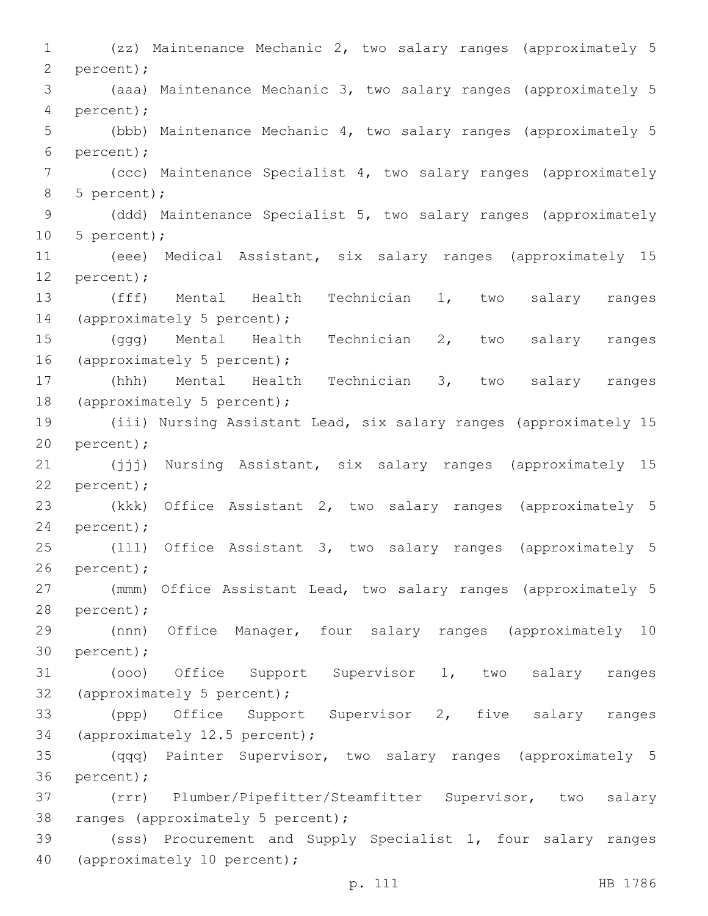1 (zz) Maintenance Mechanic 2, two salary ranges (approximately 5 2 percent); 3 (aaa) Maintenance Mechanic 3, two salary ranges (approximately 5 percent);4 5 (bbb) Maintenance Mechanic 4, two salary ranges (approximately 5 percent);6 7 (ccc) Maintenance Specialist 4, two salary ranges (approximately 5 percent);8 9 (ddd) Maintenance Specialist 5, two salary ranges (approximately 10 5 percent); 11 (eee) Medical Assistant, six salary ranges (approximately 15 12 percent); 13 (fff) Mental Health Technician 1, two salary ranges 14 (approximately 5 percent); 15 (ggg) Mental Health Technician 2, two salary ranges 16 (approximately 5 percent); 17 (hhh) Mental Health Technician 3, two salary ranges 18 (approximately 5 percent); 19 (iii) Nursing Assistant Lead, six salary ranges (approximately 15 20 percent); 21 (jjj) Nursing Assistant, six salary ranges (approximately 15 22 percent); 23 (kkk) Office Assistant 2, two salary ranges (approximately 5 24 percent); 25 (lll) Office Assistant 3, two salary ranges (approximately 5 26 percent); 27 (mmm) Office Assistant Lead, two salary ranges (approximately 5 28 percent); 29 (nnn) Office Manager, four salary ranges (approximately 10 30 percent); 31 (ooo) Office Support Supervisor 1, two salary ranges 32 (approximately 5 percent); 33 (ppp) Office Support Supervisor 2, five salary ranges 34 (approximately 12.5 percent); 35 (qqq) Painter Supervisor, two salary ranges (approximately 5 36 percent); 37 (rrr) Plumber/Pipefitter/Steamfitter Supervisor, two salary 38 ranges (approximately 5 percent); 39 (sss) Procurement and Supply Specialist 1, four salary ranges 40 (approximately 10 percent);

p. 111 HB 1786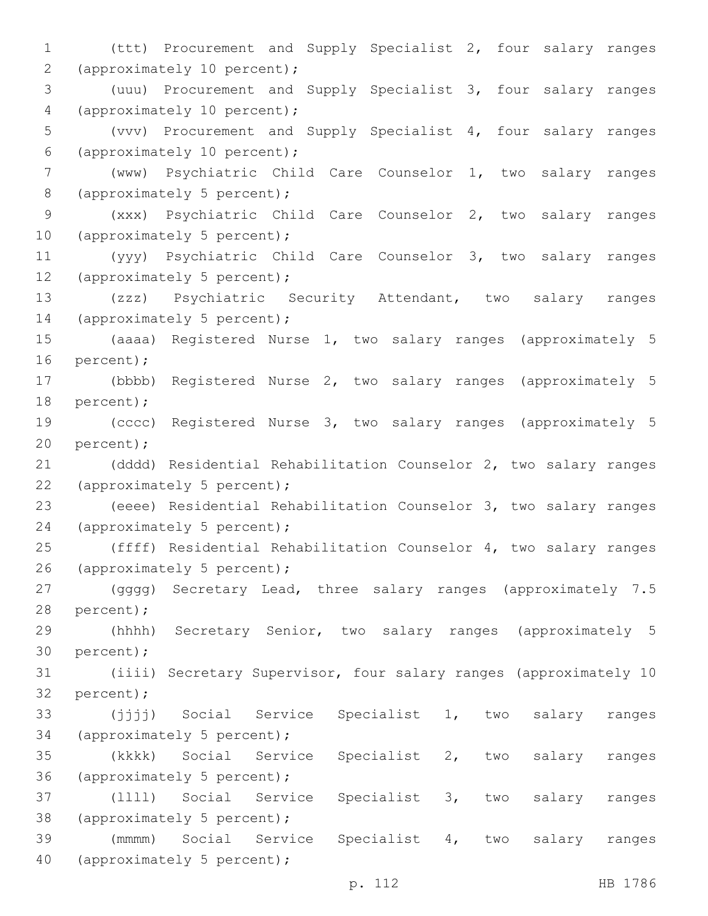1 (ttt) Procurement and Supply Specialist 2, four salary ranges 2 (approximately 10 percent); 3 (uuu) Procurement and Supply Specialist 3, four salary ranges 4 (approximately 10 percent); 5 (vvv) Procurement and Supply Specialist 4, four salary ranges (approximately 10 percent);6 7 (www) Psychiatric Child Care Counselor 1, two salary ranges 8 (approximately 5 percent); 9 (xxx) Psychiatric Child Care Counselor 2, two salary ranges 10 (approximately 5 percent); 11 (yyy) Psychiatric Child Care Counselor 3, two salary ranges 12 (approximately 5 percent); 13 (zzz) Psychiatric Security Attendant, two salary ranges 14 (approximately 5 percent); 15 (aaaa) Registered Nurse 1, two salary ranges (approximately 5 16 percent); 17 (bbbb) Registered Nurse 2, two salary ranges (approximately 5 18 percent); 19 (cccc) Registered Nurse 3, two salary ranges (approximately 5 20 percent); 21 (dddd) Residential Rehabilitation Counselor 2, two salary ranges 22 (approximately 5 percent); 23 (eeee) Residential Rehabilitation Counselor 3, two salary ranges 24 (approximately 5 percent); 25 (ffff) Residential Rehabilitation Counselor 4, two salary ranges 26 (approximately 5 percent); 27 (gggg) Secretary Lead, three salary ranges (approximately 7.5 28 percent); 29 (hhhh) Secretary Senior, two salary ranges (approximately 5 30 percent); 31 (iiii) Secretary Supervisor, four salary ranges (approximately 10 32 percent); 33 (jjjj) Social Service Specialist 1, two salary ranges 34 (approximately 5 percent); 35 (kkkk) Social Service Specialist 2, two salary ranges 36 (approximately 5 percent); 37 (llll) Social Service Specialist 3, two salary ranges 38 (approximately 5 percent); 39 (mmmm) Social Service Specialist 4, two salary ranges 40 (approximately 5 percent);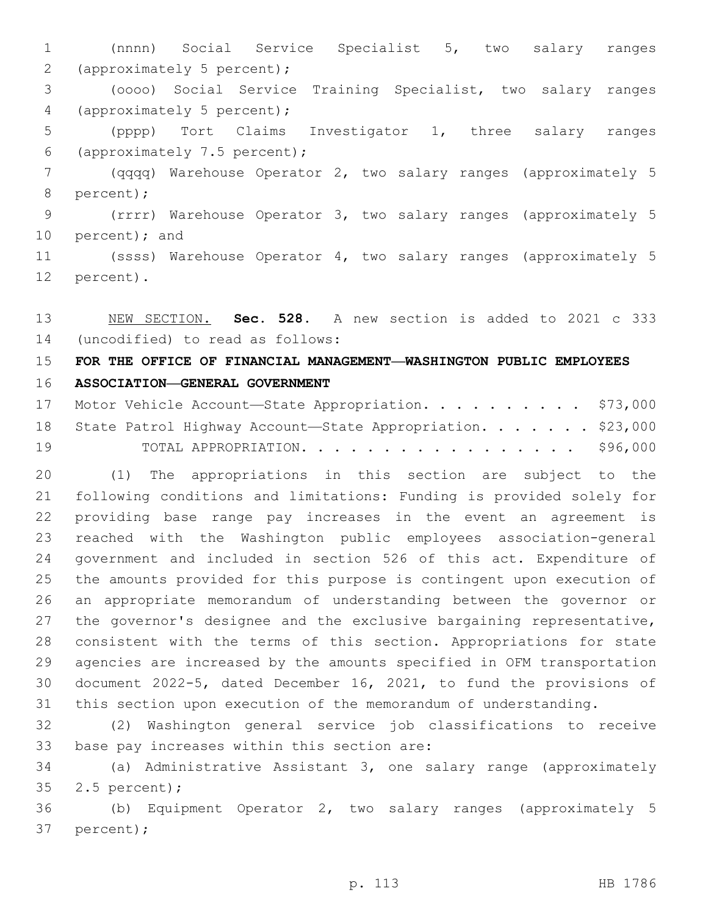(nnnn) Social Service Specialist 5, two salary ranges 2 (approximately 5 percent); (oooo) Social Service Training Specialist, two salary ranges 4 (approximately 5 percent); (pppp) Tort Claims Investigator 1, three salary ranges (approximately 7.5 percent);6 (qqqq) Warehouse Operator 2, two salary ranges (approximately 5 8 percent); (rrrr) Warehouse Operator 3, two salary ranges (approximately 5 10 percent); and (ssss) Warehouse Operator 4, two salary ranges (approximately 5 12 percent).

 NEW SECTION. **Sec. 528.** A new section is added to 2021 c 333 14 (uncodified) to read as follows:

# **FOR THE OFFICE OF FINANCIAL MANAGEMENT—WASHINGTON PUBLIC EMPLOYEES**

# **ASSOCIATION—GENERAL GOVERNMENT**

|    | 17 Motor Vehicle Account-State Appropriation. \$73,000        |  |
|----|---------------------------------------------------------------|--|
|    | 18 State Patrol Highway Account-State Appropriation. \$23,000 |  |
| 19 | TOTAL APPROPRIATION. \$96,000                                 |  |

 (1) The appropriations in this section are subject to the following conditions and limitations: Funding is provided solely for providing base range pay increases in the event an agreement is reached with the Washington public employees association-general government and included in section 526 of this act. Expenditure of the amounts provided for this purpose is contingent upon execution of an appropriate memorandum of understanding between the governor or 27 the governor's designee and the exclusive bargaining representative, consistent with the terms of this section. Appropriations for state agencies are increased by the amounts specified in OFM transportation document 2022-5, dated December 16, 2021, to fund the provisions of this section upon execution of the memorandum of understanding.

 (2) Washington general service job classifications to receive 33 base pay increases within this section are:

 (a) Administrative Assistant 3, one salary range (approximately 2.5 percent);35

 (b) Equipment Operator 2, two salary ranges (approximately 5 37 percent);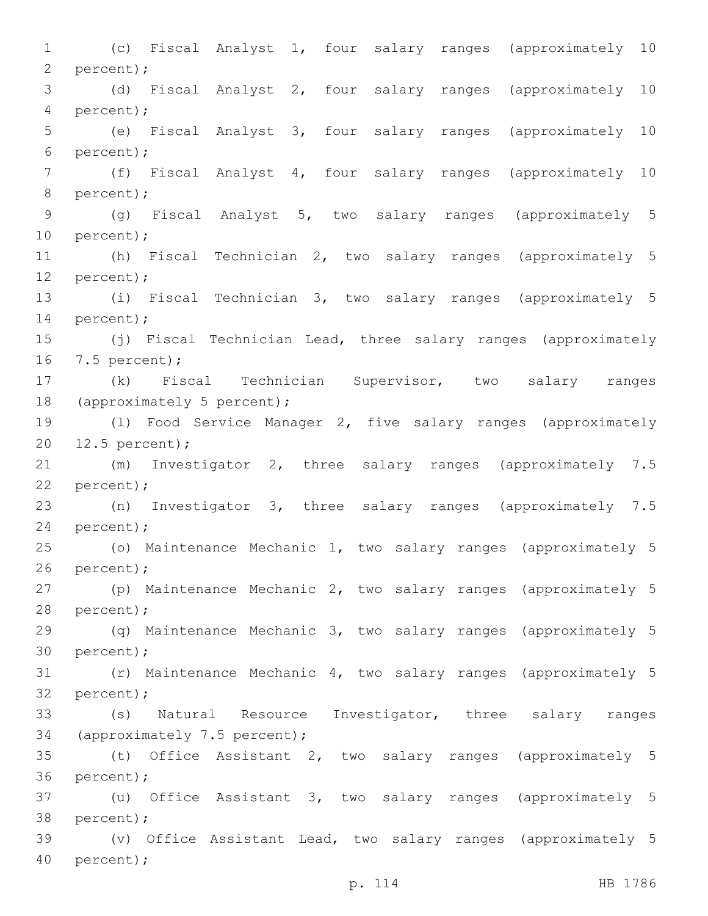1 (c) Fiscal Analyst 1, four salary ranges (approximately 10 2 percent); 3 (d) Fiscal Analyst 2, four salary ranges (approximately 10 percent);4 5 (e) Fiscal Analyst 3, four salary ranges (approximately 10 percent);6 7 (f) Fiscal Analyst 4, four salary ranges (approximately 10 8 percent); 9 (g) Fiscal Analyst 5, two salary ranges (approximately 5 10 percent); 11 (h) Fiscal Technician 2, two salary ranges (approximately 5 12 percent); 13 (i) Fiscal Technician 3, two salary ranges (approximately 5 14 percent); 15 (j) Fiscal Technician Lead, three salary ranges (approximately 16 7.5 percent); 17 (k) Fiscal Technician Supervisor, two salary ranges 18 (approximately 5 percent); 19 (l) Food Service Manager 2, five salary ranges (approximately 20 12.5 percent); 21 (m) Investigator 2, three salary ranges (approximately 7.5 22 percent); 23 (n) Investigator 3, three salary ranges (approximately 7.5 24 percent); 25 (o) Maintenance Mechanic 1, two salary ranges (approximately 5 26 percent); 27 (p) Maintenance Mechanic 2, two salary ranges (approximately 5 28 percent); 29 (q) Maintenance Mechanic 3, two salary ranges (approximately 5 30 percent); 31 (r) Maintenance Mechanic 4, two salary ranges (approximately 5 32 percent); 33 (s) Natural Resource Investigator, three salary ranges 34 (approximately 7.5 percent); 35 (t) Office Assistant 2, two salary ranges (approximately 5 36 percent); 37 (u) Office Assistant 3, two salary ranges (approximately 5 38 percent); 39 (v) Office Assistant Lead, two salary ranges (approximately 5 40 percent);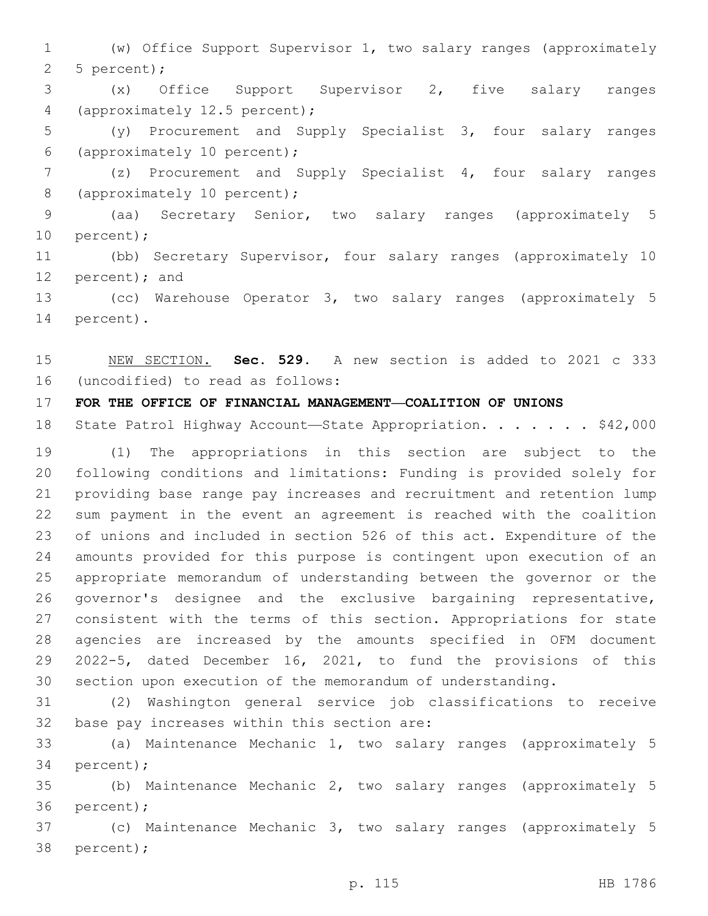(w) Office Support Supervisor 1, two salary ranges (approximately 2 5 percent);

 (x) Office Support Supervisor 2, five salary ranges 4 (approximately 12.5 percent);

 (y) Procurement and Supply Specialist 3, four salary ranges (approximately 10 percent);6

 (z) Procurement and Supply Specialist 4, four salary ranges 8 (approximately 10 percent);

 (aa) Secretary Senior, two salary ranges (approximately 5 10 percent);

 (bb) Secretary Supervisor, four salary ranges (approximately 10 12 percent); and

 (cc) Warehouse Operator 3, two salary ranges (approximately 5 14 percent).

 NEW SECTION. **Sec. 529.** A new section is added to 2021 c 333 16 (uncodified) to read as follows:

## **FOR THE OFFICE OF FINANCIAL MANAGEMENT—COALITION OF UNIONS**

18 State Patrol Highway Account-State Appropriation. . . . . . \$42,000

 (1) The appropriations in this section are subject to the following conditions and limitations: Funding is provided solely for providing base range pay increases and recruitment and retention lump sum payment in the event an agreement is reached with the coalition of unions and included in section 526 of this act. Expenditure of the amounts provided for this purpose is contingent upon execution of an appropriate memorandum of understanding between the governor or the governor's designee and the exclusive bargaining representative, consistent with the terms of this section. Appropriations for state agencies are increased by the amounts specified in OFM document 2022-5, dated December 16, 2021, to fund the provisions of this section upon execution of the memorandum of understanding.

 (2) Washington general service job classifications to receive 32 base pay increases within this section are:

 (a) Maintenance Mechanic 1, two salary ranges (approximately 5 34 percent);

 (b) Maintenance Mechanic 2, two salary ranges (approximately 5 36 percent);

 (c) Maintenance Mechanic 3, two salary ranges (approximately 5 38 percent);

p. 115 HB 1786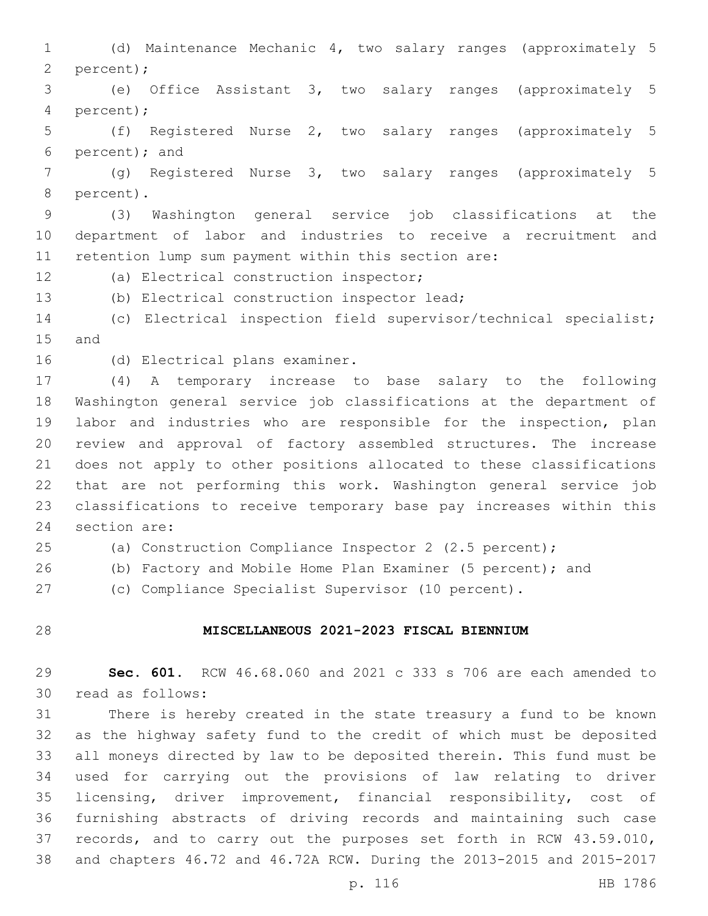(d) Maintenance Mechanic 4, two salary ranges (approximately 5 2 percent); (e) Office Assistant 3, two salary ranges (approximately 5 percent);4 (f) Registered Nurse 2, two salary ranges (approximately 5 6 percent); and (g) Registered Nurse 3, two salary ranges (approximately 5 8 percent). (3) Washington general service job classifications at the department of labor and industries to receive a recruitment and retention lump sum payment within this section are: 12 (a) Electrical construction inspector; (b) Electrical construction inspector lead; (c) Electrical inspection field supervisor/technical specialist; 15 and 16 (d) Electrical plans examiner. (4) A temporary increase to base salary to the following Washington general service job classifications at the department of labor and industries who are responsible for the inspection, plan review and approval of factory assembled structures. The increase does not apply to other positions allocated to these classifications that are not performing this work. Washington general service job classifications to receive temporary base pay increases within this 24 section are: (a) Construction Compliance Inspector 2 (2.5 percent); (b) Factory and Mobile Home Plan Examiner (5 percent); and (c) Compliance Specialist Supervisor (10 percent).

# **MISCELLANEOUS 2021-2023 FISCAL BIENNIUM**

 **Sec. 601.** RCW 46.68.060 and 2021 c 333 s 706 are each amended to 30 read as follows:

 There is hereby created in the state treasury a fund to be known as the highway safety fund to the credit of which must be deposited all moneys directed by law to be deposited therein. This fund must be used for carrying out the provisions of law relating to driver licensing, driver improvement, financial responsibility, cost of furnishing abstracts of driving records and maintaining such case records, and to carry out the purposes set forth in RCW 43.59.010, and chapters 46.72 and 46.72A RCW. During the 2013-2015 and 2015-2017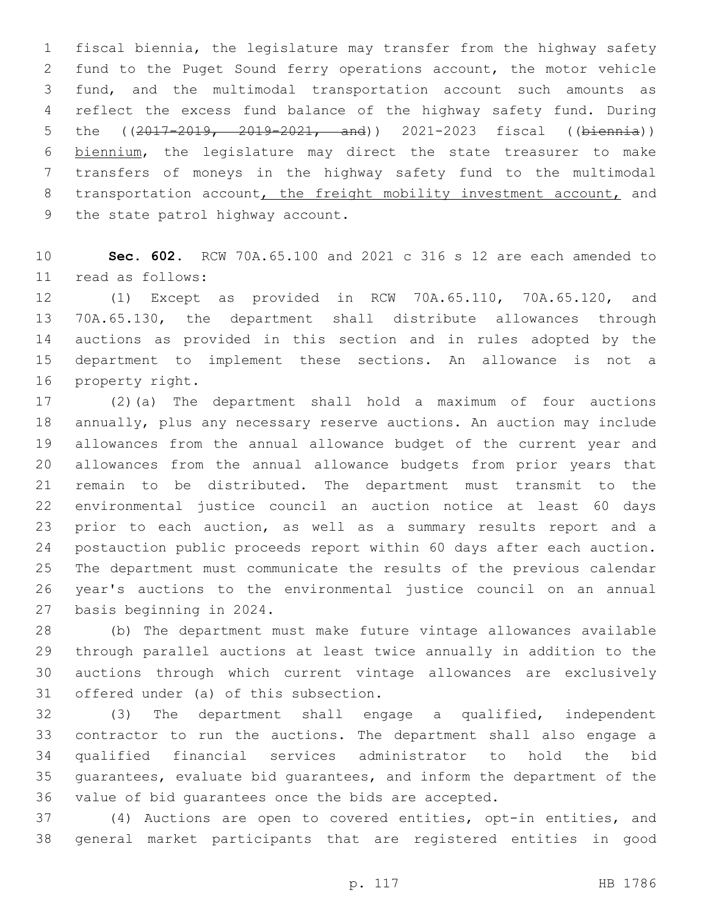fiscal biennia, the legislature may transfer from the highway safety fund to the Puget Sound ferry operations account, the motor vehicle fund, and the multimodal transportation account such amounts as reflect the excess fund balance of the highway safety fund. During the ((2017-2019, 2019-2021, and)) 2021-2023 fiscal ((biennia)) biennium, the legislature may direct the state treasurer to make transfers of moneys in the highway safety fund to the multimodal 8 transportation account, the freight mobility investment account, and 9 the state patrol highway account.

 **Sec. 602.** RCW 70A.65.100 and 2021 c 316 s 12 are each amended to read as follows:11

 (1) Except as provided in RCW 70A.65.110, 70A.65.120, and 70A.65.130, the department shall distribute allowances through auctions as provided in this section and in rules adopted by the department to implement these sections. An allowance is not a 16 property right.

 (2)(a) The department shall hold a maximum of four auctions annually, plus any necessary reserve auctions. An auction may include allowances from the annual allowance budget of the current year and allowances from the annual allowance budgets from prior years that remain to be distributed. The department must transmit to the environmental justice council an auction notice at least 60 days prior to each auction, as well as a summary results report and a postauction public proceeds report within 60 days after each auction. The department must communicate the results of the previous calendar year's auctions to the environmental justice council on an annual 27 basis beginning in 2024.

 (b) The department must make future vintage allowances available through parallel auctions at least twice annually in addition to the auctions through which current vintage allowances are exclusively 31 offered under (a) of this subsection.

 (3) The department shall engage a qualified, independent contractor to run the auctions. The department shall also engage a qualified financial services administrator to hold the bid guarantees, evaluate bid guarantees, and inform the department of the value of bid guarantees once the bids are accepted.

 (4) Auctions are open to covered entities, opt-in entities, and general market participants that are registered entities in good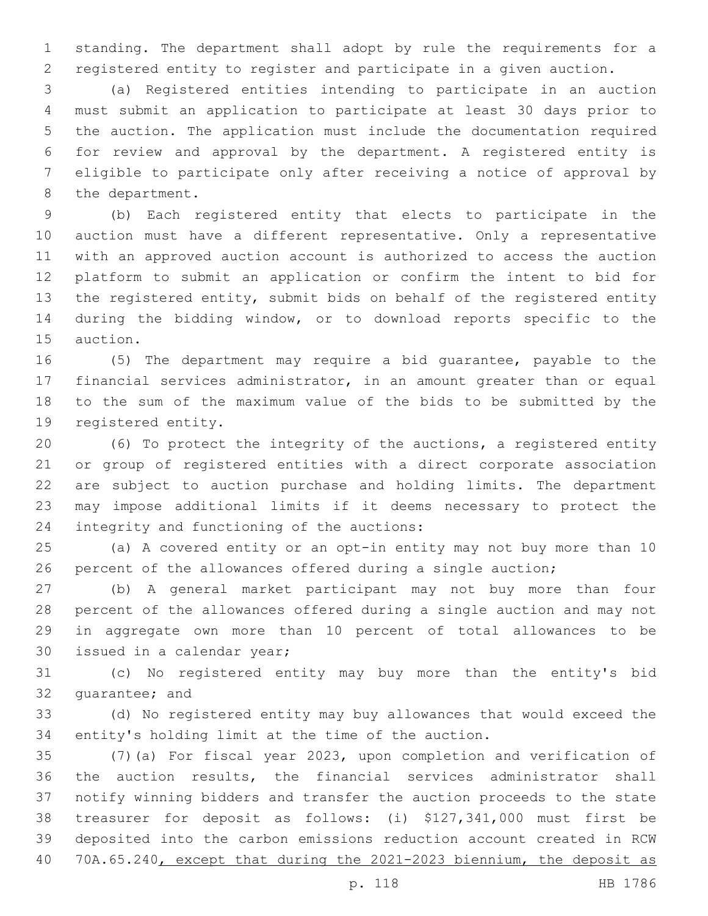standing. The department shall adopt by rule the requirements for a registered entity to register and participate in a given auction.

 (a) Registered entities intending to participate in an auction must submit an application to participate at least 30 days prior to the auction. The application must include the documentation required for review and approval by the department. A registered entity is eligible to participate only after receiving a notice of approval by 8 the department.

 (b) Each registered entity that elects to participate in the auction must have a different representative. Only a representative with an approved auction account is authorized to access the auction platform to submit an application or confirm the intent to bid for the registered entity, submit bids on behalf of the registered entity during the bidding window, or to download reports specific to the 15 auction.

 (5) The department may require a bid guarantee, payable to the financial services administrator, in an amount greater than or equal to the sum of the maximum value of the bids to be submitted by the 19 registered entity.

 (6) To protect the integrity of the auctions, a registered entity or group of registered entities with a direct corporate association are subject to auction purchase and holding limits. The department may impose additional limits if it deems necessary to protect the 24 integrity and functioning of the auctions:

 (a) A covered entity or an opt-in entity may not buy more than 10 percent of the allowances offered during a single auction;

 (b) A general market participant may not buy more than four percent of the allowances offered during a single auction and may not in aggregate own more than 10 percent of total allowances to be 30 issued in a calendar year;

 (c) No registered entity may buy more than the entity's bid 32 quarantee; and

 (d) No registered entity may buy allowances that would exceed the entity's holding limit at the time of the auction.

 (7)(a) For fiscal year 2023, upon completion and verification of the auction results, the financial services administrator shall notify winning bidders and transfer the auction proceeds to the state treasurer for deposit as follows: (i) \$127,341,000 must first be deposited into the carbon emissions reduction account created in RCW 70A.65.240, except that during the 2021-2023 biennium, the deposit as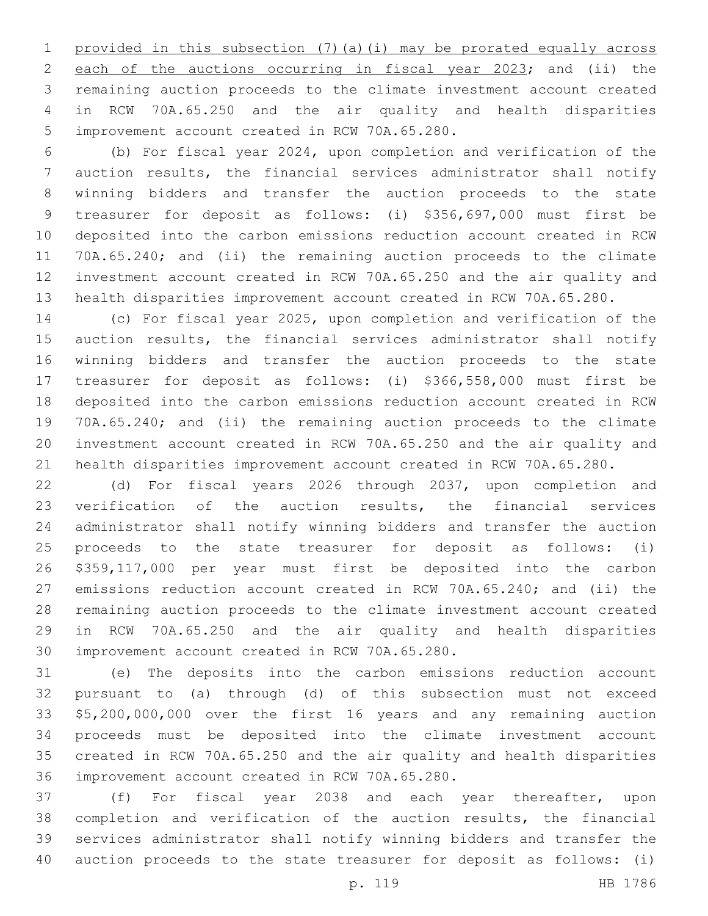provided in this subsection (7)(a)(i) may be prorated equally across each of the auctions occurring in fiscal year 2023; and (ii) the remaining auction proceeds to the climate investment account created in RCW 70A.65.250 and the air quality and health disparities 5 improvement account created in RCW 70A.65.280.

 (b) For fiscal year 2024, upon completion and verification of the auction results, the financial services administrator shall notify winning bidders and transfer the auction proceeds to the state treasurer for deposit as follows: (i) \$356,697,000 must first be deposited into the carbon emissions reduction account created in RCW 70A.65.240; and (ii) the remaining auction proceeds to the climate investment account created in RCW 70A.65.250 and the air quality and health disparities improvement account created in RCW 70A.65.280.

 (c) For fiscal year 2025, upon completion and verification of the 15 auction results, the financial services administrator shall notify winning bidders and transfer the auction proceeds to the state treasurer for deposit as follows: (i) \$366,558,000 must first be deposited into the carbon emissions reduction account created in RCW 70A.65.240; and (ii) the remaining auction proceeds to the climate investment account created in RCW 70A.65.250 and the air quality and health disparities improvement account created in RCW 70A.65.280.

 (d) For fiscal years 2026 through 2037, upon completion and verification of the auction results, the financial services administrator shall notify winning bidders and transfer the auction proceeds to the state treasurer for deposit as follows: (i) \$359,117,000 per year must first be deposited into the carbon emissions reduction account created in RCW 70A.65.240; and (ii) the remaining auction proceeds to the climate investment account created in RCW 70A.65.250 and the air quality and health disparities 30 improvement account created in RCW 70A.65.280.

 (e) The deposits into the carbon emissions reduction account pursuant to (a) through (d) of this subsection must not exceed \$5,200,000,000 over the first 16 years and any remaining auction proceeds must be deposited into the climate investment account created in RCW 70A.65.250 and the air quality and health disparities 36 improvement account created in RCW 70A.65.280.

 (f) For fiscal year 2038 and each year thereafter, upon completion and verification of the auction results, the financial services administrator shall notify winning bidders and transfer the auction proceeds to the state treasurer for deposit as follows: (i)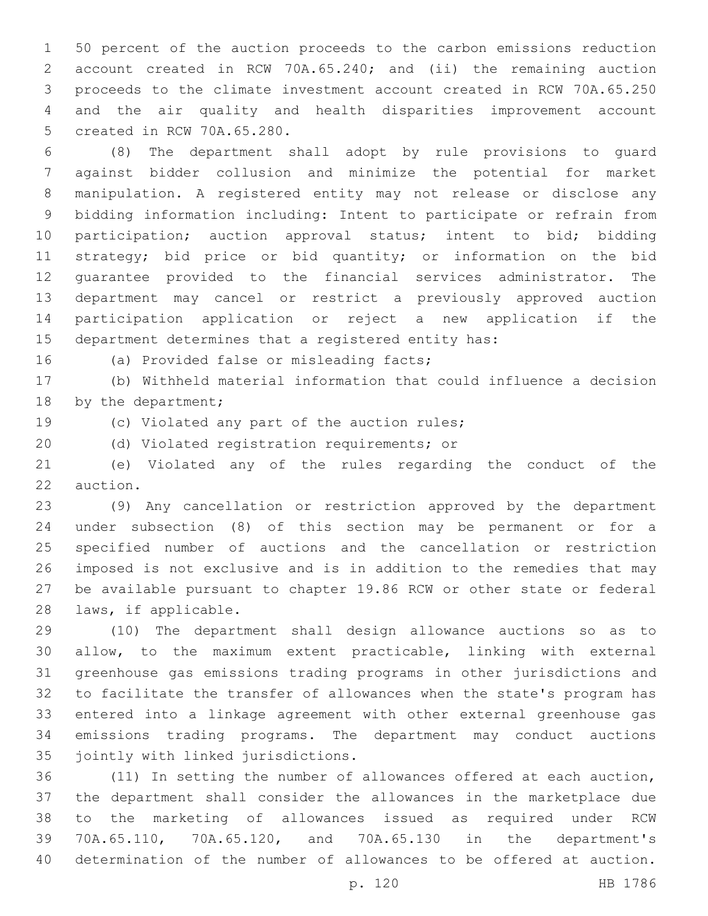50 percent of the auction proceeds to the carbon emissions reduction account created in RCW 70A.65.240; and (ii) the remaining auction proceeds to the climate investment account created in RCW 70A.65.250 and the air quality and health disparities improvement account 5 created in RCW 70A.65.280.

 (8) The department shall adopt by rule provisions to guard against bidder collusion and minimize the potential for market manipulation. A registered entity may not release or disclose any bidding information including: Intent to participate or refrain from 10 participation; auction approval status; intent to bid; bidding strategy; bid price or bid quantity; or information on the bid guarantee provided to the financial services administrator. The department may cancel or restrict a previously approved auction participation application or reject a new application if the department determines that a registered entity has:

16 (a) Provided false or misleading facts;

 (b) Withheld material information that could influence a decision 18 by the department;

19 (c) Violated any part of the auction rules;

(d) Violated registration requirements; or

 (e) Violated any of the rules regarding the conduct of the 22 auction.

 (9) Any cancellation or restriction approved by the department under subsection (8) of this section may be permanent or for a specified number of auctions and the cancellation or restriction imposed is not exclusive and is in addition to the remedies that may be available pursuant to chapter 19.86 RCW or other state or federal 28 laws, if applicable.

 (10) The department shall design allowance auctions so as to allow, to the maximum extent practicable, linking with external greenhouse gas emissions trading programs in other jurisdictions and to facilitate the transfer of allowances when the state's program has entered into a linkage agreement with other external greenhouse gas emissions trading programs. The department may conduct auctions 35 jointly with linked jurisdictions.

 (11) In setting the number of allowances offered at each auction, the department shall consider the allowances in the marketplace due to the marketing of allowances issued as required under RCW 70A.65.110, 70A.65.120, and 70A.65.130 in the department's determination of the number of allowances to be offered at auction.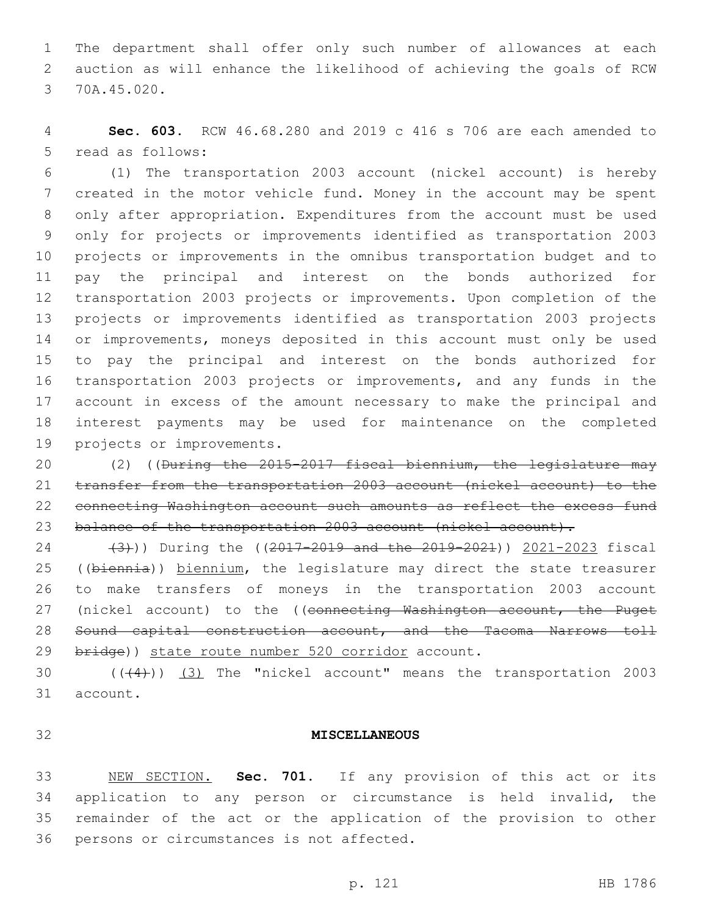The department shall offer only such number of allowances at each auction as will enhance the likelihood of achieving the goals of RCW 3 70A.45.020.

 **Sec. 603.** RCW 46.68.280 and 2019 c 416 s 706 are each amended to 5 read as follows:

 (1) The transportation 2003 account (nickel account) is hereby created in the motor vehicle fund. Money in the account may be spent only after appropriation. Expenditures from the account must be used only for projects or improvements identified as transportation 2003 projects or improvements in the omnibus transportation budget and to pay the principal and interest on the bonds authorized for transportation 2003 projects or improvements. Upon completion of the projects or improvements identified as transportation 2003 projects 14 or improvements, moneys deposited in this account must only be used to pay the principal and interest on the bonds authorized for transportation 2003 projects or improvements, and any funds in the account in excess of the amount necessary to make the principal and interest payments may be used for maintenance on the completed 19 projects or improvements.

 (2) ((During the 2015-2017 fiscal biennium, the legislature may transfer from the transportation 2003 account (nickel account) to the connecting Washington account such amounts as reflect the excess fund 23 balance of the transportation 2003 account (nickel account).

24 (3))) During the ((2017-2019 and the 2019-2021)) 2021-2023 fiscal 25 ((biennia)) biennium, the legislature may direct the state treasurer to make transfers of moneys in the transportation 2003 account 27 (nickel account) to the ((connecting Washington account, the Puget Sound capital construction account, and the Tacoma Narrows toll 29 bridge)) state route number 520 corridor account.

30  $((+4))$   $(3)$  The "nickel account" means the transportation 2003 31 account.

## **MISCELLANEOUS**

 NEW SECTION. **Sec. 701.** If any provision of this act or its application to any person or circumstance is held invalid, the remainder of the act or the application of the provision to other persons or circumstances is not affected.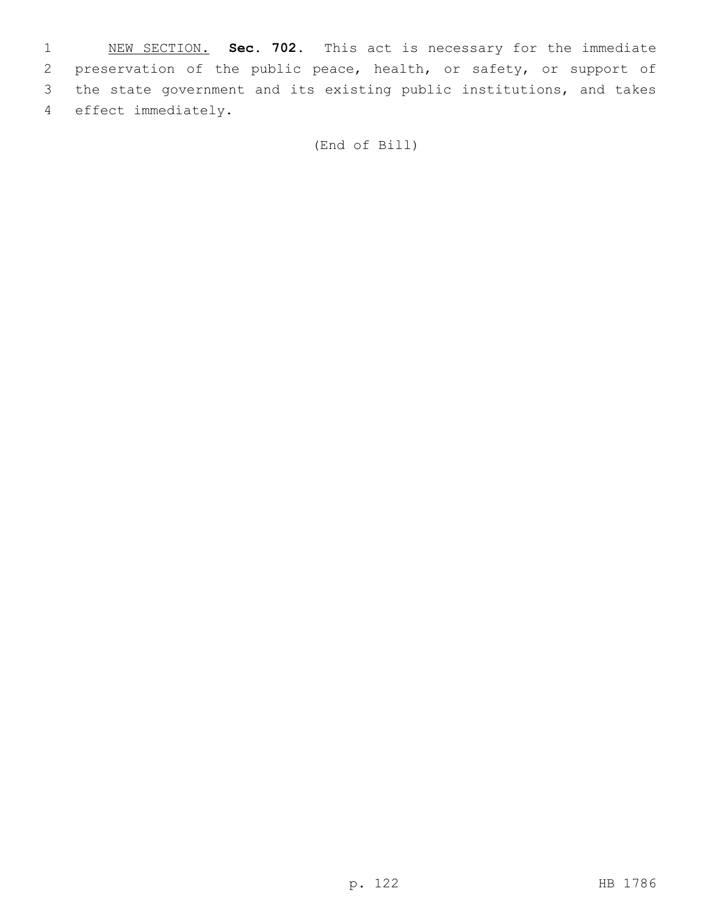NEW SECTION. **Sec. 702.** This act is necessary for the immediate preservation of the public peace, health, or safety, or support of the state government and its existing public institutions, and takes effect immediately.

(End of Bill)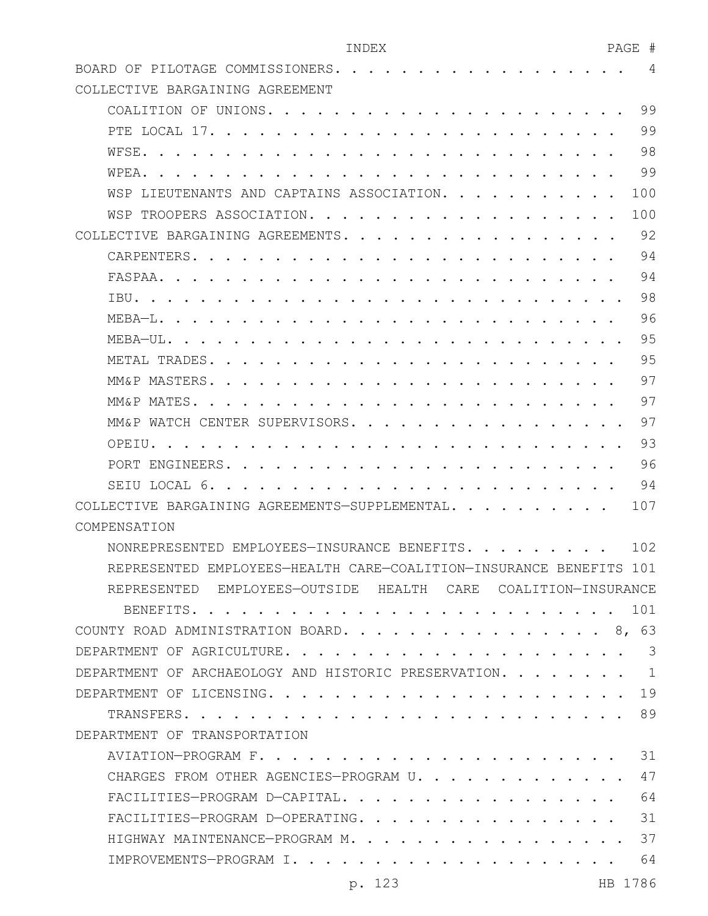| INDEX                                                                                                                        | PAGE<br>#                  |
|------------------------------------------------------------------------------------------------------------------------------|----------------------------|
| BOARD OF PILOTAGE COMMISSIONERS.<br>$\mathbf{r}$ , and $\mathbf{r}$ , and $\mathbf{r}$ , and $\mathbf{r}$ , and $\mathbf{r}$ | 4                          |
| COLLECTIVE BARGAINING AGREEMENT                                                                                              |                            |
| COALITION OF UNIONS.<br>$\cdots$                                                                                             | 99                         |
| PTE LOCAL 17. .                                                                                                              | 99                         |
| WFSE.                                                                                                                        | 98                         |
| WPEA.                                                                                                                        | 99                         |
| LIEUTENANTS AND CAPTAINS ASSOCIATION.<br>WSP                                                                                 | 100                        |
| WSP TROOPERS ASSOCIATION                                                                                                     | 100                        |
| COLLECTIVE BARGAINING AGREEMENTS.                                                                                            | 92                         |
| CARPENTERS.                                                                                                                  | 94                         |
| FASPAA.                                                                                                                      | 94                         |
| TBU.                                                                                                                         | 98                         |
| MEBA-L.                                                                                                                      | 96                         |
| MEBA-UL.                                                                                                                     | 95                         |
| METAL TRADES.                                                                                                                | 95                         |
| MM&P MASTERS.                                                                                                                | 97                         |
| MM&P MATES.                                                                                                                  | 97                         |
| WATCH CENTER SUPERVISORS.<br>MM & P                                                                                          | 97                         |
| OPETU.                                                                                                                       | 93                         |
| <b>PORT</b><br>ENGINEERS.                                                                                                    | 96                         |
| SEIU LOCAL 6                                                                                                                 | 94                         |
| COLLECTIVE BARGAINING AGREEMENTS-SUPPLEMENTAL                                                                                | 107                        |
| COMPENSATION                                                                                                                 |                            |
| NONREPRESENTED EMPLOYEES-INSURANCE BENEFITS.                                                                                 | 102                        |
| REPRESENTED EMPLOYEES-HEALTH CARE-COALITION-INSURANCE BENEFITS 101                                                           |                            |
| REPRESENTED EMPLOYEES-OUTSIDE HEALTH CARE COALITION-INSURANCE                                                                |                            |
|                                                                                                                              | 101                        |
| COUNTY ROAD ADMINISTRATION BOARD. 8, 63                                                                                      |                            |
| DEPARTMENT OF AGRICULTURE.                                                                                                   | $\overline{\phantom{a}}$ 3 |
| DEPARTMENT OF ARCHAEOLOGY AND HISTORIC PRESERVATION.                                                                         | $\overline{1}$             |
|                                                                                                                              | 19                         |
| TRANSFERS.                                                                                                                   | $\cdots$ 89                |
| DEPARTMENT OF TRANSPORTATION                                                                                                 |                            |

| CHARGES FROM OTHER AGENCIES-PROGRAM U. 47 |  |
|-------------------------------------------|--|
| FACILITIES-PROGRAM D-CAPITAL. 64          |  |
| FACILITIES-PROGRAM D-OPERATING. 31        |  |
| HIGHWAY MAINTENANCE-PROGRAM M. 37         |  |
|                                           |  |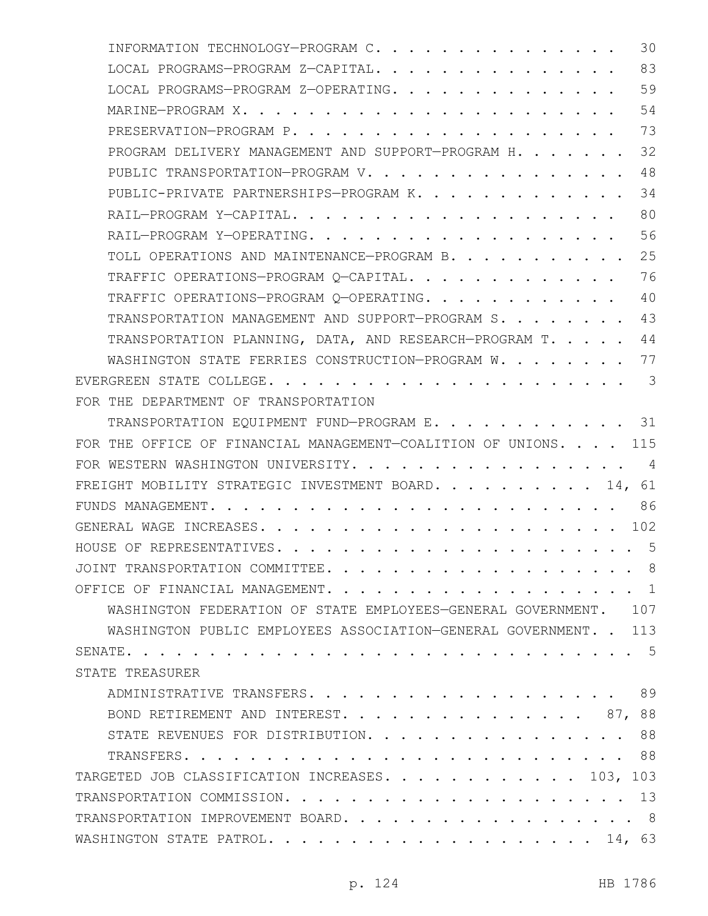| INFORMATION TECHNOLOGY-PROGRAM C.<br>30                                        |
|--------------------------------------------------------------------------------|
| 83<br>LOCAL PROGRAMS-PROGRAM Z-CAPITAL.                                        |
| 59<br>LOCAL PROGRAMS-PROGRAM Z-OPERATING.                                      |
| 54<br>MARINE-PROGRAM X.                                                        |
| 73                                                                             |
| 32<br>PROGRAM DELIVERY MANAGEMENT AND SUPPORT-PROGRAM H.                       |
| 48<br>PUBLIC TRANSPORTATION-PROGRAM V.                                         |
| 34<br>PUBLIC-PRIVATE PARTNERSHIPS-PROGRAM K.                                   |
| 80                                                                             |
| 56                                                                             |
| 25<br>TOLL OPERATIONS AND MAINTENANCE-PROGRAM B.                               |
| 76<br>TRAFFIC OPERATIONS-PROGRAM Q-CAPITAL.                                    |
| 40<br>TRAFFIC OPERATIONS-PROGRAM Q-OPERATING.                                  |
| 43<br>TRANSPORTATION MANAGEMENT AND SUPPORT-PROGRAM S.                         |
| 44<br>TRANSPORTATION PLANNING, DATA, AND RESEARCH-PROGRAM T.                   |
| 77<br>WASHINGTON STATE FERRIES CONSTRUCTION-PROGRAM W.                         |
| $\overline{\mathbf{3}}$                                                        |
| FOR THE DEPARTMENT OF TRANSPORTATION                                           |
| TRANSPORTATION EQUIPMENT FUND-PROGRAM E. 31                                    |
| FOR THE OFFICE OF FINANCIAL MANAGEMENT-COALITION OF UNIONS. 115                |
| FOR WESTERN WASHINGTON UNIVERSITY.<br>4                                        |
| FREIGHT MOBILITY STRATEGIC INVESTMENT BOARD. 14, 61                            |
|                                                                                |
| $\cdot$ $\cdot$ $\cdot$ $\cdot$ $\cdot$ $\cdot$ 102<br>GENERAL WAGE INCREASES. |
| . 5<br>HOUSE OF REPRESENTATIVES.                                               |
|                                                                                |
| OFFICE OF FINANCIAL MANAGEMENT. 1                                              |
| WASHINGTON FEDERATION OF STATE EMPLOYEES-GENERAL GOVERNMENT. 107               |
| WASHINGTON PUBLIC EMPLOYEES ASSOCIATION-GENERAL GOVERNMENT. . 113              |
|                                                                                |
| STATE TREASURER                                                                |
|                                                                                |
| BOND RETIREMENT AND INTEREST. 87, 88                                           |
| STATE REVENUES FOR DISTRIBUTION. 88                                            |
|                                                                                |
| TARGETED JOB CLASSIFICATION INCREASES. 103, 103                                |
|                                                                                |
| TRANSPORTATION IMPROVEMENT BOARD. 8                                            |
|                                                                                |